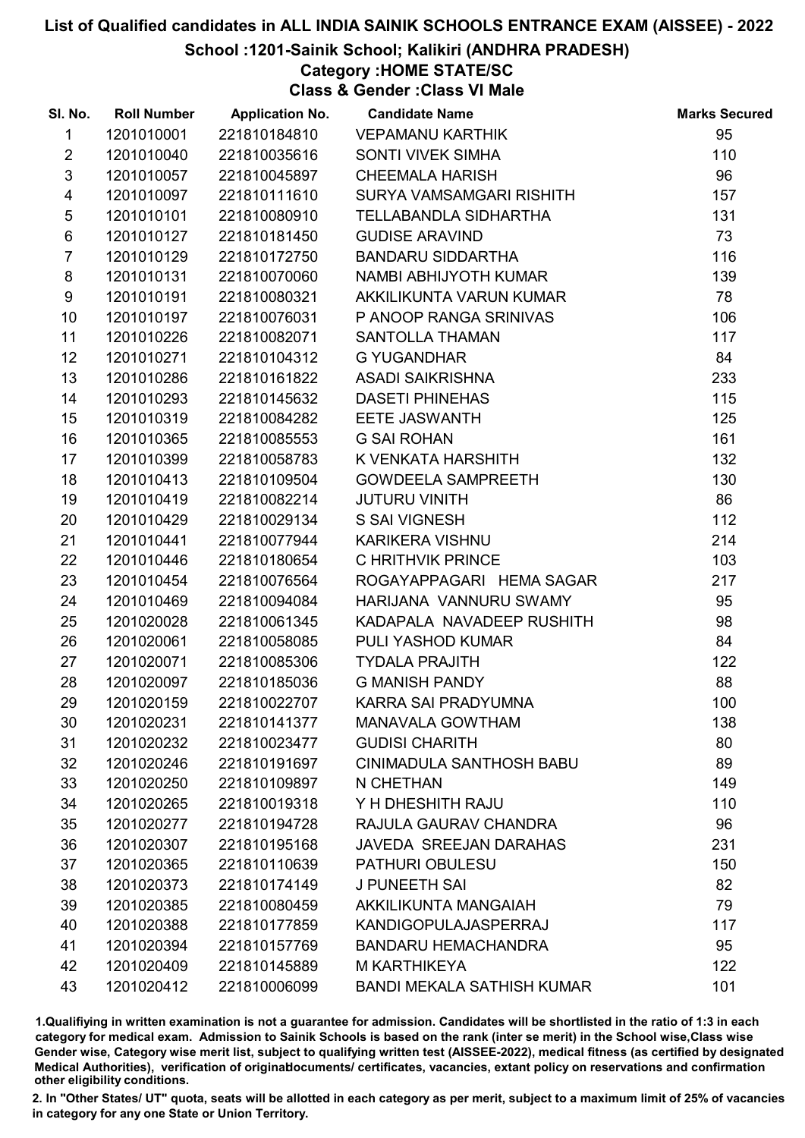School :1201-Sainik School; Kalikiri (ANDHRA PRADESH)

## Category :HOME STATE/SC

Class & Gender :Class VI Male

| SI. No.                 | <b>Roll Number</b> | <b>Application No.</b> | <b>Candidate Name</b>             | <b>Marks Secured</b> |
|-------------------------|--------------------|------------------------|-----------------------------------|----------------------|
| $\mathbf{1}$            | 1201010001         | 221810184810           | <b>VEPAMANU KARTHIK</b>           | 95                   |
| $\overline{2}$          | 1201010040         | 221810035616           | <b>SONTI VIVEK SIMHA</b>          | 110                  |
| $\mathfrak{S}$          | 1201010057         | 221810045897           | <b>CHEEMALA HARISH</b>            | 96                   |
| $\overline{\mathbf{4}}$ | 1201010097         | 221810111610           | SURYA VAMSAMGARI RISHITH          | 157                  |
| 5                       | 1201010101         | 221810080910           | <b>TELLABANDLA SIDHARTHA</b>      | 131                  |
| $\,6$                   | 1201010127         | 221810181450           | <b>GUDISE ARAVIND</b>             | 73                   |
| $\overline{7}$          | 1201010129         | 221810172750           | <b>BANDARU SIDDARTHA</b>          | 116                  |
| 8                       | 1201010131         | 221810070060           | NAMBI ABHIJYOTH KUMAR             | 139                  |
| 9                       | 1201010191         | 221810080321           | AKKILIKUNTA VARUN KUMAR           | 78                   |
| 10                      | 1201010197         | 221810076031           | P ANOOP RANGA SRINIVAS            | 106                  |
| 11                      | 1201010226         | 221810082071           | <b>SANTOLLA THAMAN</b>            | 117                  |
| 12 <sup>2</sup>         | 1201010271         | 221810104312           | <b>G YUGANDHAR</b>                | 84                   |
| 13                      | 1201010286         | 221810161822           | <b>ASADI SAIKRISHNA</b>           | 233                  |
| 14                      | 1201010293         | 221810145632           | <b>DASETI PHINEHAS</b>            | 115                  |
| 15                      | 1201010319         | 221810084282           | <b>EETE JASWANTH</b>              | 125                  |
| 16                      | 1201010365         | 221810085553           | <b>G SAI ROHAN</b>                | 161                  |
| 17                      | 1201010399         | 221810058783           | K VENKATA HARSHITH                | 132                  |
| 18                      | 1201010413         | 221810109504           | <b>GOWDEELA SAMPREETH</b>         | 130                  |
| 19                      | 1201010419         | 221810082214           | <b>JUTURU VINITH</b>              | 86                   |
| 20                      | 1201010429         | 221810029134           | <b>S SAI VIGNESH</b>              | 112                  |
| 21                      | 1201010441         | 221810077944           | <b>KARIKERA VISHNU</b>            | 214                  |
| 22                      | 1201010446         | 221810180654           | C HRITHVIK PRINCE                 | 103                  |
| 23                      | 1201010454         | 221810076564           | ROGAYAPPAGARI HEMA SAGAR          | 217                  |
| 24                      | 1201010469         | 221810094084           | HARIJANA VANNURU SWAMY            | 95                   |
| 25                      | 1201020028         | 221810061345           | KADAPALA NAVADEEP RUSHITH         | 98                   |
| 26                      | 1201020061         | 221810058085           | PULI YASHOD KUMAR                 | 84                   |
| 27                      | 1201020071         | 221810085306           | <b>TYDALA PRAJITH</b>             | 122                  |
| 28                      | 1201020097         | 221810185036           | <b>G MANISH PANDY</b>             | 88                   |
| 29                      | 1201020159         | 221810022707           | KARRA SAI PRADYUMNA               | 100                  |
| 30                      | 1201020231         | 221810141377           | <b>MANAVALA GOWTHAM</b>           | 138                  |
| 31                      | 1201020232         | 221810023477           | <b>GUDISI CHARITH</b>             | 80                   |
| 32                      | 1201020246         | 221810191697           | <b>CINIMADULA SANTHOSH BABU</b>   | 89                   |
| 33                      | 1201020250         | 221810109897           | N CHETHAN                         | 149                  |
| 34                      | 1201020265         | 221810019318           | Y H DHESHITH RAJU                 | 110                  |
| 35                      | 1201020277         | 221810194728           | RAJULA GAURAV CHANDRA             | 96                   |
| 36                      | 1201020307         | 221810195168           | JAVEDA SREEJAN DARAHAS            | 231                  |
| 37                      | 1201020365         | 221810110639           | <b>PATHURI OBULESU</b>            | 150                  |
| 38                      | 1201020373         | 221810174149           | <b>J PUNEETH SAI</b>              | 82                   |
| 39                      | 1201020385         | 221810080459           | AKKILIKUNTA MANGAIAH              | 79                   |
| 40                      | 1201020388         | 221810177859           | <b>KANDIGOPULAJASPERRAJ</b>       | 117                  |
| 41                      | 1201020394         | 221810157769           | <b>BANDARU HEMACHANDRA</b>        | 95                   |
| 42                      | 1201020409         | 221810145889           | M KARTHIKEYA                      | 122                  |
| 43                      | 1201020412         | 221810006099           | <b>BANDI MEKALA SATHISH KUMAR</b> | 101                  |

1.Qualifiying in written examination is not a guarantee for admission. Candidates will be shortlisted in the ratio of 1:3 in each category for medical exam. Admission to Sainik Schools is based on the rank (inter se merit) in the School wise,Class wise Gender wise, Category wise merit list, subject to qualifying written test (AISSEE-2022), medical fitness (as certified by designated Medical Authorities), verification of originablocuments/ certificates, vacancies, extant policy on reservations and confirmation other eligibility conditions.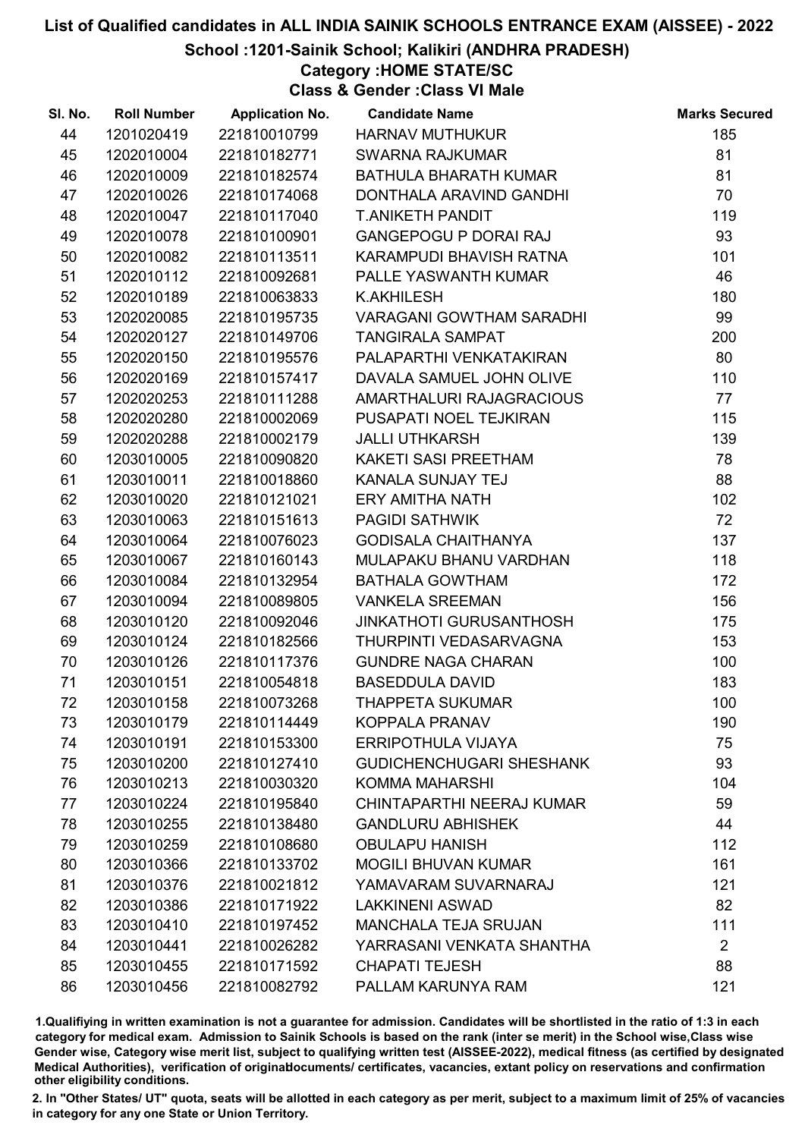#### School :1201-Sainik School; Kalikiri (ANDHRA PRADESH)

## Category :HOME STATE/SC

Class & Gender :Class VI Male

| SI. No. | <b>Roll Number</b> | <b>Application No.</b> | <b>Candidate Name</b>           | <b>Marks Secured</b> |
|---------|--------------------|------------------------|---------------------------------|----------------------|
| 44      | 1201020419         | 221810010799           | <b>HARNAV MUTHUKUR</b>          | 185                  |
| 45      | 1202010004         | 221810182771           | <b>SWARNA RAJKUMAR</b>          | 81                   |
| 46      | 1202010009         | 221810182574           | <b>BATHULA BHARATH KUMAR</b>    | 81                   |
| 47      | 1202010026         | 221810174068           | DONTHALA ARAVIND GANDHI         | 70                   |
| 48      | 1202010047         | 221810117040           | <b>T.ANIKETH PANDIT</b>         | 119                  |
| 49      | 1202010078         | 221810100901           | <b>GANGEPOGU P DORAI RAJ</b>    | 93                   |
| 50      | 1202010082         | 221810113511           | KARAMPUDI BHAVISH RATNA         | 101                  |
| 51      | 1202010112         | 221810092681           | PALLE YASWANTH KUMAR            | 46                   |
| 52      | 1202010189         | 221810063833           | <b>K.AKHILESH</b>               | 180                  |
| 53      | 1202020085         | 221810195735           | <b>VARAGANI GOWTHAM SARADHI</b> | 99                   |
| 54      | 1202020127         | 221810149706           | <b>TANGIRALA SAMPAT</b>         | 200                  |
| 55      | 1202020150         | 221810195576           | PALAPARTHI VENKATAKIRAN         | 80                   |
| 56      | 1202020169         | 221810157417           | DAVALA SAMUEL JOHN OLIVE        | 110                  |
| 57      | 1202020253         | 221810111288           | AMARTHALURI RAJAGRACIOUS        | 77                   |
| 58      | 1202020280         | 221810002069           | PUSAPATI NOEL TEJKIRAN          | 115                  |
| 59      | 1202020288         | 221810002179           | <b>JALLI UTHKARSH</b>           | 139                  |
| 60      | 1203010005         | 221810090820           | KAKETI SASI PREETHAM            | 78                   |
| 61      | 1203010011         | 221810018860           | KANALA SUNJAY TEJ               | 88                   |
| 62      | 1203010020         | 221810121021           | <b>ERY AMITHA NATH</b>          | 102                  |
| 63      | 1203010063         | 221810151613           | <b>PAGIDI SATHWIK</b>           | 72                   |
| 64      | 1203010064         | 221810076023           | <b>GODISALA CHAITHANYA</b>      | 137                  |
| 65      | 1203010067         | 221810160143           | MULAPAKU BHANU VARDHAN          | 118                  |
| 66      | 1203010084         | 221810132954           | <b>BATHALA GOWTHAM</b>          | 172                  |
| 67      | 1203010094         | 221810089805           | <b>VANKELA SREEMAN</b>          | 156                  |
| 68      | 1203010120         | 221810092046           | <b>JINKATHOTI GURUSANTHOSH</b>  | 175                  |
| 69      | 1203010124         | 221810182566           | THURPINTI VEDASARVAGNA          | 153                  |
| 70      | 1203010126         | 221810117376           | <b>GUNDRE NAGA CHARAN</b>       | 100                  |
| 71      | 1203010151         | 221810054818           | <b>BASEDDULA DAVID</b>          | 183                  |
| 72      | 1203010158         | 221810073268           | <b>THAPPETA SUKUMAR</b>         | 100                  |
| 73      | 1203010179         | 221810114449           | KOPPALA PRANAV                  | 190                  |
| 74      | 1203010191         | 221810153300           | <b>ERRIPOTHULA VIJAYA</b>       | 75                   |
| 75      | 1203010200         | 221810127410           | <b>GUDICHENCHUGARI SHESHANK</b> | 93                   |
| 76      | 1203010213         | 221810030320           | <b>KOMMA MAHARSHI</b>           | 104                  |
| 77      | 1203010224         | 221810195840           | CHINTAPARTHI NEERAJ KUMAR       | 59                   |
| 78      | 1203010255         | 221810138480           | <b>GANDLURU ABHISHEK</b>        | 44                   |
| 79      | 1203010259         | 221810108680           | <b>OBULAPU HANISH</b>           | 112                  |
| 80      | 1203010366         | 221810133702           | <b>MOGILI BHUVAN KUMAR</b>      | 161                  |
| 81      | 1203010376         | 221810021812           | YAMAVARAM SUVARNARAJ            | 121                  |
| 82      | 1203010386         | 221810171922           | <b>LAKKINENI ASWAD</b>          | 82                   |
| 83      | 1203010410         | 221810197452           | <b>MANCHALA TEJA SRUJAN</b>     | 111                  |
| 84      | 1203010441         | 221810026282           | YARRASANI VENKATA SHANTHA       | $\overline{2}$       |
| 85      | 1203010455         | 221810171592           | <b>CHAPATI TEJESH</b>           | 88                   |
| 86      | 1203010456         | 221810082792           | PALLAM KARUNYA RAM              | 121                  |

1.Qualifiying in written examination is not a guarantee for admission. Candidates will be shortlisted in the ratio of 1:3 in each category for medical exam. Admission to Sainik Schools is based on the rank (inter se merit) in the School wise,Class wise Gender wise, Category wise merit list, subject to qualifying written test (AISSEE-2022), medical fitness (as certified by designated Medical Authorities), verification of originablocuments/ certificates, vacancies, extant policy on reservations and confirmation other eligibility conditions.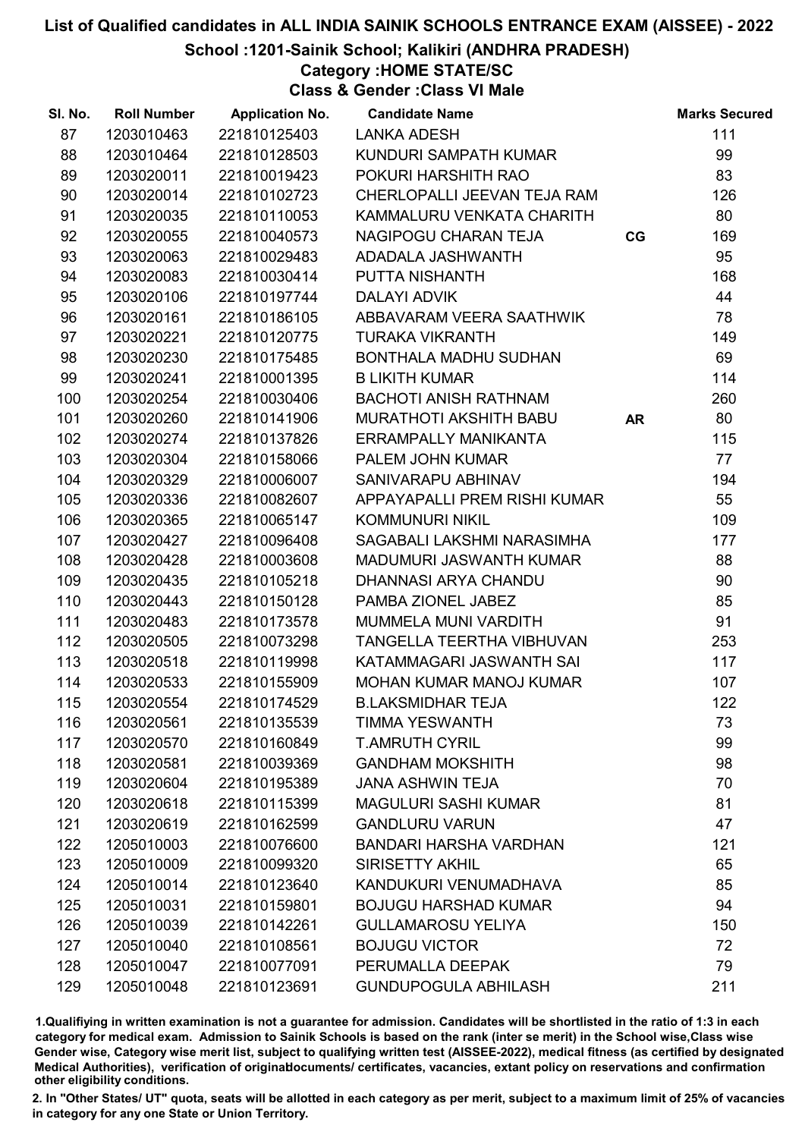School :1201-Sainik School; Kalikiri (ANDHRA PRADESH)

# Category :HOME STATE/SC

Class & Gender :Class VI Male

| 87<br>1203010463<br>221810125403<br>111<br><b>LANKA ADESH</b><br>88<br>1203010464<br>221810128503<br>KUNDURI SAMPATH KUMAR<br>99<br>83<br>89<br>1203020011<br>221810019423<br>POKURI HARSHITH RAO<br>1203020014<br>CHERLOPALLI JEEVAN TEJA RAM<br>126<br>90<br>221810102723<br>80<br>91<br>1203020035<br>221810110053<br>KAMMALURU VENKATA CHARITH<br>92<br>1203020055<br>221810040573<br>NAGIPOGU CHARAN TEJA<br>169<br>CG<br>95<br>93<br>1203020063<br>221810029483<br>ADADALA JASHWANTH<br>168<br>94<br>221810030414<br>1203020083<br>PUTTA NISHANTH<br>44<br>95<br>1203020106<br>221810197744<br><b>DALAYI ADVIK</b><br>78<br>96<br>1203020161<br>221810186105<br>ABBAVARAM VEERA SAATHWIK<br>97<br>149<br>1203020221<br>221810120775<br><b>TURAKA VIKRANTH</b><br>69<br>98<br>1203020230<br>221810175485<br>BONTHALA MADHU SUDHAN<br>114<br>99<br>1203020241<br>221810001395<br><b>B LIKITH KUMAR</b><br>1203020254<br>221810030406<br><b>BACHOTI ANISH RATHNAM</b><br>260<br>100<br>80<br><b>MURATHOTI AKSHITH BABU</b><br>101<br>1203020260<br>221810141906<br><b>AR</b><br>1203020274<br>115<br>102<br>221810137826<br>ERRAMPALLY MANIKANTA<br>77<br>1203020304<br>103<br>221810158066<br>PALEM JOHN KUMAR<br>1203020329<br>221810006007<br>194<br>104<br>SANIVARAPU ABHINAV<br>55<br>105<br>1203020336<br>221810082607<br>APPAYAPALLI PREM RISHI KUMAR<br>109<br>106<br>1203020365<br>221810065147<br><b>KOMMUNURI NIKIL</b><br>177<br>107<br>1203020427<br>221810096408<br>SAGABALI LAKSHMI NARASIMHA<br>88<br>1203020428<br>221810003608<br><b>MADUMURI JASWANTH KUMAR</b><br>108<br>90<br>109<br>1203020435<br>221810105218<br>DHANNASI ARYA CHANDU<br>85<br>1203020443<br>110<br>221810150128<br>PAMBA ZIONEL JABEZ<br>91<br>1203020483<br>111<br>221810173578<br>MUMMELA MUNI VARDITH |
|-----------------------------------------------------------------------------------------------------------------------------------------------------------------------------------------------------------------------------------------------------------------------------------------------------------------------------------------------------------------------------------------------------------------------------------------------------------------------------------------------------------------------------------------------------------------------------------------------------------------------------------------------------------------------------------------------------------------------------------------------------------------------------------------------------------------------------------------------------------------------------------------------------------------------------------------------------------------------------------------------------------------------------------------------------------------------------------------------------------------------------------------------------------------------------------------------------------------------------------------------------------------------------------------------------------------------------------------------------------------------------------------------------------------------------------------------------------------------------------------------------------------------------------------------------------------------------------------------------------------------------------------------------------------------------------------------------------------------------------------------------------------------------------------------------|
|                                                                                                                                                                                                                                                                                                                                                                                                                                                                                                                                                                                                                                                                                                                                                                                                                                                                                                                                                                                                                                                                                                                                                                                                                                                                                                                                                                                                                                                                                                                                                                                                                                                                                                                                                                                                     |
|                                                                                                                                                                                                                                                                                                                                                                                                                                                                                                                                                                                                                                                                                                                                                                                                                                                                                                                                                                                                                                                                                                                                                                                                                                                                                                                                                                                                                                                                                                                                                                                                                                                                                                                                                                                                     |
|                                                                                                                                                                                                                                                                                                                                                                                                                                                                                                                                                                                                                                                                                                                                                                                                                                                                                                                                                                                                                                                                                                                                                                                                                                                                                                                                                                                                                                                                                                                                                                                                                                                                                                                                                                                                     |
|                                                                                                                                                                                                                                                                                                                                                                                                                                                                                                                                                                                                                                                                                                                                                                                                                                                                                                                                                                                                                                                                                                                                                                                                                                                                                                                                                                                                                                                                                                                                                                                                                                                                                                                                                                                                     |
|                                                                                                                                                                                                                                                                                                                                                                                                                                                                                                                                                                                                                                                                                                                                                                                                                                                                                                                                                                                                                                                                                                                                                                                                                                                                                                                                                                                                                                                                                                                                                                                                                                                                                                                                                                                                     |
|                                                                                                                                                                                                                                                                                                                                                                                                                                                                                                                                                                                                                                                                                                                                                                                                                                                                                                                                                                                                                                                                                                                                                                                                                                                                                                                                                                                                                                                                                                                                                                                                                                                                                                                                                                                                     |
|                                                                                                                                                                                                                                                                                                                                                                                                                                                                                                                                                                                                                                                                                                                                                                                                                                                                                                                                                                                                                                                                                                                                                                                                                                                                                                                                                                                                                                                                                                                                                                                                                                                                                                                                                                                                     |
|                                                                                                                                                                                                                                                                                                                                                                                                                                                                                                                                                                                                                                                                                                                                                                                                                                                                                                                                                                                                                                                                                                                                                                                                                                                                                                                                                                                                                                                                                                                                                                                                                                                                                                                                                                                                     |
|                                                                                                                                                                                                                                                                                                                                                                                                                                                                                                                                                                                                                                                                                                                                                                                                                                                                                                                                                                                                                                                                                                                                                                                                                                                                                                                                                                                                                                                                                                                                                                                                                                                                                                                                                                                                     |
|                                                                                                                                                                                                                                                                                                                                                                                                                                                                                                                                                                                                                                                                                                                                                                                                                                                                                                                                                                                                                                                                                                                                                                                                                                                                                                                                                                                                                                                                                                                                                                                                                                                                                                                                                                                                     |
|                                                                                                                                                                                                                                                                                                                                                                                                                                                                                                                                                                                                                                                                                                                                                                                                                                                                                                                                                                                                                                                                                                                                                                                                                                                                                                                                                                                                                                                                                                                                                                                                                                                                                                                                                                                                     |
|                                                                                                                                                                                                                                                                                                                                                                                                                                                                                                                                                                                                                                                                                                                                                                                                                                                                                                                                                                                                                                                                                                                                                                                                                                                                                                                                                                                                                                                                                                                                                                                                                                                                                                                                                                                                     |
|                                                                                                                                                                                                                                                                                                                                                                                                                                                                                                                                                                                                                                                                                                                                                                                                                                                                                                                                                                                                                                                                                                                                                                                                                                                                                                                                                                                                                                                                                                                                                                                                                                                                                                                                                                                                     |
|                                                                                                                                                                                                                                                                                                                                                                                                                                                                                                                                                                                                                                                                                                                                                                                                                                                                                                                                                                                                                                                                                                                                                                                                                                                                                                                                                                                                                                                                                                                                                                                                                                                                                                                                                                                                     |
|                                                                                                                                                                                                                                                                                                                                                                                                                                                                                                                                                                                                                                                                                                                                                                                                                                                                                                                                                                                                                                                                                                                                                                                                                                                                                                                                                                                                                                                                                                                                                                                                                                                                                                                                                                                                     |
|                                                                                                                                                                                                                                                                                                                                                                                                                                                                                                                                                                                                                                                                                                                                                                                                                                                                                                                                                                                                                                                                                                                                                                                                                                                                                                                                                                                                                                                                                                                                                                                                                                                                                                                                                                                                     |
|                                                                                                                                                                                                                                                                                                                                                                                                                                                                                                                                                                                                                                                                                                                                                                                                                                                                                                                                                                                                                                                                                                                                                                                                                                                                                                                                                                                                                                                                                                                                                                                                                                                                                                                                                                                                     |
|                                                                                                                                                                                                                                                                                                                                                                                                                                                                                                                                                                                                                                                                                                                                                                                                                                                                                                                                                                                                                                                                                                                                                                                                                                                                                                                                                                                                                                                                                                                                                                                                                                                                                                                                                                                                     |
|                                                                                                                                                                                                                                                                                                                                                                                                                                                                                                                                                                                                                                                                                                                                                                                                                                                                                                                                                                                                                                                                                                                                                                                                                                                                                                                                                                                                                                                                                                                                                                                                                                                                                                                                                                                                     |
|                                                                                                                                                                                                                                                                                                                                                                                                                                                                                                                                                                                                                                                                                                                                                                                                                                                                                                                                                                                                                                                                                                                                                                                                                                                                                                                                                                                                                                                                                                                                                                                                                                                                                                                                                                                                     |
|                                                                                                                                                                                                                                                                                                                                                                                                                                                                                                                                                                                                                                                                                                                                                                                                                                                                                                                                                                                                                                                                                                                                                                                                                                                                                                                                                                                                                                                                                                                                                                                                                                                                                                                                                                                                     |
|                                                                                                                                                                                                                                                                                                                                                                                                                                                                                                                                                                                                                                                                                                                                                                                                                                                                                                                                                                                                                                                                                                                                                                                                                                                                                                                                                                                                                                                                                                                                                                                                                                                                                                                                                                                                     |
|                                                                                                                                                                                                                                                                                                                                                                                                                                                                                                                                                                                                                                                                                                                                                                                                                                                                                                                                                                                                                                                                                                                                                                                                                                                                                                                                                                                                                                                                                                                                                                                                                                                                                                                                                                                                     |
|                                                                                                                                                                                                                                                                                                                                                                                                                                                                                                                                                                                                                                                                                                                                                                                                                                                                                                                                                                                                                                                                                                                                                                                                                                                                                                                                                                                                                                                                                                                                                                                                                                                                                                                                                                                                     |
|                                                                                                                                                                                                                                                                                                                                                                                                                                                                                                                                                                                                                                                                                                                                                                                                                                                                                                                                                                                                                                                                                                                                                                                                                                                                                                                                                                                                                                                                                                                                                                                                                                                                                                                                                                                                     |
| 112<br>1203020505<br>221810073298<br>TANGELLA TEERTHA VIBHUVAN<br>253                                                                                                                                                                                                                                                                                                                                                                                                                                                                                                                                                                                                                                                                                                                                                                                                                                                                                                                                                                                                                                                                                                                                                                                                                                                                                                                                                                                                                                                                                                                                                                                                                                                                                                                               |
| 113<br>221810119998<br>KATAMMAGARI JASWANTH SAI<br>117<br>1203020518                                                                                                                                                                                                                                                                                                                                                                                                                                                                                                                                                                                                                                                                                                                                                                                                                                                                                                                                                                                                                                                                                                                                                                                                                                                                                                                                                                                                                                                                                                                                                                                                                                                                                                                                |
| 114<br>107<br>1203020533<br>221810155909<br><b>MOHAN KUMAR MANOJ KUMAR</b>                                                                                                                                                                                                                                                                                                                                                                                                                                                                                                                                                                                                                                                                                                                                                                                                                                                                                                                                                                                                                                                                                                                                                                                                                                                                                                                                                                                                                                                                                                                                                                                                                                                                                                                          |
| 122<br>115<br>1203020554<br>221810174529<br><b>B.LAKSMIDHAR TEJA</b>                                                                                                                                                                                                                                                                                                                                                                                                                                                                                                                                                                                                                                                                                                                                                                                                                                                                                                                                                                                                                                                                                                                                                                                                                                                                                                                                                                                                                                                                                                                                                                                                                                                                                                                                |
| 116<br>1203020561<br>221810135539<br><b>TIMMA YESWANTH</b><br>73                                                                                                                                                                                                                                                                                                                                                                                                                                                                                                                                                                                                                                                                                                                                                                                                                                                                                                                                                                                                                                                                                                                                                                                                                                                                                                                                                                                                                                                                                                                                                                                                                                                                                                                                    |
| 99<br>117<br>1203020570<br>221810160849<br><b>T.AMRUTH CYRIL</b>                                                                                                                                                                                                                                                                                                                                                                                                                                                                                                                                                                                                                                                                                                                                                                                                                                                                                                                                                                                                                                                                                                                                                                                                                                                                                                                                                                                                                                                                                                                                                                                                                                                                                                                                    |
| 98<br>118<br>1203020581<br>221810039369<br><b>GANDHAM MOKSHITH</b>                                                                                                                                                                                                                                                                                                                                                                                                                                                                                                                                                                                                                                                                                                                                                                                                                                                                                                                                                                                                                                                                                                                                                                                                                                                                                                                                                                                                                                                                                                                                                                                                                                                                                                                                  |
| <b>JANA ASHWIN TEJA</b><br>70<br>119<br>1203020604<br>221810195389                                                                                                                                                                                                                                                                                                                                                                                                                                                                                                                                                                                                                                                                                                                                                                                                                                                                                                                                                                                                                                                                                                                                                                                                                                                                                                                                                                                                                                                                                                                                                                                                                                                                                                                                  |
| 81<br>120<br>1203020618<br>221810115399<br><b>MAGULURI SASHI KUMAR</b>                                                                                                                                                                                                                                                                                                                                                                                                                                                                                                                                                                                                                                                                                                                                                                                                                                                                                                                                                                                                                                                                                                                                                                                                                                                                                                                                                                                                                                                                                                                                                                                                                                                                                                                              |
| 47<br>121<br>1203020619<br>221810162599<br><b>GANDLURU VARUN</b>                                                                                                                                                                                                                                                                                                                                                                                                                                                                                                                                                                                                                                                                                                                                                                                                                                                                                                                                                                                                                                                                                                                                                                                                                                                                                                                                                                                                                                                                                                                                                                                                                                                                                                                                    |
| 121<br>122<br>1205010003<br>221810076600<br><b>BANDARI HARSHA VARDHAN</b>                                                                                                                                                                                                                                                                                                                                                                                                                                                                                                                                                                                                                                                                                                                                                                                                                                                                                                                                                                                                                                                                                                                                                                                                                                                                                                                                                                                                                                                                                                                                                                                                                                                                                                                           |
| 65<br>123<br>1205010009<br>221810099320<br><b>SIRISETTY AKHIL</b>                                                                                                                                                                                                                                                                                                                                                                                                                                                                                                                                                                                                                                                                                                                                                                                                                                                                                                                                                                                                                                                                                                                                                                                                                                                                                                                                                                                                                                                                                                                                                                                                                                                                                                                                   |
| 85<br>124<br>1205010014<br>221810123640<br>KANDUKURI VENUMADHAVA                                                                                                                                                                                                                                                                                                                                                                                                                                                                                                                                                                                                                                                                                                                                                                                                                                                                                                                                                                                                                                                                                                                                                                                                                                                                                                                                                                                                                                                                                                                                                                                                                                                                                                                                    |
| 94<br>125<br>1205010031<br>221810159801<br><b>BOJUGU HARSHAD KUMAR</b>                                                                                                                                                                                                                                                                                                                                                                                                                                                                                                                                                                                                                                                                                                                                                                                                                                                                                                                                                                                                                                                                                                                                                                                                                                                                                                                                                                                                                                                                                                                                                                                                                                                                                                                              |
| 126<br>1205010039<br>221810142261<br><b>GULLAMAROSU YELIYA</b><br>150                                                                                                                                                                                                                                                                                                                                                                                                                                                                                                                                                                                                                                                                                                                                                                                                                                                                                                                                                                                                                                                                                                                                                                                                                                                                                                                                                                                                                                                                                                                                                                                                                                                                                                                               |
| 72<br>127<br>1205010040<br>221810108561<br><b>BOJUGU VICTOR</b>                                                                                                                                                                                                                                                                                                                                                                                                                                                                                                                                                                                                                                                                                                                                                                                                                                                                                                                                                                                                                                                                                                                                                                                                                                                                                                                                                                                                                                                                                                                                                                                                                                                                                                                                     |
| 79<br>128<br>1205010047<br>221810077091<br>PERUMALLA DEEPAK                                                                                                                                                                                                                                                                                                                                                                                                                                                                                                                                                                                                                                                                                                                                                                                                                                                                                                                                                                                                                                                                                                                                                                                                                                                                                                                                                                                                                                                                                                                                                                                                                                                                                                                                         |
| 1205010048<br><b>GUNDUPOGULA ABHILASH</b><br>211<br>129<br>221810123691                                                                                                                                                                                                                                                                                                                                                                                                                                                                                                                                                                                                                                                                                                                                                                                                                                                                                                                                                                                                                                                                                                                                                                                                                                                                                                                                                                                                                                                                                                                                                                                                                                                                                                                             |

1.Qualifiying in written examination is not a guarantee for admission. Candidates will be shortlisted in the ratio of 1:3 in each category for medical exam. Admission to Sainik Schools is based on the rank (inter se merit) in the School wise,Class wise Gender wise, Category wise merit list, subject to qualifying written test (AISSEE-2022), medical fitness (as certified by designated Medical Authorities), verification of originablocuments/ certificates, vacancies, extant policy on reservations and confirmation other eligibility conditions.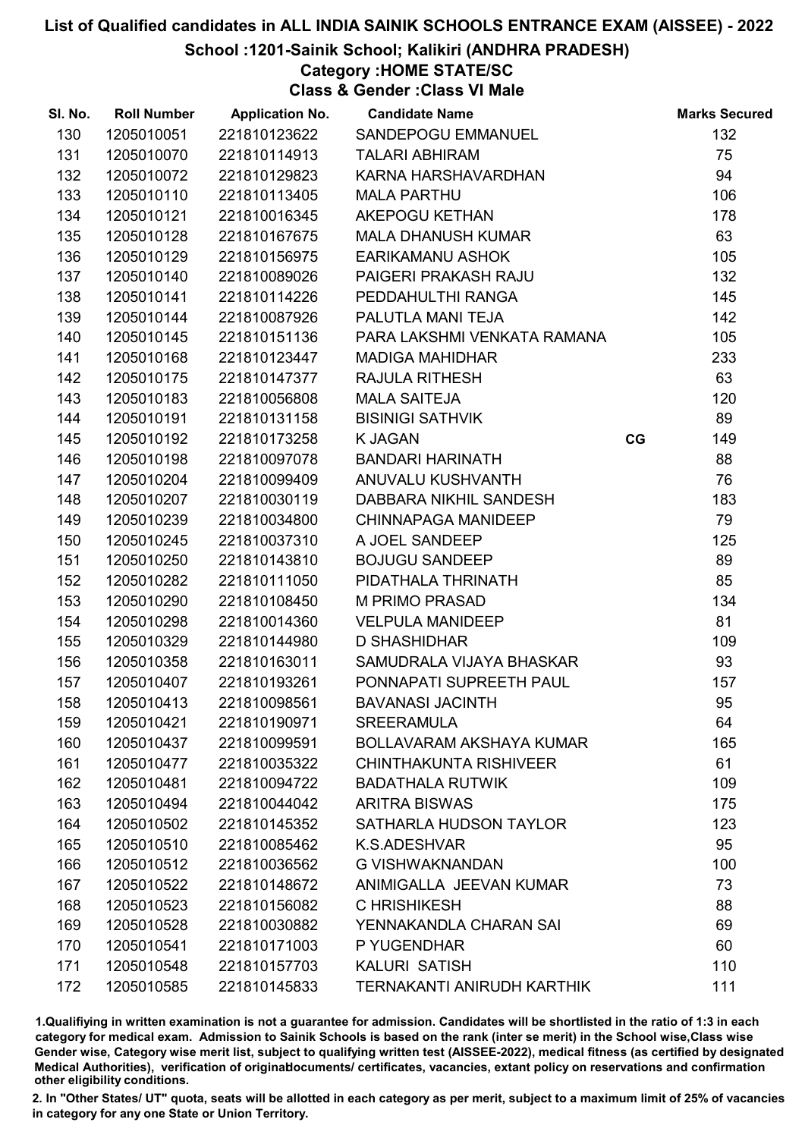#### School :1201-Sainik School; Kalikiri (ANDHRA PRADESH)

## Category :HOME STATE/SC

Class & Gender :Class VI Male

| SI. No. | <b>Roll Number</b> | <b>Application No.</b> | <b>Candidate Name</b>             |    | <b>Marks Secured</b> |
|---------|--------------------|------------------------|-----------------------------------|----|----------------------|
| 130     | 1205010051         | 221810123622           | SANDEPOGU EMMANUEL                |    | 132                  |
| 131     | 1205010070         | 221810114913           | <b>TALARI ABHIRAM</b>             |    | 75                   |
| 132     | 1205010072         | 221810129823           | KARNA HARSHAVARDHAN               |    | 94                   |
| 133     | 1205010110         | 221810113405           | <b>MALA PARTHU</b>                |    | 106                  |
| 134     | 1205010121         | 221810016345           | AKEPOGU KETHAN                    |    | 178                  |
| 135     | 1205010128         | 221810167675           | <b>MALA DHANUSH KUMAR</b>         |    | 63                   |
| 136     | 1205010129         | 221810156975           | <b>EARIKAMANU ASHOK</b>           |    | 105                  |
| 137     | 1205010140         | 221810089026           | PAIGERI PRAKASH RAJU              |    | 132                  |
| 138     | 1205010141         | 221810114226           | PEDDAHULTHI RANGA                 |    | 145                  |
| 139     | 1205010144         | 221810087926           | PALUTLA MANI TEJA                 |    | 142                  |
| 140     | 1205010145         | 221810151136           | PARA LAKSHMI VENKATA RAMANA       |    | 105                  |
| 141     | 1205010168         | 221810123447           | <b>MADIGA MAHIDHAR</b>            |    | 233                  |
| 142     | 1205010175         | 221810147377           | <b>RAJULA RITHESH</b>             |    | 63                   |
| 143     | 1205010183         | 221810056808           | <b>MALA SAITEJA</b>               |    | 120                  |
| 144     | 1205010191         | 221810131158           | <b>BISINIGI SATHVIK</b>           |    | 89                   |
| 145     | 1205010192         | 221810173258           | <b>K JAGAN</b>                    | CG | 149                  |
| 146     | 1205010198         | 221810097078           | <b>BANDARI HARINATH</b>           |    | 88                   |
| 147     | 1205010204         | 221810099409           | ANUVALU KUSHVANTH                 |    | 76                   |
| 148     | 1205010207         | 221810030119           | DABBARA NIKHIL SANDESH            |    | 183                  |
| 149     | 1205010239         | 221810034800           | <b>CHINNAPAGA MANIDEEP</b>        |    | 79                   |
| 150     | 1205010245         | 221810037310           | A JOEL SANDEEP                    |    | 125                  |
| 151     | 1205010250         | 221810143810           | <b>BOJUGU SANDEEP</b>             |    | 89                   |
| 152     | 1205010282         | 221810111050           | PIDATHALA THRINATH                |    | 85                   |
| 153     | 1205010290         | 221810108450           | <b>M PRIMO PRASAD</b>             |    | 134                  |
| 154     | 1205010298         | 221810014360           | <b>VELPULA MANIDEEP</b>           |    | 81                   |
| 155     | 1205010329         | 221810144980           | <b>D SHASHIDHAR</b>               |    | 109                  |
| 156     | 1205010358         | 221810163011           | SAMUDRALA VIJAYA BHASKAR          |    | 93                   |
| 157     | 1205010407         | 221810193261           | PONNAPATI SUPREETH PAUL           |    | 157                  |
| 158     | 1205010413         | 221810098561           | <b>BAVANASI JACINTH</b>           |    | 95                   |
| 159     | 1205010421         | 221810190971           | <b>SREERAMULA</b>                 |    | 64                   |
| 160     | 1205010437         | 221810099591           | BOLLAVARAM AKSHAYA KUMAR          |    | 165                  |
| 161     | 1205010477         | 221810035322           | <b>CHINTHAKUNTA RISHIVEER</b>     |    | 61                   |
| 162     | 1205010481         | 221810094722           | <b>BADATHALA RUTWIK</b>           |    | 109                  |
| 163     | 1205010494         | 221810044042           | <b>ARITRA BISWAS</b>              |    | 175                  |
| 164     | 1205010502         | 221810145352           | SATHARLA HUDSON TAYLOR            |    | 123                  |
| 165     | 1205010510         | 221810085462           | K.S.ADESHVAR                      |    | 95                   |
| 166     | 1205010512         | 221810036562           | <b>G VISHWAKNANDAN</b>            |    | 100                  |
| 167     | 1205010522         | 221810148672           | ANIMIGALLA JEEVAN KUMAR           |    | 73                   |
| 168     | 1205010523         | 221810156082           | C HRISHIKESH                      |    | 88                   |
| 169     | 1205010528         | 221810030882           | YENNAKANDLA CHARAN SAI            |    | 69                   |
| 170     | 1205010541         | 221810171003           | P YUGENDHAR                       |    | 60                   |
| 171     | 1205010548         | 221810157703           | <b>KALURI SATISH</b>              |    | 110                  |
| 172     | 1205010585         | 221810145833           | <b>TERNAKANTI ANIRUDH KARTHIK</b> |    | 111                  |

1.Qualifiying in written examination is not a guarantee for admission. Candidates will be shortlisted in the ratio of 1:3 in each category for medical exam. Admission to Sainik Schools is based on the rank (inter se merit) in the School wise,Class wise Gender wise, Category wise merit list, subject to qualifying written test (AISSEE-2022), medical fitness (as certified by designated Medical Authorities), verification of originablocuments/ certificates, vacancies, extant policy on reservations and confirmation other eligibility conditions.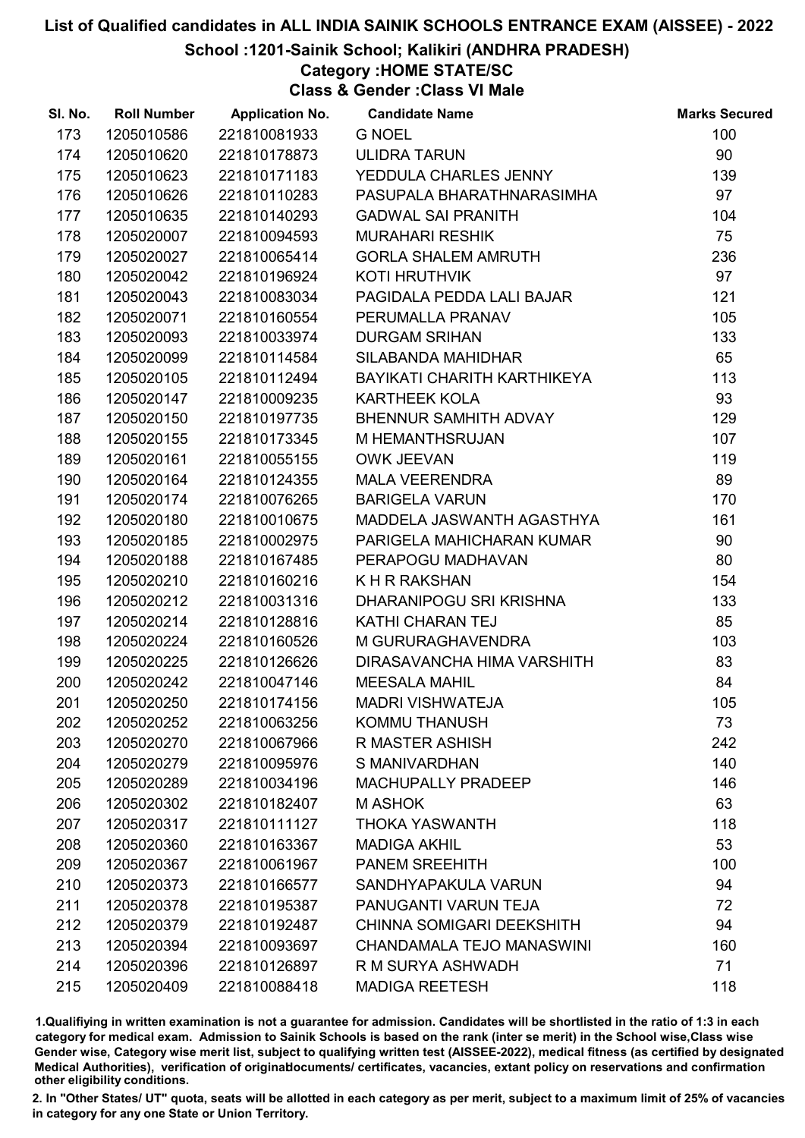School :1201-Sainik School; Kalikiri (ANDHRA PRADESH)

# Category :HOME STATE/SC

Class & Gender :Class VI Male

| SI. No. | <b>Roll Number</b> | <b>Application No.</b> | <b>Candidate Name</b>            | <b>Marks Secured</b> |
|---------|--------------------|------------------------|----------------------------------|----------------------|
| 173     | 1205010586         | 221810081933           | <b>G NOEL</b>                    | 100                  |
| 174     | 1205010620         | 221810178873           | <b>ULIDRA TARUN</b>              | 90                   |
| 175     | 1205010623         | 221810171183           | YEDDULA CHARLES JENNY            | 139                  |
| 176     | 1205010626         | 221810110283           | PASUPALA BHARATHNARASIMHA        | 97                   |
| 177     | 1205010635         | 221810140293           | <b>GADWAL SAI PRANITH</b>        | 104                  |
| 178     | 1205020007         | 221810094593           | <b>MURAHARI RESHIK</b>           | 75                   |
| 179     | 1205020027         | 221810065414           | <b>GORLA SHALEM AMRUTH</b>       | 236                  |
| 180     | 1205020042         | 221810196924           | <b>KOTI HRUTHVIK</b>             | 97                   |
| 181     | 1205020043         | 221810083034           | PAGIDALA PEDDA LALI BAJAR        | 121                  |
| 182     | 1205020071         | 221810160554           | PERUMALLA PRANAV                 | 105                  |
| 183     | 1205020093         | 221810033974           | <b>DURGAM SRIHAN</b>             | 133                  |
| 184     | 1205020099         | 221810114584           | SILABANDA MAHIDHAR               | 65                   |
| 185     | 1205020105         | 221810112494           | BAYIKATI CHARITH KARTHIKEYA      | 113                  |
| 186     | 1205020147         | 221810009235           | <b>KARTHEEK KOLA</b>             | 93                   |
| 187     | 1205020150         | 221810197735           | BHENNUR SAMHITH ADVAY            | 129                  |
| 188     | 1205020155         | 221810173345           | M HEMANTHSRUJAN                  | 107                  |
| 189     | 1205020161         | 221810055155           | <b>OWK JEEVAN</b>                | 119                  |
| 190     | 1205020164         | 221810124355           | <b>MALA VEERENDRA</b>            | 89                   |
| 191     | 1205020174         | 221810076265           | <b>BARIGELA VARUN</b>            | 170                  |
| 192     | 1205020180         | 221810010675           | MADDELA JASWANTH AGASTHYA        | 161                  |
| 193     | 1205020185         | 221810002975           | PARIGELA MAHICHARAN KUMAR        | 90                   |
| 194     | 1205020188         | 221810167485           | PERAPOGU MADHAVAN                | 80                   |
| 195     | 1205020210         | 221810160216           | K H R RAKSHAN                    | 154                  |
| 196     | 1205020212         | 221810031316           | DHARANIPOGU SRI KRISHNA          | 133                  |
| 197     | 1205020214         | 221810128816           | <b>KATHI CHARAN TEJ</b>          | 85                   |
| 198     | 1205020224         | 221810160526           | M GURURAGHAVENDRA                | 103                  |
| 199     | 1205020225         | 221810126626           | DIRASAVANCHA HIMA VARSHITH       | 83                   |
| 200     | 1205020242         | 221810047146           | <b>MEESALA MAHIL</b>             | 84                   |
| 201     | 1205020250         | 221810174156           | <b>MADRI VISHWATEJA</b>          | 105                  |
| 202     | 1205020252         | 221810063256           | <b>KOMMU THANUSH</b>             | 73                   |
| 203     | 1205020270         | 221810067966           | <b>R MASTER ASHISH</b>           | 242                  |
| 204     | 1205020279         | 221810095976           | S MANIVARDHAN                    | 140                  |
| 205     | 1205020289         | 221810034196           | MACHUPALLY PRADEEP               | 146                  |
| 206     | 1205020302         | 221810182407           | <b>MASHOK</b>                    | 63                   |
| 207     | 1205020317         | 221810111127           | <b>THOKA YASWANTH</b>            | 118                  |
| 208     | 1205020360         | 221810163367           | <b>MADIGA AKHIL</b>              | 53                   |
| 209     | 1205020367         | 221810061967           | <b>PANEM SREEHITH</b>            | 100                  |
| 210     | 1205020373         | 221810166577           | SANDHYAPAKULA VARUN              | 94                   |
| 211     | 1205020378         | 221810195387           | PANUGANTI VARUN TEJA             | 72                   |
| 212     | 1205020379         | 221810192487           | <b>CHINNA SOMIGARI DEEKSHITH</b> | 94                   |
| 213     | 1205020394         | 221810093697           | CHANDAMALA TEJO MANASWINI        | 160                  |
| 214     | 1205020396         | 221810126897           | R M SURYA ASHWADH                | 71                   |
| 215     | 1205020409         | 221810088418           | <b>MADIGA REETESH</b>            | 118                  |

1.Qualifiying in written examination is not a guarantee for admission. Candidates will be shortlisted in the ratio of 1:3 in each category for medical exam. Admission to Sainik Schools is based on the rank (inter se merit) in the School wise,Class wise Gender wise, Category wise merit list, subject to qualifying written test (AISSEE-2022), medical fitness (as certified by designated Medical Authorities), verification of originablocuments/ certificates, vacancies, extant policy on reservations and confirmation other eligibility conditions.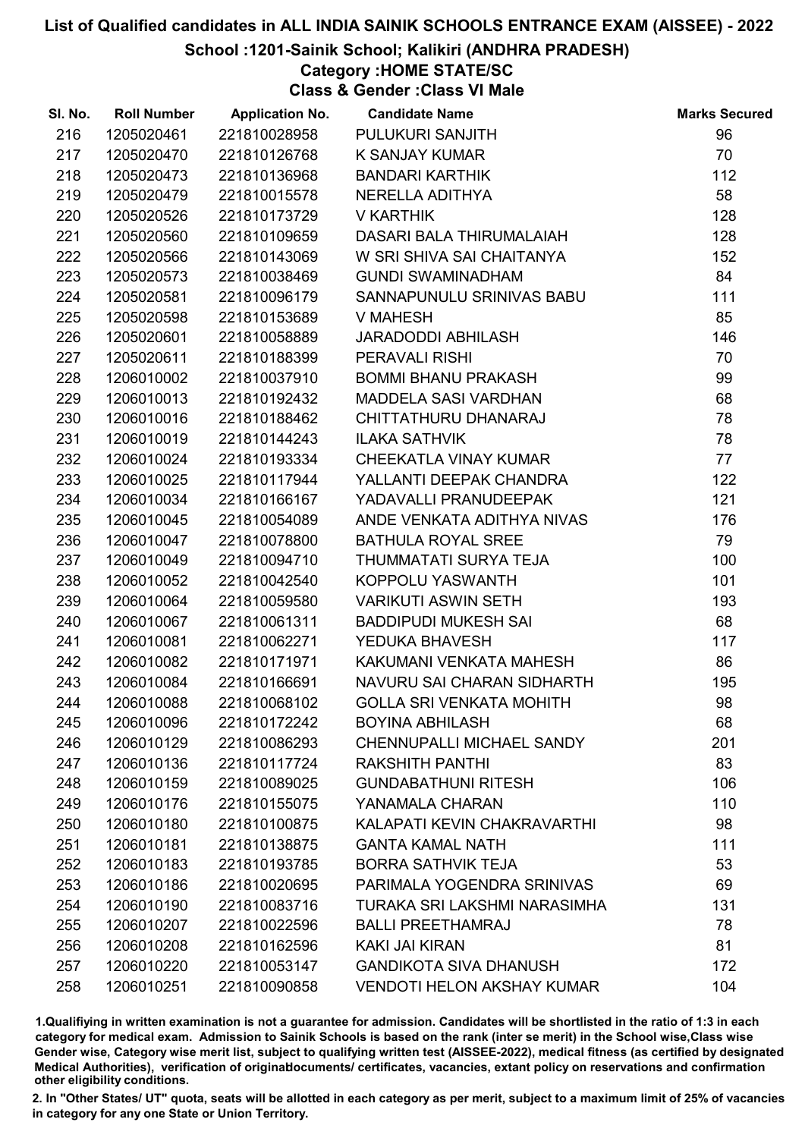#### School :1201-Sainik School; Kalikiri (ANDHRA PRADESH)

## Category :HOME STATE/SC

Class & Gender :Class VI Male

| SI. No. | <b>Roll Number</b> | <b>Application No.</b> | <b>Candidate Name</b>             | <b>Marks Secured</b> |
|---------|--------------------|------------------------|-----------------------------------|----------------------|
| 216     | 1205020461         | 221810028958           | PULUKURI SANJITH                  | 96                   |
| 217     | 1205020470         | 221810126768           | K SANJAY KUMAR                    | 70                   |
| 218     | 1205020473         | 221810136968           | <b>BANDARI KARTHIK</b>            | 112                  |
| 219     | 1205020479         | 221810015578           | NERELLA ADITHYA                   | 58                   |
| 220     | 1205020526         | 221810173729           | V KARTHIK                         | 128                  |
| 221     | 1205020560         | 221810109659           | DASARI BALA THIRUMALAIAH          | 128                  |
| 222     | 1205020566         | 221810143069           | W SRI SHIVA SAI CHAITANYA         | 152                  |
| 223     | 1205020573         | 221810038469           | <b>GUNDI SWAMINADHAM</b>          | 84                   |
| 224     | 1205020581         | 221810096179           | SANNAPUNULU SRINIVAS BABU         | 111                  |
| 225     | 1205020598         | 221810153689           | V MAHESH                          | 85                   |
| 226     | 1205020601         | 221810058889           | JARADODDI ABHILASH                | 146                  |
| 227     | 1205020611         | 221810188399           | PERAVALI RISHI                    | 70                   |
| 228     | 1206010002         | 221810037910           | <b>BOMMI BHANU PRAKASH</b>        | 99                   |
| 229     | 1206010013         | 221810192432           | MADDELA SASI VARDHAN              | 68                   |
| 230     | 1206010016         | 221810188462           | CHITTATHURU DHANARAJ              | 78                   |
| 231     | 1206010019         | 221810144243           | <b>ILAKA SATHVIK</b>              | 78                   |
| 232     | 1206010024         | 221810193334           | <b>CHEEKATLA VINAY KUMAR</b>      | 77                   |
| 233     | 1206010025         | 221810117944           | YALLANTI DEEPAK CHANDRA           | 122                  |
| 234     | 1206010034         | 221810166167           | YADAVALLI PRANUDEEPAK             | 121                  |
| 235     | 1206010045         | 221810054089           | ANDE VENKATA ADITHYA NIVAS        | 176                  |
| 236     | 1206010047         | 221810078800           | <b>BATHULA ROYAL SREE</b>         | 79                   |
| 237     | 1206010049         | 221810094710           | THUMMATATI SURYA TEJA             | 100                  |
| 238     | 1206010052         | 221810042540           | KOPPOLU YASWANTH                  | 101                  |
| 239     | 1206010064         | 221810059580           | <b>VARIKUTI ASWIN SETH</b>        | 193                  |
| 240     | 1206010067         | 221810061311           | <b>BADDIPUDI MUKESH SAI</b>       | 68                   |
| 241     | 1206010081         | 221810062271           | YEDUKA BHAVESH                    | 117                  |
| 242     | 1206010082         | 221810171971           | KAKUMANI VENKATA MAHESH           | 86                   |
| 243     | 1206010084         | 221810166691           | NAVURU SAI CHARAN SIDHARTH        | 195                  |
| 244     | 1206010088         | 221810068102           | <b>GOLLA SRI VENKATA MOHITH</b>   | 98                   |
| 245     | 1206010096         | 221810172242           | <b>BOYINA ABHILASH</b>            | 68                   |
| 246     | 1206010129         | 221810086293           | <b>CHENNUPALLI MICHAEL SANDY</b>  | 201                  |
| 247     | 1206010136         | 221810117724           | <b>RAKSHITH PANTHI</b>            | 83                   |
| 248     | 1206010159         | 221810089025           | <b>GUNDABATHUNI RITESH</b>        | 106                  |
| 249     | 1206010176         | 221810155075           | YANAMALA CHARAN                   | 110                  |
| 250     | 1206010180         | 221810100875           | KALAPATI KEVIN CHAKRAVARTHI       | 98                   |
| 251     | 1206010181         | 221810138875           | <b>GANTA KAMAL NATH</b>           | 111                  |
| 252     | 1206010183         | 221810193785           | <b>BORRA SATHVIK TEJA</b>         | 53                   |
| 253     | 1206010186         | 221810020695           | PARIMALA YOGENDRA SRINIVAS        | 69                   |
| 254     | 1206010190         | 221810083716           | TURAKA SRI LAKSHMI NARASIMHA      | 131                  |
| 255     | 1206010207         | 221810022596           | <b>BALLI PREETHAMRAJ</b>          | 78                   |
| 256     | 1206010208         | 221810162596           | <b>KAKI JAI KIRAN</b>             | 81                   |
| 257     | 1206010220         | 221810053147           | <b>GANDIKOTA SIVA DHANUSH</b>     | 172                  |
| 258     | 1206010251         | 221810090858           | <b>VENDOTI HELON AKSHAY KUMAR</b> | 104                  |

1.Qualifiying in written examination is not a guarantee for admission. Candidates will be shortlisted in the ratio of 1:3 in each category for medical exam. Admission to Sainik Schools is based on the rank (inter se merit) in the School wise,Class wise Gender wise, Category wise merit list, subject to qualifying written test (AISSEE-2022), medical fitness (as certified by designated Medical Authorities), verification of originablocuments/ certificates, vacancies, extant policy on reservations and confirmation other eligibility conditions.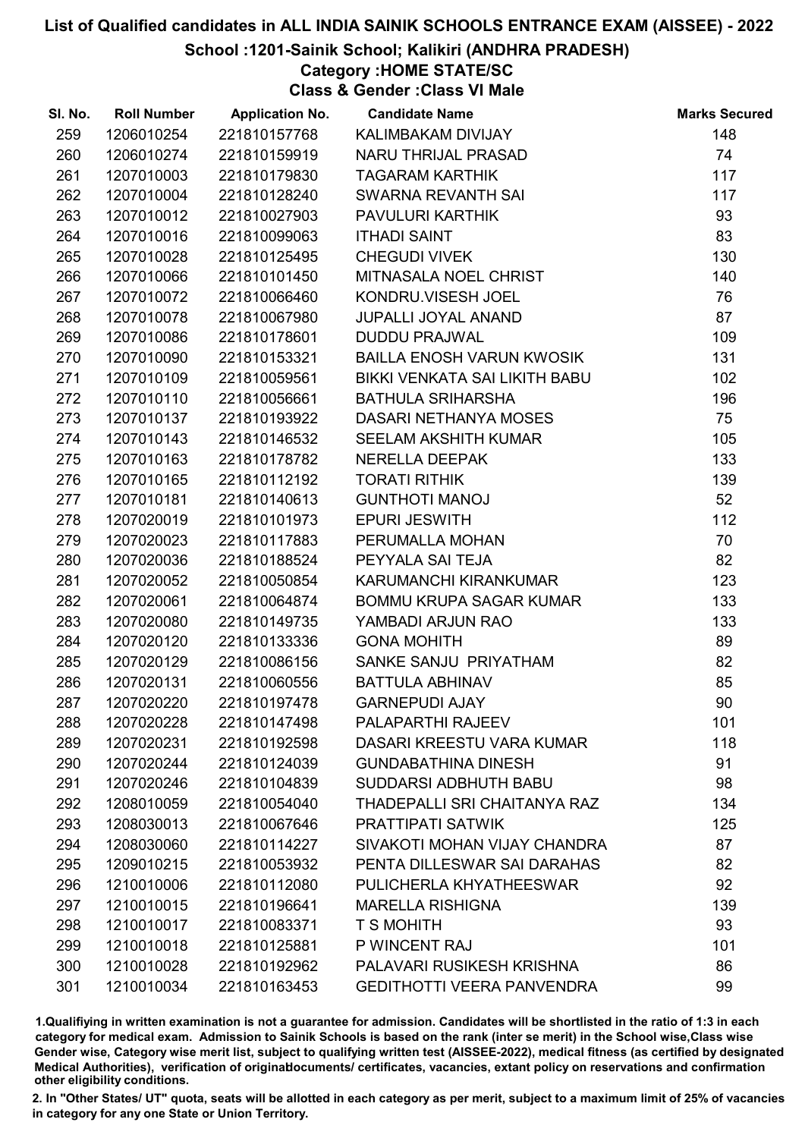#### School :1201-Sainik School; Kalikiri (ANDHRA PRADESH)

### Category :HOME STATE/SC

Class & Gender :Class VI Male

| SI. No. | <b>Roll Number</b> | <b>Application No.</b> | <b>Candidate Name</b>             | <b>Marks Secured</b> |
|---------|--------------------|------------------------|-----------------------------------|----------------------|
| 259     | 1206010254         | 221810157768           | KALIMBAKAM DIVIJAY                | 148                  |
| 260     | 1206010274         | 221810159919           | NARU THRIJAL PRASAD               | 74                   |
| 261     | 1207010003         | 221810179830           | <b>TAGARAM KARTHIK</b>            | 117                  |
| 262     | 1207010004         | 221810128240           | SWARNA REVANTH SAI                | 117                  |
| 263     | 1207010012         | 221810027903           | PAVULURI KARTHIK                  | 93                   |
| 264     | 1207010016         | 221810099063           | <b>ITHADI SAINT</b>               | 83                   |
| 265     | 1207010028         | 221810125495           | <b>CHEGUDI VIVEK</b>              | 130                  |
| 266     | 1207010066         | 221810101450           | MITNASALA NOEL CHRIST             | 140                  |
| 267     | 1207010072         | 221810066460           | KONDRU.VISESH JOEL                | 76                   |
| 268     | 1207010078         | 221810067980           | <b>JUPALLI JOYAL ANAND</b>        | 87                   |
| 269     | 1207010086         | 221810178601           | <b>DUDDU PRAJWAL</b>              | 109                  |
| 270     | 1207010090         | 221810153321           | <b>BAILLA ENOSH VARUN KWOSIK</b>  | 131                  |
| 271     | 1207010109         | 221810059561           | BIKKI VENKATA SAI LIKITH BABU     | 102                  |
| 272     | 1207010110         | 221810056661           | <b>BATHULA SRIHARSHA</b>          | 196                  |
| 273     | 1207010137         | 221810193922           | DASARI NETHANYA MOSES             | 75                   |
| 274     | 1207010143         | 221810146532           | SEELAM AKSHITH KUMAR              | 105                  |
| 275     | 1207010163         | 221810178782           | <b>NERELLA DEEPAK</b>             | 133                  |
| 276     | 1207010165         | 221810112192           | <b>TORATI RITHIK</b>              | 139                  |
| 277     | 1207010181         | 221810140613           | <b>GUNTHOTI MANOJ</b>             | 52                   |
| 278     | 1207020019         | 221810101973           | <b>EPURI JESWITH</b>              | 112                  |
| 279     | 1207020023         | 221810117883           | PERUMALLA MOHAN                   | 70                   |
| 280     | 1207020036         | 221810188524           | PEYYALA SAI TEJA                  | 82                   |
| 281     | 1207020052         | 221810050854           | KARUMANCHI KIRANKUMAR             | 123                  |
| 282     | 1207020061         | 221810064874           | BOMMU KRUPA SAGAR KUMAR           | 133                  |
| 283     | 1207020080         | 221810149735           | YAMBADI ARJUN RAO                 | 133                  |
| 284     | 1207020120         | 221810133336           | <b>GONA MOHITH</b>                | 89                   |
| 285     | 1207020129         | 221810086156           | SANKE SANJU PRIYATHAM             | 82                   |
| 286     | 1207020131         | 221810060556           | <b>BATTULA ABHINAV</b>            | 85                   |
| 287     | 1207020220         | 221810197478           | <b>GARNEPUDI AJAY</b>             | 90                   |
| 288     | 1207020228         | 221810147498           | <b>PALAPARTHI RAJEEV</b>          | 101                  |
| 289     | 1207020231         | 221810192598           | DASARI KREESTU VARA KUMAR         | 118                  |
| 290     | 1207020244         | 221810124039           | <b>GUNDABATHINA DINESH</b>        | 91                   |
| 291     | 1207020246         | 221810104839           | SUDDARSI ADBHUTH BABU             | 98                   |
| 292     | 1208010059         | 221810054040           | THADEPALLI SRI CHAITANYA RAZ      | 134                  |
| 293     | 1208030013         | 221810067646           | PRATTIPATI SATWIK                 | 125                  |
| 294     | 1208030060         | 221810114227           | SIVAKOTI MOHAN VIJAY CHANDRA      | 87                   |
| 295     | 1209010215         | 221810053932           | PENTA DILLESWAR SAI DARAHAS       | 82                   |
| 296     | 1210010006         | 221810112080           | PULICHERLA KHYATHEESWAR           | 92                   |
| 297     | 1210010015         | 221810196641           | <b>MARELLA RISHIGNA</b>           | 139                  |
| 298     | 1210010017         | 221810083371           | <b>T S MOHITH</b>                 | 93                   |
| 299     | 1210010018         | 221810125881           | P WINCENT RAJ                     | 101                  |
| 300     | 1210010028         | 221810192962           | PALAVARI RUSIKESH KRISHNA         | 86                   |
| 301     | 1210010034         | 221810163453           | <b>GEDITHOTTI VEERA PANVENDRA</b> | 99                   |

1.Qualifiying in written examination is not a guarantee for admission. Candidates will be shortlisted in the ratio of 1:3 in each category for medical exam. Admission to Sainik Schools is based on the rank (inter se merit) in the School wise,Class wise Gender wise, Category wise merit list, subject to qualifying written test (AISSEE-2022), medical fitness (as certified by designated Medical Authorities), verification of originablocuments/ certificates, vacancies, extant policy on reservations and confirmation other eligibility conditions.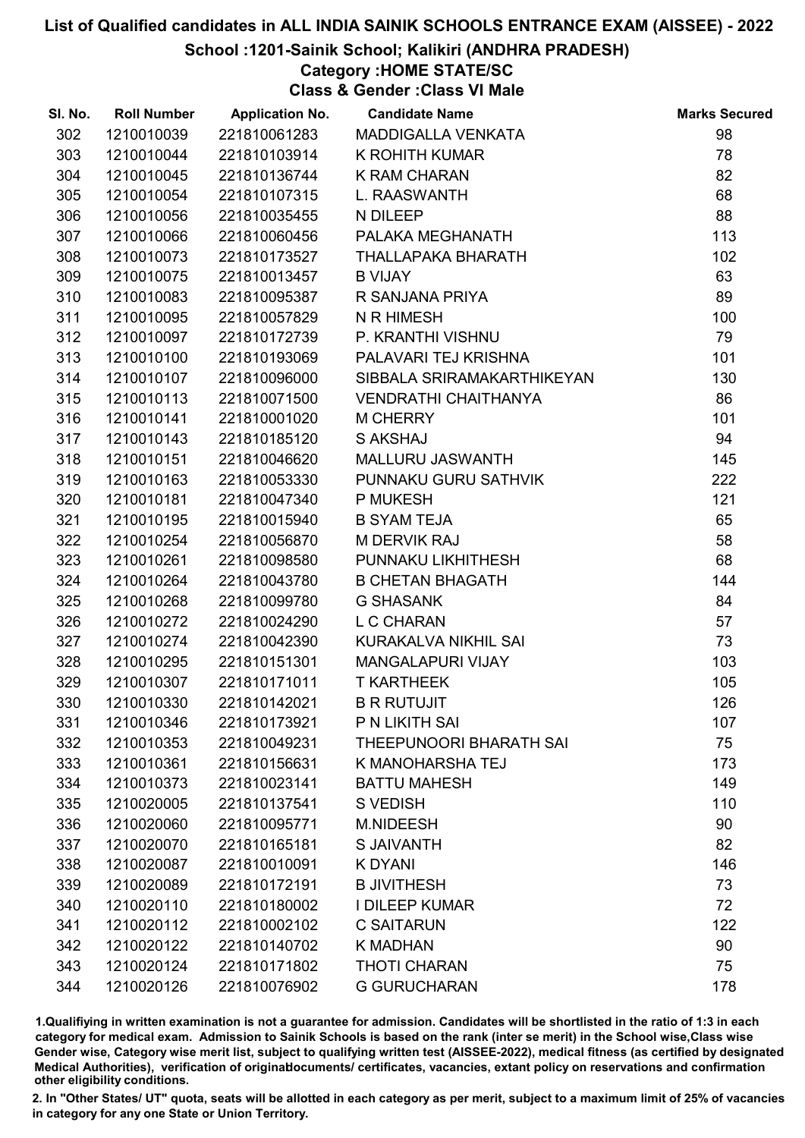#### School :1201-Sainik School; Kalikiri (ANDHRA PRADESH)

### Category :HOME STATE/SC

Class & Gender :Class VI Male

| SI. No. | <b>Roll Number</b> | <b>Application No.</b> | <b>Candidate Name</b>       | <b>Marks Secured</b> |
|---------|--------------------|------------------------|-----------------------------|----------------------|
| 302     | 1210010039         | 221810061283           | MADDIGALLA VENKATA          | 98                   |
| 303     | 1210010044         | 221810103914           | K ROHITH KUMAR              | 78                   |
| 304     | 1210010045         | 221810136744           | <b>K RAM CHARAN</b>         | 82                   |
| 305     | 1210010054         | 221810107315           | L. RAASWANTH                | 68                   |
| 306     | 1210010056         | 221810035455           | N DILEEP                    | 88                   |
| 307     | 1210010066         | 221810060456           | PALAKA MEGHANATH            | 113                  |
| 308     | 1210010073         | 221810173527           | THALLAPAKA BHARATH          | 102                  |
| 309     | 1210010075         | 221810013457           | <b>B VIJAY</b>              | 63                   |
| 310     | 1210010083         | 221810095387           | R SANJANA PRIYA             | 89                   |
| 311     | 1210010095         | 221810057829           | N R HIMESH                  | 100                  |
| 312     | 1210010097         | 221810172739           | P. KRANTHI VISHNU           | 79                   |
| 313     | 1210010100         | 221810193069           | PALAVARI TEJ KRISHNA        | 101                  |
| 314     | 1210010107         | 221810096000           | SIBBALA SRIRAMAKARTHIKEYAN  | 130                  |
| 315     | 1210010113         | 221810071500           | <b>VENDRATHI CHAITHANYA</b> | 86                   |
| 316     | 1210010141         | 221810001020           | <b>M CHERRY</b>             | 101                  |
| 317     | 1210010143         | 221810185120           | <b>S AKSHAJ</b>             | 94                   |
| 318     | 1210010151         | 221810046620           | MALLURU JASWANTH            | 145                  |
| 319     | 1210010163         | 221810053330           | PUNNAKU GURU SATHVIK        | 222                  |
| 320     | 1210010181         | 221810047340           | P MUKESH                    | 121                  |
| 321     | 1210010195         | 221810015940           | <b>B SYAM TEJA</b>          | 65                   |
| 322     | 1210010254         | 221810056870           | <b>M DERVIK RAJ</b>         | 58                   |
| 323     | 1210010261         | 221810098580           | PUNNAKU LIKHITHESH          | 68                   |
| 324     | 1210010264         | 221810043780           | <b>B CHETAN BHAGATH</b>     | 144                  |
| 325     | 1210010268         | 221810099780           | <b>G SHASANK</b>            | 84                   |
| 326     | 1210010272         | 221810024290           | L C CHARAN                  | 57                   |
| 327     | 1210010274         | 221810042390           | KURAKALVA NIKHIL SAI        | 73                   |
| 328     | 1210010295         | 221810151301           | MANGALAPURI VIJAY           | 103                  |
| 329     | 1210010307         | 221810171011           | <b>T KARTHEEK</b>           | 105                  |
| 330     | 1210010330         | 221810142021           | <b>B R RUTUJIT</b>          | 126                  |
| 331     | 1210010346         | 221810173921           | P N LIKITH SAI              | 107                  |
| 332     | 1210010353         | 221810049231           | THEEPUNOORI BHARATH SAI     | 75                   |
| 333     | 1210010361         | 221810156631           | K MANOHARSHA TEJ            | 173                  |
| 334     | 1210010373         | 221810023141           | <b>BATTU MAHESH</b>         | 149                  |
| 335     | 1210020005         | 221810137541           | S VEDISH                    | 110                  |
| 336     | 1210020060         | 221810095771           | M.NIDEESH                   | 90                   |
| 337     | 1210020070         | 221810165181           | <b>S JAIVANTH</b>           | 82                   |
| 338     | 1210020087         | 221810010091           | <b>K DYANI</b>              | 146                  |
| 339     | 1210020089         | 221810172191           | <b>B JIVITHESH</b>          | 73                   |
| 340     | 1210020110         | 221810180002           | <b>I DILEEP KUMAR</b>       | 72                   |
| 341     | 1210020112         | 221810002102           | <b>C SAITARUN</b>           | 122                  |
| 342     | 1210020122         | 221810140702           | <b>K MADHAN</b>             | 90                   |
| 343     | 1210020124         | 221810171802           | <b>THOTI CHARAN</b>         | 75                   |
| 344     | 1210020126         | 221810076902           | <b>G GURUCHARAN</b>         | 178                  |

1.Qualifiying in written examination is not a guarantee for admission. Candidates will be shortlisted in the ratio of 1:3 in each category for medical exam. Admission to Sainik Schools is based on the rank (inter se merit) in the School wise,Class wise Gender wise, Category wise merit list, subject to qualifying written test (AISSEE-2022), medical fitness (as certified by designated Medical Authorities), verification of originablocuments/ certificates, vacancies, extant policy on reservations and confirmation other eligibility conditions.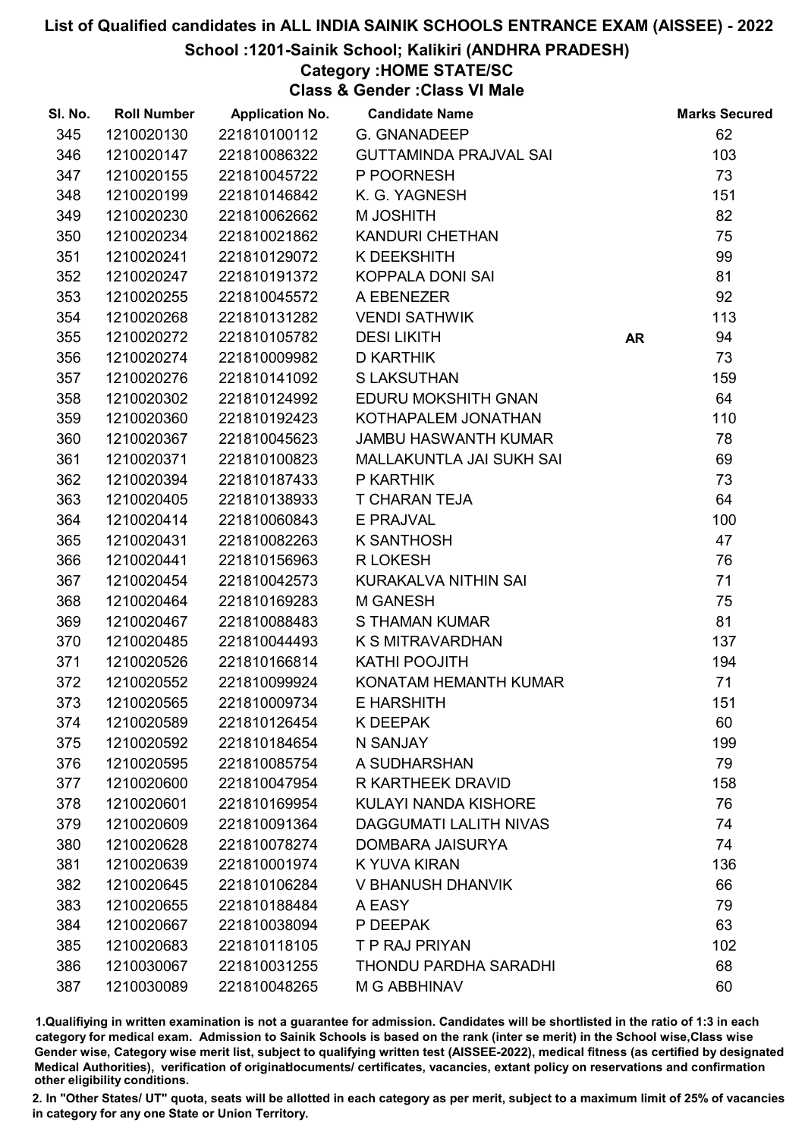School :1201-Sainik School; Kalikiri (ANDHRA PRADESH)

## Category :HOME STATE/SC

Class & Gender :Class VI Male

| SI. No. | <b>Roll Number</b> | <b>Application No.</b> | <b>Candidate Name</b>         |           | <b>Marks Secured</b> |
|---------|--------------------|------------------------|-------------------------------|-----------|----------------------|
| 345     | 1210020130         | 221810100112           | <b>G. GNANADEEP</b>           |           | 62                   |
| 346     | 1210020147         | 221810086322           | <b>GUTTAMINDA PRAJVAL SAI</b> |           | 103                  |
| 347     | 1210020155         | 221810045722           | P POORNESH                    |           | 73                   |
| 348     | 1210020199         | 221810146842           | K. G. YAGNESH                 |           | 151                  |
| 349     | 1210020230         | 221810062662           | M JOSHITH                     |           | 82                   |
| 350     | 1210020234         | 221810021862           | <b>KANDURI CHETHAN</b>        |           | 75                   |
| 351     | 1210020241         | 221810129072           | K DEEKSHITH                   |           | 99                   |
| 352     | 1210020247         | 221810191372           | KOPPALA DONI SAI              |           | 81                   |
| 353     | 1210020255         | 221810045572           | A EBENEZER                    |           | 92                   |
| 354     | 1210020268         | 221810131282           | <b>VENDI SATHWIK</b>          |           | 113                  |
| 355     | 1210020272         | 221810105782           | <b>DESILIKITH</b>             | <b>AR</b> | 94                   |
| 356     | 1210020274         | 221810009982           | <b>D KARTHIK</b>              |           | 73                   |
| 357     | 1210020276         | 221810141092           | <b>S LAKSUTHAN</b>            |           | 159                  |
| 358     | 1210020302         | 221810124992           | EDURU MOKSHITH GNAN           |           | 64                   |
| 359     | 1210020360         | 221810192423           | KOTHAPALEM JONATHAN           |           | 110                  |
| 360     | 1210020367         | 221810045623           | <b>JAMBU HASWANTH KUMAR</b>   |           | 78                   |
| 361     | 1210020371         | 221810100823           | MALLAKUNTLA JAI SUKH SAI      |           | 69                   |
| 362     | 1210020394         | 221810187433           | P KARTHIK                     |           | 73                   |
| 363     | 1210020405         | 221810138933           | T CHARAN TEJA                 |           | 64                   |
| 364     | 1210020414         | 221810060843           | E PRAJVAL                     |           | 100                  |
| 365     | 1210020431         | 221810082263           | <b>K SANTHOSH</b>             |           | 47                   |
| 366     | 1210020441         | 221810156963           | R LOKESH                      |           | 76                   |
| 367     | 1210020454         | 221810042573           | KURAKALVA NITHIN SAI          |           | 71                   |
| 368     | 1210020464         | 221810169283           | <b>M GANESH</b>               |           | 75                   |
| 369     | 1210020467         | 221810088483           | S THAMAN KUMAR                |           | 81                   |
| 370     | 1210020485         | 221810044493           | K S MITRAVARDHAN              |           | 137                  |
| 371     | 1210020526         | 221810166814           | KATHI POOJITH                 |           | 194                  |
| 372     | 1210020552         | 221810099924           | KONATAM HEMANTH KUMAR         |           | 71                   |
| 373     | 1210020565         | 221810009734           | E HARSHITH                    |           | 151                  |
| 374     | 1210020589         | 221810126454           | K DEEPAK                      |           | 60                   |
| 375     | 1210020592         | 221810184654           | N SANJAY                      |           | 199                  |
| 376     | 1210020595         | 221810085754           | A SUDHARSHAN                  |           | 79                   |
| 377     | 1210020600         | 221810047954           | R KARTHEEK DRAVID             |           | 158                  |
| 378     | 1210020601         | 221810169954           | KULAYI NANDA KISHORE          |           | 76                   |
| 379     | 1210020609         | 221810091364           | <b>DAGGUMATI LALITH NIVAS</b> |           | 74                   |
| 380     | 1210020628         | 221810078274           | DOMBARA JAISURYA              |           | 74                   |
| 381     | 1210020639         | 221810001974           | K YUVA KIRAN                  |           | 136                  |
| 382     | 1210020645         | 221810106284           | V BHANUSH DHANVIK             |           | 66                   |
| 383     | 1210020655         | 221810188484           | A EASY                        |           | 79                   |
| 384     | 1210020667         | 221810038094           | P DEEPAK                      |           | 63                   |
| 385     | 1210020683         | 221810118105           | T P RAJ PRIYAN                |           | 102                  |
| 386     | 1210030067         | 221810031255           | <b>THONDU PARDHA SARADHI</b>  |           | 68                   |
| 387     | 1210030089         | 221810048265           | <b>M G ABBHINAV</b>           |           | 60                   |

1.Qualifiying in written examination is not a guarantee for admission. Candidates will be shortlisted in the ratio of 1:3 in each category for medical exam. Admission to Sainik Schools is based on the rank (inter se merit) in the School wise,Class wise Gender wise, Category wise merit list, subject to qualifying written test (AISSEE-2022), medical fitness (as certified by designated Medical Authorities), verification of originablocuments/ certificates, vacancies, extant policy on reservations and confirmation other eligibility conditions.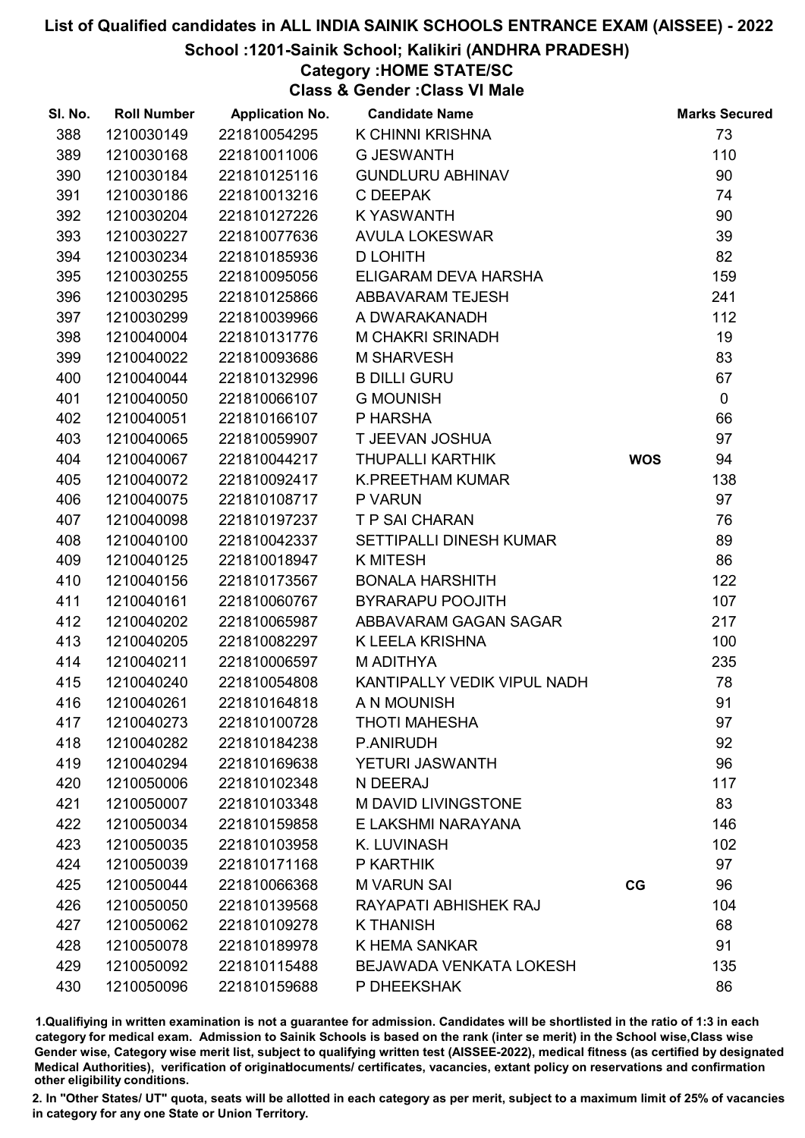#### School :1201-Sainik School; Kalikiri (ANDHRA PRADESH)

## Category :HOME STATE/SC

Class & Gender :Class VI Male

| SI. No. | <b>Roll Number</b> | <b>Application No.</b> | <b>Candidate Name</b>       |            | <b>Marks Secured</b> |
|---------|--------------------|------------------------|-----------------------------|------------|----------------------|
| 388     | 1210030149         | 221810054295           | K CHINNI KRISHNA            |            | 73                   |
| 389     | 1210030168         | 221810011006           | <b>G JESWANTH</b>           |            | 110                  |
| 390     | 1210030184         | 221810125116           | <b>GUNDLURU ABHINAV</b>     |            | 90                   |
| 391     | 1210030186         | 221810013216           | C DEEPAK                    |            | 74                   |
| 392     | 1210030204         | 221810127226           | <b>KYASWANTH</b>            |            | 90                   |
| 393     | 1210030227         | 221810077636           | <b>AVULA LOKESWAR</b>       |            | 39                   |
| 394     | 1210030234         | 221810185936           | <b>D LOHITH</b>             |            | 82                   |
| 395     | 1210030255         | 221810095056           | ELIGARAM DEVA HARSHA        |            | 159                  |
| 396     | 1210030295         | 221810125866           | ABBAVARAM TEJESH            |            | 241                  |
| 397     | 1210030299         | 221810039966           | A DWARAKANADH               |            | 112                  |
| 398     | 1210040004         | 221810131776           | M CHAKRI SRINADH            |            | 19                   |
| 399     | 1210040022         | 221810093686           | <b>M SHARVESH</b>           |            | 83                   |
| 400     | 1210040044         | 221810132996           | <b>B DILLI GURU</b>         |            | 67                   |
| 401     | 1210040050         | 221810066107           | <b>G MOUNISH</b>            |            | $\mathbf 0$          |
| 402     | 1210040051         | 221810166107           | P HARSHA                    |            | 66                   |
| 403     | 1210040065         | 221810059907           | T JEEVAN JOSHUA             |            | 97                   |
| 404     | 1210040067         | 221810044217           | <b>THUPALLI KARTHIK</b>     | <b>WOS</b> | 94                   |
| 405     | 1210040072         | 221810092417           | <b>K.PREETHAM KUMAR</b>     |            | 138                  |
| 406     | 1210040075         | 221810108717           | P VARUN                     |            | 97                   |
| 407     | 1210040098         | 221810197237           | T P SAI CHARAN              |            | 76                   |
| 408     | 1210040100         | 221810042337           | SETTIPALLI DINESH KUMAR     |            | 89                   |
| 409     | 1210040125         | 221810018947           | <b>K MITESH</b>             |            | 86                   |
| 410     | 1210040156         | 221810173567           | <b>BONALA HARSHITH</b>      |            | 122                  |
| 411     | 1210040161         | 221810060767           | <b>BYRARAPU POOJITH</b>     |            | 107                  |
| 412     | 1210040202         | 221810065987           | ABBAVARAM GAGAN SAGAR       |            | 217                  |
| 413     | 1210040205         | 221810082297           | K LEELA KRISHNA             |            | 100                  |
| 414     | 1210040211         | 221810006597           | M ADITHYA                   |            | 235                  |
| 415     | 1210040240         | 221810054808           | KANTIPALLY VEDIK VIPUL NADH |            | 78                   |
| 416     | 1210040261         | 221810164818           | A N MOUNISH                 |            | 91                   |
| 417     | 1210040273         | 221810100728           | <b>THOTI MAHESHA</b>        |            | 97                   |
| 418     | 1210040282         | 221810184238           | P.ANIRUDH                   |            | 92                   |
| 419     | 1210040294         | 221810169638           | YETURI JASWANTH             |            | 96                   |
| 420     | 1210050006         | 221810102348           | N DEERAJ                    |            | 117                  |
| 421     | 1210050007         | 221810103348           | <b>M DAVID LIVINGSTONE</b>  |            | 83                   |
| 422     | 1210050034         | 221810159858           | E LAKSHMI NARAYANA          |            | 146                  |
| 423     | 1210050035         | 221810103958           | K. LUVINASH                 |            | 102                  |
| 424     | 1210050039         | 221810171168           | P KARTHIK                   |            | 97                   |
| 425     | 1210050044         | 221810066368           | <b>M VARUN SAI</b>          | CG         | 96                   |
| 426     | 1210050050         | 221810139568           | RAYAPATI ABHISHEK RAJ       |            | 104                  |
| 427     | 1210050062         | 221810109278           | <b>K THANISH</b>            |            | 68                   |
| 428     | 1210050078         | 221810189978           | K HEMA SANKAR               |            | 91                   |
| 429     | 1210050092         | 221810115488           | BEJAWADA VENKATA LOKESH     |            | 135                  |
| 430     | 1210050096         | 221810159688           | P DHEEKSHAK                 |            | 86                   |

1.Qualifiying in written examination is not a guarantee for admission. Candidates will be shortlisted in the ratio of 1:3 in each category for medical exam. Admission to Sainik Schools is based on the rank (inter se merit) in the School wise,Class wise Gender wise, Category wise merit list, subject to qualifying written test (AISSEE-2022), medical fitness (as certified by designated Medical Authorities), verification of originablocuments/ certificates, vacancies, extant policy on reservations and confirmation other eligibility conditions.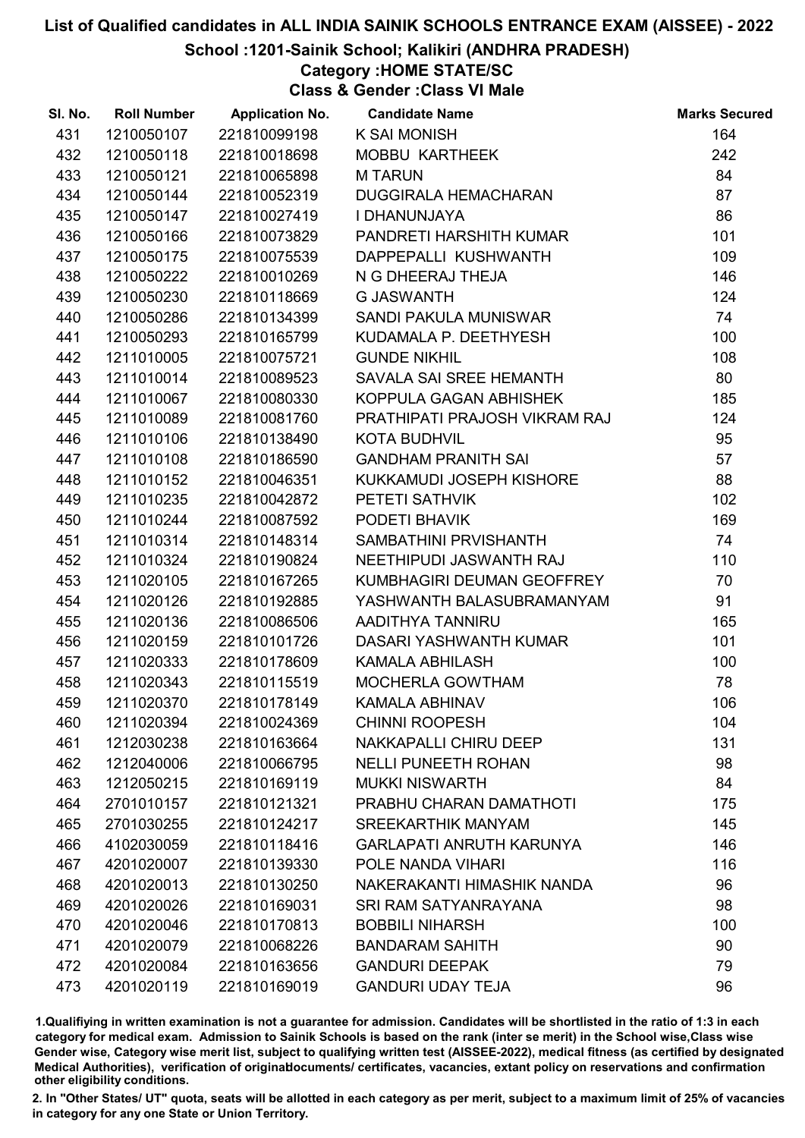School :1201-Sainik School; Kalikiri (ANDHRA PRADESH)

# Category :HOME STATE/SC

Class & Gender :Class VI Male

| SI. No. | <b>Roll Number</b> | <b>Application No. Candidate Name</b> |                                 | <b>Marks Secured</b> |
|---------|--------------------|---------------------------------------|---------------------------------|----------------------|
| 431     | 1210050107         | 221810099198                          | <b>K SAI MONISH</b>             | 164                  |
| 432     | 1210050118         | 221810018698                          | MOBBU KARTHEEK                  | 242                  |
| 433     | 1210050121         | 221810065898                          | <b>MTARUN</b>                   | 84                   |
| 434     | 1210050144         | 221810052319                          | <b>DUGGIRALA HEMACHARAN</b>     | 87                   |
| 435     | 1210050147         | 221810027419                          | I DHANUNJAYA                    | 86                   |
| 436     | 1210050166         | 221810073829                          | PANDRETI HARSHITH KUMAR         | 101                  |
| 437     | 1210050175         | 221810075539                          | DAPPEPALLI KUSHWANTH            | 109                  |
| 438     | 1210050222         | 221810010269                          | N G DHEERAJ THEJA               | 146                  |
| 439     | 1210050230         | 221810118669                          | <b>G JASWANTH</b>               | 124                  |
| 440     | 1210050286         | 221810134399                          | SANDI PAKULA MUNISWAR           | 74                   |
| 441     | 1210050293         | 221810165799                          | KUDAMALA P. DEETHYESH           | 100                  |
| 442     | 1211010005         | 221810075721                          | <b>GUNDE NIKHIL</b>             | 108                  |
| 443     | 1211010014         | 221810089523                          | SAVALA SAI SREE HEMANTH         | 80                   |
| 444     | 1211010067         | 221810080330                          | KOPPULA GAGAN ABHISHEK          | 185                  |
| 445     | 1211010089         | 221810081760                          | PRATHIPATI PRAJOSH VIKRAM RAJ   | 124                  |
| 446     | 1211010106         | 221810138490                          | <b>KOTA BUDHVIL</b>             | 95                   |
| 447     | 1211010108         | 221810186590                          | <b>GANDHAM PRANITH SAI</b>      | 57                   |
| 448     | 1211010152         | 221810046351                          | KUKKAMUDI JOSEPH KISHORE        | 88                   |
| 449     | 1211010235         | 221810042872                          | PETETI SATHVIK                  | 102                  |
| 450     | 1211010244         | 221810087592                          | PODETI BHAVIK                   | 169                  |
| 451     | 1211010314         | 221810148314                          | SAMBATHINI PRVISHANTH           | 74                   |
| 452     | 1211010324         | 221810190824                          | NEETHIPUDI JASWANTH RAJ         | 110                  |
| 453     | 1211020105         | 221810167265                          | KUMBHAGIRI DEUMAN GEOFFREY      | 70                   |
| 454     | 1211020126         | 221810192885                          | YASHWANTH BALASUBRAMANYAM       | 91                   |
| 455     | 1211020136         | 221810086506                          | AADITHYA TANNIRU                | 165                  |
| 456     | 1211020159         | 221810101726                          | DASARI YASHWANTH KUMAR          | 101                  |
| 457     | 1211020333         | 221810178609                          | <b>KAMALA ABHILASH</b>          | 100                  |
| 458     | 1211020343         | 221810115519                          | MOCHERLA GOWTHAM                | 78                   |
| 459     | 1211020370         | 221810178149                          | <b>KAMALA ABHINAV</b>           | 106                  |
| 460     | 1211020394         | 221810024369                          | <b>CHINNI ROOPESH</b>           | 104                  |
| 461     | 1212030238         | 221810163664                          | NAKKAPALLI CHIRU DEEP           | 131                  |
| 462     | 1212040006         | 221810066795                          | <b>NELLI PUNEETH ROHAN</b>      | 98                   |
| 463     | 1212050215         | 221810169119                          | <b>MUKKI NISWARTH</b>           | 84                   |
| 464     | 2701010157         | 221810121321                          | PRABHU CHARAN DAMATHOTI         | 175                  |
| 465     | 2701030255         | 221810124217                          | <b>SREEKARTHIK MANYAM</b>       | 145                  |
| 466     | 4102030059         | 221810118416                          | <b>GARLAPATI ANRUTH KARUNYA</b> | 146                  |
| 467     | 4201020007         | 221810139330                          | POLE NANDA VIHARI               | 116                  |
| 468     | 4201020013         | 221810130250                          | NAKERAKANTI HIMASHIK NANDA      | 96                   |
| 469     | 4201020026         | 221810169031                          | <b>SRI RAM SATYANRAYANA</b>     | 98                   |
| 470     | 4201020046         | 221810170813                          | <b>BOBBILI NIHARSH</b>          | 100                  |
| 471     | 4201020079         | 221810068226                          | <b>BANDARAM SAHITH</b>          | 90                   |
| 472     | 4201020084         | 221810163656                          | <b>GANDURI DEEPAK</b>           | 79                   |
| 473     | 4201020119         | 221810169019                          | <b>GANDURI UDAY TEJA</b>        | 96                   |

1.Qualifiying in written examination is not a guarantee for admission. Candidates will be shortlisted in the ratio of 1:3 in each category for medical exam. Admission to Sainik Schools is based on the rank (inter se merit) in the School wise,Class wise Gender wise, Category wise merit list, subject to qualifying written test (AISSEE-2022), medical fitness (as certified by designated Medical Authorities), verification of originablocuments/ certificates, vacancies, extant policy on reservations and confirmation other eligibility conditions.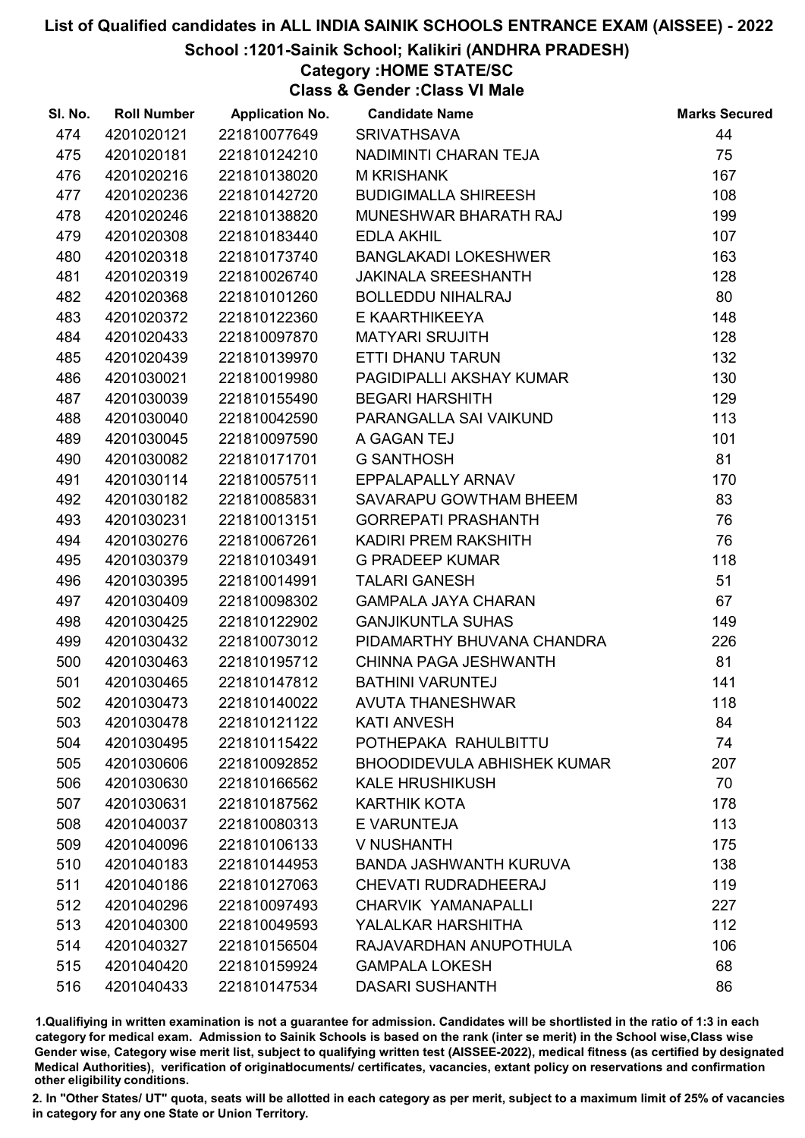#### School :1201-Sainik School; Kalikiri (ANDHRA PRADESH)

## Category :HOME STATE/SC

Class & Gender :Class VI Male

| SI. No. | <b>Roll Number</b> | <b>Application No.</b> | <b>Candidate Name</b>              | <b>Marks Secured</b> |
|---------|--------------------|------------------------|------------------------------------|----------------------|
| 474     | 4201020121         | 221810077649           | <b>SRIVATHSAVA</b>                 | 44                   |
| 475     | 4201020181         | 221810124210           | NADIMINTI CHARAN TEJA              | 75                   |
| 476     | 4201020216         | 221810138020           | <b>M KRISHANK</b>                  | 167                  |
| 477     | 4201020236         | 221810142720           | <b>BUDIGIMALLA SHIREESH</b>        | 108                  |
| 478     | 4201020246         | 221810138820           | MUNESHWAR BHARATH RAJ              | 199                  |
| 479     | 4201020308         | 221810183440           | <b>EDLA AKHIL</b>                  | 107                  |
| 480     | 4201020318         | 221810173740           | <b>BANGLAKADI LOKESHWER</b>        | 163                  |
| 481     | 4201020319         | 221810026740           | <b>JAKINALA SREESHANTH</b>         | 128                  |
| 482     | 4201020368         | 221810101260           | <b>BOLLEDDU NIHALRAJ</b>           | 80                   |
| 483     | 4201020372         | 221810122360           | E KAARTHIKEEYA                     | 148                  |
| 484     | 4201020433         | 221810097870           | <b>MATYARI SRUJITH</b>             | 128                  |
| 485     | 4201020439         | 221810139970           | ETTI DHANU TARUN                   | 132                  |
| 486     | 4201030021         | 221810019980           | PAGIDIPALLI AKSHAY KUMAR           | 130                  |
| 487     | 4201030039         | 221810155490           | <b>BEGARI HARSHITH</b>             | 129                  |
| 488     | 4201030040         | 221810042590           | PARANGALLA SAI VAIKUND             | 113                  |
| 489     | 4201030045         | 221810097590           | A GAGAN TEJ                        | 101                  |
| 490     | 4201030082         | 221810171701           | <b>G SANTHOSH</b>                  | 81                   |
| 491     | 4201030114         | 221810057511           | EPPALAPALLY ARNAV                  | 170                  |
| 492     | 4201030182         | 221810085831           | SAVARAPU GOWTHAM BHEEM             | 83                   |
| 493     | 4201030231         | 221810013151           | <b>GORREPATI PRASHANTH</b>         | 76                   |
| 494     | 4201030276         | 221810067261           | KADIRI PREM RAKSHITH               | 76                   |
| 495     | 4201030379         | 221810103491           | <b>G PRADEEP KUMAR</b>             | 118                  |
| 496     | 4201030395         | 221810014991           | <b>TALARI GANESH</b>               | 51                   |
| 497     | 4201030409         | 221810098302           | <b>GAMPALA JAYA CHARAN</b>         | 67                   |
| 498     | 4201030425         | 221810122902           | <b>GANJIKUNTLA SUHAS</b>           | 149                  |
| 499     | 4201030432         | 221810073012           | PIDAMARTHY BHUVANA CHANDRA         | 226                  |
| 500     | 4201030463         | 221810195712           | CHINNA PAGA JESHWANTH              | 81                   |
| 501     | 4201030465         | 221810147812           | <b>BATHINI VARUNTEJ</b>            | 141                  |
| 502     | 4201030473         | 221810140022           | <b>AVUTA THANESHWAR</b>            | 118                  |
| 503     | 4201030478         | 221810121122           | <b>KATI ANVESH</b>                 | 84                   |
| 504     | 4201030495         | 221810115422           | POTHEPAKA RAHULBITTU               | 74                   |
| 505     | 4201030606         | 221810092852           | <b>BHOODIDEVULA ABHISHEK KUMAR</b> | 207                  |
| 506     | 4201030630         | 221810166562           | <b>KALE HRUSHIKUSH</b>             | 70                   |
| 507     | 4201030631         | 221810187562           | <b>KARTHIK KOTA</b>                | 178                  |
| 508     | 4201040037         | 221810080313           | E VARUNTEJA                        | 113                  |
| 509     | 4201040096         | 221810106133           | V NUSHANTH                         | 175                  |
| 510     | 4201040183         | 221810144953           | <b>BANDA JASHWANTH KURUVA</b>      | 138                  |
| 511     | 4201040186         | 221810127063           | <b>CHEVATI RUDRADHEERAJ</b>        | 119                  |
| 512     | 4201040296         | 221810097493           | CHARVIK YAMANAPALLI                | 227                  |
| 513     | 4201040300         | 221810049593           | YALALKAR HARSHITHA                 | 112                  |
| 514     | 4201040327         | 221810156504           | RAJAVARDHAN ANUPOTHULA             | 106                  |
| 515     | 4201040420         | 221810159924           | <b>GAMPALA LOKESH</b>              | 68                   |
| 516     | 4201040433         | 221810147534           | <b>DASARI SUSHANTH</b>             | 86                   |

1.Qualifiying in written examination is not a guarantee for admission. Candidates will be shortlisted in the ratio of 1:3 in each category for medical exam. Admission to Sainik Schools is based on the rank (inter se merit) in the School wise,Class wise Gender wise, Category wise merit list, subject to qualifying written test (AISSEE-2022), medical fitness (as certified by designated Medical Authorities), verification of originablocuments/ certificates, vacancies, extant policy on reservations and confirmation other eligibility conditions.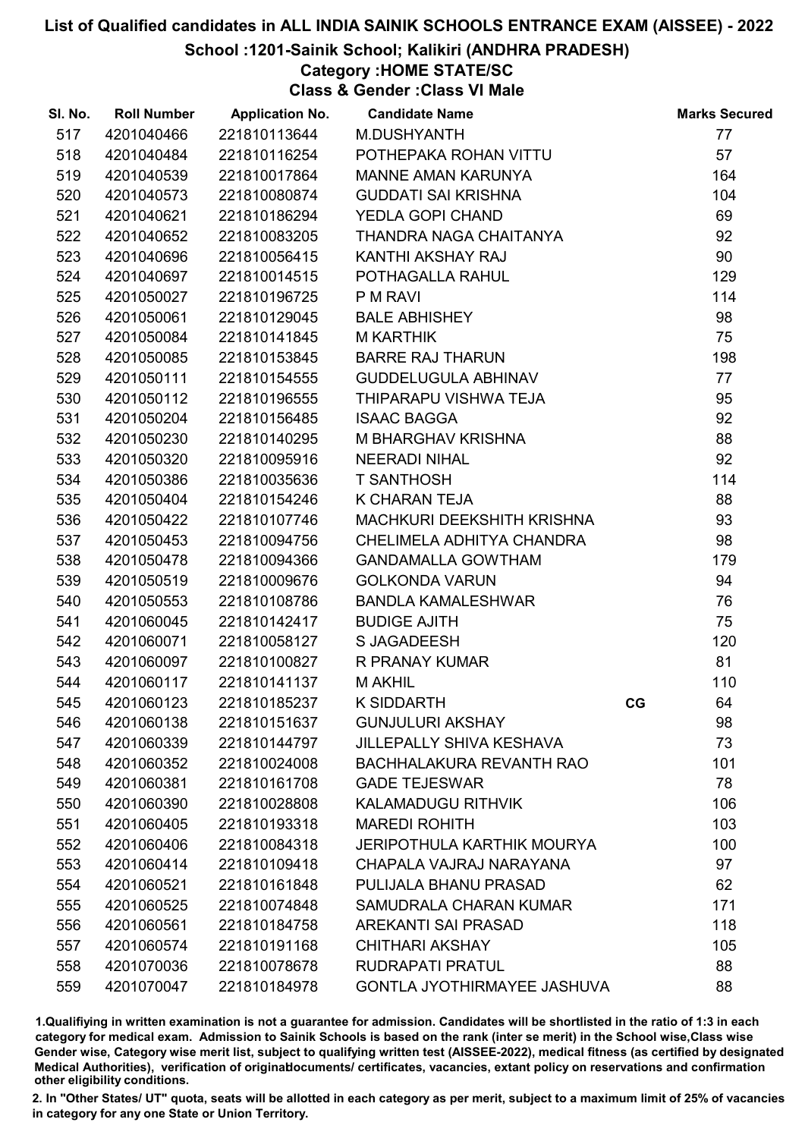#### School :1201-Sainik School; Kalikiri (ANDHRA PRADESH)

## Category :HOME STATE/SC

Class & Gender :Class VI Male

| SI. No. | <b>Roll Number</b> | <b>Application No.</b> | <b>Candidate Name</b>              | <b>Marks Secured</b> |
|---------|--------------------|------------------------|------------------------------------|----------------------|
| 517     | 4201040466         | 221810113644           | M.DUSHYANTH                        | 77                   |
| 518     | 4201040484         | 221810116254           | POTHEPAKA ROHAN VITTU              | 57                   |
| 519     | 4201040539         | 221810017864           | <b>MANNE AMAN KARUNYA</b>          | 164                  |
| 520     | 4201040573         | 221810080874           | <b>GUDDATI SAI KRISHNA</b>         | 104                  |
| 521     | 4201040621         | 221810186294           | YEDLA GOPI CHAND                   | 69                   |
| 522     | 4201040652         | 221810083205           | THANDRA NAGA CHAITANYA             | 92                   |
| 523     | 4201040696         | 221810056415           | KANTHI AKSHAY RAJ                  | 90                   |
| 524     | 4201040697         | 221810014515           | POTHAGALLA RAHUL                   | 129                  |
| 525     | 4201050027         | 221810196725           | P M RAVI                           | 114                  |
| 526     | 4201050061         | 221810129045           | <b>BALE ABHISHEY</b>               | 98                   |
| 527     | 4201050084         | 221810141845           | <b>M KARTHIK</b>                   | 75                   |
| 528     | 4201050085         | 221810153845           | <b>BARRE RAJ THARUN</b>            | 198                  |
| 529     | 4201050111         | 221810154555           | GUDDELUGULA ABHINAV                | 77                   |
| 530     | 4201050112         | 221810196555           | THIPARAPU VISHWA TEJA              | 95                   |
| 531     | 4201050204         | 221810156485           | <b>ISAAC BAGGA</b>                 | 92                   |
| 532     | 4201050230         | 221810140295           | M BHARGHAV KRISHNA                 | 88                   |
| 533     | 4201050320         | 221810095916           | <b>NEERADI NIHAL</b>               | 92                   |
| 534     | 4201050386         | 221810035636           | <b>T SANTHOSH</b>                  | 114                  |
| 535     | 4201050404         | 221810154246           | K CHARAN TEJA                      | 88                   |
| 536     | 4201050422         | 221810107746           | <b>MACHKURI DEEKSHITH KRISHNA</b>  | 93                   |
| 537     | 4201050453         | 221810094756           | CHELIMELA ADHITYA CHANDRA          | 98                   |
| 538     | 4201050478         | 221810094366           | <b>GANDAMALLA GOWTHAM</b>          | 179                  |
| 539     | 4201050519         | 221810009676           | <b>GOLKONDA VARUN</b>              | 94                   |
| 540     | 4201050553         | 221810108786           | <b>BANDLA KAMALESHWAR</b>          | 76                   |
| 541     | 4201060045         | 221810142417           | <b>BUDIGE AJITH</b>                | 75                   |
| 542     | 4201060071         | 221810058127           | <b>S JAGADEESH</b>                 | 120                  |
| 543     | 4201060097         | 221810100827           | R PRANAY KUMAR                     | 81                   |
| 544     | 4201060117         | 221810141137           | <b>M AKHIL</b>                     | 110                  |
| 545     | 4201060123         | 221810185237           | <b>K SIDDARTH</b>                  | 64<br>CG             |
| 546     | 4201060138         | 221810151637           | <b>GUNJULURI AKSHAY</b>            | 98                   |
| 547     | 4201060339         | 221810144797           | <b>JILLEPALLY SHIVA KESHAVA</b>    | 73                   |
| 548     | 4201060352         | 221810024008           | <b>BACHHALAKURA REVANTH RAO</b>    | 101                  |
| 549     | 4201060381         | 221810161708           | <b>GADE TEJESWAR</b>               | 78                   |
| 550     | 4201060390         | 221810028808           | <b>KALAMADUGU RITHVIK</b>          | 106                  |
| 551     | 4201060405         | 221810193318           | <b>MAREDI ROHITH</b>               | 103                  |
| 552     | 4201060406         | 221810084318           | <b>JERIPOTHULA KARTHIK MOURYA</b>  | 100                  |
| 553     | 4201060414         | 221810109418           | CHAPALA VAJRAJ NARAYANA            | 97                   |
| 554     | 4201060521         | 221810161848           | PULIJALA BHANU PRASAD              | 62                   |
| 555     | 4201060525         | 221810074848           | SAMUDRALA CHARAN KUMAR             | 171                  |
| 556     | 4201060561         | 221810184758           | <b>AREKANTI SAI PRASAD</b>         | 118                  |
| 557     | 4201060574         | 221810191168           | <b>CHITHARI AKSHAY</b>             | 105                  |
| 558     | 4201070036         | 221810078678           | RUDRAPATI PRATUL                   | 88                   |
| 559     | 4201070047         | 221810184978           | <b>GONTLA JYOTHIRMAYEE JASHUVA</b> | 88                   |

1.Qualifiying in written examination is not a guarantee for admission. Candidates will be shortlisted in the ratio of 1:3 in each category for medical exam. Admission to Sainik Schools is based on the rank (inter se merit) in the School wise,Class wise Gender wise, Category wise merit list, subject to qualifying written test (AISSEE-2022), medical fitness (as certified by designated Medical Authorities), verification of originablocuments/ certificates, vacancies, extant policy on reservations and confirmation other eligibility conditions.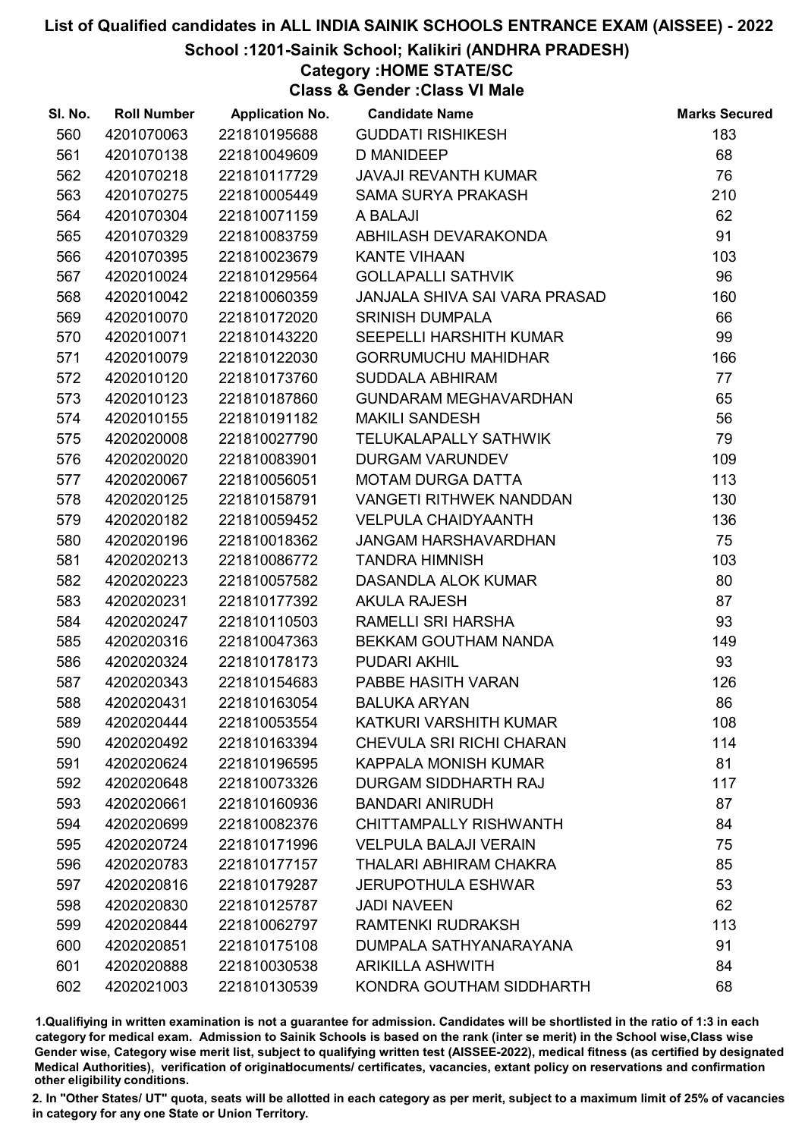#### School :1201-Sainik School; Kalikiri (ANDHRA PRADESH)

## Category :HOME STATE/SC

Class & Gender :Class VI Male

| SI. No. | <b>Roll Number</b> | <b>Application No.</b> | <b>Candidate Name</b>           | <b>Marks Secured</b> |
|---------|--------------------|------------------------|---------------------------------|----------------------|
| 560     | 4201070063         | 221810195688           | <b>GUDDATI RISHIKESH</b>        | 183                  |
| 561     | 4201070138         | 221810049609           | <b>D MANIDEEP</b>               | 68                   |
| 562     | 4201070218         | 221810117729           | <b>JAVAJI REVANTH KUMAR</b>     | 76                   |
| 563     | 4201070275         | 221810005449           | SAMA SURYA PRAKASH              | 210                  |
| 564     | 4201070304         | 221810071159           | A BALAJI                        | 62                   |
| 565     | 4201070329         | 221810083759           | ABHILASH DEVARAKONDA            | 91                   |
| 566     | 4201070395         | 221810023679           | <b>KANTE VIHAAN</b>             | 103                  |
| 567     | 4202010024         | 221810129564           | <b>GOLLAPALLI SATHVIK</b>       | 96                   |
| 568     | 4202010042         | 221810060359           | JANJALA SHIVA SAI VARA PRASAD   | 160                  |
| 569     | 4202010070         | 221810172020           | <b>SRINISH DUMPALA</b>          | 66                   |
| 570     | 4202010071         | 221810143220           | SEEPELLI HARSHITH KUMAR         | 99                   |
| 571     | 4202010079         | 221810122030           | <b>GORRUMUCHU MAHIDHAR</b>      | 166                  |
| 572     | 4202010120         | 221810173760           | <b>SUDDALA ABHIRAM</b>          | 77                   |
| 573     | 4202010123         | 221810187860           | <b>GUNDARAM MEGHAVARDHAN</b>    | 65                   |
| 574     | 4202010155         | 221810191182           | <b>MAKILI SANDESH</b>           | 56                   |
| 575     | 4202020008         | 221810027790           | TELUKALAPALLY SATHWIK           | 79                   |
| 576     | 4202020020         | 221810083901           | <b>DURGAM VARUNDEV</b>          | 109                  |
| 577     | 4202020067         | 221810056051           | <b>MOTAM DURGA DATTA</b>        | 113                  |
| 578     | 4202020125         | 221810158791           | VANGETI RITHWEK NANDDAN         | 130                  |
| 579     | 4202020182         | 221810059452           | <b>VELPULA CHAIDYAANTH</b>      | 136                  |
| 580     | 4202020196         | 221810018362           | <b>JANGAM HARSHAVARDHAN</b>     | 75                   |
| 581     | 4202020213         | 221810086772           | <b>TANDRA HIMNISH</b>           | 103                  |
| 582     | 4202020223         | 221810057582           | DASANDLA ALOK KUMAR             | 80                   |
| 583     | 4202020231         | 221810177392           | <b>AKULA RAJESH</b>             | 87                   |
| 584     | 4202020247         | 221810110503           | RAMELLI SRI HARSHA              | 93                   |
| 585     | 4202020316         | 221810047363           | <b>BEKKAM GOUTHAM NANDA</b>     | 149                  |
| 586     | 4202020324         | 221810178173           | PUDARI AKHIL                    | 93                   |
| 587     | 4202020343         | 221810154683           | PABBE HASITH VARAN              | 126                  |
| 588     | 4202020431         | 221810163054           | <b>BALUKA ARYAN</b>             | 86                   |
| 589     | 4202020444         | 221810053554           | KATKURI VARSHITH KUMAR          | 108                  |
| 590     | 4202020492         | 221810163394           | <b>CHEVULA SRI RICHI CHARAN</b> | 114                  |
| 591     | 4202020624         | 221810196595           | <b>KAPPALA MONISH KUMAR</b>     | 81                   |
| 592     | 4202020648         | 221810073326           | DURGAM SIDDHARTH RAJ            | 117                  |
| 593     | 4202020661         | 221810160936           | <b>BANDARI ANIRUDH</b>          | 87                   |
| 594     | 4202020699         | 221810082376           | <b>CHITTAMPALLY RISHWANTH</b>   | 84                   |
| 595     | 4202020724         | 221810171996           | <b>VELPULA BALAJI VERAIN</b>    | 75                   |
| 596     | 4202020783         | 221810177157           | THALARI ABHIRAM CHAKRA          | 85                   |
| 597     | 4202020816         | 221810179287           | <b>JERUPOTHULA ESHWAR</b>       | 53                   |
| 598     | 4202020830         | 221810125787           | <b>JADI NAVEEN</b>              | 62                   |
| 599     | 4202020844         | 221810062797           | RAMTENKI RUDRAKSH               | 113                  |
| 600     | 4202020851         | 221810175108           | DUMPALA SATHYANARAYANA          | 91                   |
| 601     | 4202020888         | 221810030538           | <b>ARIKILLA ASHWITH</b>         | 84                   |
| 602     | 4202021003         | 221810130539           | KONDRA GOUTHAM SIDDHARTH        | 68                   |

1.Qualifiying in written examination is not a guarantee for admission. Candidates will be shortlisted in the ratio of 1:3 in each category for medical exam. Admission to Sainik Schools is based on the rank (inter se merit) in the School wise,Class wise Gender wise, Category wise merit list, subject to qualifying written test (AISSEE-2022), medical fitness (as certified by designated Medical Authorities), verification of originablocuments/ certificates, vacancies, extant policy on reservations and confirmation other eligibility conditions.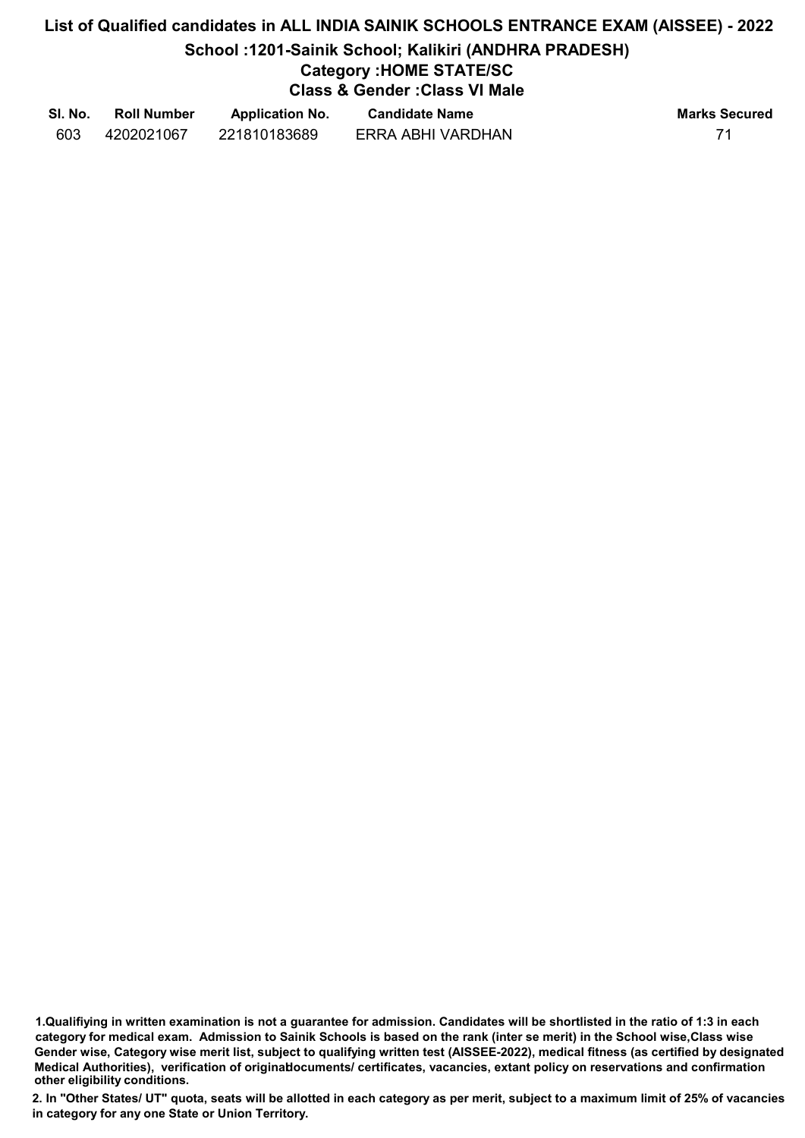# List of Qualified candidates in ALL INDIA SAINIK SCHOOLS ENTRANCE EXAM (AISSEE) - 2022 School :1201-Sainik School; Kalikiri (ANDHRA PRADESH) Category :HOME STATE/SC Class & Gender :Class VI Male

| SI. No. | <b>Roll Number</b> | <b>Application No.</b> | <b>Candidate Name</b> | <b>Marks Secured</b> |
|---------|--------------------|------------------------|-----------------------|----------------------|
| 603     | 4202021067         | 221810183689           | ERRA ABHI VARDHAN     | 71                   |

<sup>1.</sup>Qualifiying in written examination is not a guarantee for admission. Candidates will be shortlisted in the ratio of 1:3 in each category for medical exam. Admission to Sainik Schools is based on the rank (inter se merit) in the School wise,Class wise Gender wise, Category wise merit list, subject to qualifying written test (AISSEE-2022), medical fitness (as certified by designated Medical Authorities), verification of originablocuments/ certificates, vacancies, extant policy on reservations and confirmation other eligibility conditions.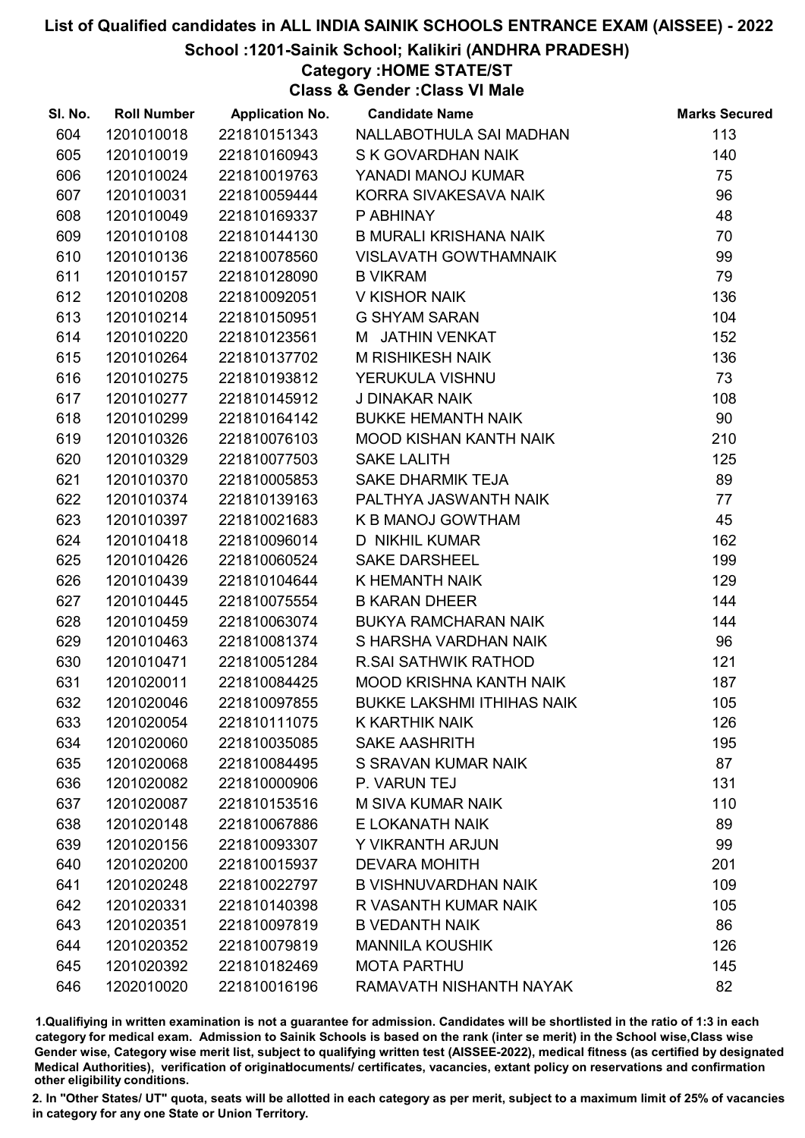School :1201-Sainik School; Kalikiri (ANDHRA PRADESH)

### Category :HOME STATE/ST

Class & Gender :Class VI Male

| SI. No. | <b>Roll Number</b> | <b>Application No.</b> | <b>Candidate Name</b>             | <b>Marks Secured</b> |
|---------|--------------------|------------------------|-----------------------------------|----------------------|
| 604     | 1201010018         | 221810151343           | NALLABOTHULA SAI MADHAN           | 113                  |
| 605     | 1201010019         | 221810160943           | S K GOVARDHAN NAIK                | 140                  |
| 606     | 1201010024         | 221810019763           | YANADI MANOJ KUMAR                | 75                   |
| 607     | 1201010031         | 221810059444           | KORRA SIVAKESAVA NAIK             | 96                   |
| 608     | 1201010049         | 221810169337           | P ABHINAY                         | 48                   |
| 609     | 1201010108         | 221810144130           | <b>B MURALI KRISHANA NAIK</b>     | 70                   |
| 610     | 1201010136         | 221810078560           | <b>VISLAVATH GOWTHAMNAIK</b>      | 99                   |
| 611     | 1201010157         | 221810128090           | <b>B VIKRAM</b>                   | 79                   |
| 612     | 1201010208         | 221810092051           | V KISHOR NAIK                     | 136                  |
| 613     | 1201010214         | 221810150951           | <b>G SHYAM SARAN</b>              | 104                  |
| 614     | 1201010220         | 221810123561           | M JATHIN VENKAT                   | 152                  |
| 615     | 1201010264         | 221810137702           | M RISHIKESH NAIK                  | 136                  |
| 616     | 1201010275         | 221810193812           | YERUKULA VISHNU                   | 73                   |
| 617     | 1201010277         | 221810145912           | J DINAKAR NAIK                    | 108                  |
| 618     | 1201010299         | 221810164142           | <b>BUKKE HEMANTH NAIK</b>         | 90                   |
| 619     | 1201010326         | 221810076103           | MOOD KISHAN KANTH NAIK            | 210                  |
| 620     | 1201010329         | 221810077503           | <b>SAKE LALITH</b>                | 125                  |
| 621     | 1201010370         | 221810005853           | <b>SAKE DHARMIK TEJA</b>          | 89                   |
| 622     | 1201010374         | 221810139163           | PALTHYA JASWANTH NAIK             | 77                   |
| 623     | 1201010397         | 221810021683           | K B MANOJ GOWTHAM                 | 45                   |
| 624     | 1201010418         | 221810096014           | D NIKHIL KUMAR                    | 162                  |
| 625     | 1201010426         | 221810060524           | <b>SAKE DARSHEEL</b>              | 199                  |
| 626     | 1201010439         | 221810104644           | K HEMANTH NAIK                    | 129                  |
| 627     | 1201010445         | 221810075554           | <b>B KARAN DHEER</b>              | 144                  |
| 628     | 1201010459         | 221810063074           | <b>BUKYA RAMCHARAN NAIK</b>       | 144                  |
| 629     | 1201010463         | 221810081374           | S HARSHA VARDHAN NAIK             | 96                   |
| 630     | 1201010471         | 221810051284           | <b>R.SAI SATHWIK RATHOD</b>       | 121                  |
| 631     | 1201020011         | 221810084425           | MOOD KRISHNA KANTH NAIK           | 187                  |
| 632     | 1201020046         | 221810097855           | <b>BUKKE LAKSHMI ITHIHAS NAIK</b> | 105                  |
| 633     | 1201020054         | 221810111075           | K KARTHIK NAIK                    | 126                  |
| 634     | 1201020060         | 221810035085           | <b>SAKE AASHRITH</b>              | 195                  |
| 635     | 1201020068         | 221810084495           | S SRAVAN KUMAR NAIK               | 87                   |
| 636     | 1201020082         | 221810000906           | P. VARUN TEJ                      | 131                  |
| 637     | 1201020087         | 221810153516           | <b>M SIVA KUMAR NAIK</b>          | 110                  |
| 638     | 1201020148         | 221810067886           | E LOKANATH NAIK                   | 89                   |
| 639     | 1201020156         | 221810093307           | Y VIKRANTH ARJUN                  | 99                   |
| 640     | 1201020200         | 221810015937           | <b>DEVARA MOHITH</b>              | 201                  |
| 641     | 1201020248         | 221810022797           | <b>B VISHNUVARDHAN NAIK</b>       | 109                  |
| 642     | 1201020331         | 221810140398           | R VASANTH KUMAR NAIK              | 105                  |
| 643     | 1201020351         | 221810097819           | <b>B VEDANTH NAIK</b>             | 86                   |
| 644     | 1201020352         | 221810079819           | <b>MANNILA KOUSHIK</b>            | 126                  |
| 645     | 1201020392         | 221810182469           | <b>MOTA PARTHU</b>                | 145                  |
| 646     | 1202010020         | 221810016196           | RAMAVATH NISHANTH NAYAK           | 82                   |

1.Qualifiying in written examination is not a guarantee for admission. Candidates will be shortlisted in the ratio of 1:3 in each category for medical exam. Admission to Sainik Schools is based on the rank (inter se merit) in the School wise,Class wise Gender wise, Category wise merit list, subject to qualifying written test (AISSEE-2022), medical fitness (as certified by designated Medical Authorities), verification of originablocuments/ certificates, vacancies, extant policy on reservations and confirmation other eligibility conditions.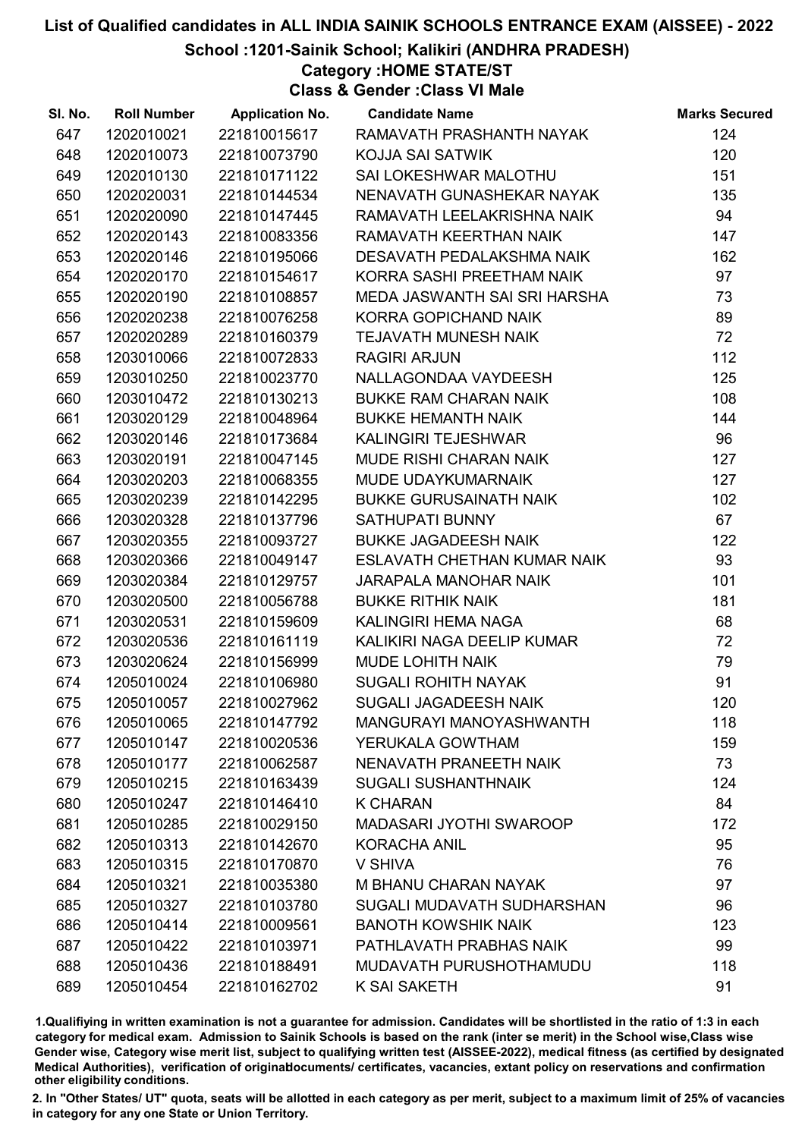School :1201-Sainik School; Kalikiri (ANDHRA PRADESH)

Category :HOME STATE/ST

Class & Gender :Class VI Male

| SI. No. | <b>Roll Number</b> | <b>Application No.</b> | <b>Candidate Name</b>              | <b>Marks Secured</b> |
|---------|--------------------|------------------------|------------------------------------|----------------------|
| 647     | 1202010021         | 221810015617           | RAMAVATH PRASHANTH NAYAK           | 124                  |
| 648     | 1202010073         | 221810073790           | <b>KOJJA SAI SATWIK</b>            | 120                  |
| 649     | 1202010130         | 221810171122           | SAI LOKESHWAR MALOTHU              | 151                  |
| 650     | 1202020031         | 221810144534           | NENAVATH GUNASHEKAR NAYAK          | 135                  |
| 651     | 1202020090         | 221810147445           | RAMAVATH LEELAKRISHNA NAIK         | 94                   |
| 652     | 1202020143         | 221810083356           | RAMAVATH KEERTHAN NAIK             | 147                  |
| 653     | 1202020146         | 221810195066           | DESAVATH PEDALAKSHMA NAIK          | 162                  |
| 654     | 1202020170         | 221810154617           | KORRA SASHI PREETHAM NAIK          | 97                   |
| 655     | 1202020190         | 221810108857           | MEDA JASWANTH SAI SRI HARSHA       | 73                   |
| 656     | 1202020238         | 221810076258           | KORRA GOPICHAND NAIK               | 89                   |
| 657     | 1202020289         | 221810160379           | <b>TEJAVATH MUNESH NAIK</b>        | 72                   |
| 658     | 1203010066         | 221810072833           | <b>RAGIRI ARJUN</b>                | 112                  |
| 659     | 1203010250         | 221810023770           | NALLAGONDAA VAYDEESH               | 125                  |
| 660     | 1203010472         | 221810130213           | <b>BUKKE RAM CHARAN NAIK</b>       | 108                  |
| 661     | 1203020129         | 221810048964           | <b>BUKKE HEMANTH NAIK</b>          | 144                  |
| 662     | 1203020146         | 221810173684           | KALINGIRI TEJESHWAR                | 96                   |
| 663     | 1203020191         | 221810047145           | <b>MUDE RISHI CHARAN NAIK</b>      | 127                  |
| 664     | 1203020203         | 221810068355           | MUDE UDAYKUMARNAIK                 | 127                  |
| 665     | 1203020239         | 221810142295           | <b>BUKKE GURUSAINATH NAIK</b>      | 102                  |
| 666     | 1203020328         | 221810137796           | <b>SATHUPATI BUNNY</b>             | 67                   |
| 667     | 1203020355         | 221810093727           | <b>BUKKE JAGADEESH NAIK</b>        | 122                  |
| 668     | 1203020366         | 221810049147           | <b>ESLAVATH CHETHAN KUMAR NAIK</b> | 93                   |
| 669     | 1203020384         | 221810129757           | JARAPALA MANOHAR NAIK              | 101                  |
| 670     | 1203020500         | 221810056788           | <b>BUKKE RITHIK NAIK</b>           | 181                  |
| 671     | 1203020531         | 221810159609           | KALINGIRI HEMA NAGA                | 68                   |
| 672     | 1203020536         | 221810161119           | KALIKIRI NAGA DEELIP KUMAR         | 72                   |
| 673     | 1203020624         | 221810156999           | MUDE LOHITH NAIK                   | 79                   |
| 674     | 1205010024         | 221810106980           | <b>SUGALI ROHITH NAYAK</b>         | 91                   |
| 675     | 1205010057         | 221810027962           | SUGALI JAGADEESH NAIK              | 120                  |
| 676     | 1205010065         | 221810147792           | MANGURAYI MANOYASHWANTH            | 118                  |
| 677     | 1205010147         | 221810020536           | YERUKALA GOWTHAM                   | 159                  |
| 678     | 1205010177         | 221810062587           | NENAVATH PRANEETH NAIK             | 73                   |
| 679     | 1205010215         | 221810163439           | <b>SUGALI SUSHANTHNAIK</b>         | 124                  |
| 680     | 1205010247         | 221810146410           | <b>K CHARAN</b>                    | 84                   |
| 681     | 1205010285         | 221810029150           | <b>MADASARI JYOTHI SWAROOP</b>     | 172                  |
| 682     | 1205010313         | 221810142670           | <b>KORACHA ANIL</b>                | 95                   |
| 683     | 1205010315         | 221810170870           | V SHIVA                            | 76                   |
| 684     | 1205010321         | 221810035380           | <b>M BHANU CHARAN NAYAK</b>        | 97                   |
| 685     | 1205010327         | 221810103780           | SUGALI MUDAVATH SUDHARSHAN         | 96                   |
| 686     | 1205010414         | 221810009561           | <b>BANOTH KOWSHIK NAIK</b>         | 123                  |
| 687     | 1205010422         | 221810103971           | PATHLAVATH PRABHAS NAIK            | 99                   |
| 688     | 1205010436         | 221810188491           | MUDAVATH PURUSHOTHAMUDU            | 118                  |
| 689     | 1205010454         | 221810162702           | <b>K SAI SAKETH</b>                | 91                   |

1.Qualifiying in written examination is not a guarantee for admission. Candidates will be shortlisted in the ratio of 1:3 in each category for medical exam. Admission to Sainik Schools is based on the rank (inter se merit) in the School wise,Class wise Gender wise, Category wise merit list, subject to qualifying written test (AISSEE-2022), medical fitness (as certified by designated Medical Authorities), verification of originablocuments/ certificates, vacancies, extant policy on reservations and confirmation other eligibility conditions.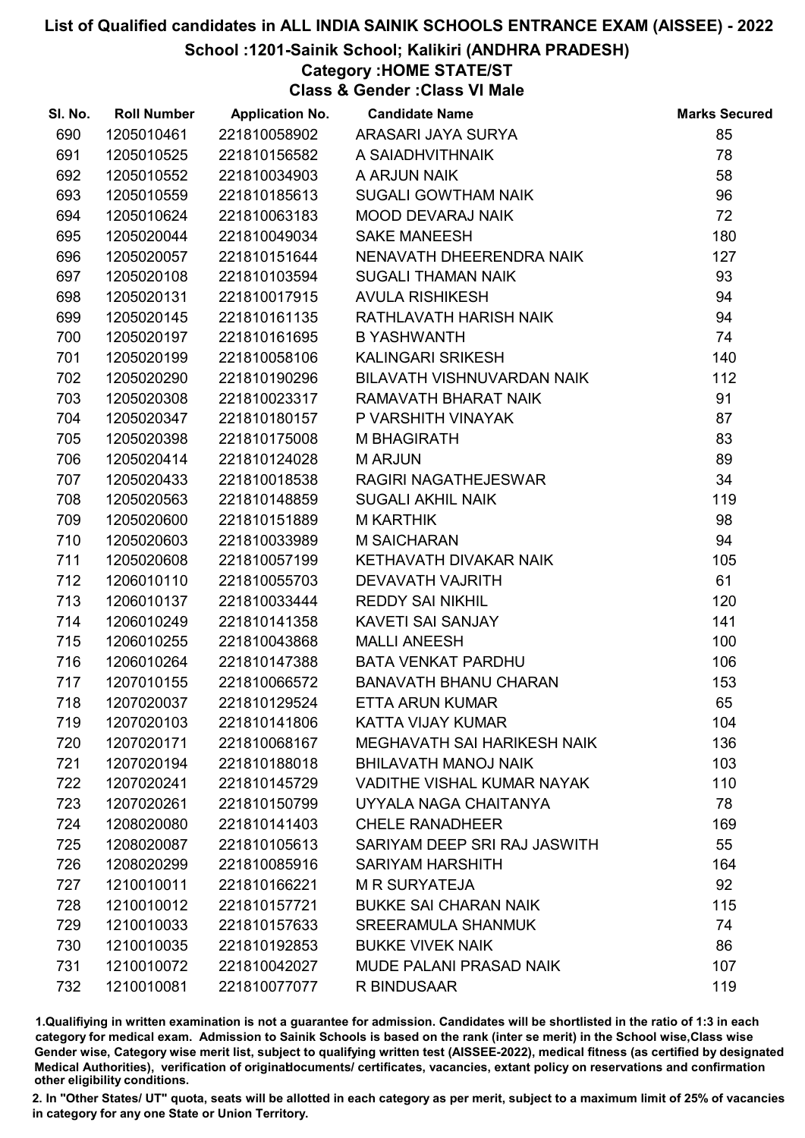#### School :1201-Sainik School; Kalikiri (ANDHRA PRADESH)

### Category :HOME STATE/ST

Class & Gender :Class VI Male

| SI. No. | <b>Roll Number</b> | <b>Application No.</b> | <b>Candidate Name</b>             | <b>Marks Secured</b> |
|---------|--------------------|------------------------|-----------------------------------|----------------------|
| 690     | 1205010461         | 221810058902           | ARASARI JAYA SURYA                | 85                   |
| 691     | 1205010525         | 221810156582           | A SAIADHVITHNAIK                  | 78                   |
| 692     | 1205010552         | 221810034903           | A ARJUN NAIK                      | 58                   |
| 693     | 1205010559         | 221810185613           | SUGALI GOWTHAM NAIK               | 96                   |
| 694     | 1205010624         | 221810063183           | <b>MOOD DEVARAJ NAIK</b>          | 72                   |
| 695     | 1205020044         | 221810049034           | <b>SAKE MANEESH</b>               | 180                  |
| 696     | 1205020057         | 221810151644           | NENAVATH DHEERENDRA NAIK          | 127                  |
| 697     | 1205020108         | 221810103594           | <b>SUGALI THAMAN NAIK</b>         | 93                   |
| 698     | 1205020131         | 221810017915           | <b>AVULA RISHIKESH</b>            | 94                   |
| 699     | 1205020145         | 221810161135           | RATHLAVATH HARISH NAIK            | 94                   |
| 700     | 1205020197         | 221810161695           | <b>B YASHWANTH</b>                | 74                   |
| 701     | 1205020199         | 221810058106           | <b>KALINGARI SRIKESH</b>          | 140                  |
| 702     | 1205020290         | 221810190296           | BILAVATH VISHNUVARDAN NAIK        | 112                  |
| 703     | 1205020308         | 221810023317           | RAMAVATH BHARAT NAIK              | 91                   |
| 704     | 1205020347         | 221810180157           | P VARSHITH VINAYAK                | 87                   |
| 705     | 1205020398         | 221810175008           | <b>M BHAGIRATH</b>                | 83                   |
| 706     | 1205020414         | 221810124028           | <b>MARJUN</b>                     | 89                   |
| 707     | 1205020433         | 221810018538           | RAGIRI NAGATHEJESWAR              | 34                   |
| 708     | 1205020563         | 221810148859           | <b>SUGALI AKHIL NAIK</b>          | 119                  |
| 709     | 1205020600         | 221810151889           | <b>M KARTHIK</b>                  | 98                   |
| 710     | 1205020603         | 221810033989           | <b>M SAICHARAN</b>                | 94                   |
| 711     | 1205020608         | 221810057199           | KETHAVATH DIVAKAR NAIK            | 105                  |
| 712     | 1206010110         | 221810055703           | DEVAVATH VAJRITH                  | 61                   |
| 713     | 1206010137         | 221810033444           | <b>REDDY SAI NIKHIL</b>           | 120                  |
| 714     | 1206010249         | 221810141358           | KAVETI SAI SANJAY                 | 141                  |
| 715     | 1206010255         | 221810043868           | <b>MALLI ANEESH</b>               | 100                  |
| 716     | 1206010264         | 221810147388           | <b>BATA VENKAT PARDHU</b>         | 106                  |
| 717     | 1207010155         | 221810066572           | <b>BANAVATH BHANU CHARAN</b>      | 153                  |
| 718     | 1207020037         | 221810129524           | ETTA ARUN KUMAR                   | 65                   |
| 719     | 1207020103         | 221810141806           | <b>KATTA VIJAY KUMAR</b>          | 104                  |
| 720     | 1207020171         | 221810068167           | MEGHAVATH SAI HARIKESH NAIK       | 136                  |
| 721     | 1207020194         | 221810188018           | <b>BHILAVATH MANOJ NAIK</b>       | 103                  |
| 722     | 1207020241         | 221810145729           | <b>VADITHE VISHAL KUMAR NAYAK</b> | 110                  |
| 723     | 1207020261         | 221810150799           | UYYALA NAGA CHAITANYA             | 78                   |
| 724     | 1208020080         | 221810141403           | <b>CHELE RANADHEER</b>            | 169                  |
| 725     | 1208020087         | 221810105613           | SARIYAM DEEP SRI RAJ JASWITH      | 55                   |
| 726     | 1208020299         | 221810085916           | <b>SARIYAM HARSHITH</b>           | 164                  |
| 727     | 1210010011         | 221810166221           | <b>M R SURYATEJA</b>              | 92                   |
| 728     | 1210010012         | 221810157721           | <b>BUKKE SAI CHARAN NAIK</b>      | 115                  |
| 729     | 1210010033         | 221810157633           | SREERAMULA SHANMUK                | 74                   |
| 730     | 1210010035         | 221810192853           | <b>BUKKE VIVEK NAIK</b>           | 86                   |
| 731     | 1210010072         | 221810042027           | <b>MUDE PALANI PRASAD NAIK</b>    | 107                  |
| 732     | 1210010081         | 221810077077           | R BINDUSAAR                       | 119                  |

1.Qualifiying in written examination is not a guarantee for admission. Candidates will be shortlisted in the ratio of 1:3 in each category for medical exam. Admission to Sainik Schools is based on the rank (inter se merit) in the School wise,Class wise Gender wise, Category wise merit list, subject to qualifying written test (AISSEE-2022), medical fitness (as certified by designated Medical Authorities), verification of originablocuments/ certificates, vacancies, extant policy on reservations and confirmation other eligibility conditions.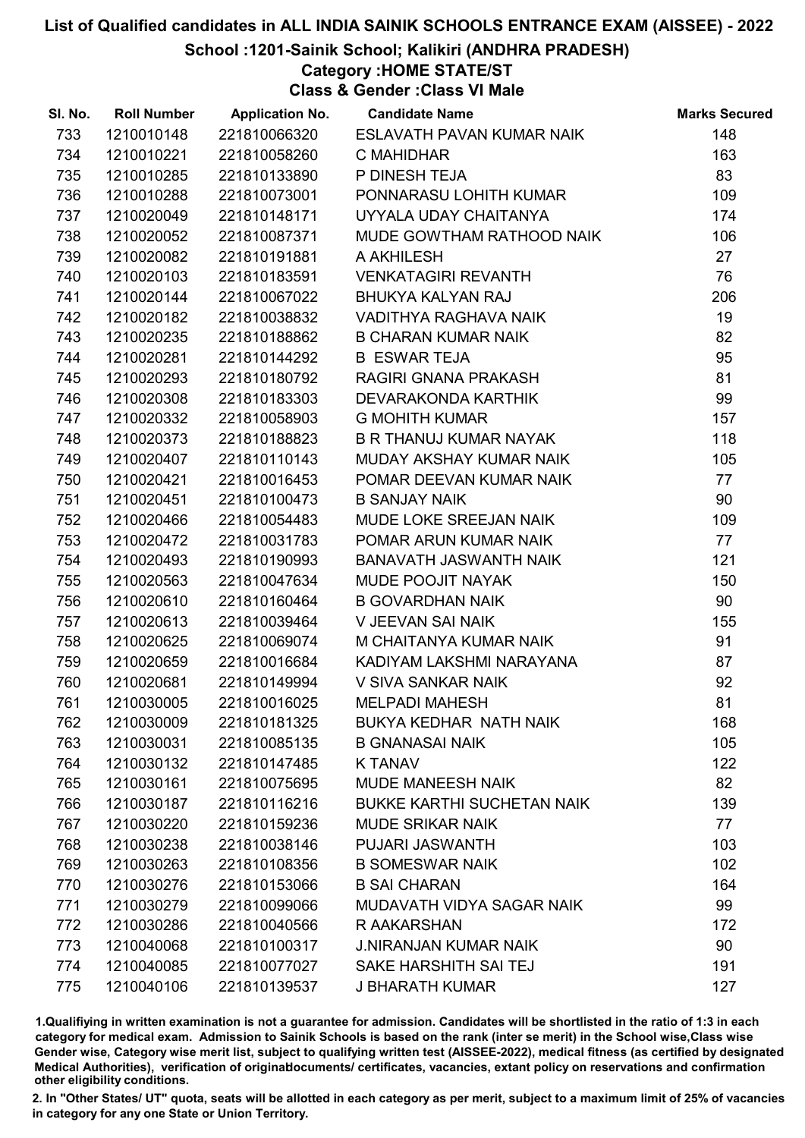School :1201-Sainik School; Kalikiri (ANDHRA PRADESH)

## Category :HOME STATE/ST

Class & Gender :Class VI Male

| SI. No. | <b>Roll Number</b> | <b>Application No.</b> | <b>Candidate Name</b>             | <b>Marks Secured</b> |
|---------|--------------------|------------------------|-----------------------------------|----------------------|
| 733     | 1210010148         | 221810066320           | ESLAVATH PAVAN KUMAR NAIK         | 148                  |
| 734     | 1210010221         | 221810058260           | C MAHIDHAR                        | 163                  |
| 735     | 1210010285         | 221810133890           | P DINESH TEJA                     | 83                   |
| 736     | 1210010288         | 221810073001           | PONNARASU LOHITH KUMAR            | 109                  |
| 737     | 1210020049         | 221810148171           | UYYALA UDAY CHAITANYA             | 174                  |
| 738     | 1210020052         | 221810087371           | MUDE GOWTHAM RATHOOD NAIK         | 106                  |
| 739     | 1210020082         | 221810191881           | A AKHILESH                        | 27                   |
| 740     | 1210020103         | 221810183591           | <b>VENKATAGIRI REVANTH</b>        | 76                   |
| 741     | 1210020144         | 221810067022           | <b>BHUKYA KALYAN RAJ</b>          | 206                  |
| 742     | 1210020182         | 221810038832           | VADITHYA RAGHAVA NAIK             | 19                   |
| 743     | 1210020235         | 221810188862           | <b>B CHARAN KUMAR NAIK</b>        | 82                   |
| 744     | 1210020281         | 221810144292           | <b>B ESWAR TEJA</b>               | 95                   |
| 745     | 1210020293         | 221810180792           | RAGIRI GNANA PRAKASH              | 81                   |
| 746     | 1210020308         | 221810183303           | <b>DEVARAKONDA KARTHIK</b>        | 99                   |
| 747     | 1210020332         | 221810058903           | <b>G MOHITH KUMAR</b>             | 157                  |
| 748     | 1210020373         | 221810188823           | B R THANUJ KUMAR NAYAK            | 118                  |
| 749     | 1210020407         | 221810110143           | MUDAY AKSHAY KUMAR NAIK           | 105                  |
| 750     | 1210020421         | 221810016453           | POMAR DEEVAN KUMAR NAIK           | 77                   |
| 751     | 1210020451         | 221810100473           | <b>B SANJAY NAIK</b>              | 90                   |
| 752     | 1210020466         | 221810054483           | MUDE LOKE SREEJAN NAIK            | 109                  |
| 753     | 1210020472         | 221810031783           | POMAR ARUN KUMAR NAIK             | 77                   |
| 754     | 1210020493         | 221810190993           | <b>BANAVATH JASWANTH NAIK</b>     | 121                  |
| 755     | 1210020563         | 221810047634           | MUDE POOJIT NAYAK                 | 150                  |
| 756     | 1210020610         | 221810160464           | <b>B GOVARDHAN NAIK</b>           | 90                   |
| 757     | 1210020613         | 221810039464           | V JEEVAN SAI NAIK                 | 155                  |
| 758     | 1210020625         | 221810069074           | M CHAITANYA KUMAR NAIK            | 91                   |
| 759     | 1210020659         | 221810016684           | KADIYAM LAKSHMI NARAYANA          | 87                   |
| 760     | 1210020681         | 221810149994           | V SIVA SANKAR NAIK                | 92                   |
| 761     | 1210030005         | 221810016025           | <b>MELPADI MAHESH</b>             | 81                   |
| 762     | 1210030009         | 221810181325           | <b>BUKYA KEDHAR NATH NAIK</b>     | 168                  |
| 763     | 1210030031         | 221810085135           | <b>B GNANASAI NAIK</b>            | 105                  |
| 764     | 1210030132         | 221810147485           | <b>K TANAV</b>                    | 122                  |
| 765     | 1210030161         | 221810075695           | <b>MUDE MANEESH NAIK</b>          | 82                   |
| 766     | 1210030187         | 221810116216           | <b>BUKKE KARTHI SUCHETAN NAIK</b> | 139                  |
| 767     | 1210030220         | 221810159236           | <b>MUDE SRIKAR NAIK</b>           | 77                   |
| 768     | 1210030238         | 221810038146           | PUJARI JASWANTH                   | 103                  |
| 769     | 1210030263         | 221810108356           | <b>B SOMESWAR NAIK</b>            | 102                  |
| 770     | 1210030276         | 221810153066           | <b>B SAI CHARAN</b>               | 164                  |
| 771     | 1210030279         | 221810099066           | MUDAVATH VIDYA SAGAR NAIK         | 99                   |
| 772     | 1210030286         | 221810040566           | R AAKARSHAN                       | 172                  |
| 773     | 1210040068         | 221810100317           | <b>J.NIRANJAN KUMAR NAIK</b>      | 90                   |
| 774     | 1210040085         | 221810077027           | SAKE HARSHITH SAI TEJ             | 191                  |
| 775     | 1210040106         | 221810139537           | <b>J BHARATH KUMAR</b>            | 127                  |

1.Qualifiying in written examination is not a guarantee for admission. Candidates will be shortlisted in the ratio of 1:3 in each category for medical exam. Admission to Sainik Schools is based on the rank (inter se merit) in the School wise,Class wise Gender wise, Category wise merit list, subject to qualifying written test (AISSEE-2022), medical fitness (as certified by designated Medical Authorities), verification of originablocuments/ certificates, vacancies, extant policy on reservations and confirmation other eligibility conditions.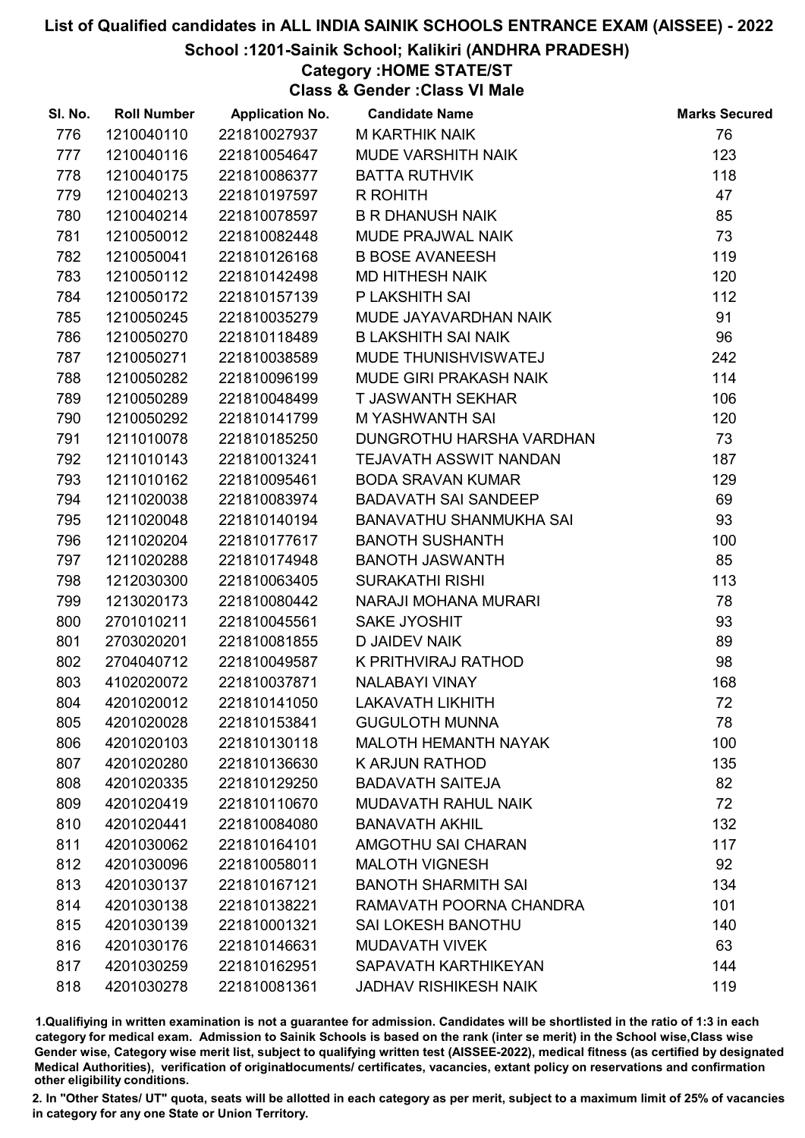#### School :1201-Sainik School; Kalikiri (ANDHRA PRADESH)

### Category :HOME STATE/ST

Class & Gender :Class VI Male

| SI. No. | <b>Roll Number</b> | <b>Application No.</b> | <b>Candidate Name</b>         | <b>Marks Secured</b> |
|---------|--------------------|------------------------|-------------------------------|----------------------|
| 776     | 1210040110         | 221810027937           | <b>M KARTHIK NAIK</b>         | 76                   |
| 777     | 1210040116         | 221810054647           | MUDE VARSHITH NAIK            | 123                  |
| 778     | 1210040175         | 221810086377           | <b>BATTA RUTHVIK</b>          | 118                  |
| 779     | 1210040213         | 221810197597           | R ROHITH                      | 47                   |
| 780     | 1210040214         | 221810078597           | <b>B R DHANUSH NAIK</b>       | 85                   |
| 781     | 1210050012         | 221810082448           | MUDE PRAJWAL NAIK             | 73                   |
| 782     | 1210050041         | 221810126168           | <b>B BOSE AVANEESH</b>        | 119                  |
| 783     | 1210050112         | 221810142498           | <b>MD HITHESH NAIK</b>        | 120                  |
| 784     | 1210050172         | 221810157139           | P LAKSHITH SAI                | 112                  |
| 785     | 1210050245         | 221810035279           | MUDE JAYAVARDHAN NAIK         | 91                   |
| 786     | 1210050270         | 221810118489           | <b>B LAKSHITH SAI NAIK</b>    | 96                   |
| 787     | 1210050271         | 221810038589           | MUDE THUNISHVISWATEJ          | 242                  |
| 788     | 1210050282         | 221810096199           | MUDE GIRI PRAKASH NAIK        | 114                  |
| 789     | 1210050289         | 221810048499           | <b>T JASWANTH SEKHAR</b>      | 106                  |
| 790     | 1210050292         | 221810141799           | <b>M YASHWANTH SAI</b>        | 120                  |
| 791     | 1211010078         | 221810185250           | DUNGROTHU HARSHA VARDHAN      | 73                   |
| 792     | 1211010143         | 221810013241           | <b>TEJAVATH ASSWIT NANDAN</b> | 187                  |
| 793     | 1211010162         | 221810095461           | <b>BODA SRAVAN KUMAR</b>      | 129                  |
| 794     | 1211020038         | 221810083974           | <b>BADAVATH SAI SANDEEP</b>   | 69                   |
| 795     | 1211020048         | 221810140194           | BANAVATHU SHANMUKHA SAI       | 93                   |
| 796     | 1211020204         | 221810177617           | <b>BANOTH SUSHANTH</b>        | 100                  |
| 797     | 1211020288         | 221810174948           | <b>BANOTH JASWANTH</b>        | 85                   |
| 798     | 1212030300         | 221810063405           | <b>SURAKATHI RISHI</b>        | 113                  |
| 799     | 1213020173         | 221810080442           | NARAJI MOHANA MURARI          | 78                   |
| 800     | 2701010211         | 221810045561           | SAKE JYOSHIT                  | 93                   |
| 801     | 2703020201         | 221810081855           | <b>D JAIDEV NAIK</b>          | 89                   |
| 802     | 2704040712         | 221810049587           | K PRITHVIRAJ RATHOD           | 98                   |
| 803     | 4102020072         | 221810037871           | <b>NALABAYI VINAY</b>         | 168                  |
| 804     | 4201020012         | 221810141050           | <b>LAKAVATH LIKHITH</b>       | 72                   |
| 805     | 4201020028         | 221810153841           | <b>GUGULOTH MUNNA</b>         | 78                   |
| 806     | 4201020103         | 221810130118           | <b>MALOTH HEMANTH NAYAK</b>   | 100                  |
| 807     | 4201020280         | 221810136630           | <b>K ARJUN RATHOD</b>         | 135                  |
| 808     | 4201020335         | 221810129250           | <b>BADAVATH SAITEJA</b>       | 82                   |
| 809     | 4201020419         | 221810110670           | <b>MUDAVATH RAHUL NAIK</b>    | 72                   |
| 810     | 4201020441         | 221810084080           | <b>BANAVATH AKHIL</b>         | 132                  |
| 811     | 4201030062         | 221810164101           | AMGOTHU SAI CHARAN            | 117                  |
| 812     | 4201030096         | 221810058011           | <b>MALOTH VIGNESH</b>         | 92                   |
| 813     | 4201030137         | 221810167121           | <b>BANOTH SHARMITH SAI</b>    | 134                  |
| 814     | 4201030138         | 221810138221           | RAMAVATH POORNA CHANDRA       | 101                  |
| 815     | 4201030139         | 221810001321           | <b>SAI LOKESH BANOTHU</b>     | 140                  |
| 816     | 4201030176         | 221810146631           | <b>MUDAVATH VIVEK</b>         | 63                   |
| 817     | 4201030259         | 221810162951           | SAPAVATH KARTHIKEYAN          | 144                  |
| 818     | 4201030278         | 221810081361           | <b>JADHAV RISHIKESH NAIK</b>  | 119                  |

1.Qualifiying in written examination is not a guarantee for admission. Candidates will be shortlisted in the ratio of 1:3 in each category for medical exam. Admission to Sainik Schools is based on the rank (inter se merit) in the School wise,Class wise Gender wise, Category wise merit list, subject to qualifying written test (AISSEE-2022), medical fitness (as certified by designated Medical Authorities), verification of originablocuments/ certificates, vacancies, extant policy on reservations and confirmation other eligibility conditions.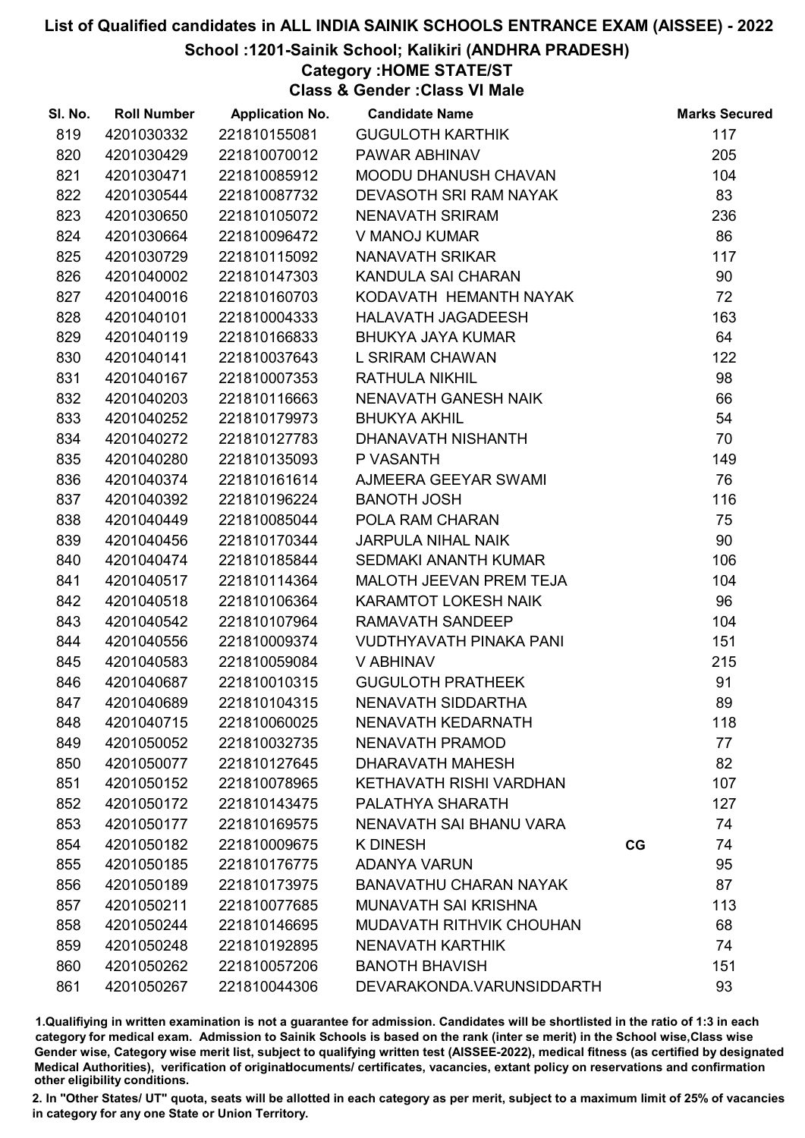#### School :1201-Sainik School; Kalikiri (ANDHRA PRADESH)

### Category :HOME STATE/ST

Class & Gender :Class VI Male

| SI. No. | <b>Roll Number</b> | <b>Application No.</b> | <b>Candidate Name</b>          |    | <b>Marks Secured</b> |
|---------|--------------------|------------------------|--------------------------------|----|----------------------|
| 819     | 4201030332         | 221810155081           | <b>GUGULOTH KARTHIK</b>        |    | 117                  |
| 820     | 4201030429         | 221810070012           | PAWAR ABHINAV                  |    | 205                  |
| 821     | 4201030471         | 221810085912           | MOODU DHANUSH CHAVAN           |    | 104                  |
| 822     | 4201030544         | 221810087732           | DEVASOTH SRI RAM NAYAK         |    | 83                   |
| 823     | 4201030650         | 221810105072           | <b>NENAVATH SRIRAM</b>         |    | 236                  |
| 824     | 4201030664         | 221810096472           | V MANOJ KUMAR                  |    | 86                   |
| 825     | 4201030729         | 221810115092           | NANAVATH SRIKAR                |    | 117                  |
| 826     | 4201040002         | 221810147303           | KANDULA SAI CHARAN             |    | 90                   |
| 827     | 4201040016         | 221810160703           | KODAVATH HEMANTH NAYAK         |    | 72                   |
| 828     | 4201040101         | 221810004333           | <b>HALAVATH JAGADEESH</b>      |    | 163                  |
| 829     | 4201040119         | 221810166833           | <b>BHUKYA JAYA KUMAR</b>       |    | 64                   |
| 830     | 4201040141         | 221810037643           | L SRIRAM CHAWAN                |    | 122                  |
| 831     | 4201040167         | 221810007353           | <b>RATHULA NIKHIL</b>          |    | 98                   |
| 832     | 4201040203         | 221810116663           | NENAVATH GANESH NAIK           |    | 66                   |
| 833     | 4201040252         | 221810179973           | <b>BHUKYA AKHIL</b>            |    | 54                   |
| 834     | 4201040272         | 221810127783           | DHANAVATH NISHANTH             |    | 70                   |
| 835     | 4201040280         | 221810135093           | P VASANTH                      |    | 149                  |
| 836     | 4201040374         | 221810161614           | AJMEERA GEEYAR SWAMI           |    | 76                   |
| 837     | 4201040392         | 221810196224           | <b>BANOTH JOSH</b>             |    | 116                  |
| 838     | 4201040449         | 221810085044           | POLA RAM CHARAN                |    | 75                   |
| 839     | 4201040456         | 221810170344           | <b>JARPULA NIHAL NAIK</b>      |    | 90                   |
| 840     | 4201040474         | 221810185844           | <b>SEDMAKI ANANTH KUMAR</b>    |    | 106                  |
| 841     | 4201040517         | 221810114364           | MALOTH JEEVAN PREM TEJA        |    | 104                  |
| 842     | 4201040518         | 221810106364           | <b>KARAMTOT LOKESH NAIK</b>    |    | 96                   |
| 843     | 4201040542         | 221810107964           | RAMAVATH SANDEEP               |    | 104                  |
| 844     | 4201040556         | 221810009374           | <b>VUDTHYAVATH PINAKA PANI</b> |    | 151                  |
| 845     | 4201040583         | 221810059084           | V ABHINAV                      |    | 215                  |
| 846     | 4201040687         | 221810010315           | <b>GUGULOTH PRATHEEK</b>       |    | 91                   |
| 847     | 4201040689         | 221810104315           | NENAVATH SIDDARTHA             |    | 89                   |
| 848     | 4201040715         | 221810060025           | NENAVATH KEDARNATH             |    | 118                  |
| 849     | 4201050052         | 221810032735           | NENAVATH PRAMOD                |    | 77                   |
| 850     | 4201050077         | 221810127645           | DHARAVATH MAHESH               |    | 82                   |
| 851     | 4201050152         | 221810078965           | KETHAVATH RISHI VARDHAN        |    | 107                  |
| 852     | 4201050172         | 221810143475           | PALATHYA SHARATH               |    | 127                  |
| 853     | 4201050177         | 221810169575           | NENAVATH SAI BHANU VARA        |    | 74                   |
| 854     | 4201050182         | 221810009675           | <b>K DINESH</b>                | CG | 74                   |
| 855     | 4201050185         | 221810176775           | <b>ADANYA VARUN</b>            |    | 95                   |
| 856     | 4201050189         | 221810173975           | <b>BANAVATHU CHARAN NAYAK</b>  |    | 87                   |
| 857     | 4201050211         | 221810077685           | <b>MUNAVATH SAI KRISHNA</b>    |    | 113                  |
| 858     | 4201050244         | 221810146695           | MUDAVATH RITHVIK CHOUHAN       |    | 68                   |
| 859     | 4201050248         | 221810192895           | <b>NENAVATH KARTHIK</b>        |    | 74                   |
| 860     | 4201050262         | 221810057206           | <b>BANOTH BHAVISH</b>          |    | 151                  |
| 861     | 4201050267         | 221810044306           | DEVARAKONDA.VARUNSIDDARTH      |    | 93                   |

1.Qualifiying in written examination is not a guarantee for admission. Candidates will be shortlisted in the ratio of 1:3 in each category for medical exam. Admission to Sainik Schools is based on the rank (inter se merit) in the School wise,Class wise Gender wise, Category wise merit list, subject to qualifying written test (AISSEE-2022), medical fitness (as certified by designated Medical Authorities), verification of originablocuments/ certificates, vacancies, extant policy on reservations and confirmation other eligibility conditions.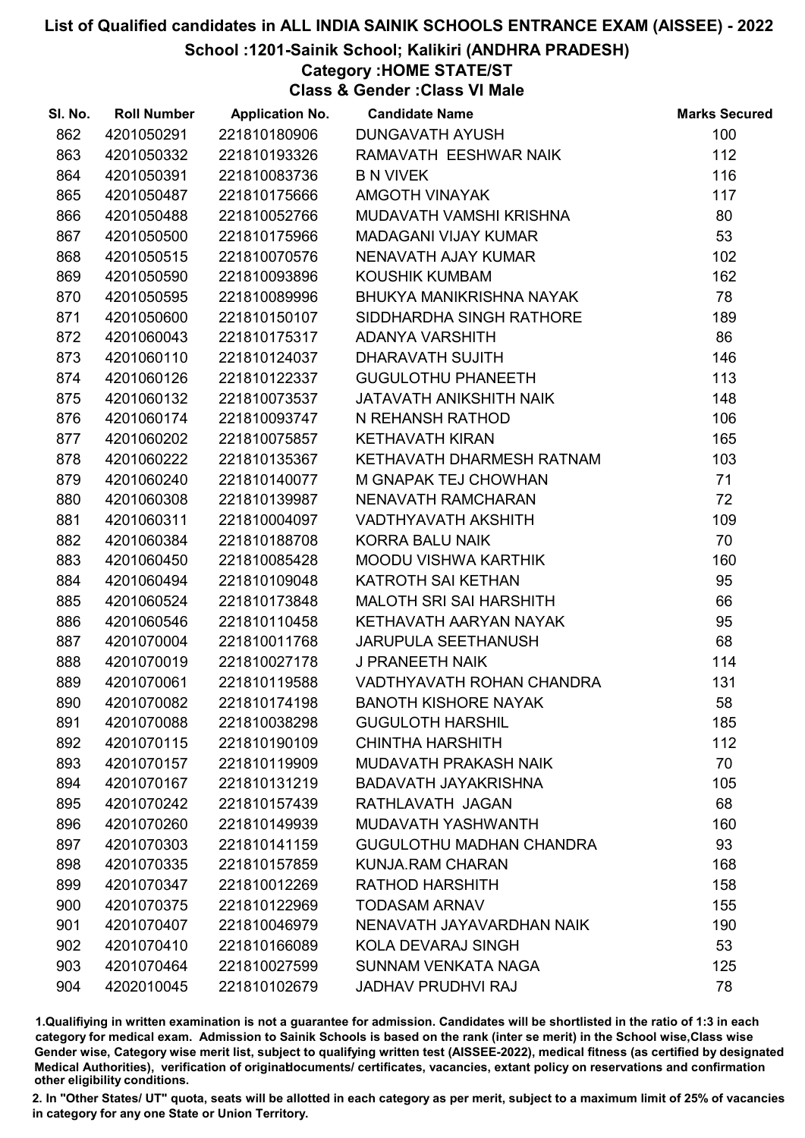#### School :1201-Sainik School; Kalikiri (ANDHRA PRADESH)

### Category :HOME STATE/ST

Class & Gender :Class VI Male

| SI. No. | <b>Roll Number</b> | <b>Application No.</b> | <b>Candidate Name</b>           | <b>Marks Secured</b> |
|---------|--------------------|------------------------|---------------------------------|----------------------|
| 862     | 4201050291         | 221810180906           | DUNGAVATH AYUSH                 | 100                  |
| 863     | 4201050332         | 221810193326           | RAMAVATH EESHWAR NAIK           | 112                  |
| 864     | 4201050391         | 221810083736           | <b>B N VIVEK</b>                | 116                  |
| 865     | 4201050487         | 221810175666           | <b>AMGOTH VINAYAK</b>           | 117                  |
| 866     | 4201050488         | 221810052766           | MUDAVATH VAMSHI KRISHNA         | 80                   |
| 867     | 4201050500         | 221810175966           | <b>MADAGANI VIJAY KUMAR</b>     | 53                   |
| 868     | 4201050515         | 221810070576           | NENAVATH AJAY KUMAR             | 102                  |
| 869     | 4201050590         | 221810093896           | <b>KOUSHIK KUMBAM</b>           | 162                  |
| 870     | 4201050595         | 221810089996           | BHUKYA MANIKRISHNA NAYAK        | 78                   |
| 871     | 4201050600         | 221810150107           | SIDDHARDHA SINGH RATHORE        | 189                  |
| 872     | 4201060043         | 221810175317           | ADANYA VARSHITH                 | 86                   |
| 873     | 4201060110         | 221810124037           | DHARAVATH SUJITH                | 146                  |
| 874     | 4201060126         | 221810122337           | <b>GUGULOTHU PHANEETH</b>       | 113                  |
| 875     | 4201060132         | 221810073537           | JATAVATH ANIKSHITH NAIK         | 148                  |
| 876     | 4201060174         | 221810093747           | N REHANSH RATHOD                | 106                  |
| 877     | 4201060202         | 221810075857           | <b>KETHAVATH KIRAN</b>          | 165                  |
| 878     | 4201060222         | 221810135367           | KETHAVATH DHARMESH RATNAM       | 103                  |
| 879     | 4201060240         | 221810140077           | M GNAPAK TEJ CHOWHAN            | 71                   |
| 880     | 4201060308         | 221810139987           | NENAVATH RAMCHARAN              | 72                   |
| 881     | 4201060311         | 221810004097           | VADTHYAVATH AKSHITH             | 109                  |
| 882     | 4201060384         | 221810188708           | <b>KORRA BALU NAIK</b>          | 70                   |
| 883     | 4201060450         | 221810085428           | <b>MOODU VISHWA KARTHIK</b>     | 160                  |
| 884     | 4201060494         | 221810109048           | KATROTH SAI KETHAN              | 95                   |
| 885     | 4201060524         | 221810173848           | <b>MALOTH SRI SAI HARSHITH</b>  | 66                   |
| 886     | 4201060546         | 221810110458           | KETHAVATH AARYAN NAYAK          | 95                   |
| 887     | 4201070004         | 221810011768           | <b>JARUPULA SEETHANUSH</b>      | 68                   |
| 888     | 4201070019         | 221810027178           | J PRANEETH NAIK                 | 114                  |
| 889     | 4201070061         | 221810119588           | VADTHYAVATH ROHAN CHANDRA       | 131                  |
| 890     | 4201070082         | 221810174198           | <b>BANOTH KISHORE NAYAK</b>     | 58                   |
| 891     | 4201070088         | 221810038298           | <b>GUGULOTH HARSHIL</b>         | 185                  |
| 892     | 4201070115         | 221810190109           | <b>CHINTHA HARSHITH</b>         | 112                  |
| 893     | 4201070157         | 221810119909           | <b>MUDAVATH PRAKASH NAIK</b>    | 70                   |
| 894     | 4201070167         | 221810131219           | <b>BADAVATH JAYAKRISHNA</b>     | 105                  |
| 895     | 4201070242         | 221810157439           | RATHLAVATH JAGAN                | 68                   |
| 896     | 4201070260         | 221810149939           | MUDAVATH YASHWANTH              | 160                  |
| 897     | 4201070303         | 221810141159           | <b>GUGULOTHU MADHAN CHANDRA</b> | 93                   |
| 898     | 4201070335         | 221810157859           | <b>KUNJA.RAM CHARAN</b>         | 168                  |
| 899     | 4201070347         | 221810012269           | <b>RATHOD HARSHITH</b>          | 158                  |
| 900     | 4201070375         | 221810122969           | <b>TODASAM ARNAV</b>            | 155                  |
| 901     | 4201070407         | 221810046979           | NENAVATH JAYAVARDHAN NAIK       | 190                  |
| 902     | 4201070410         | 221810166089           | KOLA DEVARAJ SINGH              | 53                   |
| 903     | 4201070464         | 221810027599           | SUNNAM VENKATA NAGA             | 125                  |
| 904     | 4202010045         | 221810102679           | <b>JADHAV PRUDHVI RAJ</b>       | 78                   |

1.Qualifiying in written examination is not a guarantee for admission. Candidates will be shortlisted in the ratio of 1:3 in each category for medical exam. Admission to Sainik Schools is based on the rank (inter se merit) in the School wise,Class wise Gender wise, Category wise merit list, subject to qualifying written test (AISSEE-2022), medical fitness (as certified by designated Medical Authorities), verification of originablocuments/ certificates, vacancies, extant policy on reservations and confirmation other eligibility conditions.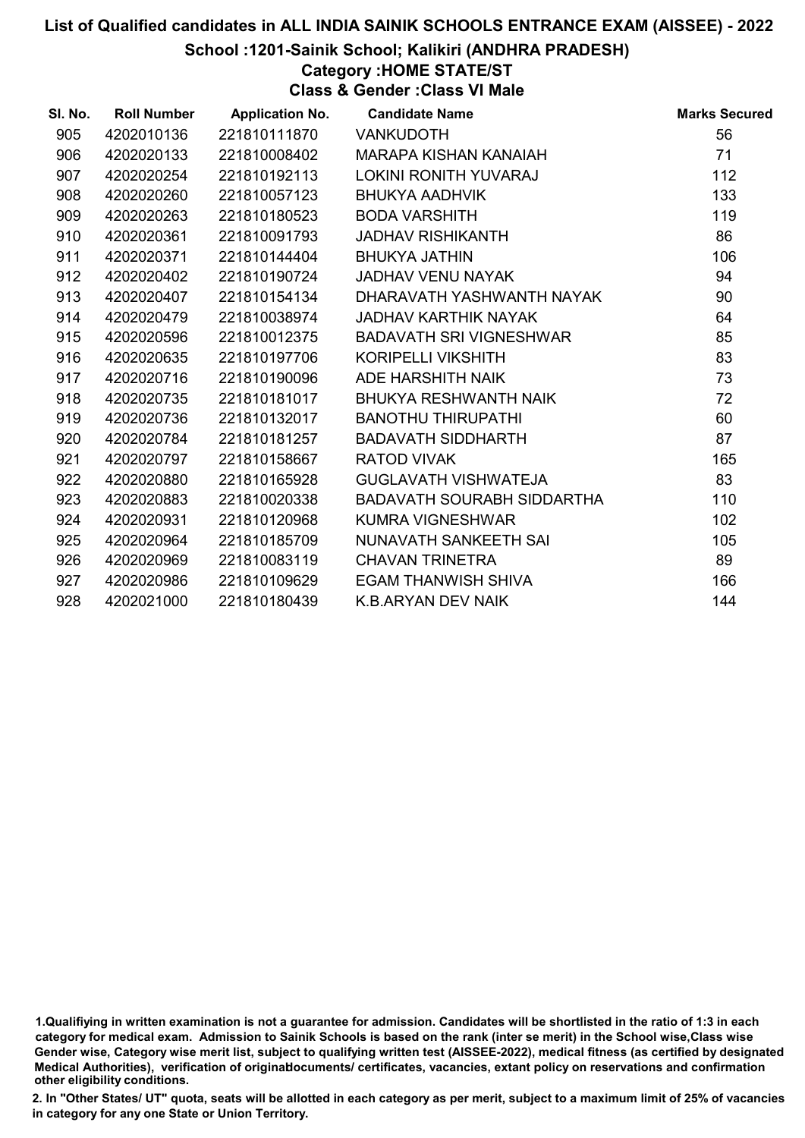School :1201-Sainik School; Kalikiri (ANDHRA PRADESH)

Category :HOME STATE/ST

Class & Gender :Class VI Male

| SI. No. | <b>Roll Number</b> | <b>Application No.</b> | <b>Candidate Name</b>             | <b>Marks Secured</b> |
|---------|--------------------|------------------------|-----------------------------------|----------------------|
| 905     | 4202010136         | 221810111870           | <b>VANKUDOTH</b>                  | 56                   |
| 906     | 4202020133         | 221810008402           | MARAPA KISHAN KANAIAH             | 71                   |
| 907     | 4202020254         | 221810192113           | <b>LOKINI RONITH YUVARAJ</b>      | 112                  |
| 908     | 4202020260         | 221810057123           | <b>BHUKYA AADHVIK</b>             | 133                  |
| 909     | 4202020263         | 221810180523           | <b>BODA VARSHITH</b>              | 119                  |
| 910     | 4202020361         | 221810091793           | <b>JADHAV RISHIKANTH</b>          | 86                   |
| 911     | 4202020371         | 221810144404           | <b>BHUKYA JATHIN</b>              | 106                  |
| 912     | 4202020402         | 221810190724           | <b>JADHAV VENU NAYAK</b>          | 94                   |
| 913     | 4202020407         | 221810154134           | DHARAVATH YASHWANTH NAYAK         | 90                   |
| 914     | 4202020479         | 221810038974           | <b>JADHAV KARTHIK NAYAK</b>       | 64                   |
| 915     | 4202020596         | 221810012375           | <b>BADAVATH SRI VIGNESHWAR</b>    | 85                   |
| 916     | 4202020635         | 221810197706           | KORIPELLI VIKSHITH                | 83                   |
| 917     | 4202020716         | 221810190096           | ADE HARSHITH NAIK                 | 73                   |
| 918     | 4202020735         | 221810181017           | BHUKYA RESHWANTH NAIK             | 72                   |
| 919     | 4202020736         | 221810132017           | <b>BANOTHU THIRUPATHI</b>         | 60                   |
| 920     | 4202020784         | 221810181257           | <b>BADAVATH SIDDHARTH</b>         | 87                   |
| 921     | 4202020797         | 221810158667           | <b>RATOD VIVAK</b>                | 165                  |
| 922     | 4202020880         | 221810165928           | <b>GUGLAVATH VISHWATEJA</b>       | 83                   |
| 923     | 4202020883         | 221810020338           | <b>BADAVATH SOURABH SIDDARTHA</b> | 110                  |
| 924     | 4202020931         | 221810120968           | <b>KUMRA VIGNESHWAR</b>           | 102                  |
| 925     | 4202020964         | 221810185709           | NUNAVATH SANKEETH SAI             | 105                  |
| 926     | 4202020969         | 221810083119           | <b>CHAVAN TRINETRA</b>            | 89                   |
| 927     | 4202020986         | 221810109629           | <b>EGAM THANWISH SHIVA</b>        | 166                  |
| 928     | 4202021000         | 221810180439           | K.B.ARYAN DEV NAIK                | 144                  |

<sup>1.</sup>Qualifiying in written examination is not a guarantee for admission. Candidates will be shortlisted in the ratio of 1:3 in each category for medical exam. Admission to Sainik Schools is based on the rank (inter se merit) in the School wise,Class wise Gender wise, Category wise merit list, subject to qualifying written test (AISSEE-2022), medical fitness (as certified by designated Medical Authorities), verification of originablocuments/ certificates, vacancies, extant policy on reservations and confirmation other eligibility conditions.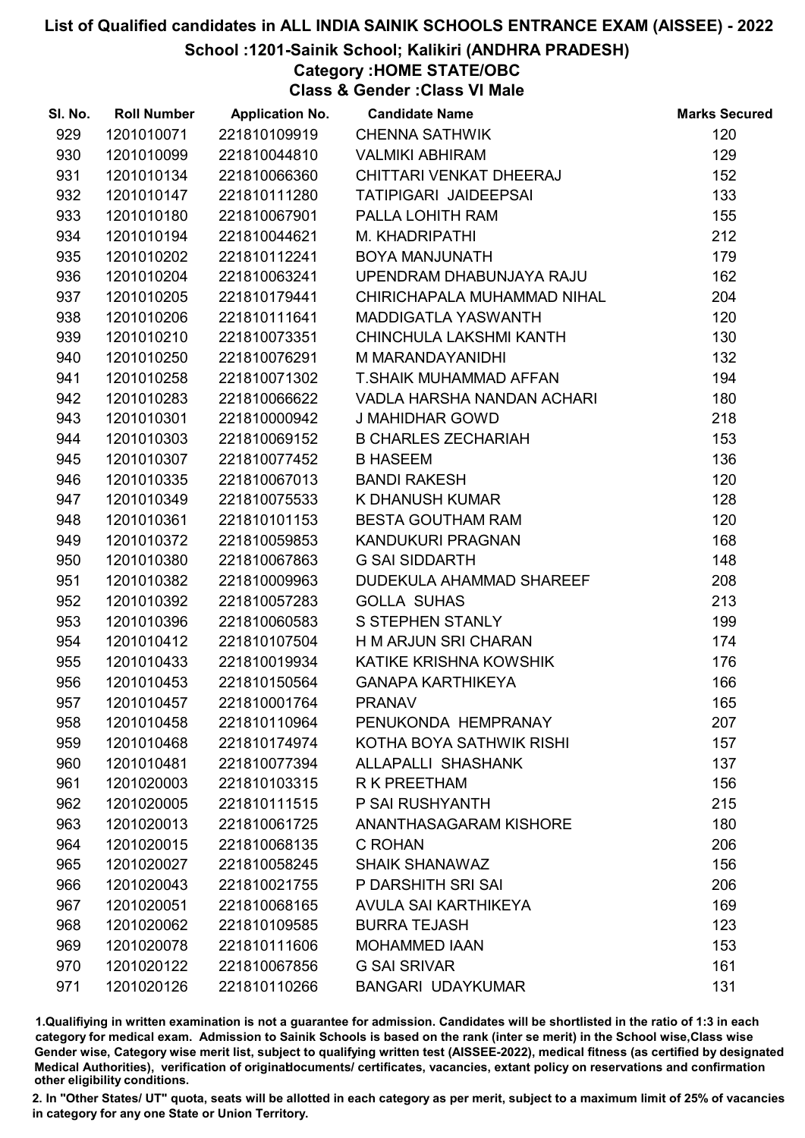School :1201-Sainik School; Kalikiri (ANDHRA PRADESH)

Category :HOME STATE/OBC

Class & Gender :Class VI Male

| SI. No. | <b>Roll Number</b> | <b>Application No.</b> | <b>Candidate Name</b>           | <b>Marks Secured</b> |
|---------|--------------------|------------------------|---------------------------------|----------------------|
| 929     | 1201010071         | 221810109919           | <b>CHENNA SATHWIK</b>           | 120                  |
| 930     | 1201010099         | 221810044810           | <b>VALMIKI ABHIRAM</b>          | 129                  |
| 931     | 1201010134         | 221810066360           | CHITTARI VENKAT DHEERAJ         | 152                  |
| 932     | 1201010147         | 221810111280           | TATIPIGARI JAIDEEPSAI           | 133                  |
| 933     | 1201010180         | 221810067901           | PALLA LOHITH RAM                | 155                  |
| 934     | 1201010194         | 221810044621           | M. KHADRIPATHI                  | 212                  |
| 935     | 1201010202         | 221810112241           | BOYA MANJUNATH                  | 179                  |
| 936     | 1201010204         | 221810063241           | UPENDRAM DHABUNJAYA RAJU        | 162                  |
| 937     | 1201010205         | 221810179441           | CHIRICHAPALA MUHAMMAD NIHAL     | 204                  |
| 938     | 1201010206         | 221810111641           | <b>MADDIGATLA YASWANTH</b>      | 120                  |
| 939     | 1201010210         | 221810073351           | CHINCHULA LAKSHMI KANTH         | 130                  |
| 940     | 1201010250         | 221810076291           | M MARANDAYANIDHI                | 132                  |
| 941     | 1201010258         | 221810071302           | T.SHAIK MUHAMMAD AFFAN          | 194                  |
| 942     | 1201010283         | 221810066622           | VADLA HARSHA NANDAN ACHARI      | 180                  |
| 943     | 1201010301         | 221810000942           | <b>J MAHIDHAR GOWD</b>          | 218                  |
| 944     | 1201010303         | 221810069152           | <b>B CHARLES ZECHARIAH</b>      | 153                  |
| 945     | 1201010307         | 221810077452           | <b>B HASEEM</b>                 | 136                  |
| 946     | 1201010335         | 221810067013           | <b>BANDI RAKESH</b>             | 120                  |
| 947     | 1201010349         | 221810075533           | K DHANUSH KUMAR                 | 128                  |
| 948     | 1201010361         | 221810101153           | <b>BESTA GOUTHAM RAM</b>        | 120                  |
| 949     | 1201010372         | 221810059853           | KANDUKURI PRAGNAN               | 168                  |
| 950     | 1201010380         | 221810067863           | <b>G SAI SIDDARTH</b>           | 148                  |
| 951     | 1201010382         | 221810009963           | <b>DUDEKULA AHAMMAD SHAREEF</b> | 208                  |
| 952     | 1201010392         | 221810057283           | <b>GOLLA SUHAS</b>              | 213                  |
| 953     | 1201010396         | 221810060583           | S STEPHEN STANLY                | 199                  |
| 954     | 1201010412         | 221810107504           | H M ARJUN SRI CHARAN            | 174                  |
| 955     | 1201010433         | 221810019934           | KATIKE KRISHNA KOWSHIK          | 176                  |
| 956     | 1201010453         | 221810150564           | <b>GANAPA KARTHIKEYA</b>        | 166                  |
| 957     | 1201010457         | 221810001764           | <b>PRANAV</b>                   | 165                  |
| 958     | 1201010458         | 221810110964           | PENUKONDA HEMPRANAY             | 207                  |
| 959     | 1201010468         | 221810174974           | KOTHA BOYA SATHWIK RISHI        | 157                  |
| 960     | 1201010481         | 221810077394           | ALLAPALLI SHASHANK              | 137                  |
| 961     | 1201020003         | 221810103315           | R K PREETHAM                    | 156                  |
| 962     | 1201020005         | 221810111515           | P SAI RUSHYANTH                 | 215                  |
| 963     | 1201020013         | 221810061725           | ANANTHASAGARAM KISHORE          | 180                  |
| 964     | 1201020015         | 221810068135           | C ROHAN                         | 206                  |
| 965     | 1201020027         | 221810058245           | <b>SHAIK SHANAWAZ</b>           | 156                  |
| 966     | 1201020043         | 221810021755           | P DARSHITH SRI SAI              | 206                  |
| 967     | 1201020051         | 221810068165           | AVULA SAI KARTHIKEYA            | 169                  |
| 968     | 1201020062         | 221810109585           | <b>BURRA TEJASH</b>             | 123                  |
| 969     | 1201020078         | 221810111606           | <b>MOHAMMED IAAN</b>            | 153                  |
| 970     | 1201020122         | 221810067856           | <b>G SAI SRIVAR</b>             | 161                  |
| 971     | 1201020126         | 221810110266           | <b>BANGARI UDAYKUMAR</b>        | 131                  |

1.Qualifiying in written examination is not a guarantee for admission. Candidates will be shortlisted in the ratio of 1:3 in each category for medical exam. Admission to Sainik Schools is based on the rank (inter se merit) in the School wise,Class wise Gender wise, Category wise merit list, subject to qualifying written test (AISSEE-2022), medical fitness (as certified by designated Medical Authorities), verification of originablocuments/ certificates, vacancies, extant policy on reservations and confirmation other eligibility conditions.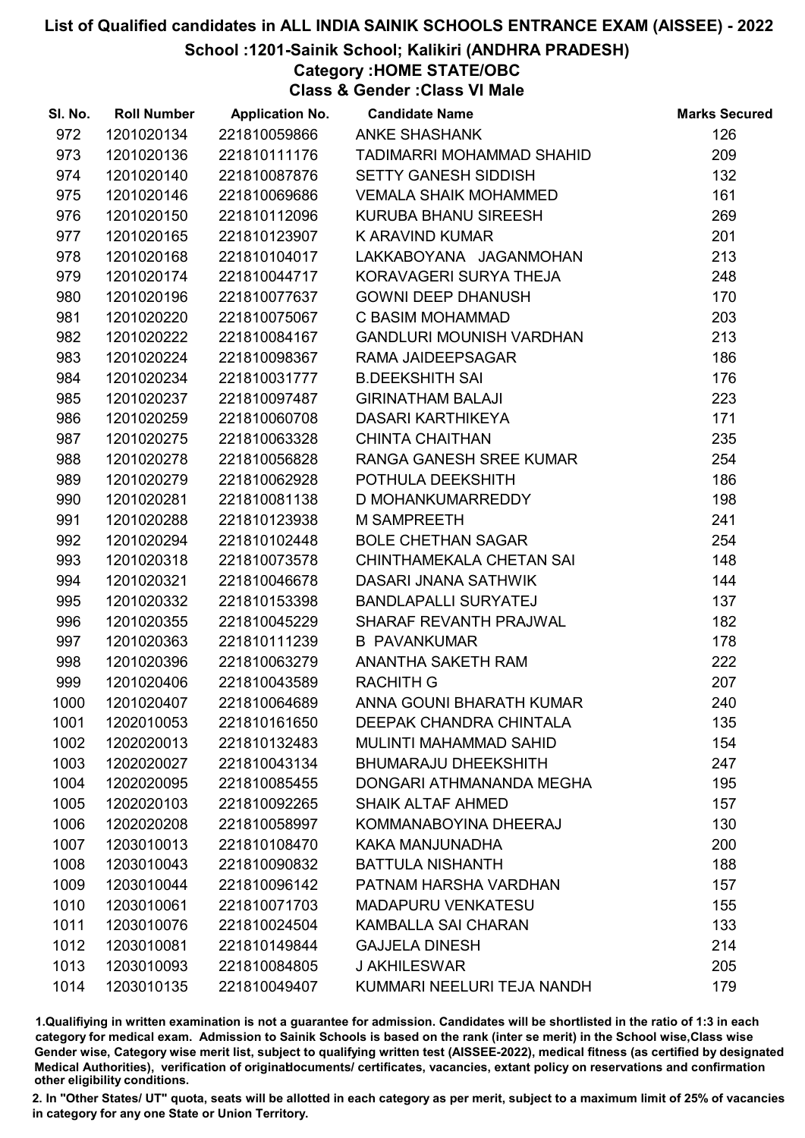#### School :1201-Sainik School; Kalikiri (ANDHRA PRADESH)

Category :HOME STATE/OBC

Class & Gender :Class VI Male

| SI. No. | <b>Roll Number</b> | <b>Application No.</b> | <b>Candidate Name</b>           | <b>Marks Secured</b> |
|---------|--------------------|------------------------|---------------------------------|----------------------|
| 972     | 1201020134         | 221810059866           | <b>ANKE SHASHANK</b>            | 126                  |
| 973     | 1201020136         | 221810111176           | TADIMARRI MOHAMMAD SHAHID       | 209                  |
| 974     | 1201020140         | 221810087876           | <b>SETTY GANESH SIDDISH</b>     | 132                  |
| 975     | 1201020146         | 221810069686           | <b>VEMALA SHAIK MOHAMMED</b>    | 161                  |
| 976     | 1201020150         | 221810112096           | KURUBA BHANU SIREESH            | 269                  |
| 977     | 1201020165         | 221810123907           | K ARAVIND KUMAR                 | 201                  |
| 978     | 1201020168         | 221810104017           | LAKKABOYANA JAGANMOHAN          | 213                  |
| 979     | 1201020174         | 221810044717           | KORAVAGERI SURYA THEJA          | 248                  |
| 980     | 1201020196         | 221810077637           | <b>GOWNI DEEP DHANUSH</b>       | 170                  |
| 981     | 1201020220         | 221810075067           | C BASIM MOHAMMAD                | 203                  |
| 982     | 1201020222         | 221810084167           | <b>GANDLURI MOUNISH VARDHAN</b> | 213                  |
| 983     | 1201020224         | 221810098367           | RAMA JAIDEEPSAGAR               | 186                  |
| 984     | 1201020234         | 221810031777           | <b>B.DEEKSHITH SAI</b>          | 176                  |
| 985     | 1201020237         | 221810097487           | <b>GIRINATHAM BALAJI</b>        | 223                  |
| 986     | 1201020259         | 221810060708           | <b>DASARI KARTHIKEYA</b>        | 171                  |
| 987     | 1201020275         | 221810063328           | <b>CHINTA CHAITHAN</b>          | 235                  |
| 988     | 1201020278         | 221810056828           | RANGA GANESH SREE KUMAR         | 254                  |
| 989     | 1201020279         | 221810062928           | POTHULA DEEKSHITH               | 186                  |
| 990     | 1201020281         | 221810081138           | D MOHANKUMARREDDY               | 198                  |
| 991     | 1201020288         | 221810123938           | <b>M SAMPREETH</b>              | 241                  |
| 992     | 1201020294         | 221810102448           | <b>BOLE CHETHAN SAGAR</b>       | 254                  |
| 993     | 1201020318         | 221810073578           | CHINTHAMEKALA CHETAN SAI        | 148                  |
| 994     | 1201020321         | 221810046678           | DASARI JNANA SATHWIK            | 144                  |
| 995     | 1201020332         | 221810153398           | <b>BANDLAPALLI SURYATEJ</b>     | 137                  |
| 996     | 1201020355         | 221810045229           | SHARAF REVANTH PRAJWAL          | 182                  |
| 997     | 1201020363         | 221810111239           | <b>B PAVANKUMAR</b>             | 178                  |
| 998     | 1201020396         | 221810063279           | ANANTHA SAKETH RAM              | 222                  |
| 999     | 1201020406         | 221810043589           | <b>RACHITH G</b>                | 207                  |
| 1000    | 1201020407         | 221810064689           | ANNA GOUNI BHARATH KUMAR        | 240                  |
| 1001    | 1202010053         | 221810161650           | DEEPAK CHANDRA CHINTALA         | 135                  |
| 1002    | 1202020013         | 221810132483           | MULINTI MAHAMMAD SAHID          | 154                  |
| 1003    | 1202020027         | 221810043134           | <b>BHUMARAJU DHEEKSHITH</b>     | 247                  |
| 1004    | 1202020095         | 221810085455           | DONGARI ATHMANANDA MEGHA        | 195                  |
| 1005    | 1202020103         | 221810092265           | <b>SHAIK ALTAF AHMED</b>        | 157                  |
| 1006    | 1202020208         | 221810058997           | KOMMANABOYINA DHEERAJ           | 130                  |
| 1007    | 1203010013         | 221810108470           | KAKA MANJUNADHA                 | 200                  |
| 1008    | 1203010043         | 221810090832           | <b>BATTULA NISHANTH</b>         | 188                  |
| 1009    | 1203010044         | 221810096142           | PATNAM HARSHA VARDHAN           | 157                  |
| 1010    | 1203010061         | 221810071703           | <b>MADAPURU VENKATESU</b>       | 155                  |
| 1011    | 1203010076         | 221810024504           | <b>KAMBALLA SAI CHARAN</b>      | 133                  |
| 1012    | 1203010081         | 221810149844           | <b>GAJJELA DINESH</b>           | 214                  |
| 1013    | 1203010093         | 221810084805           | <b>J AKHILESWAR</b>             | 205                  |
| 1014    | 1203010135         | 221810049407           | KUMMARI NEELURI TEJA NANDH      | 179                  |

1.Qualifiying in written examination is not a guarantee for admission. Candidates will be shortlisted in the ratio of 1:3 in each category for medical exam. Admission to Sainik Schools is based on the rank (inter se merit) in the School wise,Class wise Gender wise, Category wise merit list, subject to qualifying written test (AISSEE-2022), medical fitness (as certified by designated Medical Authorities), verification of originablocuments/ certificates, vacancies, extant policy on reservations and confirmation other eligibility conditions.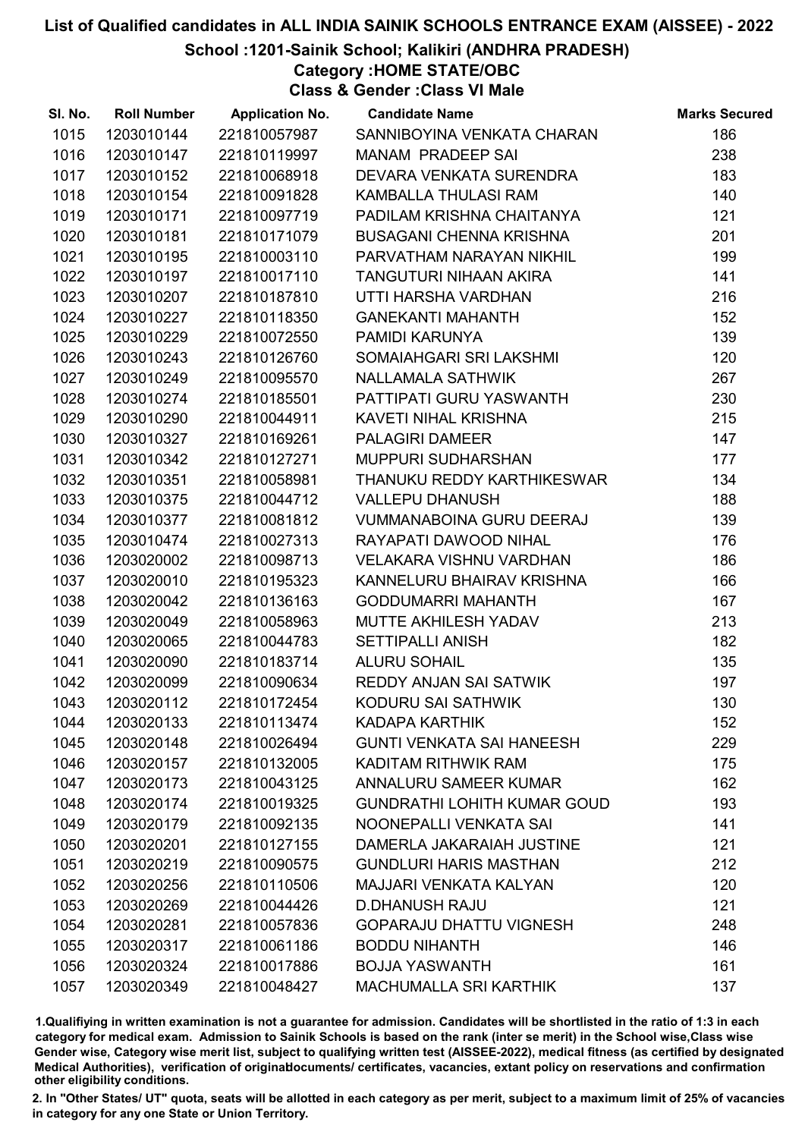School :1201-Sainik School; Kalikiri (ANDHRA PRADESH)

Category :HOME STATE/OBC

Class & Gender :Class VI Male

| SI. No. | <b>Roll Number</b> | <b>Application No.</b> | <b>Candidate Name</b>              | <b>Marks Secured</b> |
|---------|--------------------|------------------------|------------------------------------|----------------------|
| 1015    | 1203010144         | 221810057987           | SANNIBOYINA VENKATA CHARAN         | 186                  |
| 1016    | 1203010147         | 221810119997           | <b>MANAM PRADEEP SAI</b>           | 238                  |
| 1017    | 1203010152         | 221810068918           | DEVARA VENKATA SURENDRA            | 183                  |
| 1018    | 1203010154         | 221810091828           | KAMBALLA THULASI RAM               | 140                  |
| 1019    | 1203010171         | 221810097719           | PADILAM KRISHNA CHAITANYA          | 121                  |
| 1020    | 1203010181         | 221810171079           | <b>BUSAGANI CHENNA KRISHNA</b>     | 201                  |
| 1021    | 1203010195         | 221810003110           | PARVATHAM NARAYAN NIKHIL           | 199                  |
| 1022    | 1203010197         | 221810017110           | TANGUTURI NIHAAN AKIRA             | 141                  |
| 1023    | 1203010207         | 221810187810           | UTTI HARSHA VARDHAN                | 216                  |
| 1024    | 1203010227         | 221810118350           | <b>GANEKANTI MAHANTH</b>           | 152                  |
| 1025    | 1203010229         | 221810072550           | PAMIDI KARUNYA                     | 139                  |
| 1026    | 1203010243         | 221810126760           | SOMAIAHGARI SRI LAKSHMI            | 120                  |
| 1027    | 1203010249         | 221810095570           | <b>NALLAMALA SATHWIK</b>           | 267                  |
| 1028    | 1203010274         | 221810185501           | PATTIPATI GURU YASWANTH            | 230                  |
| 1029    | 1203010290         | 221810044911           | KAVETI NIHAL KRISHNA               | 215                  |
| 1030    | 1203010327         | 221810169261           | <b>PALAGIRI DAMEER</b>             | 147                  |
| 1031    | 1203010342         | 221810127271           | MUPPURI SUDHARSHAN                 | 177                  |
| 1032    | 1203010351         | 221810058981           | THANUKU REDDY KARTHIKESWAR         | 134                  |
| 1033    | 1203010375         | 221810044712           | <b>VALLEPU DHANUSH</b>             | 188                  |
| 1034    | 1203010377         | 221810081812           | <b>VUMMANABOINA GURU DEERAJ</b>    | 139                  |
| 1035    | 1203010474         | 221810027313           | RAYAPATI DAWOOD NIHAL              | 176                  |
| 1036    | 1203020002         | 221810098713           | <b>VELAKARA VISHNU VARDHAN</b>     | 186                  |
| 1037    | 1203020010         | 221810195323           | KANNELURU BHAIRAV KRISHNA          | 166                  |
| 1038    | 1203020042         | 221810136163           | <b>GODDUMARRI MAHANTH</b>          | 167                  |
| 1039    | 1203020049         | 221810058963           | MUTTE AKHILESH YADAV               | 213                  |
| 1040    | 1203020065         | 221810044783           | <b>SETTIPALLI ANISH</b>            | 182                  |
| 1041    | 1203020090         | 221810183714           | <b>ALURU SOHAIL</b>                | 135                  |
| 1042    | 1203020099         | 221810090634           | REDDY ANJAN SAI SATWIK             | 197                  |
| 1043    | 1203020112         | 221810172454           | KODURU SAI SATHWIK                 | 130                  |
| 1044    | 1203020133         | 221810113474           | <b>KADAPA KARTHIK</b>              | 152                  |
| 1045    | 1203020148         | 221810026494           | <b>GUNTI VENKATA SAI HANEESH</b>   | 229                  |
| 1046    | 1203020157         | 221810132005           | KADITAM RITHWIK RAM                | 175                  |
| 1047    | 1203020173         | 221810043125           | ANNALURU SAMEER KUMAR              | 162                  |
| 1048    | 1203020174         | 221810019325           | <b>GUNDRATHI LOHITH KUMAR GOUD</b> | 193                  |
| 1049    | 1203020179         | 221810092135           | NOONEPALLI VENKATA SAI             | 141                  |
| 1050    | 1203020201         | 221810127155           | DAMERLA JAKARAIAH JUSTINE          | 121                  |
| 1051    | 1203020219         | 221810090575           | <b>GUNDLURI HARIS MASTHAN</b>      | 212                  |
| 1052    | 1203020256         | 221810110506           | <b>MAJJARI VENKATA KALYAN</b>      | 120                  |
| 1053    | 1203020269         | 221810044426           | <b>D.DHANUSH RAJU</b>              | 121                  |
| 1054    | 1203020281         | 221810057836           | <b>GOPARAJU DHATTU VIGNESH</b>     | 248                  |
| 1055    | 1203020317         | 221810061186           | <b>BODDU NIHANTH</b>               | 146                  |
| 1056    | 1203020324         | 221810017886           | <b>BOJJA YASWANTH</b>              | 161                  |
| 1057    | 1203020349         | 221810048427           | <b>MACHUMALLA SRI KARTHIK</b>      | 137                  |

1.Qualifiying in written examination is not a guarantee for admission. Candidates will be shortlisted in the ratio of 1:3 in each category for medical exam. Admission to Sainik Schools is based on the rank (inter se merit) in the School wise,Class wise Gender wise, Category wise merit list, subject to qualifying written test (AISSEE-2022), medical fitness (as certified by designated Medical Authorities), verification of originablocuments/ certificates, vacancies, extant policy on reservations and confirmation other eligibility conditions.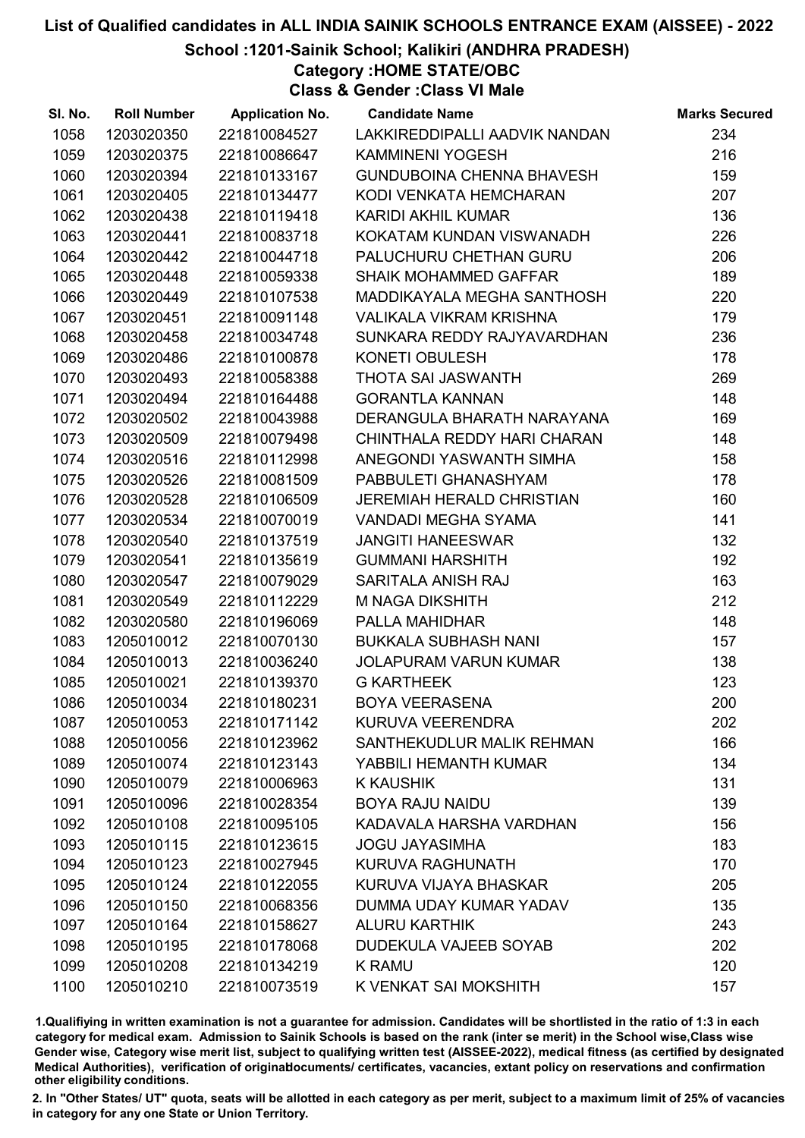# List of Qualified candidates in ALL INDIA SAINIK SCHOOLS ENTRANCE EXAM (AISSEE) - 2022 School :1201-Sainik School; Kalikiri (ANDHRA PRADESH)

Category :HOME STATE/OBC Class & Gender :Class VI Male

| SI. No. | <b>Roll Number</b> |              | <b>Application No. Candidate Name</b> | <b>Marks Secured</b> |
|---------|--------------------|--------------|---------------------------------------|----------------------|
| 1058    | 1203020350         | 221810084527 | LAKKIREDDIPALLI AADVIK NANDAN         | 234                  |
| 1059    | 1203020375         | 221810086647 | <b>KAMMINENI YOGESH</b>               | 216                  |
| 1060    | 1203020394         | 221810133167 | GUNDUBOINA CHENNA BHAVESH             | 159                  |
| 1061    | 1203020405         | 221810134477 | KODI VENKATA HEMCHARAN                | 207                  |
| 1062    | 1203020438         | 221810119418 | <b>KARIDI AKHIL KUMAR</b>             | 136                  |
| 1063    | 1203020441         | 221810083718 | KOKATAM KUNDAN VISWANADH              | 226                  |
| 1064    | 1203020442         | 221810044718 | PALUCHURU CHETHAN GURU                | 206                  |
| 1065    | 1203020448         | 221810059338 | <b>SHAIK MOHAMMED GAFFAR</b>          | 189                  |
| 1066    | 1203020449         | 221810107538 | MADDIKAYALA MEGHA SANTHOSH            | 220                  |
| 1067    | 1203020451         | 221810091148 | <b>VALIKALA VIKRAM KRISHNA</b>        | 179                  |
| 1068    | 1203020458         | 221810034748 | SUNKARA REDDY RAJYAVARDHAN            | 236                  |
| 1069    | 1203020486         | 221810100878 | KONETI OBULESH                        | 178                  |
| 1070    | 1203020493         | 221810058388 | THOTA SAI JASWANTH                    | 269                  |
| 1071    | 1203020494         | 221810164488 | <b>GORANTLA KANNAN</b>                | 148                  |
| 1072    | 1203020502         | 221810043988 | DERANGULA BHARATH NARAYANA            | 169                  |
| 1073    | 1203020509         | 221810079498 | CHINTHALA REDDY HARI CHARAN           | 148                  |
| 1074    | 1203020516         | 221810112998 | ANEGONDI YASWANTH SIMHA               | 158                  |
| 1075    | 1203020526         | 221810081509 | PABBULETI GHANASHYAM                  | 178                  |
| 1076    | 1203020528         | 221810106509 | JEREMIAH HERALD CHRISTIAN             | 160                  |
| 1077    | 1203020534         | 221810070019 | <b>VANDADI MEGHA SYAMA</b>            | 141                  |
| 1078    | 1203020540         | 221810137519 | <b>JANGITI HANEESWAR</b>              | 132                  |
| 1079    | 1203020541         | 221810135619 | <b>GUMMANI HARSHITH</b>               | 192                  |
| 1080    | 1203020547         | 221810079029 | SARITALA ANISH RAJ                    | 163                  |
| 1081    | 1203020549         | 221810112229 | M NAGA DIKSHITH                       | 212                  |
| 1082    | 1203020580         | 221810196069 | PALLA MAHIDHAR                        | 148                  |
| 1083    | 1205010012         | 221810070130 | <b>BUKKALA SUBHASH NANI</b>           | 157                  |
| 1084    | 1205010013         | 221810036240 | <b>JOLAPURAM VARUN KUMAR</b>          | 138                  |
| 1085    | 1205010021         | 221810139370 | <b>G KARTHEEK</b>                     | 123                  |
| 1086    | 1205010034         | 221810180231 | <b>BOYA VEERASENA</b>                 | 200                  |
| 1087    | 1205010053         | 221810171142 | KURUVA VEERENDRA                      | 202                  |
| 1088    | 1205010056         | 221810123962 | SANTHEKUDLUR MALIK REHMAN             | 166                  |
| 1089    | 1205010074         | 221810123143 | YABBILI HEMANTH KUMAR                 | 134                  |
| 1090    | 1205010079         | 221810006963 | <b>K KAUSHIK</b>                      | 131                  |
| 1091    | 1205010096         | 221810028354 | <b>BOYA RAJU NAIDU</b>                | 139                  |
| 1092    | 1205010108         | 221810095105 | KADAVALA HARSHA VARDHAN               | 156                  |
| 1093    | 1205010115         | 221810123615 | <b>JOGU JAYASIMHA</b>                 | 183                  |
| 1094    | 1205010123         | 221810027945 | KURUVA RAGHUNATH                      | 170                  |
| 1095    | 1205010124         | 221810122055 | KURUVA VIJAYA BHASKAR                 | 205                  |
| 1096    | 1205010150         | 221810068356 | DUMMA UDAY KUMAR YADAV                | 135                  |
| 1097    | 1205010164         | 221810158627 | <b>ALURU KARTHIK</b>                  | 243                  |
| 1098    | 1205010195         | 221810178068 | DUDEKULA VAJEEB SOYAB                 | 202                  |
| 1099    | 1205010208         | 221810134219 | <b>K RAMU</b>                         | 120                  |
| 1100    | 1205010210         | 221810073519 | K VENKAT SAI MOKSHITH                 | 157                  |

1.Qualifiying in written examination is not a guarantee for admission. Candidates will be shortlisted in the ratio of 1:3 in each category for medical exam. Admission to Sainik Schools is based on the rank (inter se merit) in the School wise,Class wise Gender wise, Category wise merit list, subject to qualifying written test (AISSEE-2022), medical fitness (as certified by designated Medical Authorities), verification of originablocuments/ certificates, vacancies, extant policy on reservations and confirmation other eligibility conditions.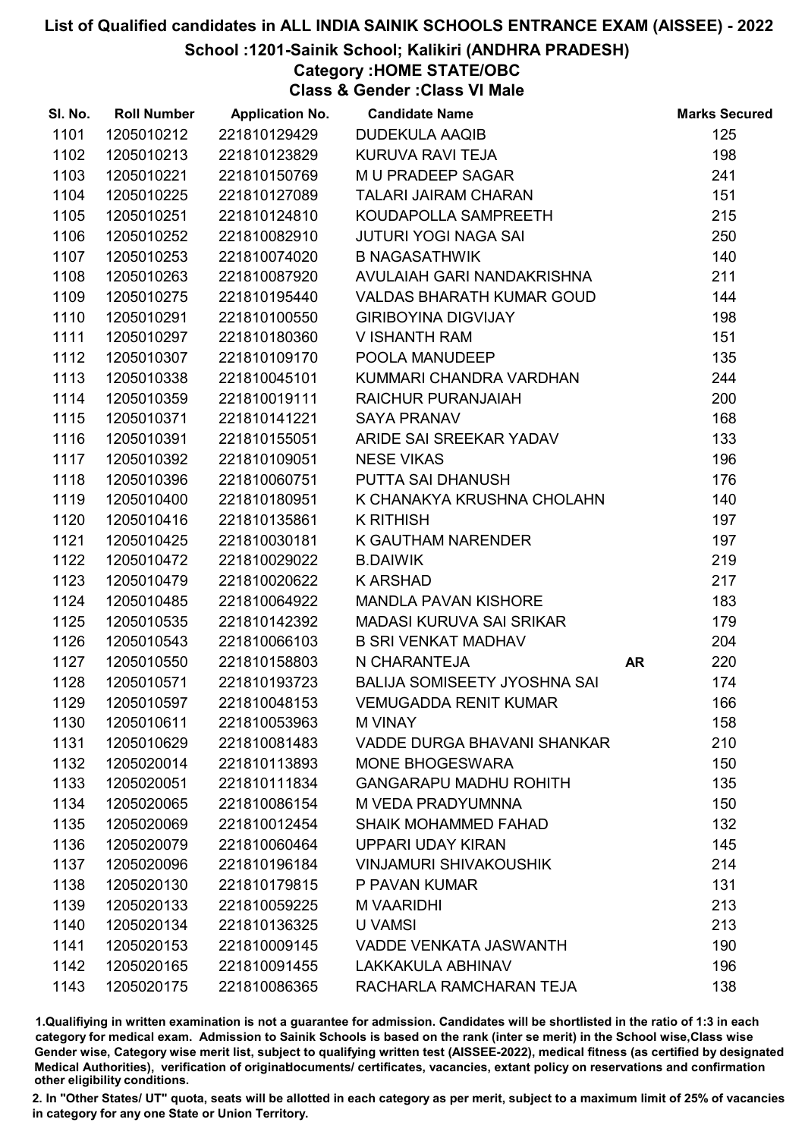#### School :1201-Sainik School; Kalikiri (ANDHRA PRADESH)

Category :HOME STATE/OBC

Class & Gender :Class VI Male

| SI. No. | <b>Roll Number</b> | <b>Application No.</b> | <b>Candidate Name</b>               | <b>Marks Secured</b> |
|---------|--------------------|------------------------|-------------------------------------|----------------------|
| 1101    | 1205010212         | 221810129429           | <b>DUDEKULA AAQIB</b>               | 125                  |
| 1102    | 1205010213         | 221810123829           | KURUVA RAVI TEJA                    | 198                  |
| 1103    | 1205010221         | 221810150769           | M U PRADEEP SAGAR                   | 241                  |
| 1104    | 1205010225         | 221810127089           | <b>TALARI JAIRAM CHARAN</b>         | 151                  |
| 1105    | 1205010251         | 221810124810           | KOUDAPOLLA SAMPREETH                | 215                  |
| 1106    | 1205010252         | 221810082910           | <b>JUTURI YOGI NAGA SAI</b>         | 250                  |
| 1107    | 1205010253         | 221810074020           | <b>B NAGASATHWIK</b>                | 140                  |
| 1108    | 1205010263         | 221810087920           | AVULAIAH GARI NANDAKRISHNA          | 211                  |
| 1109    | 1205010275         | 221810195440           | <b>VALDAS BHARATH KUMAR GOUD</b>    | 144                  |
| 1110    | 1205010291         | 221810100550           | <b>GIRIBOYINA DIGVIJAY</b>          | 198                  |
| 1111    | 1205010297         | 221810180360           | V ISHANTH RAM                       | 151                  |
| 1112    | 1205010307         | 221810109170           | POOLA MANUDEEP                      | 135                  |
| 1113    | 1205010338         | 221810045101           | KUMMARI CHANDRA VARDHAN             | 244                  |
| 1114    | 1205010359         | 221810019111           | RAICHUR PURANJAIAH                  | 200                  |
| 1115    | 1205010371         | 221810141221           | <b>SAYA PRANAV</b>                  | 168                  |
| 1116    | 1205010391         | 221810155051           | ARIDE SAI SREEKAR YADAV             | 133                  |
| 1117    | 1205010392         | 221810109051           | <b>NESE VIKAS</b>                   | 196                  |
| 1118    | 1205010396         | 221810060751           | PUTTA SAI DHANUSH                   | 176                  |
| 1119    | 1205010400         | 221810180951           | K CHANAKYA KRUSHNA CHOLAHN          | 140                  |
| 1120    | 1205010416         | 221810135861           | <b>K RITHISH</b>                    | 197                  |
| 1121    | 1205010425         | 221810030181           | K GAUTHAM NARENDER                  | 197                  |
| 1122    | 1205010472         | 221810029022           | <b>B.DAIWIK</b>                     | 219                  |
| 1123    | 1205010479         | 221810020622           | <b>K ARSHAD</b>                     | 217                  |
| 1124    | 1205010485         | 221810064922           | <b>MANDLA PAVAN KISHORE</b>         | 183                  |
| 1125    | 1205010535         | 221810142392           | <b>MADASI KURUVA SAI SRIKAR</b>     | 179                  |
| 1126    | 1205010543         | 221810066103           | <b>B SRI VENKAT MADHAV</b>          | 204                  |
| 1127    | 1205010550         | 221810158803           | N CHARANTEJA                        | 220<br><b>AR</b>     |
| 1128    | 1205010571         | 221810193723           | <b>BALIJA SOMISEETY JYOSHNA SAI</b> | 174                  |
| 1129    | 1205010597         | 221810048153           | <b>VEMUGADDA RENIT KUMAR</b>        | 166                  |
| 1130    | 1205010611         | 221810053963           | <b>M VINAY</b>                      | 158                  |
| 1131    | 1205010629         | 221810081483           | VADDE DURGA BHAVANI SHANKAR         | 210                  |
| 1132    | 1205020014         | 221810113893           | <b>MONE BHOGESWARA</b>              | 150                  |
| 1133    | 1205020051         | 221810111834           | <b>GANGARAPU MADHU ROHITH</b>       | 135                  |
| 1134    | 1205020065         | 221810086154           | M VEDA PRADYUMNNA                   | 150                  |
| 1135    | 1205020069         | 221810012454           | <b>SHAIK MOHAMMED FAHAD</b>         | 132                  |
| 1136    | 1205020079         | 221810060464           | <b>UPPARI UDAY KIRAN</b>            | 145                  |
| 1137    | 1205020096         | 221810196184           | <b>VINJAMURI SHIVAKOUSHIK</b>       | 214                  |
| 1138    | 1205020130         | 221810179815           | P PAVAN KUMAR                       | 131                  |
| 1139    | 1205020133         | 221810059225           | <b>M VAARIDHI</b>                   | 213                  |
| 1140    | 1205020134         | 221810136325           | <b>U VAMSI</b>                      | 213                  |
| 1141    | 1205020153         | 221810009145           | <b>VADDE VENKATA JASWANTH</b>       | 190                  |
| 1142    | 1205020165         | 221810091455           | LAKKAKULA ABHINAV                   | 196                  |
| 1143    | 1205020175         | 221810086365           | RACHARLA RAMCHARAN TEJA             | 138                  |

1.Qualifiying in written examination is not a guarantee for admission. Candidates will be shortlisted in the ratio of 1:3 in each category for medical exam. Admission to Sainik Schools is based on the rank (inter se merit) in the School wise,Class wise Gender wise, Category wise merit list, subject to qualifying written test (AISSEE-2022), medical fitness (as certified by designated Medical Authorities), verification of originablocuments/ certificates, vacancies, extant policy on reservations and confirmation other eligibility conditions.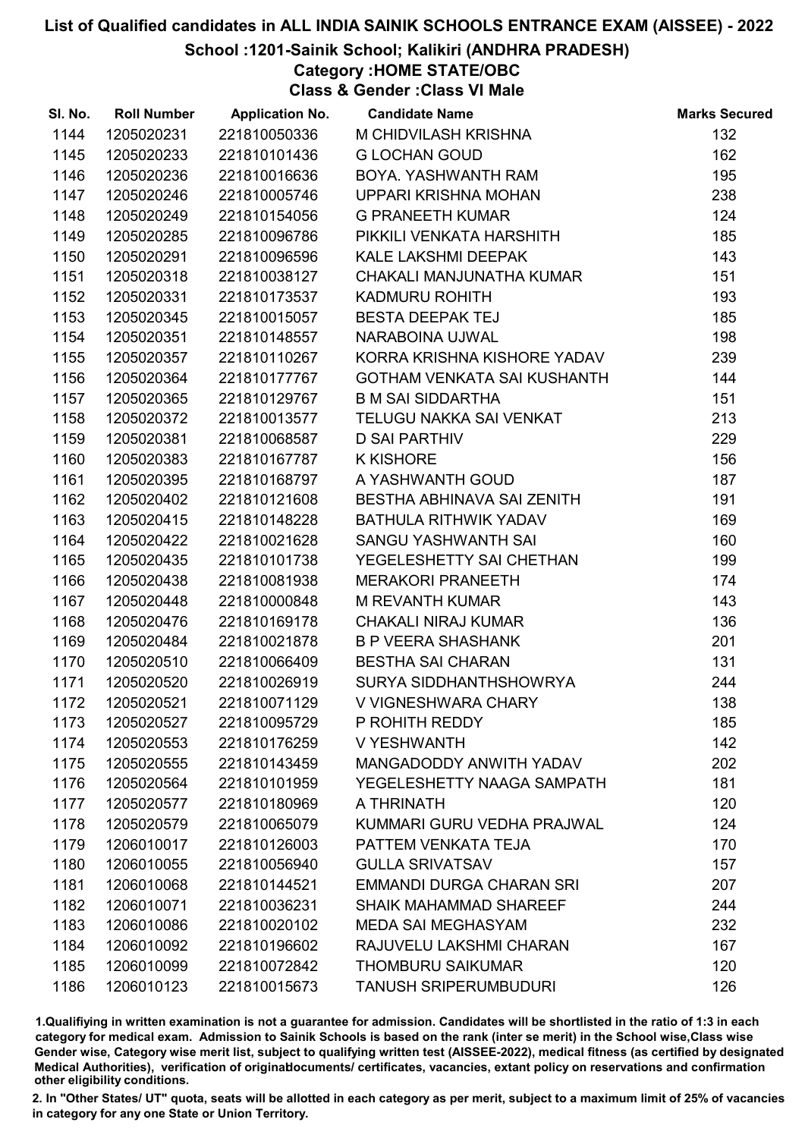#### School :1201-Sainik School; Kalikiri (ANDHRA PRADESH)

Category :HOME STATE/OBC

Class & Gender :Class VI Male

| SI. No. | <b>Roll Number</b> | <b>Application No.</b> | <b>Candidate Name</b>         | <b>Marks Secured</b> |
|---------|--------------------|------------------------|-------------------------------|----------------------|
| 1144    | 1205020231         | 221810050336           | M CHIDVILASH KRISHNA          | 132                  |
| 1145    | 1205020233         | 221810101436           | <b>G LOCHAN GOUD</b>          | 162                  |
| 1146    | 1205020236         | 221810016636           | BOYA. YASHWANTH RAM           | 195                  |
| 1147    | 1205020246         | 221810005746           | UPPARI KRISHNA MOHAN          | 238                  |
| 1148    | 1205020249         | 221810154056           | <b>G PRANEETH KUMAR</b>       | 124                  |
| 1149    | 1205020285         | 221810096786           | PIKKILI VENKATA HARSHITH      | 185                  |
| 1150    | 1205020291         | 221810096596           | <b>KALE LAKSHMI DEEPAK</b>    | 143                  |
| 1151    | 1205020318         | 221810038127           | CHAKALI MANJUNATHA KUMAR      | 151                  |
| 1152    | 1205020331         | 221810173537           | KADMURU ROHITH                | 193                  |
| 1153    | 1205020345         | 221810015057           | <b>BESTA DEEPAK TEJ</b>       | 185                  |
| 1154    | 1205020351         | 221810148557           | NARABOINA UJWAL               | 198                  |
| 1155    | 1205020357         | 221810110267           | KORRA KRISHNA KISHORE YADAV   | 239                  |
| 1156    | 1205020364         | 221810177767           | GOTHAM VENKATA SAI KUSHANTH   | 144                  |
| 1157    | 1205020365         | 221810129767           | <b>B M SAI SIDDARTHA</b>      | 151                  |
| 1158    | 1205020372         | 221810013577           | TELUGU NAKKA SAI VENKAT       | 213                  |
| 1159    | 1205020381         | 221810068587           | <b>D SAI PARTHIV</b>          | 229                  |
| 1160    | 1205020383         | 221810167787           | <b>K KISHORE</b>              | 156                  |
| 1161    | 1205020395         | 221810168797           | A YASHWANTH GOUD              | 187                  |
| 1162    | 1205020402         | 221810121608           | BESTHA ABHINAVA SAI ZENITH    | 191                  |
| 1163    | 1205020415         | 221810148228           | <b>BATHULA RITHWIK YADAV</b>  | 169                  |
| 1164    | 1205020422         | 221810021628           | <b>SANGU YASHWANTH SAI</b>    | 160                  |
| 1165    | 1205020435         | 221810101738           | YEGELESHETTY SAI CHETHAN      | 199                  |
| 1166    | 1205020438         | 221810081938           | <b>MERAKORI PRANEETH</b>      | 174                  |
| 1167    | 1205020448         | 221810000848           | <b>M REVANTH KUMAR</b>        | 143                  |
| 1168    | 1205020476         | 221810169178           | <b>CHAKALI NIRAJ KUMAR</b>    | 136                  |
| 1169    | 1205020484         | 221810021878           | <b>B P VEERA SHASHANK</b>     | 201                  |
| 1170    | 1205020510         | 221810066409           | <b>BESTHA SAI CHARAN</b>      | 131                  |
| 1171    | 1205020520         | 221810026919           | SURYA SIDDHANTHSHOWRYA        | 244                  |
| 1172    | 1205020521         | 221810071129           | V VIGNESHWARA CHARY           | 138                  |
| 1173    | 1205020527         | 221810095729           | P ROHITH REDDY                | 185                  |
| 1174    | 1205020553         | 221810176259           | V YESHWANTH                   | 142                  |
| 1175    | 1205020555         | 221810143459           | MANGADODDY ANWITH YADAV       | 202                  |
| 1176    | 1205020564         | 221810101959           | YEGELESHETTY NAAGA SAMPATH    | 181                  |
| 1177    | 1205020577         | 221810180969           | A THRINATH                    | 120                  |
| 1178    | 1205020579         | 221810065079           | KUMMARI GURU VEDHA PRAJWAL    | 124                  |
| 1179    | 1206010017         | 221810126003           | PATTEM VENKATA TEJA           | 170                  |
| 1180    | 1206010055         | 221810056940           | <b>GULLA SRIVATSAV</b>        | 157                  |
| 1181    | 1206010068         | 221810144521           | EMMANDI DURGA CHARAN SRI      | 207                  |
| 1182    | 1206010071         | 221810036231           | <b>SHAIK MAHAMMAD SHAREEF</b> | 244                  |
| 1183    | 1206010086         | 221810020102           | <b>MEDA SAI MEGHASYAM</b>     | 232                  |
| 1184    | 1206010092         | 221810196602           | RAJUVELU LAKSHMI CHARAN       | 167                  |
| 1185    | 1206010099         | 221810072842           | <b>THOMBURU SAIKUMAR</b>      | 120                  |
| 1186    | 1206010123         | 221810015673           | <b>TANUSH SRIPERUMBUDURI</b>  | 126                  |

1.Qualifiying in written examination is not a guarantee for admission. Candidates will be shortlisted in the ratio of 1:3 in each category for medical exam. Admission to Sainik Schools is based on the rank (inter se merit) in the School wise,Class wise Gender wise, Category wise merit list, subject to qualifying written test (AISSEE-2022), medical fitness (as certified by designated Medical Authorities), verification of originablocuments/ certificates, vacancies, extant policy on reservations and confirmation other eligibility conditions.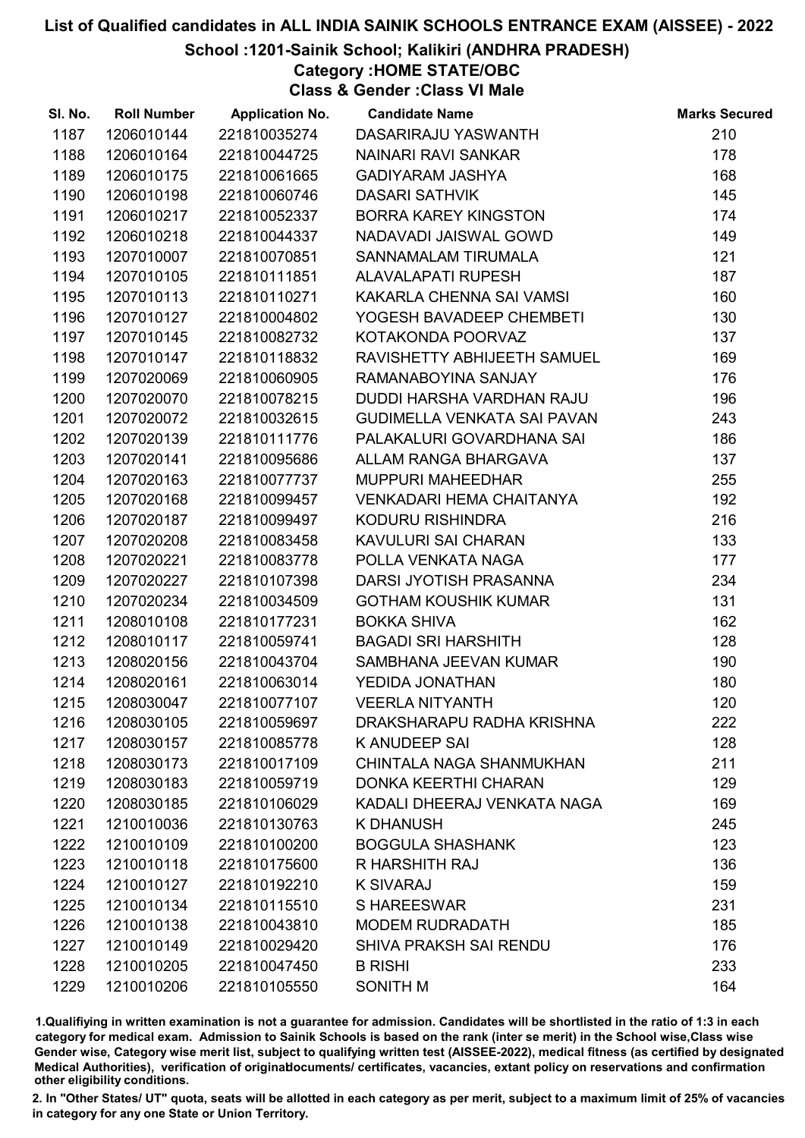#### School :1201-Sainik School; Kalikiri (ANDHRA PRADESH)

Category :HOME STATE/OBC

Class & Gender :Class VI Male

| SI. No. | <b>Roll Number</b> | <b>Application No.</b> | <b>Candidate Name</b>           | <b>Marks Secured</b> |
|---------|--------------------|------------------------|---------------------------------|----------------------|
| 1187    | 1206010144         | 221810035274           | DASARIRAJU YASWANTH             | 210                  |
| 1188    | 1206010164         | 221810044725           | <b>NAINARI RAVI SANKAR</b>      | 178                  |
| 1189    | 1206010175         | 221810061665           | <b>GADIYARAM JASHYA</b>         | 168                  |
| 1190    | 1206010198         | 221810060746           | <b>DASARI SATHVIK</b>           | 145                  |
| 1191    | 1206010217         | 221810052337           | <b>BORRA KAREY KINGSTON</b>     | 174                  |
| 1192    | 1206010218         | 221810044337           | NADAVADI JAISWAL GOWD           | 149                  |
| 1193    | 1207010007         | 221810070851           | SANNAMALAM TIRUMALA             | 121                  |
| 1194    | 1207010105         | 221810111851           | <b>ALAVALAPATI RUPESH</b>       | 187                  |
| 1195    | 1207010113         | 221810110271           | KAKARLA CHENNA SAI VAMSI        | 160                  |
| 1196    | 1207010127         | 221810004802           | YOGESH BAVADEEP CHEMBETI        | 130                  |
| 1197    | 1207010145         | 221810082732           | KOTAKONDA POORVAZ               | 137                  |
| 1198    | 1207010147         | 221810118832           | RAVISHETTY ABHIJEETH SAMUEL     | 169                  |
| 1199    | 1207020069         | 221810060905           | RAMANABOYINA SANJAY             | 176                  |
| 1200    | 1207020070         | 221810078215           | DUDDI HARSHA VARDHAN RAJU       | 196                  |
| 1201    | 1207020072         | 221810032615           | GUDIMELLA VENKATA SAI PAVAN     | 243                  |
| 1202    | 1207020139         | 221810111776           | PALAKALURI GOVARDHANA SAI       | 186                  |
| 1203    | 1207020141         | 221810095686           | ALLAM RANGA BHARGAVA            | 137                  |
| 1204    | 1207020163         | 221810077737           | <b>MUPPURI MAHEEDHAR</b>        | 255                  |
| 1205    | 1207020168         | 221810099457           | <b>VENKADARI HEMA CHAITANYA</b> | 192                  |
| 1206    | 1207020187         | 221810099497           | KODURU RISHINDRA                | 216                  |
| 1207    | 1207020208         | 221810083458           | KAVULURI SAI CHARAN             | 133                  |
| 1208    | 1207020221         | 221810083778           | POLLA VENKATA NAGA              | 177                  |
| 1209    | 1207020227         | 221810107398           | DARSI JYOTISH PRASANNA          | 234                  |
| 1210    | 1207020234         | 221810034509           | <b>GOTHAM KOUSHIK KUMAR</b>     | 131                  |
| 1211    | 1208010108         | 221810177231           | <b>BOKKA SHIVA</b>              | 162                  |
| 1212    | 1208010117         | 221810059741           | <b>BAGADI SRI HARSHITH</b>      | 128                  |
| 1213    | 1208020156         | 221810043704           | SAMBHANA JEEVAN KUMAR           | 190                  |
| 1214    | 1208020161         | 221810063014           | YEDIDA JONATHAN                 | 180                  |
| 1215    | 1208030047         | 221810077107           | <b>VEERLA NITYANTH</b>          | 120                  |
| 1216    | 1208030105         | 221810059697           | DRAKSHARAPU RADHA KRISHNA       | 222                  |
| 1217    | 1208030157         | 221810085778           | K ANUDEEP SAI                   | 128                  |
| 1218    | 1208030173         | 221810017109           | CHINTALA NAGA SHANMUKHAN        | 211                  |
| 1219    | 1208030183         | 221810059719           | <b>DONKA KEERTHI CHARAN</b>     | 129                  |
| 1220    | 1208030185         | 221810106029           | KADALI DHEERAJ VENKATA NAGA     | 169                  |
| 1221    | 1210010036         | 221810130763           | <b>K DHANUSH</b>                | 245                  |
| 1222    | 1210010109         | 221810100200           | <b>BOGGULA SHASHANK</b>         | 123                  |
| 1223    | 1210010118         | 221810175600           | R HARSHITH RAJ                  | 136                  |
| 1224    | 1210010127         | 221810192210           | <b>K SIVARAJ</b>                | 159                  |
| 1225    | 1210010134         | 221810115510           | S HAREESWAR                     | 231                  |
| 1226    | 1210010138         | 221810043810           | <b>MODEM RUDRADATH</b>          | 185                  |
| 1227    | 1210010149         | 221810029420           | SHIVA PRAKSH SAI RENDU          | 176                  |
| 1228    | 1210010205         | 221810047450           | <b>B RISHI</b>                  | 233                  |
| 1229    | 1210010206         | 221810105550           | SONITH M                        | 164                  |

1.Qualifiying in written examination is not a guarantee for admission. Candidates will be shortlisted in the ratio of 1:3 in each category for medical exam. Admission to Sainik Schools is based on the rank (inter se merit) in the School wise,Class wise Gender wise, Category wise merit list, subject to qualifying written test (AISSEE-2022), medical fitness (as certified by designated Medical Authorities), verification of originablocuments/ certificates, vacancies, extant policy on reservations and confirmation other eligibility conditions.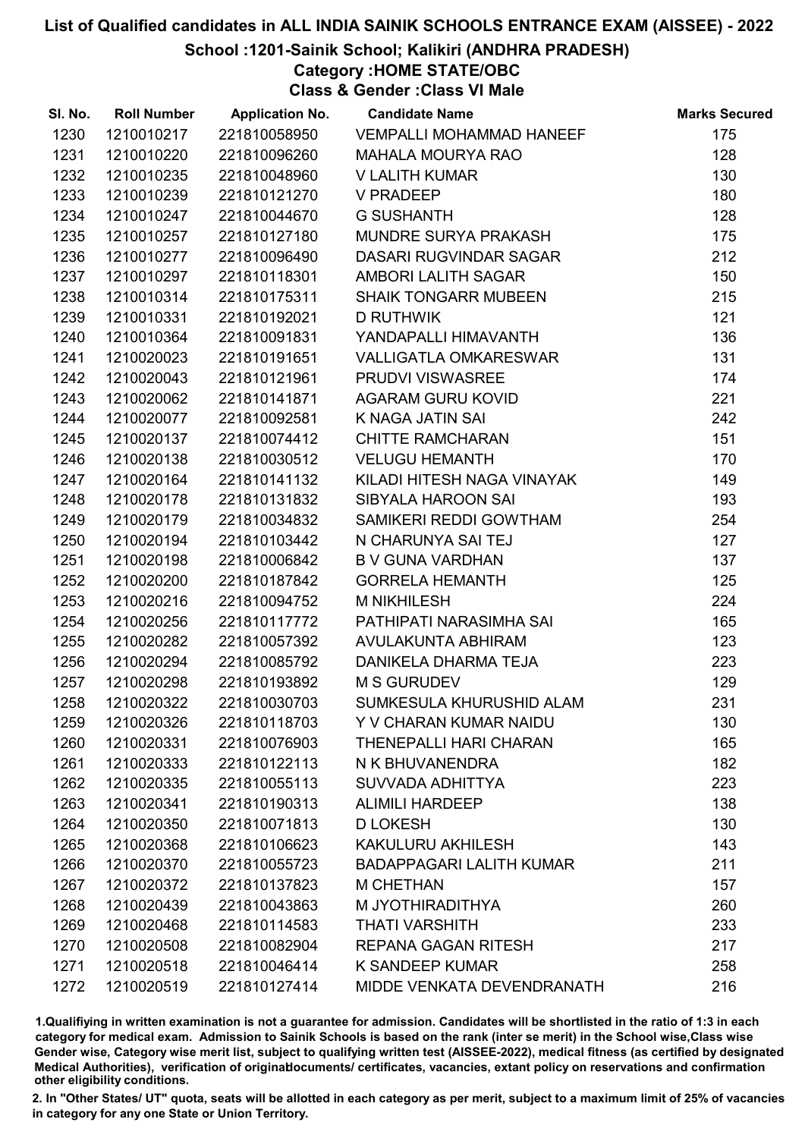#### School :1201-Sainik School; Kalikiri (ANDHRA PRADESH)

Category :HOME STATE/OBC

Class & Gender :Class VI Male

| SI. No. | <b>Roll Number</b> | <b>Application No.</b> | <b>Candidate Name</b>           | <b>Marks Secured</b> |
|---------|--------------------|------------------------|---------------------------------|----------------------|
| 1230    | 1210010217         | 221810058950           | <b>VEMPALLI MOHAMMAD HANEEF</b> | 175                  |
| 1231    | 1210010220         | 221810096260           | <b>MAHALA MOURYA RAO</b>        | 128                  |
| 1232    | 1210010235         | 221810048960           | V LALITH KUMAR                  | 130                  |
| 1233    | 1210010239         | 221810121270           | V PRADEEP                       | 180                  |
| 1234    | 1210010247         | 221810044670           | <b>G SUSHANTH</b>               | 128                  |
| 1235    | 1210010257         | 221810127180           | MUNDRE SURYA PRAKASH            | 175                  |
| 1236    | 1210010277         | 221810096490           | DASARI RUGVINDAR SAGAR          | 212                  |
| 1237    | 1210010297         | 221810118301           | AMBORI LALITH SAGAR             | 150                  |
| 1238    | 1210010314         | 221810175311           | <b>SHAIK TONGARR MUBEEN</b>     | 215                  |
| 1239    | 1210010331         | 221810192021           | <b>D RUTHWIK</b>                | 121                  |
| 1240    | 1210010364         | 221810091831           | YANDAPALLI HIMAVANTH            | 136                  |
| 1241    | 1210020023         | 221810191651           | VALLIGATLA OMKARESWAR           | 131                  |
| 1242    | 1210020043         | 221810121961           | PRUDVI VISWASREE                | 174                  |
| 1243    | 1210020062         | 221810141871           | <b>AGARAM GURU KOVID</b>        | 221                  |
| 1244    | 1210020077         | 221810092581           | K NAGA JATIN SAI                | 242                  |
| 1245    | 1210020137         | 221810074412           | <b>CHITTE RAMCHARAN</b>         | 151                  |
| 1246    | 1210020138         | 221810030512           | <b>VELUGU HEMANTH</b>           | 170                  |
| 1247    | 1210020164         | 221810141132           | KILADI HITESH NAGA VINAYAK      | 149                  |
| 1248    | 1210020178         | 221810131832           | SIBYALA HAROON SAI              | 193                  |
| 1249    | 1210020179         | 221810034832           | SAMIKERI REDDI GOWTHAM          | 254                  |
| 1250    | 1210020194         | 221810103442           | N CHARUNYA SAI TEJ              | 127                  |
| 1251    | 1210020198         | 221810006842           | <b>B V GUNA VARDHAN</b>         | 137                  |
| 1252    | 1210020200         | 221810187842           | <b>GORRELA HEMANTH</b>          | 125                  |
| 1253    | 1210020216         | 221810094752           | <b>M NIKHILESH</b>              | 224                  |
| 1254    | 1210020256         | 221810117772           | PATHIPATI NARASIMHA SAI         | 165                  |
| 1255    | 1210020282         | 221810057392           | AVULAKUNTA ABHIRAM              | 123                  |
| 1256    | 1210020294         | 221810085792           | DANIKELA DHARMA TEJA            | 223                  |
| 1257    | 1210020298         | 221810193892           | <b>M S GURUDEV</b>              | 129                  |
| 1258    | 1210020322         | 221810030703           | SUMKESULA KHURUSHID ALAM        | 231                  |
| 1259    | 1210020326         | 221810118703           | Y V CHARAN KUMAR NAIDU          | 130                  |
| 1260    | 1210020331         | 221810076903           | <b>THENEPALLI HARI CHARAN</b>   | 165                  |
| 1261    | 1210020333         | 221810122113           | N K BHUVANENDRA                 | 182                  |
| 1262    | 1210020335         | 221810055113           | SUVVADA ADHITTYA                | 223                  |
| 1263    | 1210020341         | 221810190313           | <b>ALIMILI HARDEEP</b>          | 138                  |
| 1264    | 1210020350         | 221810071813           | <b>D LOKESH</b>                 | 130                  |
| 1265    | 1210020368         | 221810106623           | <b>KAKULURU AKHILESH</b>        | 143                  |
| 1266    | 1210020370         | 221810055723           | <b>BADAPPAGARI LALITH KUMAR</b> | 211                  |
| 1267    | 1210020372         | 221810137823           | <b>M CHETHAN</b>                | 157                  |
| 1268    | 1210020439         | 221810043863           | M JYOTHIRADITHYA                | 260                  |
| 1269    | 1210020468         | 221810114583           | <b>THATI VARSHITH</b>           | 233                  |
| 1270    | 1210020508         | 221810082904           | <b>REPANA GAGAN RITESH</b>      | 217                  |
| 1271    | 1210020518         | 221810046414           | K SANDEEP KUMAR                 | 258                  |
| 1272    | 1210020519         | 221810127414           | MIDDE VENKATA DEVENDRANATH      | 216                  |

1.Qualifiying in written examination is not a guarantee for admission. Candidates will be shortlisted in the ratio of 1:3 in each category for medical exam. Admission to Sainik Schools is based on the rank (inter se merit) in the School wise,Class wise Gender wise, Category wise merit list, subject to qualifying written test (AISSEE-2022), medical fitness (as certified by designated Medical Authorities), verification of originablocuments/ certificates, vacancies, extant policy on reservations and confirmation other eligibility conditions.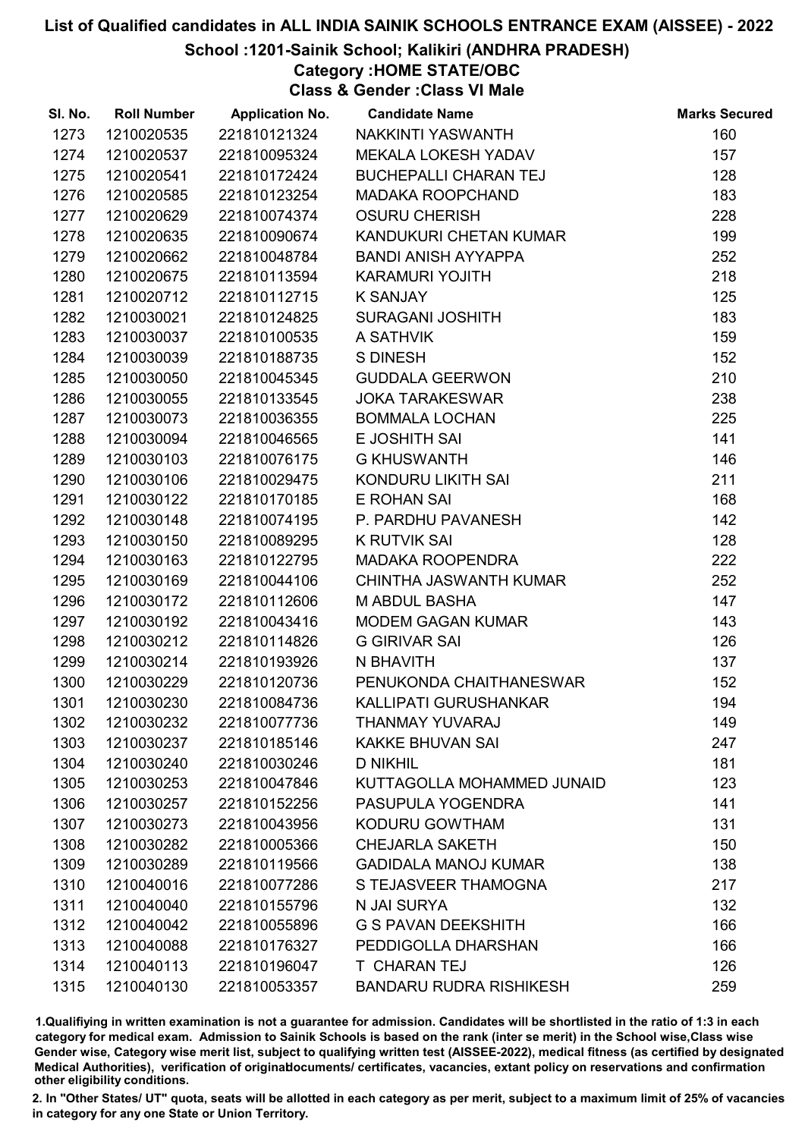#### School :1201-Sainik School; Kalikiri (ANDHRA PRADESH)

Category :HOME STATE/OBC

Class & Gender :Class VI Male

| SI. No. | <b>Roll Number</b> | <b>Application No.</b> | <b>Candidate Name</b>          | <b>Marks Secured</b> |
|---------|--------------------|------------------------|--------------------------------|----------------------|
| 1273    | 1210020535         | 221810121324           | NAKKINTI YASWANTH              | 160                  |
| 1274    | 1210020537         | 221810095324           | MEKALA LOKESH YADAV            | 157                  |
| 1275    | 1210020541         | 221810172424           | <b>BUCHEPALLI CHARAN TEJ</b>   | 128                  |
| 1276    | 1210020585         | 221810123254           | <b>MADAKA ROOPCHAND</b>        | 183                  |
| 1277    | 1210020629         | 221810074374           | <b>OSURU CHERISH</b>           | 228                  |
| 1278    | 1210020635         | 221810090674           | KANDUKURI CHETAN KUMAR         | 199                  |
| 1279    | 1210020662         | 221810048784           | <b>BANDI ANISH AYYAPPA</b>     | 252                  |
| 1280    | 1210020675         | 221810113594           | <b>KARAMURI YOJITH</b>         | 218                  |
| 1281    | 1210020712         | 221810112715           | K SANJAY                       | 125                  |
| 1282    | 1210030021         | 221810124825           | <b>SURAGANI JOSHITH</b>        | 183                  |
| 1283    | 1210030037         | 221810100535           | A SATHVIK                      | 159                  |
| 1284    | 1210030039         | 221810188735           | <b>S DINESH</b>                | 152                  |
| 1285    | 1210030050         | 221810045345           | <b>GUDDALA GEERWON</b>         | 210                  |
| 1286    | 1210030055         | 221810133545           | <b>JOKA TARAKESWAR</b>         | 238                  |
| 1287    | 1210030073         | 221810036355           | <b>BOMMALA LOCHAN</b>          | 225                  |
| 1288    | 1210030094         | 221810046565           | E JOSHITH SAI                  | 141                  |
| 1289    | 1210030103         | 221810076175           | <b>G KHUSWANTH</b>             | 146                  |
| 1290    | 1210030106         | 221810029475           | KONDURU LIKITH SAI             | 211                  |
| 1291    | 1210030122         | 221810170185           | E ROHAN SAI                    | 168                  |
| 1292    | 1210030148         | 221810074195           | P. PARDHU PAVANESH             | 142                  |
| 1293    | 1210030150         | 221810089295           | <b>K RUTVIK SAI</b>            | 128                  |
| 1294    | 1210030163         | 221810122795           | <b>MADAKA ROOPENDRA</b>        | 222                  |
| 1295    | 1210030169         | 221810044106           | <b>CHINTHA JASWANTH KUMAR</b>  | 252                  |
| 1296    | 1210030172         | 221810112606           | <b>M ABDUL BASHA</b>           | 147                  |
| 1297    | 1210030192         | 221810043416           | <b>MODEM GAGAN KUMAR</b>       | 143                  |
| 1298    | 1210030212         | 221810114826           | <b>G GIRIVAR SAI</b>           | 126                  |
| 1299    | 1210030214         | 221810193926           | N BHAVITH                      | 137                  |
| 1300    | 1210030229         | 221810120736           | PENUKONDA CHAITHANESWAR        | 152                  |
| 1301    | 1210030230         | 221810084736           | KALLIPATI GURUSHANKAR          | 194                  |
| 1302    | 1210030232         | 221810077736           | THANMAY YUVARAJ                | 149                  |
| 1303    | 1210030237         | 221810185146           | <b>KAKKE BHUVAN SAI</b>        | 247                  |
| 1304    | 1210030240         | 221810030246           | <b>D NIKHIL</b>                | 181                  |
| 1305    | 1210030253         | 221810047846           | KUTTAGOLLA MOHAMMED JUNAID     | 123                  |
| 1306    | 1210030257         | 221810152256           | PASUPULA YOGENDRA              | 141                  |
| 1307    | 1210030273         | 221810043956           | KODURU GOWTHAM                 | 131                  |
| 1308    | 1210030282         | 221810005366           | <b>CHEJARLA SAKETH</b>         | 150                  |
| 1309    | 1210030289         | 221810119566           | <b>GADIDALA MANOJ KUMAR</b>    | 138                  |
| 1310    | 1210040016         | 221810077286           | S TEJASVEER THAMOGNA           | 217                  |
| 1311    | 1210040040         | 221810155796           | N JAI SURYA                    | 132                  |
| 1312    | 1210040042         | 221810055896           | <b>G S PAVAN DEEKSHITH</b>     | 166                  |
| 1313    | 1210040088         | 221810176327           | PEDDIGOLLA DHARSHAN            | 166                  |
| 1314    | 1210040113         | 221810196047           | T CHARAN TEJ                   | 126                  |
| 1315    | 1210040130         | 221810053357           | <b>BANDARU RUDRA RISHIKESH</b> | 259                  |

1.Qualifiying in written examination is not a guarantee for admission. Candidates will be shortlisted in the ratio of 1:3 in each category for medical exam. Admission to Sainik Schools is based on the rank (inter se merit) in the School wise,Class wise Gender wise, Category wise merit list, subject to qualifying written test (AISSEE-2022), medical fitness (as certified by designated Medical Authorities), verification of originablocuments/ certificates, vacancies, extant policy on reservations and confirmation other eligibility conditions.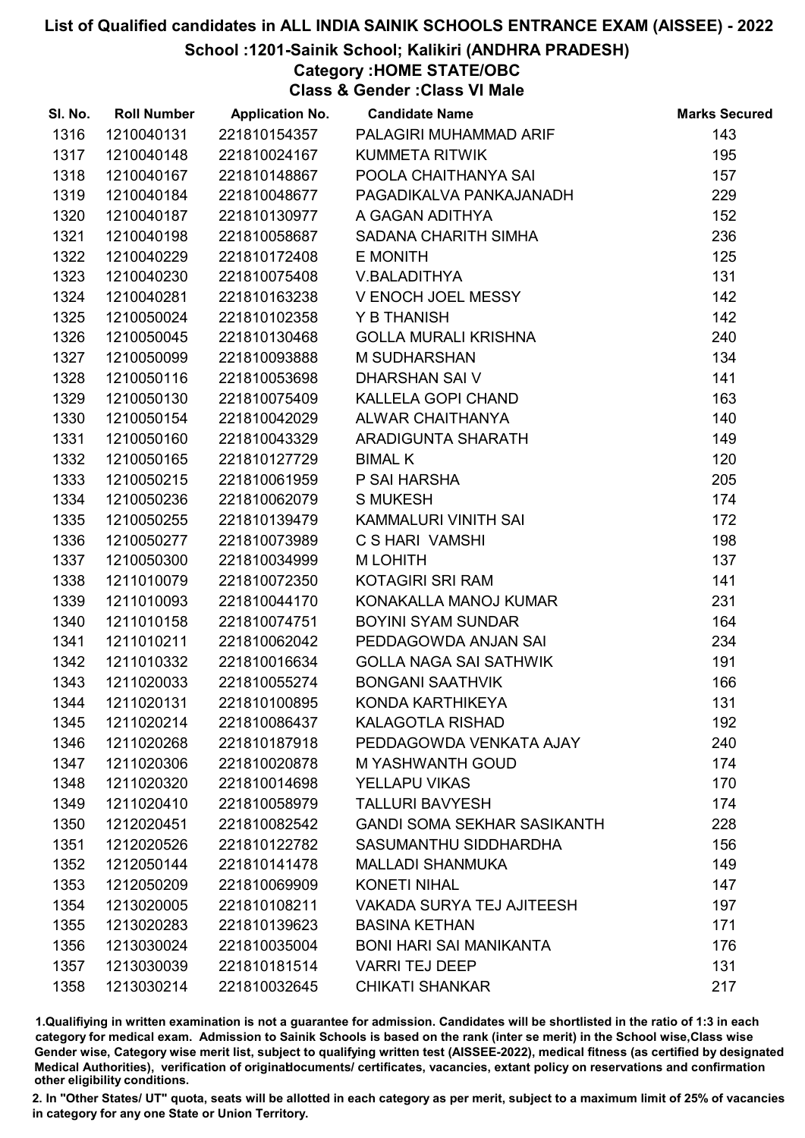#### School :1201-Sainik School; Kalikiri (ANDHRA PRADESH)

Category :HOME STATE/OBC

Class & Gender :Class VI Male

| SI. No. | <b>Roll Number</b> | <b>Application No.</b> | <b>Candidate Name</b>              | <b>Marks Secured</b> |
|---------|--------------------|------------------------|------------------------------------|----------------------|
| 1316    | 1210040131         | 221810154357           | PALAGIRI MUHAMMAD ARIF             | 143                  |
| 1317    | 1210040148         | 221810024167           | <b>KUMMETA RITWIK</b>              | 195                  |
| 1318    | 1210040167         | 221810148867           | POOLA CHAITHANYA SAI               | 157                  |
| 1319    | 1210040184         | 221810048677           | PAGADIKALVA PANKAJANADH            | 229                  |
| 1320    | 1210040187         | 221810130977           | A GAGAN ADITHYA                    | 152                  |
| 1321    | 1210040198         | 221810058687           | SADANA CHARITH SIMHA               | 236                  |
| 1322    | 1210040229         | 221810172408           | E MONITH                           | 125                  |
| 1323    | 1210040230         | 221810075408           | V.BALADITHYA                       | 131                  |
| 1324    | 1210040281         | 221810163238           | V ENOCH JOEL MESSY                 | 142                  |
| 1325    | 1210050024         | 221810102358           | Y B THANISH                        | 142                  |
| 1326    | 1210050045         | 221810130468           | <b>GOLLA MURALI KRISHNA</b>        | 240                  |
| 1327    | 1210050099         | 221810093888           | M SUDHARSHAN                       | 134                  |
| 1328    | 1210050116         | 221810053698           | DHARSHAN SAI V                     | 141                  |
| 1329    | 1210050130         | 221810075409           | KALLELA GOPI CHAND                 | 163                  |
| 1330    | 1210050154         | 221810042029           | ALWAR CHAITHANYA                   | 140                  |
| 1331    | 1210050160         | 221810043329           | ARADIGUNTA SHARATH                 | 149                  |
| 1332    | 1210050165         | 221810127729           | <b>BIMAL K</b>                     | 120                  |
| 1333    | 1210050215         | 221810061959           | P SAI HARSHA                       | 205                  |
| 1334    | 1210050236         | 221810062079           | <b>S MUKESH</b>                    | 174                  |
| 1335    | 1210050255         | 221810139479           | KAMMALURI VINITH SAI               | 172                  |
| 1336    | 1210050277         | 221810073989           | <b>C S HARI VAMSHI</b>             | 198                  |
| 1337    | 1210050300         | 221810034999           | <b>MLOHITH</b>                     | 137                  |
| 1338    | 1211010079         | 221810072350           | KOTAGIRI SRI RAM                   | 141                  |
| 1339    | 1211010093         | 221810044170           | KONAKALLA MANOJ KUMAR              | 231                  |
| 1340    | 1211010158         | 221810074751           | <b>BOYINI SYAM SUNDAR</b>          | 164                  |
| 1341    | 1211010211         | 221810062042           | PEDDAGOWDA ANJAN SAI               | 234                  |
| 1342    | 1211010332         | 221810016634           | <b>GOLLA NAGA SAI SATHWIK</b>      | 191                  |
| 1343    | 1211020033         | 221810055274           | <b>BONGANI SAATHVIK</b>            | 166                  |
| 1344    | 1211020131         | 221810100895           | KONDA KARTHIKEYA                   | 131                  |
| 1345    | 1211020214         | 221810086437           | <b>KALAGOTLA RISHAD</b>            | 192                  |
| 1346    | 1211020268         | 221810187918           | PEDDAGOWDA VENKATA AJAY            | 240                  |
| 1347    | 1211020306         | 221810020878           | <b>M YASHWANTH GOUD</b>            | 174                  |
| 1348    | 1211020320         | 221810014698           | YELLAPU VIKAS                      | 170                  |
| 1349    | 1211020410         | 221810058979           | <b>TALLURI BAVYESH</b>             | 174                  |
| 1350    | 1212020451         | 221810082542           | <b>GANDI SOMA SEKHAR SASIKANTH</b> | 228                  |
| 1351    | 1212020526         | 221810122782           | SASUMANTHU SIDDHARDHA              | 156                  |
| 1352    | 1212050144         | 221810141478           | <b>MALLADI SHANMUKA</b>            | 149                  |
| 1353    | 1212050209         | 221810069909           | <b>KONETI NIHAL</b>                | 147                  |
| 1354    | 1213020005         | 221810108211           | <b>VAKADA SURYA TEJ AJITEESH</b>   | 197                  |
| 1355    | 1213020283         | 221810139623           | <b>BASINA KETHAN</b>               | 171                  |
| 1356    | 1213030024         | 221810035004           | <b>BONI HARI SAI MANIKANTA</b>     | 176                  |
| 1357    | 1213030039         | 221810181514           | <b>VARRI TEJ DEEP</b>              | 131                  |
| 1358    | 1213030214         | 221810032645           | <b>CHIKATI SHANKAR</b>             | 217                  |

1.Qualifiying in written examination is not a guarantee for admission. Candidates will be shortlisted in the ratio of 1:3 in each category for medical exam. Admission to Sainik Schools is based on the rank (inter se merit) in the School wise,Class wise Gender wise, Category wise merit list, subject to qualifying written test (AISSEE-2022), medical fitness (as certified by designated Medical Authorities), verification of originablocuments/ certificates, vacancies, extant policy on reservations and confirmation other eligibility conditions.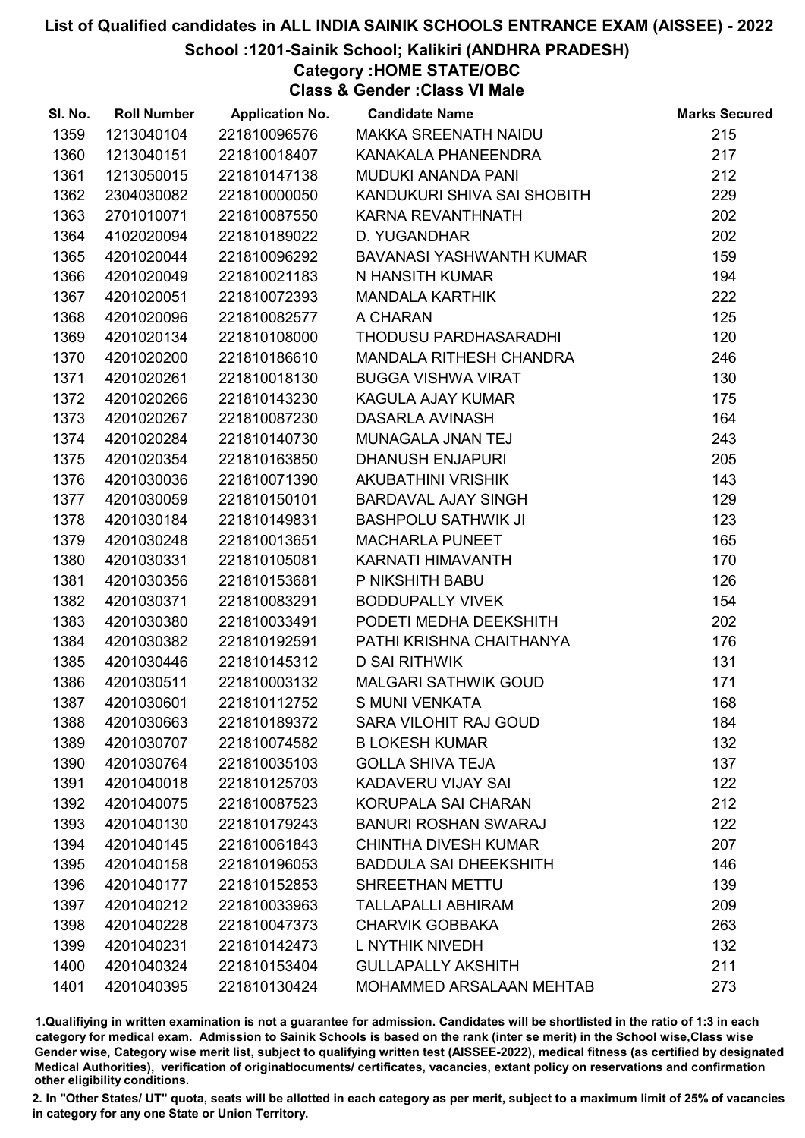School :1201-Sainik School; Kalikiri (ANDHRA PRADESH)

Category :HOME STATE/OBC Class & Gender :Class VI Male

| SI. No. | <b>Roll Number</b> | <b>Application No.</b> | <b>Candidate Name</b>         | <b>Marks Secured</b> |
|---------|--------------------|------------------------|-------------------------------|----------------------|
| 1359    | 1213040104         | 221810096576           | MAKKA SREENATH NAIDU          | 215                  |
| 1360    | 1213040151         | 221810018407           | KANAKALA PHANEENDRA           | 217                  |
| 1361    | 1213050015         | 221810147138           | <b>MUDUKI ANANDA PANI</b>     | 212                  |
| 1362    | 2304030082         | 221810000050           | KANDUKURI SHIVA SAI SHOBITH   | 229                  |
| 1363    | 2701010071         | 221810087550           | KARNA REVANTHNATH             | 202                  |
| 1364    | 4102020094         | 221810189022           | D. YUGANDHAR                  | 202                  |
| 1365    | 4201020044         | 221810096292           | BAVANASI YASHWANTH KUMAR      | 159                  |
| 1366    | 4201020049         | 221810021183           | N HANSITH KUMAR               | 194                  |
| 1367    | 4201020051         | 221810072393           | <b>MANDALA KARTHIK</b>        | 222                  |
| 1368    | 4201020096         | 221810082577           | A CHARAN                      | 125                  |
| 1369    | 4201020134         | 221810108000           | THODUSU PARDHASARADHI         | 120                  |
| 1370    | 4201020200         | 221810186610           | MANDALA RITHESH CHANDRA       | 246                  |
| 1371    | 4201020261         | 221810018130           | <b>BUGGA VISHWA VIRAT</b>     | 130                  |
| 1372    | 4201020266         | 221810143230           | KAGULA AJAY KUMAR             | 175                  |
| 1373    | 4201020267         | 221810087230           | <b>DASARLA AVINASH</b>        | 164                  |
| 1374    | 4201020284         | 221810140730           | MUNAGALA JNAN TEJ             | 243                  |
| 1375    | 4201020354         | 221810163850           | <b>DHANUSH ENJAPURI</b>       | 205                  |
| 1376    | 4201030036         | 221810071390           | <b>AKUBATHINI VRISHIK</b>     | 143                  |
| 1377    | 4201030059         | 221810150101           | BARDAVAL AJAY SINGH           | 129                  |
| 1378    | 4201030184         | 221810149831           | <b>BASHPOLU SATHWIK JI</b>    | 123                  |
| 1379    | 4201030248         | 221810013651           | <b>MACHARLA PUNEET</b>        | 165                  |
| 1380    | 4201030331         | 221810105081           | KARNATI HIMAVANTH             | 170                  |
| 1381    | 4201030356         | 221810153681           | P NIKSHITH BABU               | 126                  |
| 1382    | 4201030371         | 221810083291           | <b>BODDUPALLY VIVEK</b>       | 154                  |
| 1383    | 4201030380         | 221810033491           | PODETI MEDHA DEEKSHITH        | 202                  |
| 1384    | 4201030382         | 221810192591           | PATHI KRISHNA CHAITHANYA      | 176                  |
| 1385    | 4201030446         | 221810145312           | <b>D SAI RITHWIK</b>          | 131                  |
| 1386    | 4201030511         | 221810003132           | <b>MALGARI SATHWIK GOUD</b>   | 171                  |
| 1387    | 4201030601         | 221810112752           | S MUNI VENKATA                | 168                  |
| 1388    | 4201030663         | 221810189372           | <b>SARA VILOHIT RAJ GOUD</b>  | 184                  |
| 1389    | 4201030707         | 221810074582           | <b>B LOKESH KUMAR</b>         | 132                  |
| 1390    | 4201030764         | 221810035103           | <b>GOLLA SHIVA TEJA</b>       | 137                  |
| 1391    | 4201040018         | 221810125703           | KADAVERU VIJAY SAI            | 122                  |
| 1392    | 4201040075         | 221810087523           | KORUPALA SAI CHARAN           | 212                  |
| 1393    | 4201040130         | 221810179243           | <b>BANURI ROSHAN SWARAJ</b>   | 122                  |
| 1394    | 4201040145         | 221810061843           | <b>CHINTHA DIVESH KUMAR</b>   | 207                  |
| 1395    | 4201040158         | 221810196053           | <b>BADDULA SAI DHEEKSHITH</b> | 146                  |
| 1396    | 4201040177         | 221810152853           | SHREETHAN METTU               | 139                  |
| 1397    | 4201040212         | 221810033963           | <b>TALLAPALLI ABHIRAM</b>     | 209                  |
| 1398    | 4201040228         | 221810047373           | <b>CHARVIK GOBBAKA</b>        | 263                  |
| 1399    | 4201040231         | 221810142473           | L NYTHIK NIVEDH               | 132                  |
| 1400    | 4201040324         | 221810153404           | <b>GULLAPALLY AKSHITH</b>     | 211                  |
| 1401    | 4201040395         | 221810130424           | MOHAMMED ARSALAAN MEHTAB      | 273                  |

1.Qualifiying in written examination is not a guarantee for admission. Candidates will be shortlisted in the ratio of 1:3 in each category for medical exam. Admission to Sainik Schools is based on the rank (inter se merit) in the School wise,Class wise Gender wise, Category wise merit list, subject to qualifying written test (AISSEE-2022), medical fitness (as certified by designated Medical Authorities), verification of originablocuments/ certificates, vacancies, extant policy on reservations and confirmation other eligibility conditions.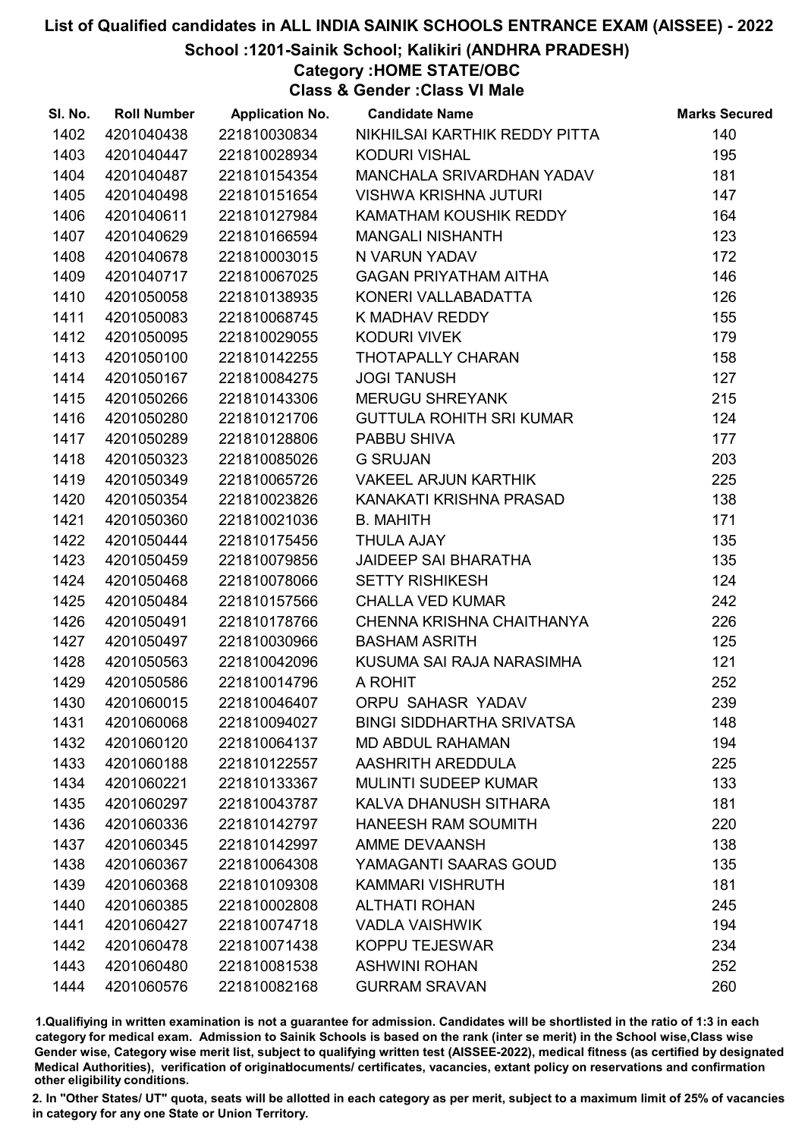School :1201-Sainik School; Kalikiri (ANDHRA PRADESH)

Category :HOME STATE/OBC

Class & Gender :Class VI Male

| SI. No. | <b>Roll Number</b> | <b>Application No.</b> | <b>Candidate Name</b>            | <b>Marks Secured</b> |
|---------|--------------------|------------------------|----------------------------------|----------------------|
| 1402    | 4201040438         | 221810030834           | NIKHILSAI KARTHIK REDDY PITTA    | 140                  |
| 1403    | 4201040447         | 221810028934           | <b>KODURI VISHAL</b>             | 195                  |
| 1404    | 4201040487         | 221810154354           | MANCHALA SRIVARDHAN YADAV        | 181                  |
| 1405    | 4201040498         | 221810151654           | <b>VISHWA KRISHNA JUTURI</b>     | 147                  |
| 1406    | 4201040611         | 221810127984           | KAMATHAM KOUSHIK REDDY           | 164                  |
| 1407    | 4201040629         | 221810166594           | <b>MANGALI NISHANTH</b>          | 123                  |
| 1408    | 4201040678         | 221810003015           | N VARUN YADAV                    | 172                  |
| 1409    | 4201040717         | 221810067025           | <b>GAGAN PRIYATHAM AITHA</b>     | 146                  |
| 1410    | 4201050058         | 221810138935           | KONERI VALLABADATTA              | 126                  |
| 1411    | 4201050083         | 221810068745           | K MADHAV REDDY                   | 155                  |
| 1412    | 4201050095         | 221810029055           | <b>KODURI VIVEK</b>              | 179                  |
| 1413    | 4201050100         | 221810142255           | THOTAPALLY CHARAN                | 158                  |
| 1414    | 4201050167         | 221810084275           | <b>JOGI TANUSH</b>               | 127                  |
| 1415    | 4201050266         | 221810143306           | <b>MERUGU SHREYANK</b>           | 215                  |
| 1416    | 4201050280         | 221810121706           | <b>GUTTULA ROHITH SRI KUMAR</b>  | 124                  |
| 1417    | 4201050289         | 221810128806           | PABBU SHIVA                      | 177                  |
| 1418    | 4201050323         | 221810085026           | <b>G SRUJAN</b>                  | 203                  |
| 1419    | 4201050349         | 221810065726           | <b>VAKEEL ARJUN KARTHIK</b>      | 225                  |
| 1420    | 4201050354         | 221810023826           | KANAKATI KRISHNA PRASAD          | 138                  |
| 1421    | 4201050360         | 221810021036           | <b>B. MAHITH</b>                 | 171                  |
| 1422    | 4201050444         | 221810175456           | <b>THULA AJAY</b>                | 135                  |
| 1423    | 4201050459         | 221810079856           | <b>JAIDEEP SAI BHARATHA</b>      | 135                  |
| 1424    | 4201050468         | 221810078066           | <b>SETTY RISHIKESH</b>           | 124                  |
| 1425    | 4201050484         | 221810157566           | <b>CHALLA VED KUMAR</b>          | 242                  |
| 1426    | 4201050491         | 221810178766           | CHENNA KRISHNA CHAITHANYA        | 226                  |
| 1427    | 4201050497         | 221810030966           | <b>BASHAM ASRITH</b>             | 125                  |
| 1428    | 4201050563         | 221810042096           | KUSUMA SAI RAJA NARASIMHA        | 121                  |
| 1429    | 4201050586         | 221810014796           | A ROHIT                          | 252                  |
| 1430    | 4201060015         | 221810046407           | ORPU SAHASR YADAV                | 239                  |
| 1431    | 4201060068         | 221810094027           | <b>BINGI SIDDHARTHA SRIVATSA</b> | 148                  |
| 1432    | 4201060120         | 221810064137           | <b>MD ABDUL RAHAMAN</b>          | 194                  |
| 1433    | 4201060188         | 221810122557           | AASHRITH AREDDULA                | 225                  |
| 1434    | 4201060221         | 221810133367           | <b>MULINTI SUDEEP KUMAR</b>      | 133                  |
| 1435    | 4201060297         | 221810043787           | KALVA DHANUSH SITHARA            | 181                  |
| 1436    | 4201060336         | 221810142797           | HANEESH RAM SOUMITH              | 220                  |
| 1437    | 4201060345         | 221810142997           | AMME DEVAANSH                    | 138                  |
| 1438    | 4201060367         | 221810064308           | YAMAGANTI SAARAS GOUD            | 135                  |
| 1439    | 4201060368         | 221810109308           | <b>KAMMARI VISHRUTH</b>          | 181                  |
| 1440    | 4201060385         | 221810002808           | <b>ALTHATI ROHAN</b>             | 245                  |
| 1441    | 4201060427         | 221810074718           | <b>VADLA VAISHWIK</b>            | 194                  |
| 1442    | 4201060478         | 221810071438           | <b>KOPPU TEJESWAR</b>            | 234                  |
| 1443    | 4201060480         | 221810081538           | <b>ASHWINI ROHAN</b>             | 252                  |
| 1444    | 4201060576         | 221810082168           | <b>GURRAM SRAVAN</b>             | 260                  |

1.Qualifiying in written examination is not a guarantee for admission. Candidates will be shortlisted in the ratio of 1:3 in each category for medical exam. Admission to Sainik Schools is based on the rank (inter se merit) in the School wise,Class wise Gender wise, Category wise merit list, subject to qualifying written test (AISSEE-2022), medical fitness (as certified by designated Medical Authorities), verification of originablocuments/ certificates, vacancies, extant policy on reservations and confirmation other eligibility conditions.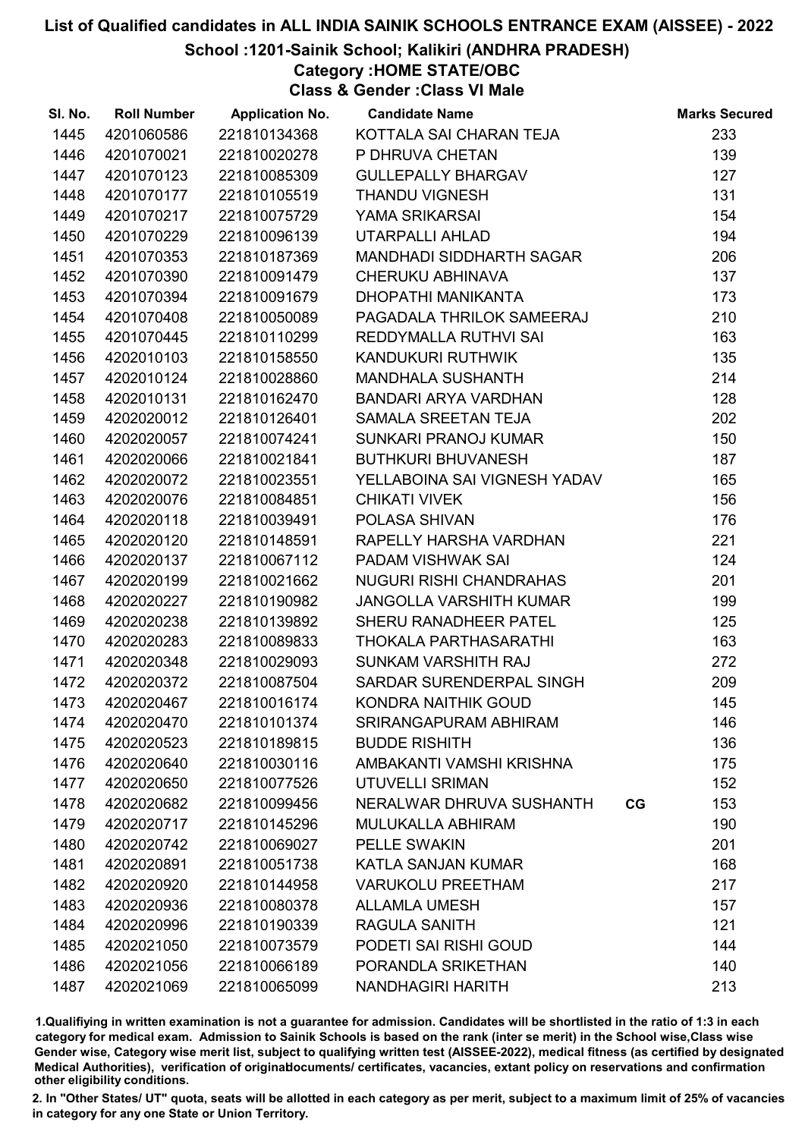#### School :1201-Sainik School; Kalikiri (ANDHRA PRADESH)

Category :HOME STATE/OBC

Class & Gender :Class VI Male

| SI. No. | <b>Roll Number</b> | <b>Application No.</b> | <b>Candidate Name</b>           |    | <b>Marks Secured</b> |
|---------|--------------------|------------------------|---------------------------------|----|----------------------|
| 1445    | 4201060586         | 221810134368           | KOTTALA SAI CHARAN TEJA         |    | 233                  |
| 1446    | 4201070021         | 221810020278           | P DHRUVA CHETAN                 |    | 139                  |
| 1447    | 4201070123         | 221810085309           | <b>GULLEPALLY BHARGAV</b>       |    | 127                  |
| 1448    | 4201070177         | 221810105519           | <b>THANDU VIGNESH</b>           |    | 131                  |
| 1449    | 4201070217         | 221810075729           | YAMA SRIKARSAI                  |    | 154                  |
| 1450    | 4201070229         | 221810096139           | UTARPALLI AHLAD                 |    | 194                  |
| 1451    | 4201070353         | 221810187369           | <b>MANDHADI SIDDHARTH SAGAR</b> |    | 206                  |
| 1452    | 4201070390         | 221810091479           | <b>CHERUKU ABHINAVA</b>         |    | 137                  |
| 1453    | 4201070394         | 221810091679           | DHOPATHI MANIKANTA              |    | 173                  |
| 1454    | 4201070408         | 221810050089           | PAGADALA THRILOK SAMEERAJ       |    | 210                  |
| 1455    | 4201070445         | 221810110299           | REDDYMALLA RUTHVI SAI           |    | 163                  |
| 1456    | 4202010103         | 221810158550           | KANDUKURI RUTHWIK               |    | 135                  |
| 1457    | 4202010124         | 221810028860           | <b>MANDHALA SUSHANTH</b>        |    | 214                  |
| 1458    | 4202010131         | 221810162470           | BANDARI ARYA VARDHAN            |    | 128                  |
| 1459    | 4202020012         | 221810126401           | SAMALA SREETAN TEJA             |    | 202                  |
| 1460    | 4202020057         | 221810074241           | SUNKARI PRANOJ KUMAR            |    | 150                  |
| 1461    | 4202020066         | 221810021841           | <b>BUTHKURI BHUVANESH</b>       |    | 187                  |
| 1462    | 4202020072         | 221810023551           | YELLABOINA SAI VIGNESH YADAV    |    | 165                  |
| 1463    | 4202020076         | 221810084851           | <b>CHIKATI VIVEK</b>            |    | 156                  |
| 1464    | 4202020118         | 221810039491           | POLASA SHIVAN                   |    | 176                  |
| 1465    | 4202020120         | 221810148591           | RAPELLY HARSHA VARDHAN          |    | 221                  |
| 1466    | 4202020137         | 221810067112           | PADAM VISHWAK SAI               |    | 124                  |
| 1467    | 4202020199         | 221810021662           | <b>NUGURI RISHI CHANDRAHAS</b>  |    | 201                  |
| 1468    | 4202020227         | 221810190982           | JANGOLLA VARSHITH KUMAR         |    | 199                  |
| 1469    | 4202020238         | 221810139892           | SHERU RANADHEER PATEL           |    | 125                  |
| 1470    | 4202020283         | 221810089833           | THOKALA PARTHASARATHI           |    | 163                  |
| 1471    | 4202020348         | 221810029093           | SUNKAM VARSHITH RAJ             |    | 272                  |
| 1472    | 4202020372         | 221810087504           | SARDAR SURENDERPAL SINGH        |    | 209                  |
| 1473    | 4202020467         | 221810016174           | KONDRA NAITHIK GOUD             |    | 145                  |
| 1474    | 4202020470         | 221810101374           | SRIRANGAPURAM ABHIRAM           |    | 146                  |
| 1475    | 4202020523         | 221810189815           | <b>BUDDE RISHITH</b>            |    | 136                  |
| 1476    | 4202020640         | 221810030116           | AMBAKANTI VAMSHI KRISHNA        |    | 175                  |
| 1477    | 4202020650         | 221810077526           | UTUVELLI SRIMAN                 |    | 152                  |
| 1478    | 4202020682         | 221810099456           | NERALWAR DHRUVA SUSHANTH        | CG | 153                  |
| 1479    | 4202020717         | 221810145296           | <b>MULUKALLA ABHIRAM</b>        |    | 190                  |
| 1480    | 4202020742         | 221810069027           | <b>PELLE SWAKIN</b>             |    | 201                  |
| 1481    | 4202020891         | 221810051738           | <b>KATLA SANJAN KUMAR</b>       |    | 168                  |
| 1482    | 4202020920         | 221810144958           | <b>VARUKOLU PREETHAM</b>        |    | 217                  |
| 1483    | 4202020936         | 221810080378           | <b>ALLAMLA UMESH</b>            |    | 157                  |
| 1484    | 4202020996         | 221810190339           | RAGULA SANITH                   |    | 121                  |
| 1485    | 4202021050         | 221810073579           | PODETI SAI RISHI GOUD           |    | 144                  |
| 1486    | 4202021056         | 221810066189           | PORANDLA SRIKETHAN              |    | 140                  |
| 1487    | 4202021069         | 221810065099           | <b>NANDHAGIRI HARITH</b>        |    | 213                  |

1.Qualifiying in written examination is not a guarantee for admission. Candidates will be shortlisted in the ratio of 1:3 in each category for medical exam. Admission to Sainik Schools is based on the rank (inter se merit) in the School wise,Class wise Gender wise, Category wise merit list, subject to qualifying written test (AISSEE-2022), medical fitness (as certified by designated Medical Authorities), verification of originablocuments/ certificates, vacancies, extant policy on reservations and confirmation other eligibility conditions.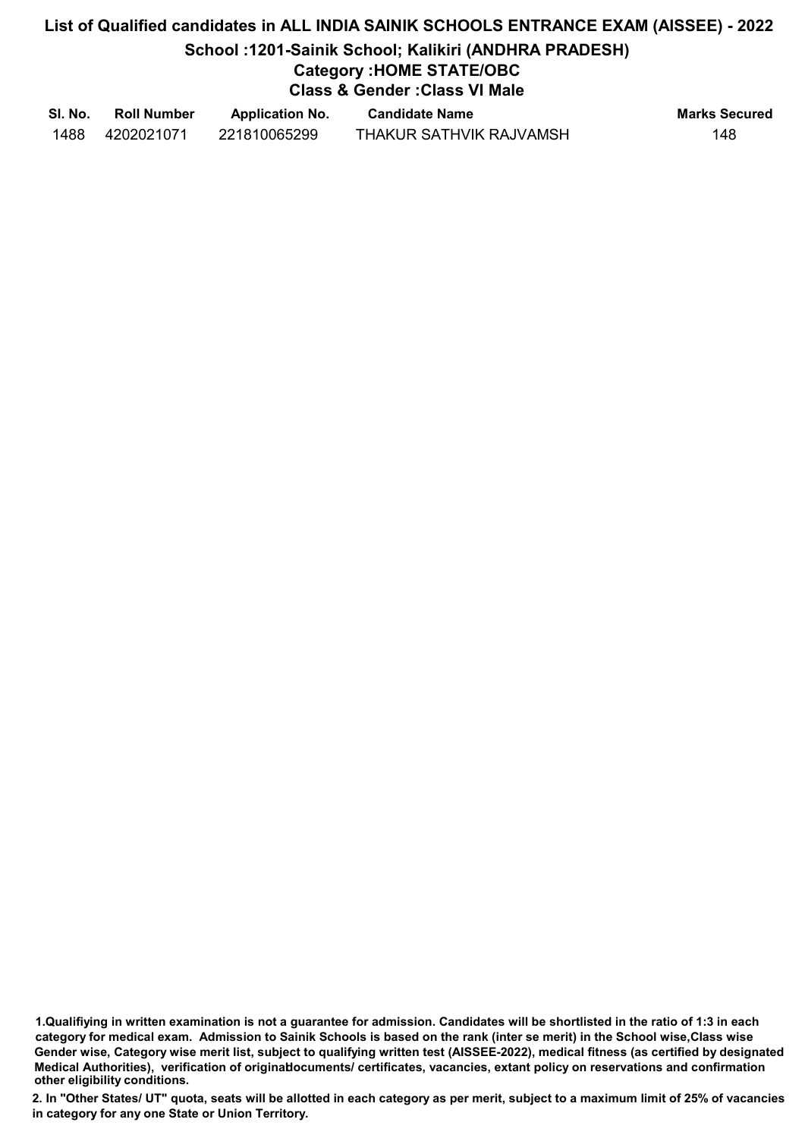# List of Qualified candidates in ALL INDIA SAINIK SCHOOLS ENTRANCE EXAM (AISSEE) - 2022 School :1201-Sainik School; Kalikiri (ANDHRA PRADESH) Category :HOME STATE/OBC Class & Gender :Class VI Male

| SI. No. | <b>Roll Number</b> | <b>Application No.</b> | <b>Candidate Name</b>   | <b>Marks Secured</b> |
|---------|--------------------|------------------------|-------------------------|----------------------|
| 1488    | 4202021071         | 221810065299           | THAKUR SATHVIK RAJVAMSH | 148                  |

<sup>1.</sup>Qualifiying in written examination is not a guarantee for admission. Candidates will be shortlisted in the ratio of 1:3 in each category for medical exam. Admission to Sainik Schools is based on the rank (inter se merit) in the School wise,Class wise Gender wise, Category wise merit list, subject to qualifying written test (AISSEE-2022), medical fitness (as certified by designated Medical Authorities), verification of originablocuments/ certificates, vacancies, extant policy on reservations and confirmation other eligibility conditions.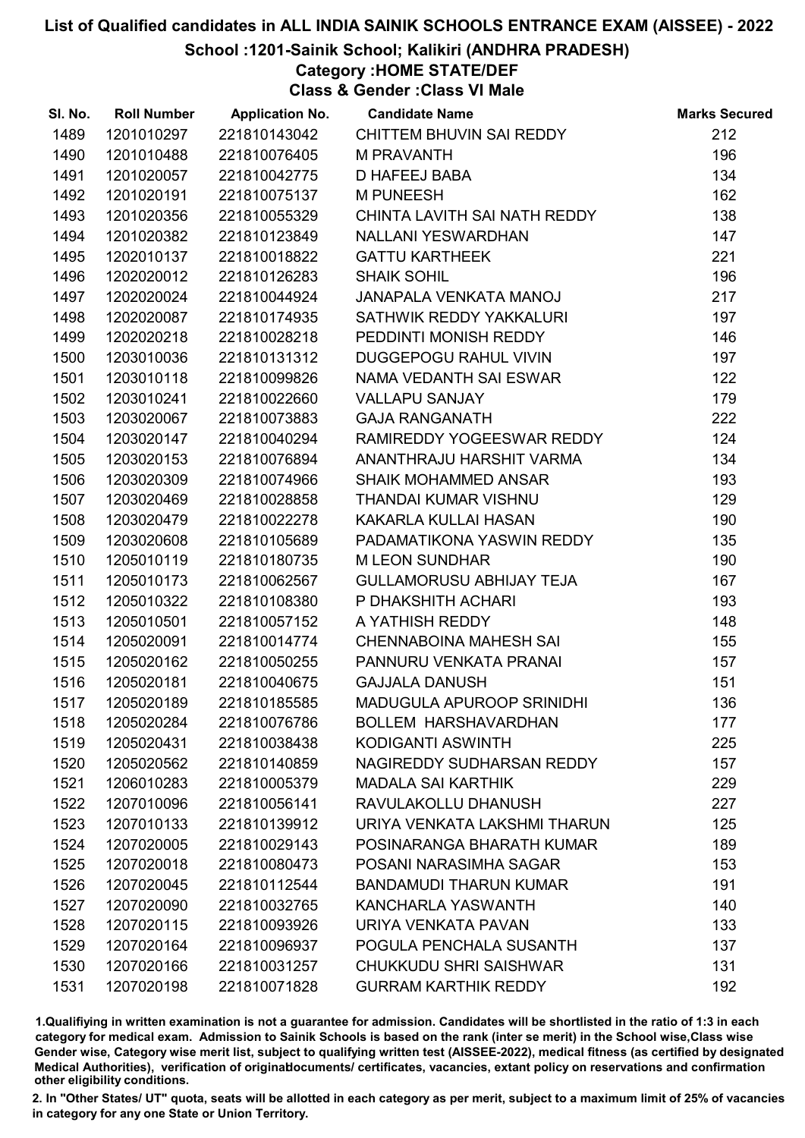### School :1201-Sainik School; Kalikiri (ANDHRA PRADESH)

## Category :HOME STATE/DEF

Class & Gender :Class VI Male

| SI. No. | <b>Roll Number</b> | <b>Application No.</b> | <b>Candidate Name</b>            | <b>Marks Secured</b> |
|---------|--------------------|------------------------|----------------------------------|----------------------|
| 1489    | 1201010297         | 221810143042           | CHITTEM BHUVIN SAI REDDY         | 212                  |
| 1490    | 1201010488         | 221810076405           | <b>M PRAVANTH</b>                | 196                  |
| 1491    | 1201020057         | 221810042775           | <b>D HAFEEJ BABA</b>             | 134                  |
| 1492    | 1201020191         | 221810075137           | <b>M PUNEESH</b>                 | 162                  |
| 1493    | 1201020356         | 221810055329           | CHINTA LAVITH SAI NATH REDDY     | 138                  |
| 1494    | 1201020382         | 221810123849           | <b>NALLANI YESWARDHAN</b>        | 147                  |
| 1495    | 1202010137         | 221810018822           | <b>GATTU KARTHEEK</b>            | 221                  |
| 1496    | 1202020012         | 221810126283           | <b>SHAIK SOHIL</b>               | 196                  |
| 1497    | 1202020024         | 221810044924           | JANAPALA VENKATA MANOJ           | 217                  |
| 1498    | 1202020087         | 221810174935           | SATHWIK REDDY YAKKALURI          | 197                  |
| 1499    | 1202020218         | 221810028218           | PEDDINTI MONISH REDDY            | 146                  |
| 1500    | 1203010036         | 221810131312           | <b>DUGGEPOGU RAHUL VIVIN</b>     | 197                  |
| 1501    | 1203010118         | 221810099826           | NAMA VEDANTH SAI ESWAR           | 122                  |
| 1502    | 1203010241         | 221810022660           | <b>VALLAPU SANJAY</b>            | 179                  |
| 1503    | 1203020067         | 221810073883           | <b>GAJA RANGANATH</b>            | 222                  |
| 1504    | 1203020147         | 221810040294           | RAMIREDDY YOGEESWAR REDDY        | 124                  |
| 1505    | 1203020153         | 221810076894           | ANANTHRAJU HARSHIT VARMA         | 134                  |
| 1506    | 1203020309         | 221810074966           | <b>SHAIK MOHAMMED ANSAR</b>      | 193                  |
| 1507    | 1203020469         | 221810028858           | THANDAI KUMAR VISHNU             | 129                  |
| 1508    | 1203020479         | 221810022278           | KAKARLA KULLAI HASAN             | 190                  |
| 1509    | 1203020608         | 221810105689           | PADAMATIKONA YASWIN REDDY        | 135                  |
| 1510    | 1205010119         | 221810180735           | <b>M LEON SUNDHAR</b>            | 190                  |
| 1511    | 1205010173         | 221810062567           | <b>GULLAMORUSU ABHIJAY TEJA</b>  | 167                  |
| 1512    | 1205010322         | 221810108380           | P DHAKSHITH ACHARI               | 193                  |
| 1513    | 1205010501         | 221810057152           | A YATHISH REDDY                  | 148                  |
| 1514    | 1205020091         | 221810014774           | <b>CHENNABOINA MAHESH SAI</b>    | 155                  |
| 1515    | 1205020162         | 221810050255           | PANNURU VENKATA PRANAI           | 157                  |
| 1516    | 1205020181         | 221810040675           | <b>GAJJALA DANUSH</b>            | 151                  |
| 1517    | 1205020189         | 221810185585           | <b>MADUGULA APUROOP SRINIDHI</b> | 136                  |
| 1518    | 1205020284         | 221810076786           | <b>BOLLEM HARSHAVARDHAN</b>      | 177                  |
| 1519    | 1205020431         | 221810038438           | KODIGANTI ASWINTH                | 225                  |
| 1520    | 1205020562         | 221810140859           | NAGIREDDY SUDHARSAN REDDY        | 157                  |
| 1521    | 1206010283         | 221810005379           | <b>MADALA SAI KARTHIK</b>        | 229                  |
| 1522    | 1207010096         | 221810056141           | RAVULAKOLLU DHANUSH              | 227                  |
| 1523    | 1207010133         | 221810139912           | URIYA VENKATA LAKSHMI THARUN     | 125                  |
| 1524    | 1207020005         | 221810029143           | POSINARANGA BHARATH KUMAR        | 189                  |
| 1525    | 1207020018         | 221810080473           | POSANI NARASIMHA SAGAR           | 153                  |
| 1526    | 1207020045         | 221810112544           | <b>BANDAMUDI THARUN KUMAR</b>    | 191                  |
| 1527    | 1207020090         | 221810032765           | KANCHARLA YASWANTH               | 140                  |
| 1528    | 1207020115         | 221810093926           | URIYA VENKATA PAVAN              | 133                  |
| 1529    | 1207020164         | 221810096937           | POGULA PENCHALA SUSANTH          | 137                  |
| 1530    | 1207020166         | 221810031257           | <b>CHUKKUDU SHRI SAISHWAR</b>    | 131                  |
| 1531    | 1207020198         | 221810071828           | <b>GURRAM KARTHIK REDDY</b>      | 192                  |

1.Qualifiying in written examination is not a guarantee for admission. Candidates will be shortlisted in the ratio of 1:3 in each category for medical exam. Admission to Sainik Schools is based on the rank (inter se merit) in the School wise,Class wise Gender wise, Category wise merit list, subject to qualifying written test (AISSEE-2022), medical fitness (as certified by designated Medical Authorities), verification of originablocuments/ certificates, vacancies, extant policy on reservations and confirmation other eligibility conditions.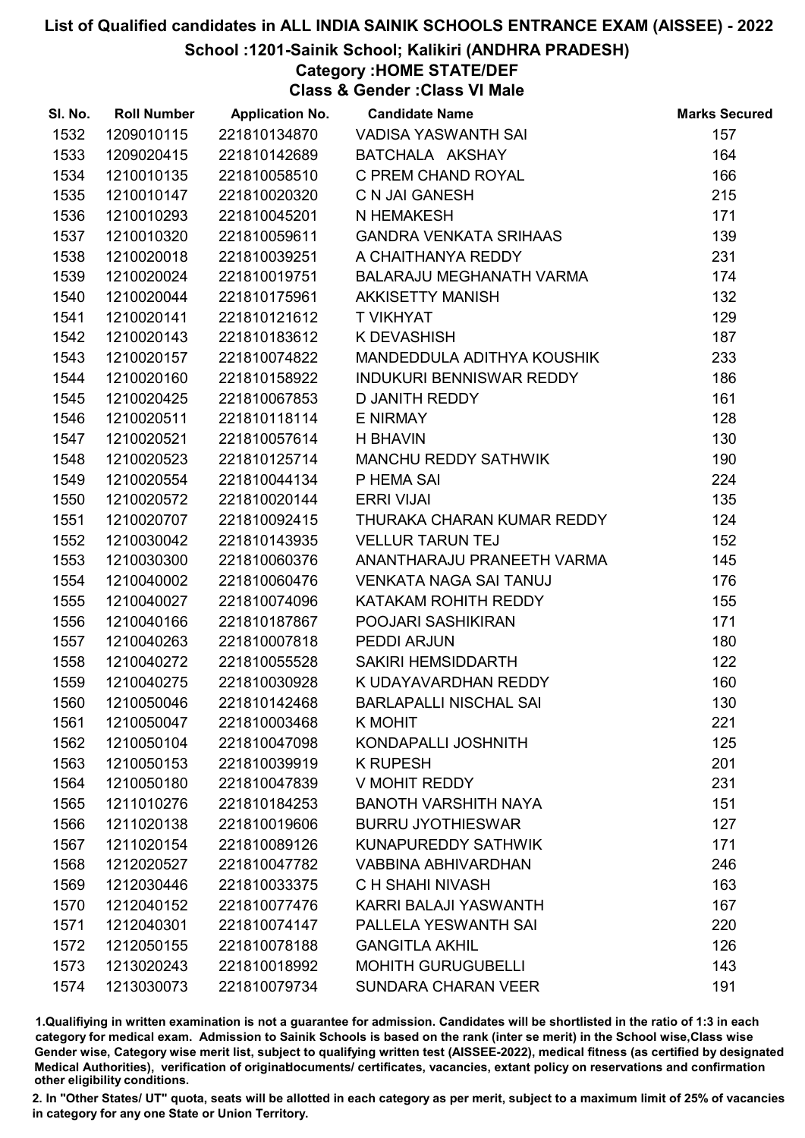### School :1201-Sainik School; Kalikiri (ANDHRA PRADESH)

## Category :HOME STATE/DEF

Class & Gender :Class VI Male

| SI. No. | <b>Roll Number</b> | <b>Application No.</b> | <b>Candidate Name</b>         | <b>Marks Secured</b> |
|---------|--------------------|------------------------|-------------------------------|----------------------|
| 1532    | 1209010115         | 221810134870           | VADISA YASWANTH SAI           | 157                  |
| 1533    | 1209020415         | 221810142689           | BATCHALA AKSHAY               | 164                  |
| 1534    | 1210010135         | 221810058510           | C PREM CHAND ROYAL            | 166                  |
| 1535    | 1210010147         | 221810020320           | C N JAI GANESH                | 215                  |
| 1536    | 1210010293         | 221810045201           | N HEMAKESH                    | 171                  |
| 1537    | 1210010320         | 221810059611           | <b>GANDRA VENKATA SRIHAAS</b> | 139                  |
| 1538    | 1210020018         | 221810039251           | A CHAITHANYA REDDY            | 231                  |
| 1539    | 1210020024         | 221810019751           | BALARAJU MEGHANATH VARMA      | 174                  |
| 1540    | 1210020044         | 221810175961           | <b>AKKISETTY MANISH</b>       | 132                  |
| 1541    | 1210020141         | 221810121612           | <b>T VIKHYAT</b>              | 129                  |
| 1542    | 1210020143         | 221810183612           | K DEVASHISH                   | 187                  |
| 1543    | 1210020157         | 221810074822           | MANDEDDULA ADITHYA KOUSHIK    | 233                  |
| 1544    | 1210020160         | 221810158922           | INDUKURI BENNISWAR REDDY      | 186                  |
| 1545    | 1210020425         | 221810067853           | <b>D JANITH REDDY</b>         | 161                  |
| 1546    | 1210020511         | 221810118114           | <b>E NIRMAY</b>               | 128                  |
| 1547    | 1210020521         | 221810057614           | <b>H BHAVIN</b>               | 130                  |
| 1548    | 1210020523         | 221810125714           | MANCHU REDDY SATHWIK          | 190                  |
| 1549    | 1210020554         | 221810044134           | P HEMA SAI                    | 224                  |
| 1550    | 1210020572         | 221810020144           | <b>ERRI VIJAI</b>             | 135                  |
| 1551    | 1210020707         | 221810092415           | THURAKA CHARAN KUMAR REDDY    | 124                  |
| 1552    | 1210030042         | 221810143935           | <b>VELLUR TARUN TEJ</b>       | 152                  |
| 1553    | 1210030300         | 221810060376           | ANANTHARAJU PRANEETH VARMA    | 145                  |
| 1554    | 1210040002         | 221810060476           | <b>VENKATA NAGA SAI TANUJ</b> | 176                  |
| 1555    | 1210040027         | 221810074096           | KATAKAM ROHITH REDDY          | 155                  |
| 1556    | 1210040166         | 221810187867           | POOJARI SASHIKIRAN            | 171                  |
| 1557    | 1210040263         | 221810007818           | PEDDI ARJUN                   | 180                  |
| 1558    | 1210040272         | 221810055528           | SAKIRI HEMSIDDARTH            | 122                  |
| 1559    | 1210040275         | 221810030928           | K UDAYAVARDHAN REDDY          | 160                  |
| 1560    | 1210050046         | 221810142468           | <b>BARLAPALLI NISCHAL SAI</b> | 130                  |
| 1561    | 1210050047         | 221810003468           | <b>K MOHIT</b>                | 221                  |
| 1562    | 1210050104         | 221810047098           | KONDAPALLI JOSHNITH           | 125                  |
| 1563    | 1210050153         | 221810039919           | <b>K RUPESH</b>               | 201                  |
| 1564    | 1210050180         | 221810047839           | V MOHIT REDDY                 | 231                  |
| 1565    | 1211010276         | 221810184253           | <b>BANOTH VARSHITH NAYA</b>   | 151                  |
| 1566    | 1211020138         | 221810019606           | <b>BURRU JYOTHIESWAR</b>      | 127                  |
| 1567    | 1211020154         | 221810089126           | KUNAPUREDDY SATHWIK           | 171                  |
| 1568    | 1212020527         | 221810047782           | <b>VABBINA ABHIVARDHAN</b>    | 246                  |
| 1569    | 1212030446         | 221810033375           | C H SHAHI NIVASH              | 163                  |
| 1570    | 1212040152         | 221810077476           | KARRI BALAJI YASWANTH         | 167                  |
| 1571    | 1212040301         | 221810074147           | PALLELA YESWANTH SAI          | 220                  |
| 1572    | 1212050155         | 221810078188           | <b>GANGITLA AKHIL</b>         | 126                  |
| 1573    | 1213020243         | 221810018992           | <b>MOHITH GURUGUBELLI</b>     | 143                  |
| 1574    | 1213030073         | 221810079734           | <b>SUNDARA CHARAN VEER</b>    | 191                  |

1.Qualifiying in written examination is not a guarantee for admission. Candidates will be shortlisted in the ratio of 1:3 in each category for medical exam. Admission to Sainik Schools is based on the rank (inter se merit) in the School wise,Class wise Gender wise, Category wise merit list, subject to qualifying written test (AISSEE-2022), medical fitness (as certified by designated Medical Authorities), verification of originablocuments/ certificates, vacancies, extant policy on reservations and confirmation other eligibility conditions.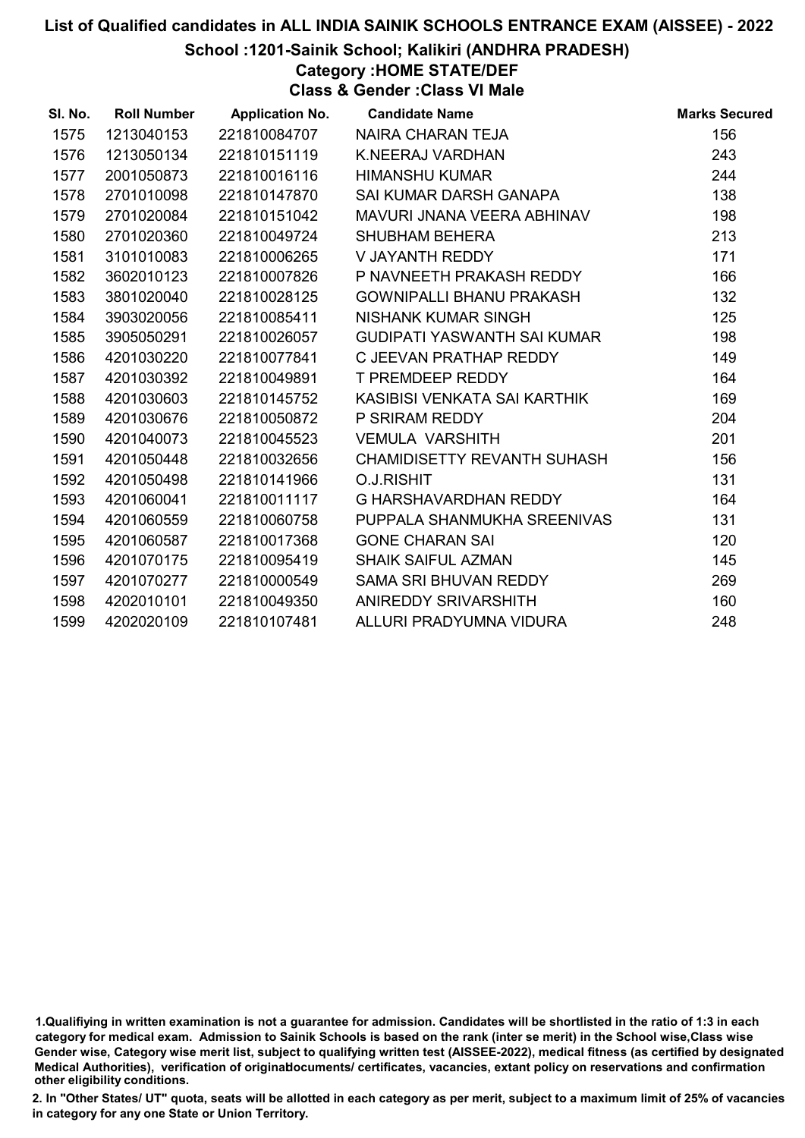### School :1201-Sainik School; Kalikiri (ANDHRA PRADESH)

## Category :HOME STATE/DEF

Class & Gender :Class VI Male

| SI. No. | <b>Roll Number</b> | <b>Application No.</b> | <b>Candidate Name</b>              | <b>Marks Secured</b> |
|---------|--------------------|------------------------|------------------------------------|----------------------|
| 1575    | 1213040153         | 221810084707           | NAIRA CHARAN TEJA                  | 156                  |
| 1576    | 1213050134         | 221810151119           | K.NEERAJ VARDHAN                   | 243                  |
| 1577    | 2001050873         | 221810016116           | <b>HIMANSHU KUMAR</b>              | 244                  |
| 1578    | 2701010098         | 221810147870           | SAI KUMAR DARSH GANAPA             | 138                  |
| 1579    | 2701020084         | 221810151042           | MAVURI JNANA VEERA ABHINAV         | 198                  |
| 1580    | 2701020360         | 221810049724           | <b>SHUBHAM BEHERA</b>              | 213                  |
| 1581    | 3101010083         | 221810006265           | V JAYANTH REDDY                    | 171                  |
| 1582    | 3602010123         | 221810007826           | P NAVNEETH PRAKASH REDDY           | 166                  |
| 1583    | 3801020040         | 221810028125           | GOWNIPALLI BHANU PRAKASH           | 132                  |
| 1584    | 3903020056         | 221810085411           | NISHANK KUMAR SINGH                | 125                  |
| 1585    | 3905050291         | 221810026057           | GUDIPATI YASWANTH SAI KUMAR        | 198                  |
| 1586    | 4201030220         | 221810077841           | C JEEVAN PRATHAP REDDY             | 149                  |
| 1587    | 4201030392         | 221810049891           | <b>T PREMDEEP REDDY</b>            | 164                  |
| 1588    | 4201030603         | 221810145752           | KASIBISI VENKATA SAI KARTHIK       | 169                  |
| 1589    | 4201030676         | 221810050872           | P SRIRAM REDDY                     | 204                  |
| 1590    | 4201040073         | 221810045523           | <b>VEMULA VARSHITH</b>             | 201                  |
| 1591    | 4201050448         | 221810032656           | <b>CHAMIDISETTY REVANTH SUHASH</b> | 156                  |
| 1592    | 4201050498         | 221810141966           | <b>O.J.RISHIT</b>                  | 131                  |
| 1593    | 4201060041         | 221810011117           | G HARSHAVARDHAN REDDY              | 164                  |
| 1594    | 4201060559         | 221810060758           | PUPPALA SHANMUKHA SREENIVAS        | 131                  |
| 1595    | 4201060587         | 221810017368           | <b>GONE CHARAN SAI</b>             | 120                  |
| 1596    | 4201070175         | 221810095419           | <b>SHAIK SAIFUL AZMAN</b>          | 145                  |
| 1597    | 4201070277         | 221810000549           | SAMA SRI BHUVAN REDDY              | 269                  |
| 1598    | 4202010101         | 221810049350           | ANIREDDY SRIVARSHITH               | 160                  |
| 1599    | 4202020109         | 221810107481           | ALLURI PRADYUMNA VIDURA            | 248                  |

<sup>1.</sup>Qualifiying in written examination is not a guarantee for admission. Candidates will be shortlisted in the ratio of 1:3 in each category for medical exam. Admission to Sainik Schools is based on the rank (inter se merit) in the School wise,Class wise Gender wise, Category wise merit list, subject to qualifying written test (AISSEE-2022), medical fitness (as certified by designated Medical Authorities), verification of originablocuments/ certificates, vacancies, extant policy on reservations and confirmation other eligibility conditions.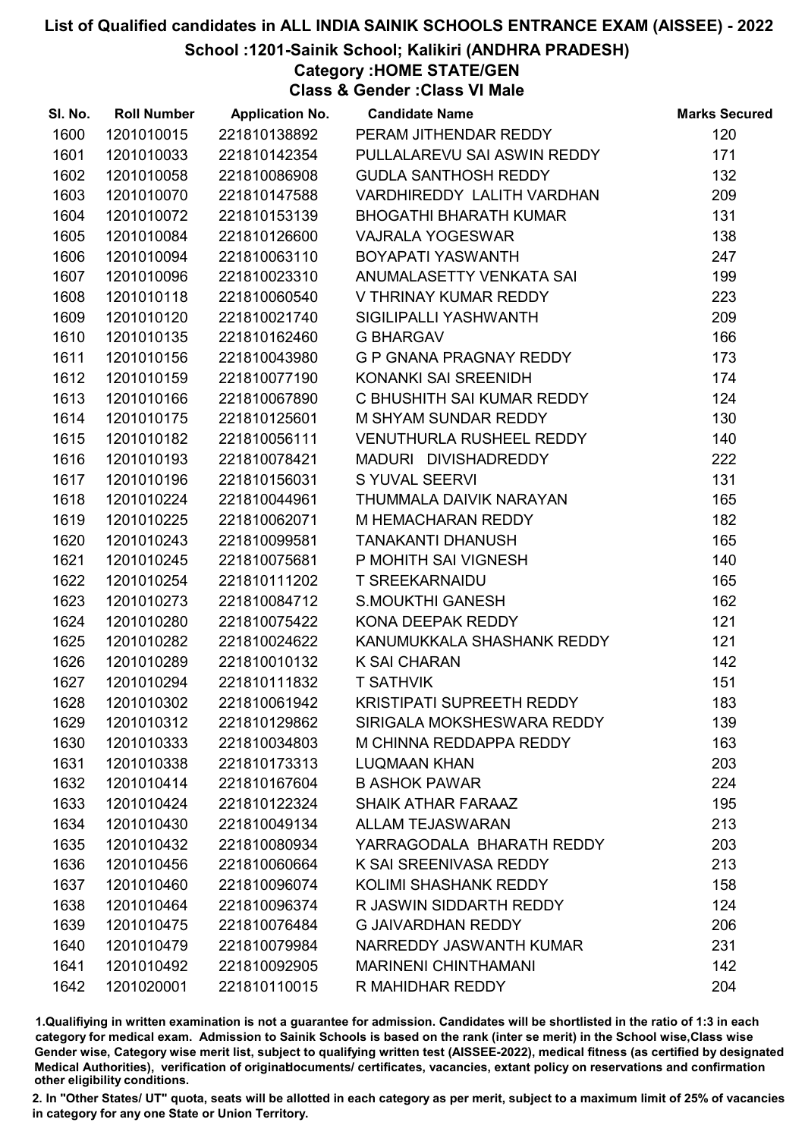School :1201-Sainik School; Kalikiri (ANDHRA PRADESH)

Category :HOME STATE/GEN

Class & Gender :Class VI Male

| SI. No. | <b>Roll Number</b> | <b>Application No.</b> | <b>Candidate Name</b>            | <b>Marks Secured</b> |
|---------|--------------------|------------------------|----------------------------------|----------------------|
| 1600    | 1201010015         | 221810138892           | PERAM JITHENDAR REDDY            | 120                  |
| 1601    | 1201010033         | 221810142354           | PULLALAREVU SAI ASWIN REDDY      | 171                  |
| 1602    | 1201010058         | 221810086908           | <b>GUDLA SANTHOSH REDDY</b>      | 132                  |
| 1603    | 1201010070         | 221810147588           | VARDHIREDDY LALITH VARDHAN       | 209                  |
| 1604    | 1201010072         | 221810153139           | <b>BHOGATHI BHARATH KUMAR</b>    | 131                  |
| 1605    | 1201010084         | 221810126600           | <b>VAJRALA YOGESWAR</b>          | 138                  |
| 1606    | 1201010094         | 221810063110           | BOYAPATI YASWANTH                | 247                  |
| 1607    | 1201010096         | 221810023310           | ANUMALASETTY VENKATA SAI         | 199                  |
| 1608    | 1201010118         | 221810060540           | V THRINAY KUMAR REDDY            | 223                  |
| 1609    | 1201010120         | 221810021740           | SIGILIPALLI YASHWANTH            | 209                  |
| 1610    | 1201010135         | 221810162460           | <b>G BHARGAV</b>                 | 166                  |
| 1611    | 1201010156         | 221810043980           | G P GNANA PRAGNAY REDDY          | 173                  |
| 1612    | 1201010159         | 221810077190           | KONANKI SAI SREENIDH             | 174                  |
| 1613    | 1201010166         | 221810067890           | C BHUSHITH SAI KUMAR REDDY       | 124                  |
| 1614    | 1201010175         | 221810125601           | M SHYAM SUNDAR REDDY             | 130                  |
| 1615    | 1201010182         | 221810056111           | VENUTHURLA RUSHEEL REDDY         | 140                  |
| 1616    | 1201010193         | 221810078421           | MADURI DIVISHADREDDY             | 222                  |
| 1617    | 1201010196         | 221810156031           | <b>S YUVAL SEERVI</b>            | 131                  |
| 1618    | 1201010224         | 221810044961           | THUMMALA DAIVIK NARAYAN          | 165                  |
| 1619    | 1201010225         | 221810062071           | M HEMACHARAN REDDY               | 182                  |
| 1620    | 1201010243         | 221810099581           | <b>TANAKANTI DHANUSH</b>         | 165                  |
| 1621    | 1201010245         | 221810075681           | P MOHITH SAI VIGNESH             | 140                  |
| 1622    | 1201010254         | 221810111202           | <b>T SREEKARNAIDU</b>            | 165                  |
| 1623    | 1201010273         | 221810084712           | <b>S.MOUKTHI GANESH</b>          | 162                  |
| 1624    | 1201010280         | 221810075422           | KONA DEEPAK REDDY                | 121                  |
| 1625    | 1201010282         | 221810024622           | KANUMUKKALA SHASHANK REDDY       | 121                  |
| 1626    | 1201010289         | 221810010132           | <b>K SAI CHARAN</b>              | 142                  |
| 1627    | 1201010294         | 221810111832           | <b>T SATHVIK</b>                 | 151                  |
| 1628    | 1201010302         | 221810061942           | <b>KRISTIPATI SUPREETH REDDY</b> | 183                  |
| 1629    | 1201010312         | 221810129862           | SIRIGALA MOKSHESWARA REDDY       | 139                  |
| 1630    | 1201010333         | 221810034803           | M CHINNA REDDAPPA REDDY          | 163                  |
| 1631    | 1201010338         | 221810173313           | <b>LUQMAAN KHAN</b>              | 203                  |
| 1632    | 1201010414         | 221810167604           | <b>B ASHOK PAWAR</b>             | 224                  |
| 1633    | 1201010424         | 221810122324           | <b>SHAIK ATHAR FARAAZ</b>        | 195                  |
| 1634    | 1201010430         | 221810049134           | <b>ALLAM TEJASWARAN</b>          | 213                  |
| 1635    | 1201010432         | 221810080934           | YARRAGODALA BHARATH REDDY        | 203                  |
| 1636    | 1201010456         | 221810060664           | K SAI SREENIVASA REDDY           | 213                  |
| 1637    | 1201010460         | 221810096074           | KOLIMI SHASHANK REDDY            | 158                  |
| 1638    | 1201010464         | 221810096374           | R JASWIN SIDDARTH REDDY          | 124                  |
| 1639    | 1201010475         | 221810076484           | <b>G JAIVARDHAN REDDY</b>        | 206                  |
| 1640    | 1201010479         | 221810079984           | NARREDDY JASWANTH KUMAR          | 231                  |
| 1641    | 1201010492         | 221810092905           | <b>MARINENI CHINTHAMANI</b>      | 142                  |
| 1642    | 1201020001         | 221810110015           | R MAHIDHAR REDDY                 | 204                  |

1.Qualifiying in written examination is not a guarantee for admission. Candidates will be shortlisted in the ratio of 1:3 in each category for medical exam. Admission to Sainik Schools is based on the rank (inter se merit) in the School wise,Class wise Gender wise, Category wise merit list, subject to qualifying written test (AISSEE-2022), medical fitness (as certified by designated Medical Authorities), verification of originablocuments/ certificates, vacancies, extant policy on reservations and confirmation other eligibility conditions.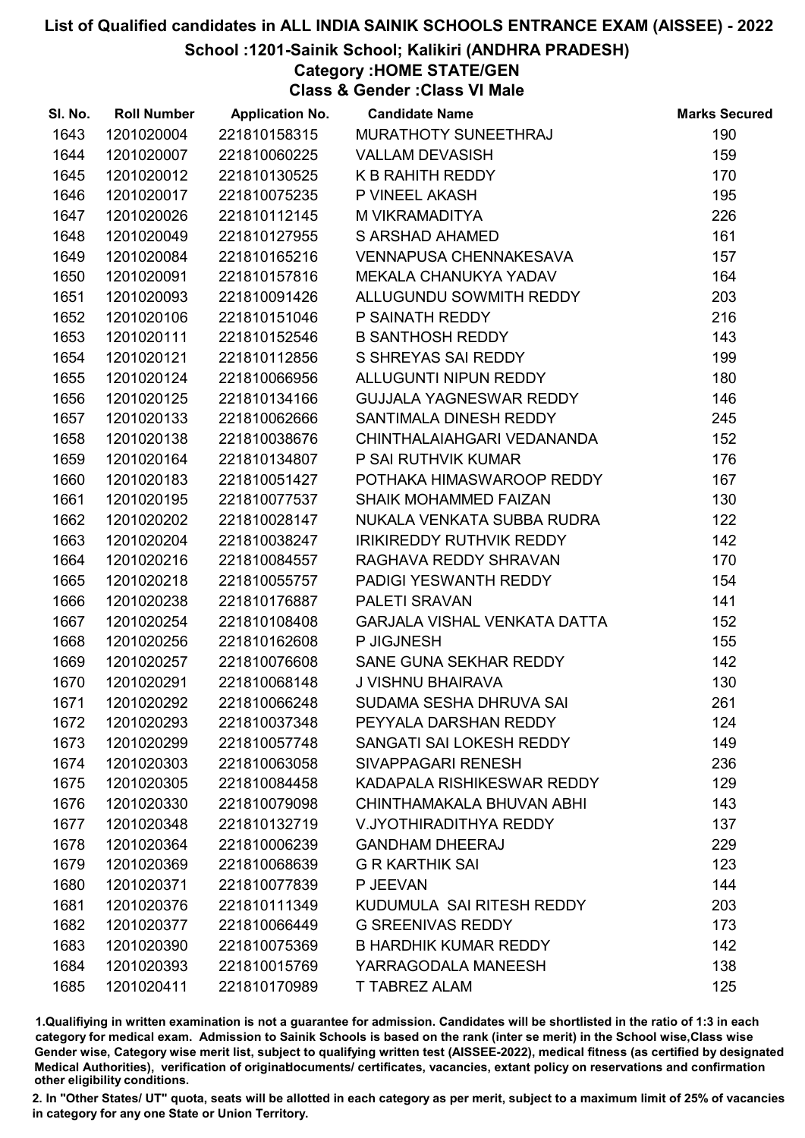### School :1201-Sainik School; Kalikiri (ANDHRA PRADESH)

Category :HOME STATE/GEN

Class & Gender :Class VI Male

| SI. No. | <b>Roll Number</b> | <b>Application No.</b> | <b>Candidate Name</b>               | <b>Marks Secured</b> |
|---------|--------------------|------------------------|-------------------------------------|----------------------|
| 1643    | 1201020004         | 221810158315           | MURATHOTY SUNEETHRAJ                | 190                  |
| 1644    | 1201020007         | 221810060225           | <b>VALLAM DEVASISH</b>              | 159                  |
| 1645    | 1201020012         | 221810130525           | K B RAHITH REDDY                    | 170                  |
| 1646    | 1201020017         | 221810075235           | P VINEEL AKASH                      | 195                  |
| 1647    | 1201020026         | 221810112145           | M VIKRAMADITYA                      | 226                  |
| 1648    | 1201020049         | 221810127955           | <b>S ARSHAD AHAMED</b>              | 161                  |
| 1649    | 1201020084         | 221810165216           | <b>VENNAPUSA CHENNAKESAVA</b>       | 157                  |
| 1650    | 1201020091         | 221810157816           | <b>MEKALA CHANUKYA YADAV</b>        | 164                  |
| 1651    | 1201020093         | 221810091426           | ALLUGUNDU SOWMITH REDDY             | 203                  |
| 1652    | 1201020106         | 221810151046           | P SAINATH REDDY                     | 216                  |
| 1653    | 1201020111         | 221810152546           | <b>B SANTHOSH REDDY</b>             | 143                  |
| 1654    | 1201020121         | 221810112856           | S SHREYAS SAI REDDY                 | 199                  |
| 1655    | 1201020124         | 221810066956           | ALLUGUNTI NIPUN REDDY               | 180                  |
| 1656    | 1201020125         | 221810134166           | GUJJALA YAGNESWAR REDDY             | 146                  |
| 1657    | 1201020133         | 221810062666           | SANTIMALA DINESH REDDY              | 245                  |
| 1658    | 1201020138         | 221810038676           | CHINTHALAIAHGARI VEDANANDA          | 152                  |
| 1659    | 1201020164         | 221810134807           | P SAI RUTHVIK KUMAR                 | 176                  |
| 1660    | 1201020183         | 221810051427           | POTHAKA HIMASWAROOP REDDY           | 167                  |
| 1661    | 1201020195         | 221810077537           | <b>SHAIK MOHAMMED FAIZAN</b>        | 130                  |
| 1662    | 1201020202         | 221810028147           | NUKALA VENKATA SUBBA RUDRA          | 122                  |
| 1663    | 1201020204         | 221810038247           | <b>IRIKIREDDY RUTHVIK REDDY</b>     | 142                  |
| 1664    | 1201020216         | 221810084557           | RAGHAVA REDDY SHRAVAN               | 170                  |
| 1665    | 1201020218         | 221810055757           | PADIGI YESWANTH REDDY               | 154                  |
| 1666    | 1201020238         | 221810176887           | PALETI SRAVAN                       | 141                  |
| 1667    | 1201020254         | 221810108408           | <b>GARJALA VISHAL VENKATA DATTA</b> | 152                  |
| 1668    | 1201020256         | 221810162608           | P JIGJNESH                          | 155                  |
| 1669    | 1201020257         | 221810076608           | SANE GUNA SEKHAR REDDY              | 142                  |
| 1670    | 1201020291         | 221810068148           | J VISHNU BHAIRAVA                   | 130                  |
| 1671    | 1201020292         | 221810066248           | SUDAMA SESHA DHRUVA SAI             | 261                  |
| 1672    | 1201020293         | 221810037348           | PEYYALA DARSHAN REDDY               | 124                  |
| 1673    | 1201020299         | 221810057748           | SANGATI SAI LOKESH REDDY            | 149                  |
| 1674    | 1201020303         | 221810063058           | SIVAPPAGARI RENESH                  | 236                  |
| 1675    | 1201020305         | 221810084458           | KADAPALA RISHIKESWAR REDDY          | 129                  |
| 1676    | 1201020330         | 221810079098           | CHINTHAMAKALA BHUVAN ABHI           | 143                  |
| 1677    | 1201020348         | 221810132719           | V.JYOTHIRADITHYA REDDY              | 137                  |
| 1678    | 1201020364         | 221810006239           | <b>GANDHAM DHEERAJ</b>              | 229                  |
| 1679    | 1201020369         | 221810068639           | <b>G R KARTHIK SAI</b>              | 123                  |
| 1680    | 1201020371         | 221810077839           | P JEEVAN                            | 144                  |
| 1681    | 1201020376         | 221810111349           | KUDUMULA SAI RITESH REDDY           | 203                  |
| 1682    | 1201020377         | 221810066449           | <b>G SREENIVAS REDDY</b>            | 173                  |
| 1683    | 1201020390         | 221810075369           | <b>B HARDHIK KUMAR REDDY</b>        | 142                  |
| 1684    | 1201020393         | 221810015769           | YARRAGODALA MANEESH                 | 138                  |
| 1685    | 1201020411         | 221810170989           | <b>T TABREZ ALAM</b>                | 125                  |

1.Qualifiying in written examination is not a guarantee for admission. Candidates will be shortlisted in the ratio of 1:3 in each category for medical exam. Admission to Sainik Schools is based on the rank (inter se merit) in the School wise,Class wise Gender wise, Category wise merit list, subject to qualifying written test (AISSEE-2022), medical fitness (as certified by designated Medical Authorities), verification of originablocuments/ certificates, vacancies, extant policy on reservations and confirmation other eligibility conditions.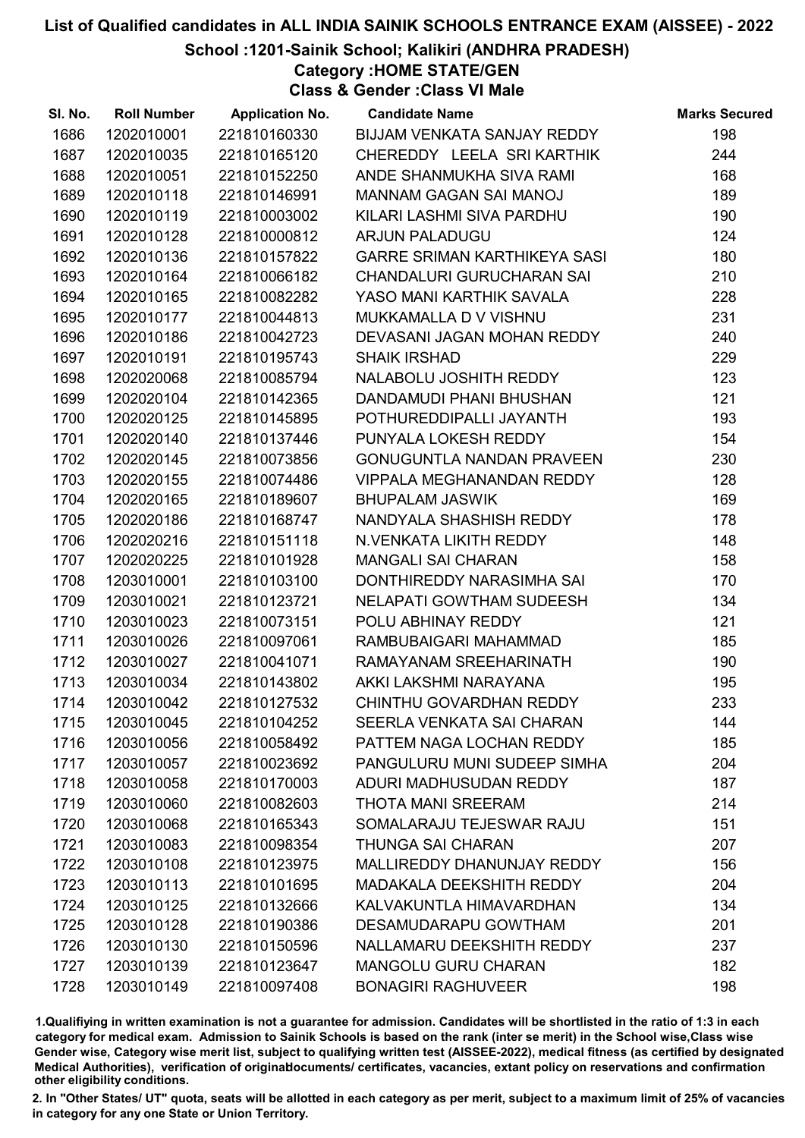School :1201-Sainik School; Kalikiri (ANDHRA PRADESH)

Category :HOME STATE/GEN

Class & Gender :Class VI Male

| SI. No. | <b>Roll Number</b> | <b>Application No.</b> | <b>Candidate Name</b>               | <b>Marks Secured</b> |
|---------|--------------------|------------------------|-------------------------------------|----------------------|
| 1686    | 1202010001         | 221810160330           | BIJJAM VENKATA SANJAY REDDY         | 198                  |
| 1687    | 1202010035         | 221810165120           | CHEREDDY LEELA SRI KARTHIK          | 244                  |
| 1688    | 1202010051         | 221810152250           | ANDE SHANMUKHA SIVA RAMI            | 168                  |
| 1689    | 1202010118         | 221810146991           | <b>MANNAM GAGAN SAI MANOJ</b>       | 189                  |
| 1690    | 1202010119         | 221810003002           | KILARI LASHMI SIVA PARDHU           | 190                  |
| 1691    | 1202010128         | 221810000812           | <b>ARJUN PALADUGU</b>               | 124                  |
| 1692    | 1202010136         | 221810157822           | <b>GARRE SRIMAN KARTHIKEYA SASI</b> | 180                  |
| 1693    | 1202010164         | 221810066182           | <b>CHANDALURI GURUCHARAN SAI</b>    | 210                  |
| 1694    | 1202010165         | 221810082282           | YASO MANI KARTHIK SAVALA            | 228                  |
| 1695    | 1202010177         | 221810044813           | MUKKAMALLA D V VISHNU               | 231                  |
| 1696    | 1202010186         | 221810042723           | DEVASANI JAGAN MOHAN REDDY          | 240                  |
| 1697    | 1202010191         | 221810195743           | <b>SHAIK IRSHAD</b>                 | 229                  |
| 1698    | 1202020068         | 221810085794           | NALABOLU JOSHITH REDDY              | 123                  |
| 1699    | 1202020104         | 221810142365           | DANDAMUDI PHANI BHUSHAN             | 121                  |
| 1700    | 1202020125         | 221810145895           | POTHUREDDIPALLI JAYANTH             | 193                  |
| 1701    | 1202020140         | 221810137446           | PUNYALA LOKESH REDDY                | 154                  |
| 1702    | 1202020145         | 221810073856           | <b>GONUGUNTLA NANDAN PRAVEEN</b>    | 230                  |
| 1703    | 1202020155         | 221810074486           | <b>VIPPALA MEGHANANDAN REDDY</b>    | 128                  |
| 1704    | 1202020165         | 221810189607           | <b>BHUPALAM JASWIK</b>              | 169                  |
| 1705    | 1202020186         | 221810168747           | NANDYALA SHASHISH REDDY             | 178                  |
| 1706    | 1202020216         | 221810151118           | N.VENKATA LIKITH REDDY              | 148                  |
| 1707    | 1202020225         | 221810101928           | <b>MANGALI SAI CHARAN</b>           | 158                  |
| 1708    | 1203010001         | 221810103100           | DONTHIREDDY NARASIMHA SAI           | 170                  |
| 1709    | 1203010021         | 221810123721           | NELAPATI GOWTHAM SUDEESH            | 134                  |
| 1710    | 1203010023         | 221810073151           | POLU ABHINAY REDDY                  | 121                  |
| 1711    | 1203010026         | 221810097061           | RAMBUBAIGARI MAHAMMAD               | 185                  |
| 1712    | 1203010027         | 221810041071           | RAMAYANAM SREEHARINATH              | 190                  |
| 1713    | 1203010034         | 221810143802           | AKKI LAKSHMI NARAYANA               | 195                  |
| 1714    | 1203010042         | 221810127532           | CHINTHU GOVARDHAN REDDY             | 233                  |
| 1715    | 1203010045         | 221810104252           | SEERLA VENKATA SAI CHARAN           | 144                  |
| 1716    | 1203010056         | 221810058492           | PATTEM NAGA LOCHAN REDDY            | 185                  |
| 1717    | 1203010057         | 221810023692           | PANGULURU MUNI SUDEEP SIMHA         | 204                  |
| 1718    | 1203010058         | 221810170003           | ADURI MADHUSUDAN REDDY              | 187                  |
| 1719    | 1203010060         | 221810082603           | <b>THOTA MANI SREERAM</b>           | 214                  |
| 1720    | 1203010068         | 221810165343           | SOMALARAJU TEJESWAR RAJU            | 151                  |
| 1721    | 1203010083         | 221810098354           | <b>THUNGA SAI CHARAN</b>            | 207                  |
| 1722    | 1203010108         | 221810123975           | MALLIREDDY DHANUNJAY REDDY          | 156                  |
| 1723    | 1203010113         | 221810101695           | <b>MADAKALA DEEKSHITH REDDY</b>     | 204                  |
| 1724    | 1203010125         | 221810132666           | KALVAKUNTLA HIMAVARDHAN             | 134                  |
| 1725    | 1203010128         | 221810190386           | DESAMUDARAPU GOWTHAM                | 201                  |
| 1726    | 1203010130         | 221810150596           | NALLAMARU DEEKSHITH REDDY           | 237                  |
| 1727    | 1203010139         | 221810123647           | <b>MANGOLU GURU CHARAN</b>          | 182                  |
| 1728    | 1203010149         | 221810097408           | <b>BONAGIRI RAGHUVEER</b>           | 198                  |

1.Qualifiying in written examination is not a guarantee for admission. Candidates will be shortlisted in the ratio of 1:3 in each category for medical exam. Admission to Sainik Schools is based on the rank (inter se merit) in the School wise,Class wise Gender wise, Category wise merit list, subject to qualifying written test (AISSEE-2022), medical fitness (as certified by designated Medical Authorities), verification of originablocuments/ certificates, vacancies, extant policy on reservations and confirmation other eligibility conditions.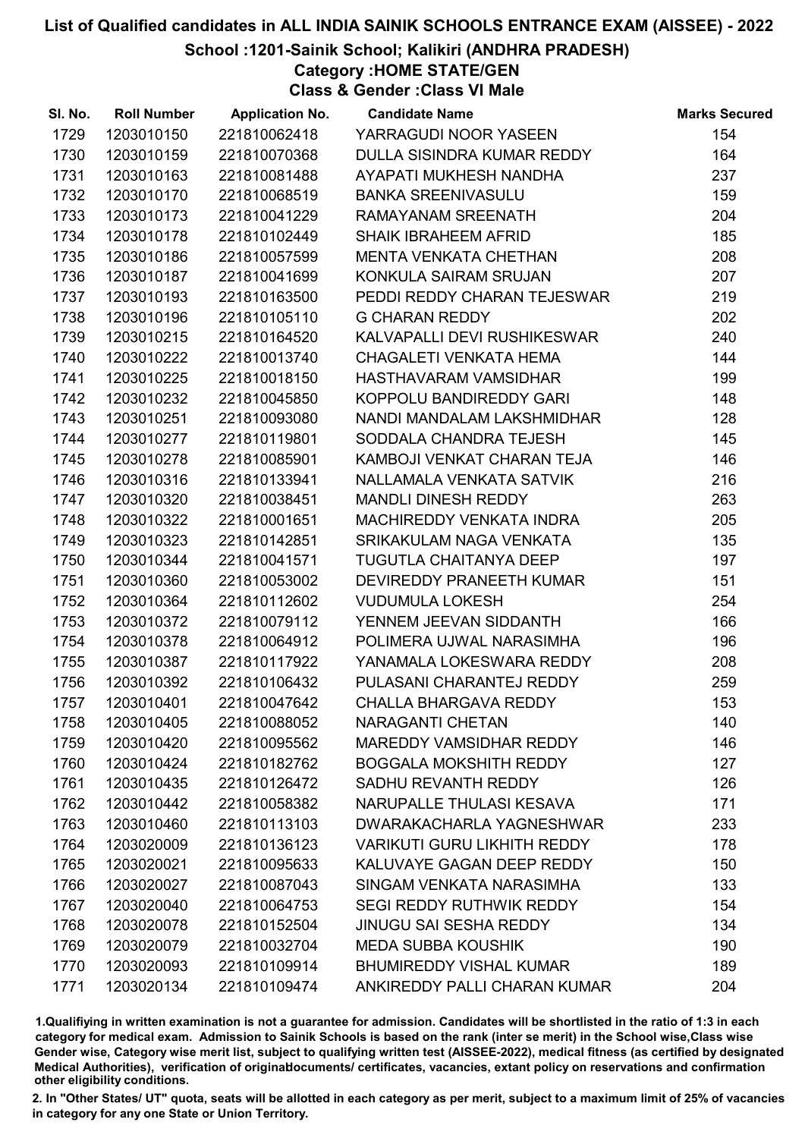School :1201-Sainik School; Kalikiri (ANDHRA PRADESH)

Category :HOME STATE/GEN

Class & Gender :Class VI Male

| SI. No. | <b>Roll Number</b> | <b>Application No.</b> | <b>Candidate Name</b>              | <b>Marks Secured</b> |
|---------|--------------------|------------------------|------------------------------------|----------------------|
| 1729    | 1203010150         | 221810062418           | YARRAGUDI NOOR YASEEN              | 154                  |
| 1730    | 1203010159         | 221810070368           | DULLA SISINDRA KUMAR REDDY         | 164                  |
| 1731    | 1203010163         | 221810081488           | AYAPATI MUKHESH NANDHA             | 237                  |
| 1732    | 1203010170         | 221810068519           | <b>BANKA SREENIVASULU</b>          | 159                  |
| 1733    | 1203010173         | 221810041229           | RAMAYANAM SREENATH                 | 204                  |
| 1734    | 1203010178         | 221810102449           | <b>SHAIK IBRAHEEM AFRID</b>        | 185                  |
| 1735    | 1203010186         | 221810057599           | <b>MENTA VENKATA CHETHAN</b>       | 208                  |
| 1736    | 1203010187         | 221810041699           | KONKULA SAIRAM SRUJAN              | 207                  |
| 1737    | 1203010193         | 221810163500           | PEDDI REDDY CHARAN TEJESWAR        | 219                  |
| 1738    | 1203010196         | 221810105110           | <b>G CHARAN REDDY</b>              | 202                  |
| 1739    | 1203010215         | 221810164520           | KALVAPALLI DEVI RUSHIKESWAR        | 240                  |
| 1740    | 1203010222         | 221810013740           | <b>CHAGALETI VENKATA HEMA</b>      | 144                  |
| 1741    | 1203010225         | 221810018150           | HASTHAVARAM VAMSIDHAR              | 199                  |
| 1742    | 1203010232         | 221810045850           | KOPPOLU BANDIREDDY GARI            | 148                  |
| 1743    | 1203010251         | 221810093080           | NANDI MANDALAM LAKSHMIDHAR         | 128                  |
| 1744    | 1203010277         | 221810119801           | SODDALA CHANDRA TEJESH             | 145                  |
| 1745    | 1203010278         | 221810085901           | KAMBOJI VENKAT CHARAN TEJA         | 146                  |
| 1746    | 1203010316         | 221810133941           | NALLAMALA VENKATA SATVIK           | 216                  |
| 1747    | 1203010320         | 221810038451           | <b>MANDLI DINESH REDDY</b>         | 263                  |
| 1748    | 1203010322         | 221810001651           | <b>MACHIREDDY VENKATA INDRA</b>    | 205                  |
| 1749    | 1203010323         | 221810142851           | SRIKAKULAM NAGA VENKATA            | 135                  |
| 1750    | 1203010344         | 221810041571           | <b>TUGUTLA CHAITANYA DEEP</b>      | 197                  |
| 1751    | 1203010360         | 221810053002           | DEVIREDDY PRANEETH KUMAR           | 151                  |
| 1752    | 1203010364         | 221810112602           | <b>VUDUMULA LOKESH</b>             | 254                  |
| 1753    | 1203010372         | 221810079112           | YENNEM JEEVAN SIDDANTH             | 166                  |
| 1754    | 1203010378         | 221810064912           | POLIMERA UJWAL NARASIMHA           | 196                  |
| 1755    | 1203010387         | 221810117922           | YANAMALA LOKESWARA REDDY           | 208                  |
| 1756    | 1203010392         | 221810106432           | PULASANI CHARANTEJ REDDY           | 259                  |
| 1757    | 1203010401         | 221810047642           | <b>CHALLA BHARGAVA REDDY</b>       | 153                  |
| 1758    | 1203010405         | 221810088052           | <b>NARAGANTI CHETAN</b>            | 140                  |
| 1759    | 1203010420         | 221810095562           | <b>MAREDDY VAMSIDHAR REDDY</b>     | 146                  |
| 1760    | 1203010424         | 221810182762           | <b>BOGGALA MOKSHITH REDDY</b>      | 127                  |
| 1761    | 1203010435         | 221810126472           | SADHU REVANTH REDDY                | 126                  |
| 1762    | 1203010442         | 221810058382           | <b>NARUPALLE THULASI KESAVA</b>    | 171                  |
| 1763    | 1203010460         | 221810113103           | DWARAKACHARLA YAGNESHWAR           | 233                  |
| 1764    | 1203020009         | 221810136123           | <b>VARIKUTI GURU LIKHITH REDDY</b> | 178                  |
| 1765    | 1203020021         | 221810095633           | KALUVAYE GAGAN DEEP REDDY          | 150                  |
| 1766    | 1203020027         | 221810087043           | SINGAM VENKATA NARASIMHA           | 133                  |
| 1767    | 1203020040         | 221810064753           | <b>SEGI REDDY RUTHWIK REDDY</b>    | 154                  |
| 1768    | 1203020078         | 221810152504           | <b>JINUGU SAI SESHA REDDY</b>      | 134                  |
| 1769    | 1203020079         | 221810032704           | <b>MEDA SUBBA KOUSHIK</b>          | 190                  |
| 1770    | 1203020093         | 221810109914           | <b>BHUMIREDDY VISHAL KUMAR</b>     | 189                  |
| 1771    | 1203020134         | 221810109474           | ANKIREDDY PALLI CHARAN KUMAR       | 204                  |

1.Qualifiying in written examination is not a guarantee for admission. Candidates will be shortlisted in the ratio of 1:3 in each category for medical exam. Admission to Sainik Schools is based on the rank (inter se merit) in the School wise,Class wise Gender wise, Category wise merit list, subject to qualifying written test (AISSEE-2022), medical fitness (as certified by designated Medical Authorities), verification of originablocuments/ certificates, vacancies, extant policy on reservations and confirmation other eligibility conditions.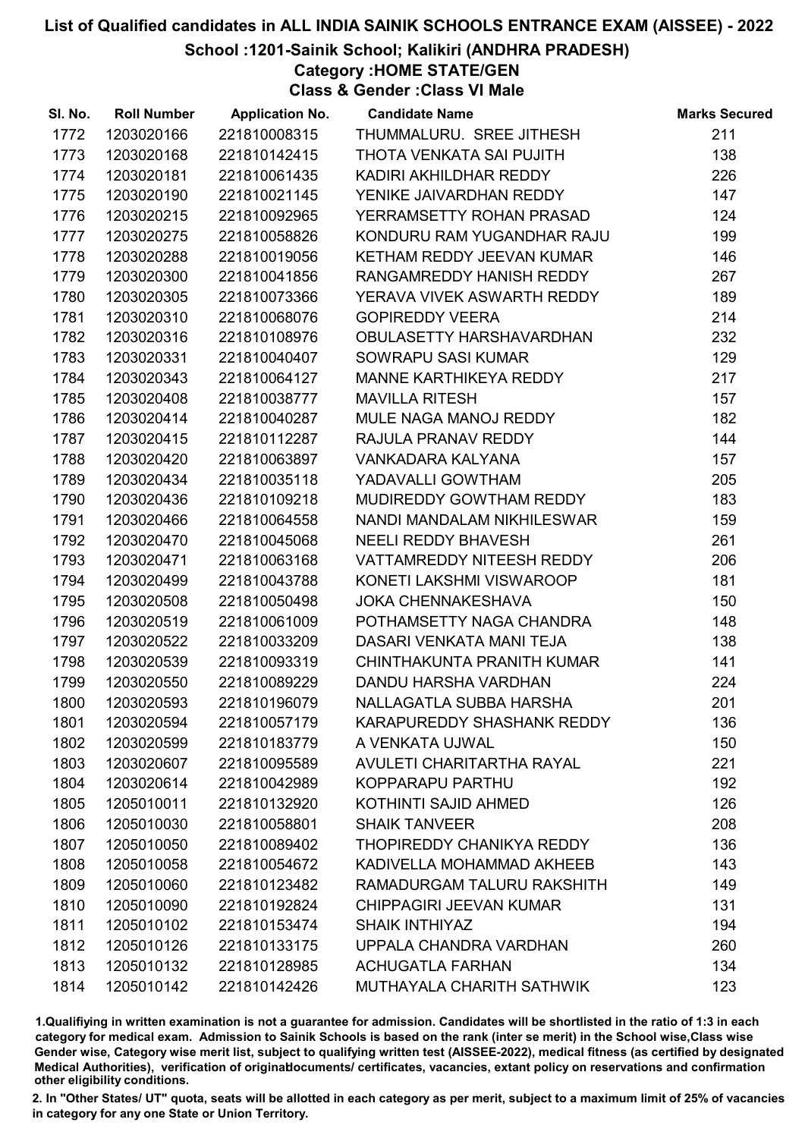School :1201-Sainik School; Kalikiri (ANDHRA PRADESH)

Category :HOME STATE/GEN

Class & Gender :Class VI Male

| SI. No. | <b>Roll Number</b> | <b>Application No.</b> | <b>Candidate Name</b>            | <b>Marks Secured</b> |
|---------|--------------------|------------------------|----------------------------------|----------------------|
| 1772    | 1203020166         | 221810008315           | THUMMALURU. SREE JITHESH         | 211                  |
| 1773    | 1203020168         | 221810142415           | THOTA VENKATA SAI PUJITH         | 138                  |
| 1774    | 1203020181         | 221810061435           | KADIRI AKHILDHAR REDDY           | 226                  |
| 1775    | 1203020190         | 221810021145           | YENIKE JAIVARDHAN REDDY          | 147                  |
| 1776    | 1203020215         | 221810092965           | YERRAMSETTY ROHAN PRASAD         | 124                  |
| 1777    | 1203020275         | 221810058826           | KONDURU RAM YUGANDHAR RAJU       | 199                  |
| 1778    | 1203020288         | 221810019056           | KETHAM REDDY JEEVAN KUMAR        | 146                  |
| 1779    | 1203020300         | 221810041856           | RANGAMREDDY HANISH REDDY         | 267                  |
| 1780    | 1203020305         | 221810073366           | YERAVA VIVEK ASWARTH REDDY       | 189                  |
| 1781    | 1203020310         | 221810068076           | <b>GOPIREDDY VEERA</b>           | 214                  |
| 1782    | 1203020316         | 221810108976           | OBULASETTY HARSHAVARDHAN         | 232                  |
| 1783    | 1203020331         | 221810040407           | SOWRAPU SASI KUMAR               | 129                  |
| 1784    | 1203020343         | 221810064127           | MANNE KARTHIKEYA REDDY           | 217                  |
| 1785    | 1203020408         | 221810038777           | <b>MAVILLA RITESH</b>            | 157                  |
| 1786    | 1203020414         | 221810040287           | MULE NAGA MANOJ REDDY            | 182                  |
| 1787    | 1203020415         | 221810112287           | RAJULA PRANAV REDDY              | 144                  |
| 1788    | 1203020420         | 221810063897           | VANKADARA KALYANA                | 157                  |
| 1789    | 1203020434         | 221810035118           | YADAVALLI GOWTHAM                | 205                  |
| 1790    | 1203020436         | 221810109218           | MUDIREDDY GOWTHAM REDDY          | 183                  |
| 1791    | 1203020466         | 221810064558           | NANDI MANDALAM NIKHILESWAR       | 159                  |
| 1792    | 1203020470         | 221810045068           | <b>NEELI REDDY BHAVESH</b>       | 261                  |
| 1793    | 1203020471         | 221810063168           | VATTAMREDDY NITEESH REDDY        | 206                  |
| 1794    | 1203020499         | 221810043788           | KONETI LAKSHMI VISWAROOP         | 181                  |
| 1795    | 1203020508         | 221810050498           | <b>JOKA CHENNAKESHAVA</b>        | 150                  |
| 1796    | 1203020519         | 221810061009           | POTHAMSETTY NAGA CHANDRA         | 148                  |
| 1797    | 1203020522         | 221810033209           | DASARI VENKATA MANI TEJA         | 138                  |
| 1798    | 1203020539         | 221810093319           | CHINTHAKUNTA PRANITH KUMAR       | 141                  |
| 1799    | 1203020550         | 221810089229           | <b>DANDU HARSHA VARDHAN</b>      | 224                  |
| 1800    | 1203020593         | 221810196079           | NALLAGATLA SUBBA HARSHA          | 201                  |
| 1801    | 1203020594         | 221810057179           | KARAPUREDDY SHASHANK REDDY       | 136                  |
| 1802    | 1203020599         | 221810183779           | A VENKATA UJWAL                  | 150                  |
| 1803    | 1203020607         | 221810095589           | <b>AVULETI CHARITARTHA RAYAL</b> | 221                  |
| 1804    | 1203020614         | 221810042989           | KOPPARAPU PARTHU                 | 192                  |
| 1805    | 1205010011         | 221810132920           | KOTHINTI SAJID AHMED             | 126                  |
| 1806    | 1205010030         | 221810058801           | <b>SHAIK TANVEER</b>             | 208                  |
| 1807    | 1205010050         | 221810089402           | THOPIREDDY CHANIKYA REDDY        | 136                  |
| 1808    | 1205010058         | 221810054672           | KADIVELLA MOHAMMAD AKHEEB        | 143                  |
| 1809    | 1205010060         | 221810123482           | RAMADURGAM TALURU RAKSHITH       | 149                  |
| 1810    | 1205010090         | 221810192824           | CHIPPAGIRI JEEVAN KUMAR          | 131                  |
| 1811    | 1205010102         | 221810153474           | <b>SHAIK INTHIYAZ</b>            | 194                  |
| 1812    | 1205010126         | 221810133175           | UPPALA CHANDRA VARDHAN           | 260                  |
| 1813    | 1205010132         | 221810128985           | <b>ACHUGATLA FARHAN</b>          | 134                  |
| 1814    | 1205010142         | 221810142426           | MUTHAYALA CHARITH SATHWIK        | 123                  |

1.Qualifiying in written examination is not a guarantee for admission. Candidates will be shortlisted in the ratio of 1:3 in each category for medical exam. Admission to Sainik Schools is based on the rank (inter se merit) in the School wise,Class wise Gender wise, Category wise merit list, subject to qualifying written test (AISSEE-2022), medical fitness (as certified by designated Medical Authorities), verification of originablocuments/ certificates, vacancies, extant policy on reservations and confirmation other eligibility conditions.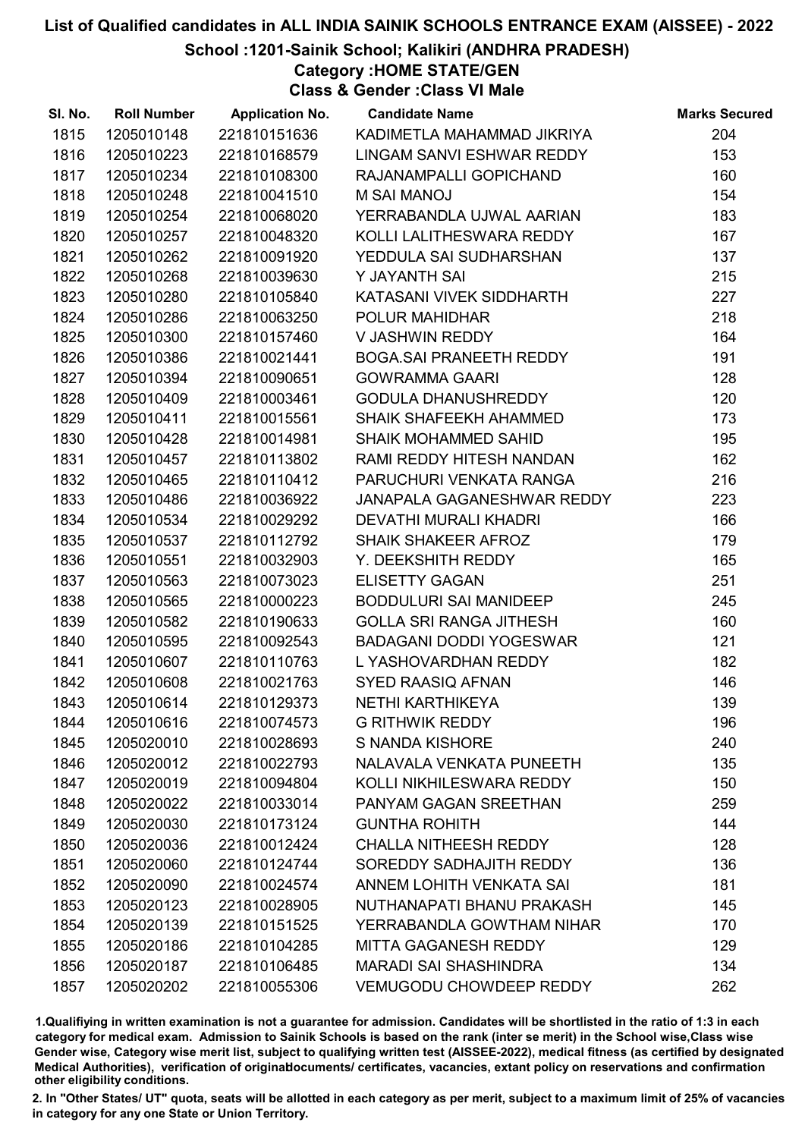### School :1201-Sainik School; Kalikiri (ANDHRA PRADESH)

Category :HOME STATE/GEN

Class & Gender :Class VI Male

| SI. No. | <b>Roll Number</b> | <b>Application No.</b> | <b>Candidate Name</b>          | <b>Marks Secured</b> |
|---------|--------------------|------------------------|--------------------------------|----------------------|
| 1815    | 1205010148         | 221810151636           | KADIMETLA MAHAMMAD JIKRIYA     | 204                  |
| 1816    | 1205010223         | 221810168579           | LINGAM SANVI ESHWAR REDDY      | 153                  |
| 1817    | 1205010234         | 221810108300           | RAJANAMPALLI GOPICHAND         | 160                  |
| 1818    | 1205010248         | 221810041510           | <b>M SAI MANOJ</b>             | 154                  |
| 1819    | 1205010254         | 221810068020           | YERRABANDLA UJWAL AARIAN       | 183                  |
| 1820    | 1205010257         | 221810048320           | KOLLI LALITHESWARA REDDY       | 167                  |
| 1821    | 1205010262         | 221810091920           | YEDDULA SAI SUDHARSHAN         | 137                  |
| 1822    | 1205010268         | 221810039630           | Y JAYANTH SAI                  | 215                  |
| 1823    | 1205010280         | 221810105840           | KATASANI VIVEK SIDDHARTH       | 227                  |
| 1824    | 1205010286         | 221810063250           | POLUR MAHIDHAR                 | 218                  |
| 1825    | 1205010300         | 221810157460           | V JASHWIN REDDY                | 164                  |
| 1826    | 1205010386         | 221810021441           | <b>BOGA.SAI PRANEETH REDDY</b> | 191                  |
| 1827    | 1205010394         | 221810090651           | <b>GOWRAMMA GAARI</b>          | 128                  |
| 1828    | 1205010409         | 221810003461           | <b>GODULA DHANUSHREDDY</b>     | 120                  |
| 1829    | 1205010411         | 221810015561           | SHAIK SHAFEEKH AHAMMED         | 173                  |
| 1830    | 1205010428         | 221810014981           | <b>SHAIK MOHAMMED SAHID</b>    | 195                  |
| 1831    | 1205010457         | 221810113802           | RAMI REDDY HITESH NANDAN       | 162                  |
| 1832    | 1205010465         | 221810110412           | PARUCHURI VENKATA RANGA        | 216                  |
| 1833    | 1205010486         | 221810036922           | JANAPALA GAGANESHWAR REDDY     | 223                  |
| 1834    | 1205010534         | 221810029292           | <b>DEVATHI MURALI KHADRI</b>   | 166                  |
| 1835    | 1205010537         | 221810112792           | SHAIK SHAKEER AFROZ            | 179                  |
| 1836    | 1205010551         | 221810032903           | Y. DEEKSHITH REDDY             | 165                  |
| 1837    | 1205010563         | 221810073023           | <b>ELISETTY GAGAN</b>          | 251                  |
| 1838    | 1205010565         | 221810000223           | <b>BODDULURI SAI MANIDEEP</b>  | 245                  |
| 1839    | 1205010582         | 221810190633           | <b>GOLLA SRI RANGA JITHESH</b> | 160                  |
| 1840    | 1205010595         | 221810092543           | <b>BADAGANI DODDI YOGESWAR</b> | 121                  |
| 1841    | 1205010607         | 221810110763           | L YASHOVARDHAN REDDY           | 182                  |
| 1842    | 1205010608         | 221810021763           | <b>SYED RAASIQ AFNAN</b>       | 146                  |
| 1843    | 1205010614         | 221810129373           | NETHI KARTHIKEYA               | 139                  |
| 1844    | 1205010616         | 221810074573           | <b>G RITHWIK REDDY</b>         | 196                  |
| 1845    | 1205020010         | 221810028693           | S NANDA KISHORE                | 240                  |
| 1846    | 1205020012         | 221810022793           | NALAVALA VENKATA PUNEETH       | 135                  |
| 1847    | 1205020019         | 221810094804           | KOLLI NIKHILESWARA REDDY       | 150                  |
| 1848    | 1205020022         | 221810033014           | PANYAM GAGAN SREETHAN          | 259                  |
| 1849    | 1205020030         | 221810173124           | <b>GUNTHA ROHITH</b>           | 144                  |
| 1850    | 1205020036         | 221810012424           | <b>CHALLA NITHEESH REDDY</b>   | 128                  |
| 1851    | 1205020060         | 221810124744           | SOREDDY SADHAJITH REDDY        | 136                  |
| 1852    | 1205020090         | 221810024574           | ANNEM LOHITH VENKATA SAI       | 181                  |
| 1853    | 1205020123         | 221810028905           | NUTHANAPATI BHANU PRAKASH      | 145                  |
| 1854    | 1205020139         | 221810151525           | YERRABANDLA GOWTHAM NIHAR      | 170                  |
| 1855    | 1205020186         | 221810104285           | <b>MITTA GAGANESH REDDY</b>    | 129                  |
| 1856    | 1205020187         | 221810106485           | <b>MARADI SAI SHASHINDRA</b>   | 134                  |
| 1857    | 1205020202         | 221810055306           | <b>VEMUGODU CHOWDEEP REDDY</b> | 262                  |

1.Qualifiying in written examination is not a guarantee for admission. Candidates will be shortlisted in the ratio of 1:3 in each category for medical exam. Admission to Sainik Schools is based on the rank (inter se merit) in the School wise,Class wise Gender wise, Category wise merit list, subject to qualifying written test (AISSEE-2022), medical fitness (as certified by designated Medical Authorities), verification of originablocuments/ certificates, vacancies, extant policy on reservations and confirmation other eligibility conditions.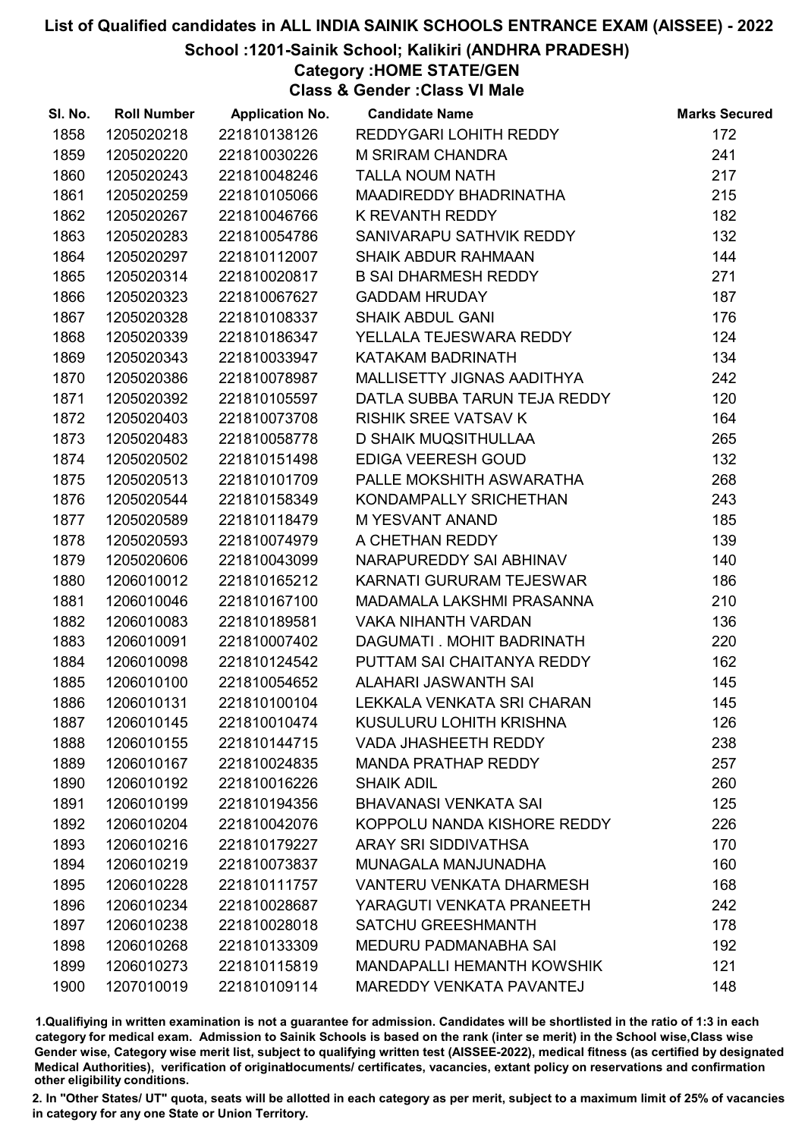School :1201-Sainik School; Kalikiri (ANDHRA PRADESH)

Category :HOME STATE/GEN

Class & Gender :Class VI Male

| SI. No. | <b>Roll Number</b> | <b>Application No.</b> | <b>Candidate Name</b>             | <b>Marks Secured</b> |
|---------|--------------------|------------------------|-----------------------------------|----------------------|
| 1858    | 1205020218         | 221810138126           | REDDYGARI LOHITH REDDY            | 172                  |
| 1859    | 1205020220         | 221810030226           | <b>M SRIRAM CHANDRA</b>           | 241                  |
| 1860    | 1205020243         | 221810048246           | <b>TALLA NOUM NATH</b>            | 217                  |
| 1861    | 1205020259         | 221810105066           | <b>MAADIREDDY BHADRINATHA</b>     | 215                  |
| 1862    | 1205020267         | 221810046766           | K REVANTH REDDY                   | 182                  |
| 1863    | 1205020283         | 221810054786           | SANIVARAPU SATHVIK REDDY          | 132                  |
| 1864    | 1205020297         | 221810112007           | <b>SHAIK ABDUR RAHMAAN</b>        | 144                  |
| 1865    | 1205020314         | 221810020817           | <b>B SAI DHARMESH REDDY</b>       | 271                  |
| 1866    | 1205020323         | 221810067627           | <b>GADDAM HRUDAY</b>              | 187                  |
| 1867    | 1205020328         | 221810108337           | <b>SHAIK ABDUL GANI</b>           | 176                  |
| 1868    | 1205020339         | 221810186347           | YELLALA TEJESWARA REDDY           | 124                  |
| 1869    | 1205020343         | 221810033947           | KATAKAM BADRINATH                 | 134                  |
| 1870    | 1205020386         | 221810078987           | MALLISETTY JIGNAS AADITHYA        | 242                  |
| 1871    | 1205020392         | 221810105597           | DATLA SUBBA TARUN TEJA REDDY      | 120                  |
| 1872    | 1205020403         | 221810073708           | <b>RISHIK SREE VATSAV K</b>       | 164                  |
| 1873    | 1205020483         | 221810058778           | <b>D SHAIK MUQSITHULLAA</b>       | 265                  |
| 1874    | 1205020502         | 221810151498           | EDIGA VEERESH GOUD                | 132                  |
| 1875    | 1205020513         | 221810101709           | PALLE MOKSHITH ASWARATHA          | 268                  |
| 1876    | 1205020544         | 221810158349           | KONDAMPALLY SRICHETHAN            | 243                  |
| 1877    | 1205020589         | 221810118479           | <b>M YESVANT ANAND</b>            | 185                  |
| 1878    | 1205020593         | 221810074979           | A CHETHAN REDDY                   | 139                  |
| 1879    | 1205020606         | 221810043099           | NARAPUREDDY SAI ABHINAV           | 140                  |
| 1880    | 1206010012         | 221810165212           | KARNATI GURURAM TEJESWAR          | 186                  |
| 1881    | 1206010046         | 221810167100           | MADAMALA LAKSHMI PRASANNA         | 210                  |
| 1882    | 1206010083         | 221810189581           | <b>VAKA NIHANTH VARDAN</b>        | 136                  |
| 1883    | 1206010091         | 221810007402           | DAGUMATI. MOHIT BADRINATH         | 220                  |
| 1884    | 1206010098         | 221810124542           | PUTTAM SAI CHAITANYA REDDY        | 162                  |
| 1885    | 1206010100         | 221810054652           | ALAHARI JASWANTH SAI              | 145                  |
| 1886    | 1206010131         | 221810100104           | LEKKALA VENKATA SRI CHARAN        | 145                  |
| 1887    | 1206010145         | 221810010474           | KUSULURU LOHITH KRISHNA           | 126                  |
| 1888    | 1206010155         | 221810144715           | <b>VADA JHASHEETH REDDY</b>       | 238                  |
| 1889    | 1206010167         | 221810024835           | <b>MANDA PRATHAP REDDY</b>        | 257                  |
| 1890    | 1206010192         | 221810016226           | <b>SHAIK ADIL</b>                 | 260                  |
| 1891    | 1206010199         | 221810194356           | <b>BHAVANASI VENKATA SAI</b>      | 125                  |
| 1892    | 1206010204         | 221810042076           | KOPPOLU NANDA KISHORE REDDY       | 226                  |
| 1893    | 1206010216         | 221810179227           | ARAY SRI SIDDIVATHSA              | 170                  |
| 1894    | 1206010219         | 221810073837           | MUNAGALA MANJUNADHA               | 160                  |
| 1895    | 1206010228         | 221810111757           | <b>VANTERU VENKATA DHARMESH</b>   | 168                  |
| 1896    | 1206010234         | 221810028687           | YARAGUTI VENKATA PRANEETH         | 242                  |
| 1897    | 1206010238         | 221810028018           | <b>SATCHU GREESHMANTH</b>         | 178                  |
| 1898    | 1206010268         | 221810133309           | MEDURU PADMANABHA SAI             | 192                  |
| 1899    | 1206010273         | 221810115819           | <b>MANDAPALLI HEMANTH KOWSHIK</b> | 121                  |
| 1900    | 1207010019         | 221810109114           | MAREDDY VENKATA PAVANTEJ          | 148                  |

1.Qualifiying in written examination is not a guarantee for admission. Candidates will be shortlisted in the ratio of 1:3 in each category for medical exam. Admission to Sainik Schools is based on the rank (inter se merit) in the School wise,Class wise Gender wise, Category wise merit list, subject to qualifying written test (AISSEE-2022), medical fitness (as certified by designated Medical Authorities), verification of originablocuments/ certificates, vacancies, extant policy on reservations and confirmation other eligibility conditions.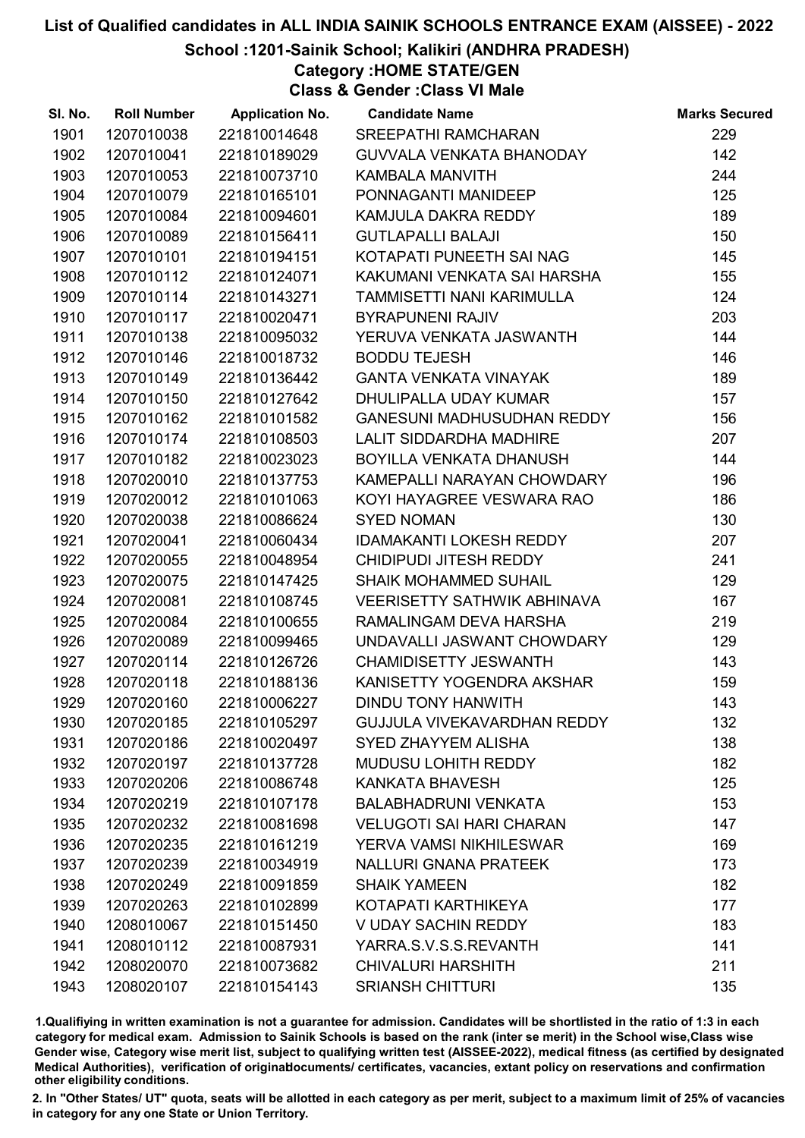School :1201-Sainik School; Kalikiri (ANDHRA PRADESH)

Category :HOME STATE/GEN

Class & Gender :Class VI Male

| SI. No. | <b>Roll Number</b> | <b>Application No.</b> | <b>Candidate Name</b>              | <b>Marks Secured</b> |
|---------|--------------------|------------------------|------------------------------------|----------------------|
| 1901    | 1207010038         | 221810014648           | <b>SREEPATHI RAMCHARAN</b>         | 229                  |
| 1902    | 1207010041         | 221810189029           | <b>GUVVALA VENKATA BHANODAY</b>    | 142                  |
| 1903    | 1207010053         | 221810073710           | <b>KAMBALA MANVITH</b>             | 244                  |
| 1904    | 1207010079         | 221810165101           | PONNAGANTI MANIDEEP                | 125                  |
| 1905    | 1207010084         | 221810094601           | KAMJULA DAKRA REDDY                | 189                  |
| 1906    | 1207010089         | 221810156411           | <b>GUTLAPALLI BALAJI</b>           | 150                  |
| 1907    | 1207010101         | 221810194151           | KOTAPATI PUNEETH SAI NAG           | 145                  |
| 1908    | 1207010112         | 221810124071           | KAKUMANI VENKATA SAI HARSHA        | 155                  |
| 1909    | 1207010114         | 221810143271           | TAMMISETTI NANI KARIMULLA          | 124                  |
| 1910    | 1207010117         | 221810020471           | <b>BYRAPUNENI RAJIV</b>            | 203                  |
| 1911    | 1207010138         | 221810095032           | YERUVA VENKATA JASWANTH            | 144                  |
| 1912    | 1207010146         | 221810018732           | <b>BODDU TEJESH</b>                | 146                  |
| 1913    | 1207010149         | 221810136442           | <b>GANTA VENKATA VINAYAK</b>       | 189                  |
| 1914    | 1207010150         | 221810127642           | DHULIPALLA UDAY KUMAR              | 157                  |
| 1915    | 1207010162         | 221810101582           | <b>GANESUNI MADHUSUDHAN REDDY</b>  | 156                  |
| 1916    | 1207010174         | 221810108503           | LALIT SIDDARDHA MADHIRE            | 207                  |
| 1917    | 1207010182         | 221810023023           | BOYILLA VENKATA DHANUSH            | 144                  |
| 1918    | 1207020010         | 221810137753           | KAMEPALLI NARAYAN CHOWDARY         | 196                  |
| 1919    | 1207020012         | 221810101063           | KOYI HAYAGREE VESWARA RAO          | 186                  |
| 1920    | 1207020038         | 221810086624           | <b>SYED NOMAN</b>                  | 130                  |
| 1921    | 1207020041         | 221810060434           | <b>IDAMAKANTI LOKESH REDDY</b>     | 207                  |
| 1922    | 1207020055         | 221810048954           | CHIDIPUDI JITESH REDDY             | 241                  |
| 1923    | 1207020075         | 221810147425           | <b>SHAIK MOHAMMED SUHAIL</b>       | 129                  |
| 1924    | 1207020081         | 221810108745           | <b>VEERISETTY SATHWIK ABHINAVA</b> | 167                  |
| 1925    | 1207020084         | 221810100655           | RAMALINGAM DEVA HARSHA             | 219                  |
| 1926    | 1207020089         | 221810099465           | UNDAVALLI JASWANT CHOWDARY         | 129                  |
| 1927    | 1207020114         | 221810126726           | <b>CHAMIDISETTY JESWANTH</b>       | 143                  |
| 1928    | 1207020118         | 221810188136           | KANISETTY YOGENDRA AKSHAR          | 159                  |
| 1929    | 1207020160         | 221810006227           | DINDU TONY HANWITH                 | 143                  |
| 1930    | 1207020185         | 221810105297           | GUJJULA VIVEKAVARDHAN REDDY        | 132                  |
| 1931    | 1207020186         | 221810020497           | SYED ZHAYYEM ALISHA                | 138                  |
| 1932    | 1207020197         | 221810137728           | <b>MUDUSU LOHITH REDDY</b>         | 182                  |
| 1933    | 1207020206         | 221810086748           | KANKATA BHAVESH                    | 125                  |
| 1934    | 1207020219         | 221810107178           | <b>BALABHADRUNI VENKATA</b>        | 153                  |
| 1935    | 1207020232         | 221810081698           | <b>VELUGOTI SAI HARI CHARAN</b>    | 147                  |
| 1936    | 1207020235         | 221810161219           | YERVA VAMSI NIKHILESWAR            | 169                  |
| 1937    | 1207020239         | 221810034919           | <b>NALLURI GNANA PRATEEK</b>       | 173                  |
| 1938    | 1207020249         | 221810091859           | <b>SHAIK YAMEEN</b>                | 182                  |
| 1939    | 1207020263         | 221810102899           | KOTAPATI KARTHIKEYA                | 177                  |
| 1940    | 1208010067         | 221810151450           | <b>V UDAY SACHIN REDDY</b>         | 183                  |
| 1941    | 1208010112         | 221810087931           | YARRA.S.V.S.S.REVANTH              | 141                  |
| 1942    | 1208020070         | 221810073682           | <b>CHIVALURI HARSHITH</b>          | 211                  |
| 1943    | 1208020107         | 221810154143           | <b>SRIANSH CHITTURI</b>            | 135                  |

1.Qualifiying in written examination is not a guarantee for admission. Candidates will be shortlisted in the ratio of 1:3 in each category for medical exam. Admission to Sainik Schools is based on the rank (inter se merit) in the School wise,Class wise Gender wise, Category wise merit list, subject to qualifying written test (AISSEE-2022), medical fitness (as certified by designated Medical Authorities), verification of originablocuments/ certificates, vacancies, extant policy on reservations and confirmation other eligibility conditions.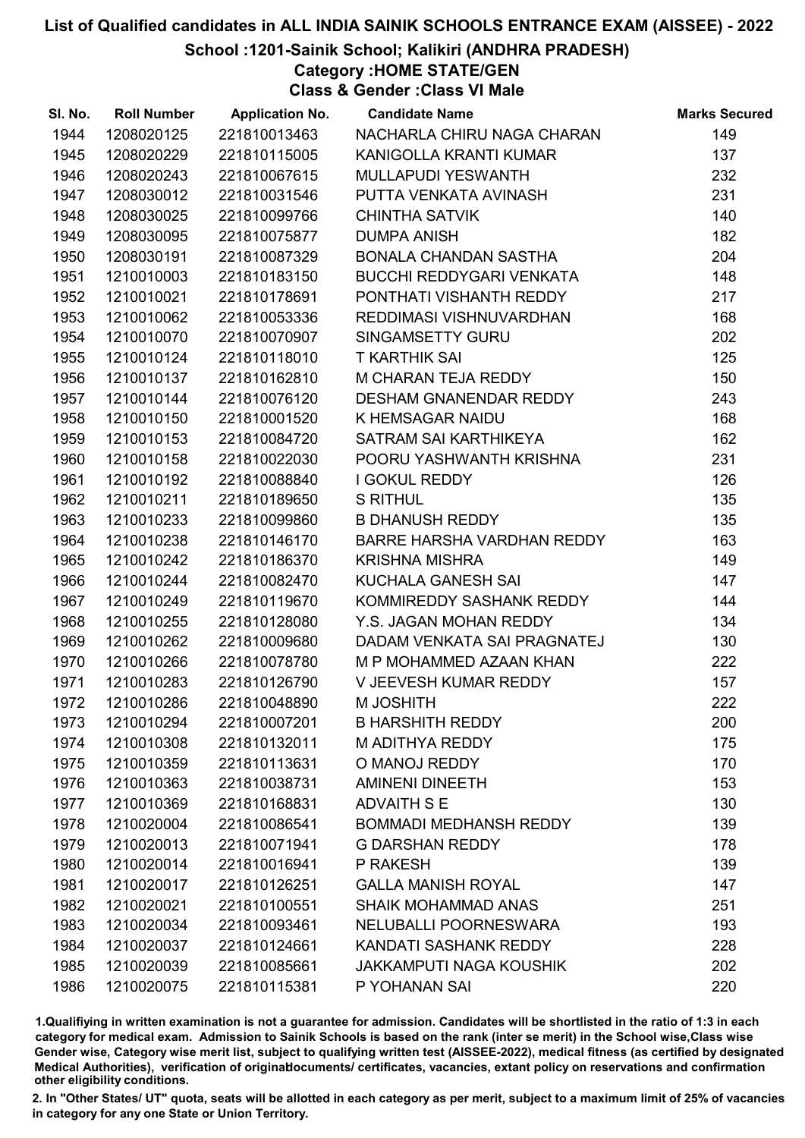School :1201-Sainik School; Kalikiri (ANDHRA PRADESH)

Category :HOME STATE/GEN

Class & Gender :Class VI Male

| SI. No. | <b>Roll Number</b> | <b>Application No.</b> | <b>Candidate Name</b>             | <b>Marks Secured</b> |
|---------|--------------------|------------------------|-----------------------------------|----------------------|
| 1944    | 1208020125         | 221810013463           | NACHARLA CHIRU NAGA CHARAN        | 149                  |
| 1945    | 1208020229         | 221810115005           | KANIGOLLA KRANTI KUMAR            | 137                  |
| 1946    | 1208020243         | 221810067615           | MULLAPUDI YESWANTH                | 232                  |
| 1947    | 1208030012         | 221810031546           | PUTTA VENKATA AVINASH             | 231                  |
| 1948    | 1208030025         | 221810099766           | <b>CHINTHA SATVIK</b>             | 140                  |
| 1949    | 1208030095         | 221810075877           | <b>DUMPA ANISH</b>                | 182                  |
| 1950    | 1208030191         | 221810087329           | <b>BONALA CHANDAN SASTHA</b>      | 204                  |
| 1951    | 1210010003         | 221810183150           | BUCCHI REDDYGARI VENKATA          | 148                  |
| 1952    | 1210010021         | 221810178691           | PONTHATI VISHANTH REDDY           | 217                  |
| 1953    | 1210010062         | 221810053336           | REDDIMASI VISHNUVARDHAN           | 168                  |
| 1954    | 1210010070         | 221810070907           | SINGAMSETTY GURU                  | 202                  |
| 1955    | 1210010124         | 221810118010           | <b>T KARTHIK SAI</b>              | 125                  |
| 1956    | 1210010137         | 221810162810           | M CHARAN TEJA REDDY               | 150                  |
| 1957    | 1210010144         | 221810076120           | <b>DESHAM GNANENDAR REDDY</b>     | 243                  |
| 1958    | 1210010150         | 221810001520           | K HEMSAGAR NAIDU                  | 168                  |
| 1959    | 1210010153         | 221810084720           | SATRAM SAI KARTHIKEYA             | 162                  |
| 1960    | 1210010158         | 221810022030           | POORU YASHWANTH KRISHNA           | 231                  |
| 1961    | 1210010192         | 221810088840           | I GOKUL REDDY                     | 126                  |
| 1962    | 1210010211         | 221810189650           | S RITHUL                          | 135                  |
| 1963    | 1210010233         | 221810099860           | <b>B DHANUSH REDDY</b>            | 135                  |
| 1964    | 1210010238         | 221810146170           | <b>BARRE HARSHA VARDHAN REDDY</b> | 163                  |
| 1965    | 1210010242         | 221810186370           | <b>KRISHNA MISHRA</b>             | 149                  |
| 1966    | 1210010244         | 221810082470           | KUCHALA GANESH SAI                | 147                  |
| 1967    | 1210010249         | 221810119670           | KOMMIREDDY SASHANK REDDY          | 144                  |
| 1968    | 1210010255         | 221810128080           | Y.S. JAGAN MOHAN REDDY            | 134                  |
| 1969    | 1210010262         | 221810009680           | DADAM VENKATA SAI PRAGNATEJ       | 130                  |
| 1970    | 1210010266         | 221810078780           | M P MOHAMMED AZAAN KHAN           | 222                  |
| 1971    | 1210010283         | 221810126790           | V JEEVESH KUMAR REDDY             | 157                  |
| 1972    | 1210010286         | 221810048890           | M JOSHITH                         | 222                  |
| 1973    | 1210010294         | 221810007201           | <b>B HARSHITH REDDY</b>           | 200                  |
| 1974    | 1210010308         | 221810132011           | M ADITHYA REDDY                   | 175                  |
| 1975    | 1210010359         | 221810113631           | O MANOJ REDDY                     | 170                  |
| 1976    | 1210010363         | 221810038731           | <b>AMINENI DINEETH</b>            | 153                  |
| 1977    | 1210010369         | 221810168831           | <b>ADVAITH S E</b>                | 130                  |
| 1978    | 1210020004         | 221810086541           | <b>BOMMADI MEDHANSH REDDY</b>     | 139                  |
| 1979    | 1210020013         | 221810071941           | <b>G DARSHAN REDDY</b>            | 178                  |
| 1980    | 1210020014         | 221810016941           | P RAKESH                          | 139                  |
| 1981    | 1210020017         | 221810126251           | <b>GALLA MANISH ROYAL</b>         | 147                  |
| 1982    | 1210020021         | 221810100551           | <b>SHAIK MOHAMMAD ANAS</b>        | 251                  |
| 1983    | 1210020034         | 221810093461           | NELUBALLI POORNESWARA             | 193                  |
| 1984    | 1210020037         | 221810124661           | KANDATI SASHANK REDDY             | 228                  |
| 1985    | 1210020039         | 221810085661           | <b>JAKKAMPUTI NAGA KOUSHIK</b>    | 202                  |
| 1986    | 1210020075         | 221810115381           | P YOHANAN SAI                     | 220                  |

1.Qualifiying in written examination is not a guarantee for admission. Candidates will be shortlisted in the ratio of 1:3 in each category for medical exam. Admission to Sainik Schools is based on the rank (inter se merit) in the School wise,Class wise Gender wise, Category wise merit list, subject to qualifying written test (AISSEE-2022), medical fitness (as certified by designated Medical Authorities), verification of originablocuments/ certificates, vacancies, extant policy on reservations and confirmation other eligibility conditions.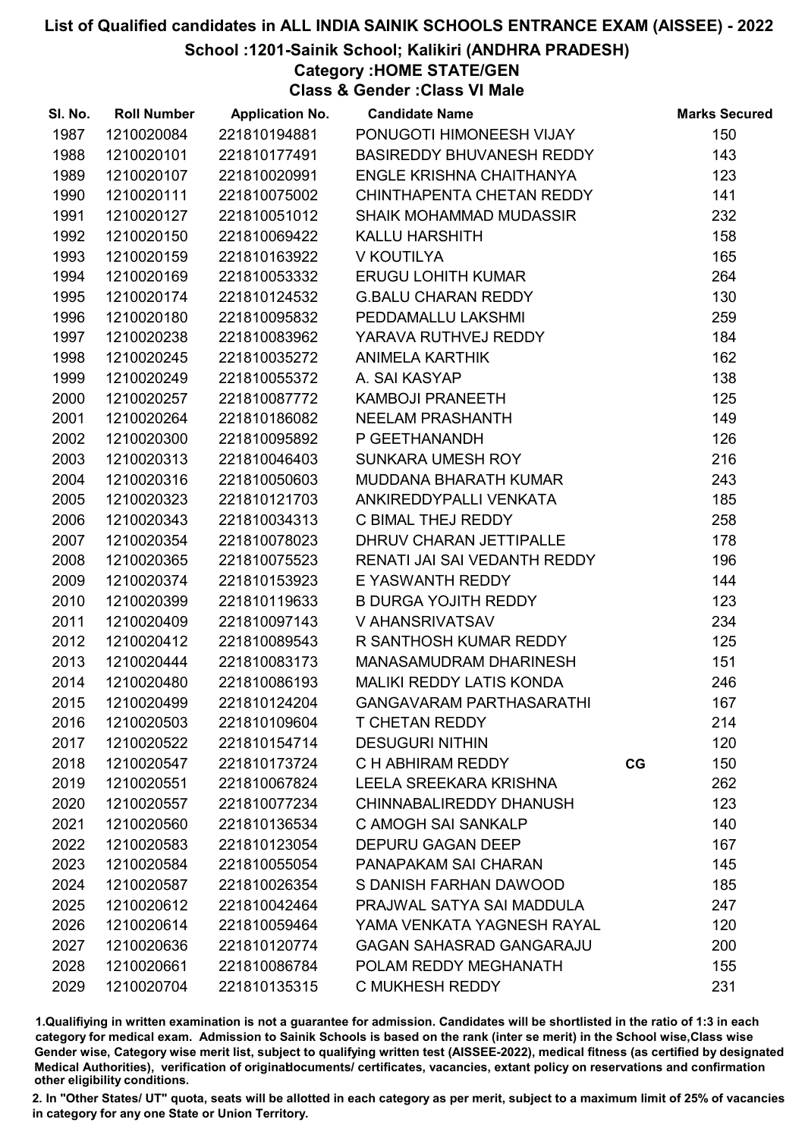School :1201-Sainik School; Kalikiri (ANDHRA PRADESH)

Category :HOME STATE/GEN

Class & Gender :Class VI Male

| SI. No. | <b>Roll Number</b> | <b>Application No.</b> | <b>Candidate Name</b>           |    | <b>Marks Secured</b> |
|---------|--------------------|------------------------|---------------------------------|----|----------------------|
| 1987    | 1210020084         | 221810194881           | PONUGOTI HIMONEESH VIJAY        |    | 150                  |
| 1988    | 1210020101         | 221810177491           | BASIREDDY BHUVANESH REDDY       |    | 143                  |
| 1989    | 1210020107         | 221810020991           | <b>ENGLE KRISHNA CHAITHANYA</b> |    | 123                  |
| 1990    | 1210020111         | 221810075002           | CHINTHAPENTA CHETAN REDDY       |    | 141                  |
| 1991    | 1210020127         | 221810051012           | <b>SHAIK MOHAMMAD MUDASSIR</b>  |    | 232                  |
| 1992    | 1210020150         | 221810069422           | <b>KALLU HARSHITH</b>           |    | 158                  |
| 1993    | 1210020159         | 221810163922           | V KOUTILYA                      |    | 165                  |
| 1994    | 1210020169         | 221810053332           | <b>ERUGU LOHITH KUMAR</b>       |    | 264                  |
| 1995    | 1210020174         | 221810124532           | <b>G.BALU CHARAN REDDY</b>      |    | 130                  |
| 1996    | 1210020180         | 221810095832           | PEDDAMALLU LAKSHMI              |    | 259                  |
| 1997    | 1210020238         | 221810083962           | YARAVA RUTHVEJ REDDY            |    | 184                  |
| 1998    | 1210020245         | 221810035272           | <b>ANIMELA KARTHIK</b>          |    | 162                  |
| 1999    | 1210020249         | 221810055372           | A. SAI KASYAP                   |    | 138                  |
| 2000    | 1210020257         | 221810087772           | KAMBOJI PRANEETH                |    | 125                  |
| 2001    | 1210020264         | 221810186082           | NEELAM PRASHANTH                |    | 149                  |
| 2002    | 1210020300         | 221810095892           | P GEETHANANDH                   |    | 126                  |
| 2003    | 1210020313         | 221810046403           | SUNKARA UMESH ROY               |    | 216                  |
| 2004    | 1210020316         | 221810050603           | MUDDANA BHARATH KUMAR           |    | 243                  |
| 2005    | 1210020323         | 221810121703           | ANKIREDDYPALLI VENKATA          |    | 185                  |
| 2006    | 1210020343         | 221810034313           | C BIMAL THEJ REDDY              |    | 258                  |
| 2007    | 1210020354         | 221810078023           | DHRUV CHARAN JETTIPALLE         |    | 178                  |
| 2008    | 1210020365         | 221810075523           | RENATI JAI SAI VEDANTH REDDY    |    | 196                  |
| 2009    | 1210020374         | 221810153923           | E YASWANTH REDDY                |    | 144                  |
| 2010    | 1210020399         | 221810119633           | B DURGA YOJITH REDDY            |    | 123                  |
| 2011    | 1210020409         | 221810097143           | V AHANSRIVATSAV                 |    | 234                  |
| 2012    | 1210020412         | 221810089543           | R SANTHOSH KUMAR REDDY          |    | 125                  |
| 2013    | 1210020444         | 221810083173           | MANASAMUDRAM DHARINESH          |    | 151                  |
| 2014    | 1210020480         | 221810086193           | <b>MALIKI REDDY LATIS KONDA</b> |    | 246                  |
| 2015    | 1210020499         | 221810124204           | <b>GANGAVARAM PARTHASARATHI</b> |    | 167                  |
| 2016    | 1210020503         | 221810109604           | <b>T CHETAN REDDY</b>           |    | 214                  |
| 2017    | 1210020522         | 221810154714           | <b>DESUGURI NITHIN</b>          |    | 120                  |
| 2018    | 1210020547         | 221810173724           | C H ABHIRAM REDDY               | CG | 150                  |
| 2019    | 1210020551         | 221810067824           | LEELA SREEKARA KRISHNA          |    | 262                  |
| 2020    | 1210020557         | 221810077234           | CHINNABALIREDDY DHANUSH         |    | 123                  |
| 2021    | 1210020560         | 221810136534           | C AMOGH SAI SANKALP             |    | 140                  |
| 2022    | 1210020583         | 221810123054           | <b>DEPURU GAGAN DEEP</b>        |    | 167                  |
| 2023    | 1210020584         | 221810055054           | PANAPAKAM SAI CHARAN            |    | 145                  |
| 2024    | 1210020587         | 221810026354           | S DANISH FARHAN DAWOOD          |    | 185                  |
| 2025    | 1210020612         | 221810042464           | PRAJWAL SATYA SAI MADDULA       |    | 247                  |
| 2026    | 1210020614         | 221810059464           | YAMA VENKATA YAGNESH RAYAL      |    | 120                  |
| 2027    | 1210020636         | 221810120774           | <b>GAGAN SAHASRAD GANGARAJU</b> |    | 200                  |
| 2028    | 1210020661         | 221810086784           | POLAM REDDY MEGHANATH           |    | 155                  |
| 2029    | 1210020704         | 221810135315           | C MUKHESH REDDY                 |    | 231                  |

1.Qualifiying in written examination is not a guarantee for admission. Candidates will be shortlisted in the ratio of 1:3 in each category for medical exam. Admission to Sainik Schools is based on the rank (inter se merit) in the School wise,Class wise Gender wise, Category wise merit list, subject to qualifying written test (AISSEE-2022), medical fitness (as certified by designated Medical Authorities), verification of originablocuments/ certificates, vacancies, extant policy on reservations and confirmation other eligibility conditions.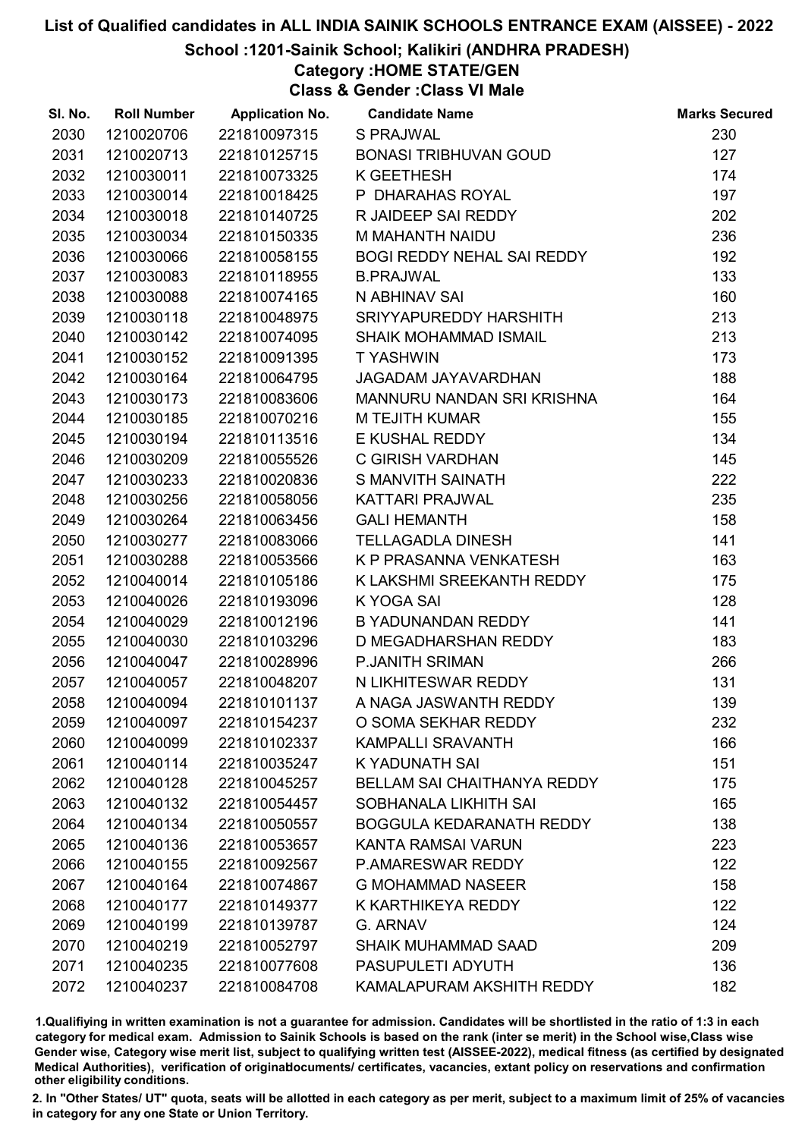### School :1201-Sainik School; Kalikiri (ANDHRA PRADESH)

Category :HOME STATE/GEN

Class & Gender :Class VI Male

| SI. No. | <b>Roll Number</b> | <b>Application No.</b> | <b>Candidate Name</b>              | <b>Marks Secured</b> |
|---------|--------------------|------------------------|------------------------------------|----------------------|
| 2030    | 1210020706         | 221810097315           | S PRAJWAL                          | 230                  |
| 2031    | 1210020713         | 221810125715           | <b>BONASI TRIBHUVAN GOUD</b>       | 127                  |
| 2032    | 1210030011         | 221810073325           | K GEETHESH                         | 174                  |
| 2033    | 1210030014         | 221810018425           | P DHARAHAS ROYAL                   | 197                  |
| 2034    | 1210030018         | 221810140725           | R JAIDEEP SAI REDDY                | 202                  |
| 2035    | 1210030034         | 221810150335           | M MAHANTH NAIDU                    | 236                  |
| 2036    | 1210030066         | 221810058155           | <b>BOGI REDDY NEHAL SAI REDDY</b>  | 192                  |
| 2037    | 1210030083         | 221810118955           | <b>B.PRAJWAL</b>                   | 133                  |
| 2038    | 1210030088         | 221810074165           | N ABHINAV SAI                      | 160                  |
| 2039    | 1210030118         | 221810048975           | SRIYYAPUREDDY HARSHITH             | 213                  |
| 2040    | 1210030142         | 221810074095           | <b>SHAIK MOHAMMAD ISMAIL</b>       | 213                  |
| 2041    | 1210030152         | 221810091395           | <b>TYASHWIN</b>                    | 173                  |
| 2042    | 1210030164         | 221810064795           | JAGADAM JAYAVARDHAN                | 188                  |
| 2043    | 1210030173         | 221810083606           | MANNURU NANDAN SRI KRISHNA         | 164                  |
| 2044    | 1210030185         | 221810070216           | M TEJITH KUMAR                     | 155                  |
| 2045    | 1210030194         | 221810113516           | E KUSHAL REDDY                     | 134                  |
| 2046    | 1210030209         | 221810055526           | C GIRISH VARDHAN                   | 145                  |
| 2047    | 1210030233         | 221810020836           | S MANVITH SAINATH                  | 222                  |
| 2048    | 1210030256         | 221810058056           | <b>KATTARI PRAJWAL</b>             | 235                  |
| 2049    | 1210030264         | 221810063456           | <b>GALI HEMANTH</b>                | 158                  |
| 2050    | 1210030277         | 221810083066           | <b>TELLAGADLA DINESH</b>           | 141                  |
| 2051    | 1210030288         | 221810053566           | K P PRASANNA VENKATESH             | 163                  |
| 2052    | 1210040014         | 221810105186           | K LAKSHMI SREEKANTH REDDY          | 175                  |
| 2053    | 1210040026         | 221810193096           | K YOGA SAI                         | 128                  |
| 2054    | 1210040029         | 221810012196           | B YADUNANDAN REDDY                 | 141                  |
| 2055    | 1210040030         | 221810103296           | D MEGADHARSHAN REDDY               | 183                  |
| 2056    | 1210040047         | 221810028996           | P.JANITH SRIMAN                    | 266                  |
| 2057    | 1210040057         | 221810048207           | N LIKHITESWAR REDDY                | 131                  |
| 2058    | 1210040094         | 221810101137           | A NAGA JASWANTH REDDY              | 139                  |
| 2059    | 1210040097         | 221810154237           | O SOMA SEKHAR REDDY                | 232                  |
| 2060    | 1210040099         | 221810102337           | <b>KAMPALLI SRAVANTH</b>           | 166                  |
| 2061    | 1210040114         | 221810035247           | K YADUNATH SAI                     | 151                  |
| 2062    | 1210040128         | 221810045257           | <b>BELLAM SAI CHAITHANYA REDDY</b> | 175                  |
| 2063    | 1210040132         | 221810054457           | SOBHANALA LIKHITH SAI              | 165                  |
| 2064    | 1210040134         | 221810050557           | <b>BOGGULA KEDARANATH REDDY</b>    | 138                  |
| 2065    | 1210040136         | 221810053657           | KANTA RAMSAI VARUN                 | 223                  |
| 2066    | 1210040155         | 221810092567           | <b>P.AMARESWAR REDDY</b>           | 122                  |
| 2067    | 1210040164         | 221810074867           | <b>G MOHAMMAD NASEER</b>           | 158                  |
| 2068    | 1210040177         | 221810149377           | K KARTHIKEYA REDDY                 | 122                  |
| 2069    | 1210040199         | 221810139787           | G. ARNAV                           | 124                  |
| 2070    | 1210040219         | 221810052797           | <b>SHAIK MUHAMMAD SAAD</b>         | 209                  |
| 2071    | 1210040235         | 221810077608           | PASUPULETI ADYUTH                  | 136                  |
| 2072    | 1210040237         | 221810084708           | KAMALAPURAM AKSHITH REDDY          | 182                  |

1.Qualifiying in written examination is not a guarantee for admission. Candidates will be shortlisted in the ratio of 1:3 in each category for medical exam. Admission to Sainik Schools is based on the rank (inter se merit) in the School wise,Class wise Gender wise, Category wise merit list, subject to qualifying written test (AISSEE-2022), medical fitness (as certified by designated Medical Authorities), verification of originablocuments/ certificates, vacancies, extant policy on reservations and confirmation other eligibility conditions.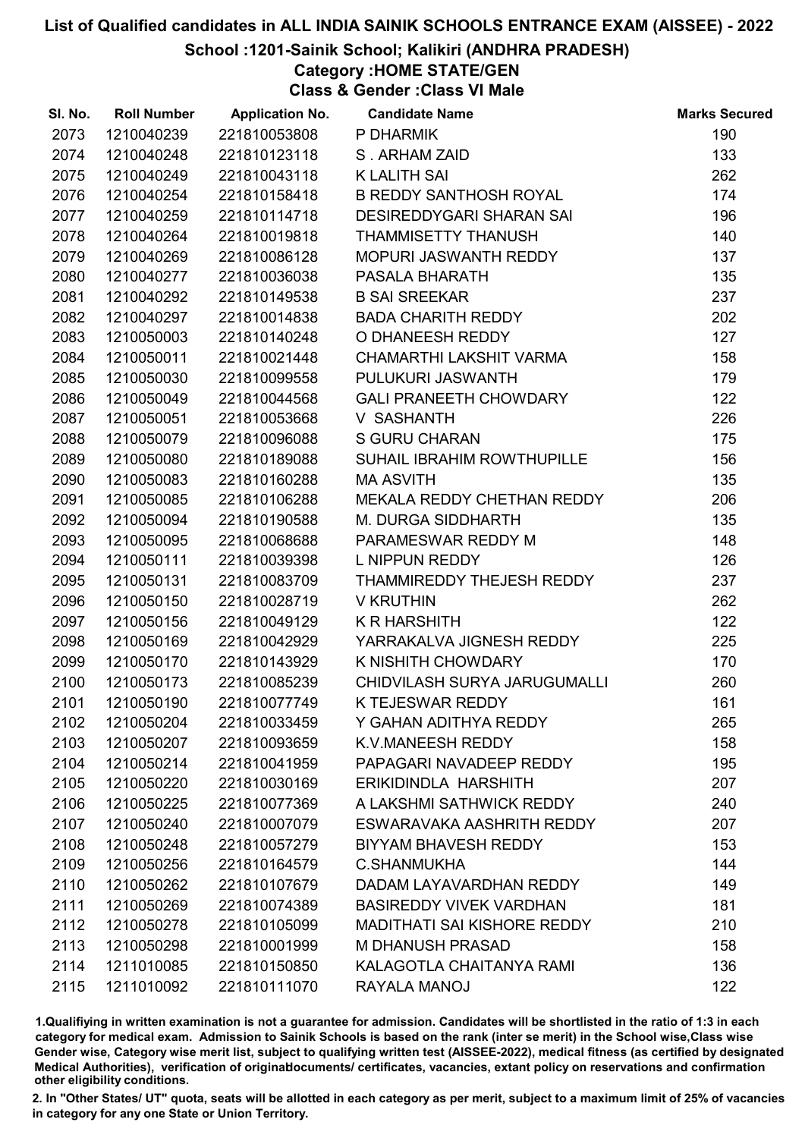### School :1201-Sainik School; Kalikiri (ANDHRA PRADESH)

# Category :HOME STATE/GEN

Class & Gender :Class VI Male

| SI. No. | <b>Roll Number</b> | <b>Application No.</b> | <b>Candidate Name</b>              | <b>Marks Secured</b> |
|---------|--------------------|------------------------|------------------------------------|----------------------|
| 2073    | 1210040239         | 221810053808           | P DHARMIK                          | 190                  |
| 2074    | 1210040248         | 221810123118           | S. ARHAM ZAID                      | 133                  |
| 2075    | 1210040249         | 221810043118           | <b>K LALITH SAI</b>                | 262                  |
| 2076    | 1210040254         | 221810158418           | <b>B REDDY SANTHOSH ROYAL</b>      | 174                  |
| 2077    | 1210040259         | 221810114718           | <b>DESIREDDYGARI SHARAN SAI</b>    | 196                  |
| 2078    | 1210040264         | 221810019818           | THAMMISETTY THANUSH                | 140                  |
| 2079    | 1210040269         | 221810086128           | MOPURI JASWANTH REDDY              | 137                  |
| 2080    | 1210040277         | 221810036038           | PASALA BHARATH                     | 135                  |
| 2081    | 1210040292         | 221810149538           | <b>B SAI SREEKAR</b>               | 237                  |
| 2082    | 1210040297         | 221810014838           | BADA CHARITH REDDY                 | 202                  |
| 2083    | 1210050003         | 221810140248           | O DHANEESH REDDY                   | 127                  |
| 2084    | 1210050011         | 221810021448           | CHAMARTHI LAKSHIT VARMA            | 158                  |
| 2085    | 1210050030         | 221810099558           | PULUKURI JASWANTH                  | 179                  |
| 2086    | 1210050049         | 221810044568           | <b>GALI PRANEETH CHOWDARY</b>      | 122                  |
| 2087    | 1210050051         | 221810053668           | V SASHANTH                         | 226                  |
| 2088    | 1210050079         | 221810096088           | <b>S GURU CHARAN</b>               | 175                  |
| 2089    | 1210050080         | 221810189088           | SUHAIL IBRAHIM ROWTHUPILLE         | 156                  |
| 2090    | 1210050083         | 221810160288           | <b>MA ASVITH</b>                   | 135                  |
| 2091    | 1210050085         | 221810106288           | MEKALA REDDY CHETHAN REDDY         | 206                  |
| 2092    | 1210050094         | 221810190588           | M. DURGA SIDDHARTH                 | 135                  |
| 2093    | 1210050095         | 221810068688           | PARAMESWAR REDDY M                 | 148                  |
| 2094    | 1210050111         | 221810039398           | L NIPPUN REDDY                     | 126                  |
| 2095    | 1210050131         | 221810083709           | THAMMIREDDY THEJESH REDDY          | 237                  |
| 2096    | 1210050150         | 221810028719           | <b>V KRUTHIN</b>                   | 262                  |
| 2097    | 1210050156         | 221810049129           | <b>K R HARSHITH</b>                | 122                  |
| 2098    | 1210050169         | 221810042929           | YARRAKALVA JIGNESH REDDY           | 225                  |
| 2099    | 1210050170         | 221810143929           | K NISHITH CHOWDARY                 | 170                  |
| 2100    | 1210050173         | 221810085239           | CHIDVILASH SURYA JARUGUMALLI       | 260                  |
| 2101    | 1210050190         | 221810077749           | K TEJESWAR REDDY                   | 161                  |
| 2102    | 1210050204         | 221810033459           | Y GAHAN ADITHYA REDDY              | 265                  |
| 2103    | 1210050207         | 221810093659           | K.V.MANEESH REDDY                  | 158                  |
| 2104    | 1210050214         | 221810041959           | PAPAGARI NAVADEEP REDDY            | 195                  |
| 2105    | 1210050220         | 221810030169           | ERIKIDINDLA HARSHITH               | 207                  |
| 2106    | 1210050225         | 221810077369           | A LAKSHMI SATHWICK REDDY           | 240                  |
| 2107    | 1210050240         | 221810007079           | ESWARAVAKA AASHRITH REDDY          | 207                  |
| 2108    | 1210050248         | 221810057279           | <b>BIYYAM BHAVESH REDDY</b>        | 153                  |
| 2109    | 1210050256         | 221810164579           | <b>C.SHANMUKHA</b>                 | 144                  |
| 2110    | 1210050262         | 221810107679           | DADAM LAYAVARDHAN REDDY            | 149                  |
| 2111    | 1210050269         | 221810074389           | <b>BASIREDDY VIVEK VARDHAN</b>     | 181                  |
| 2112    | 1210050278         | 221810105099           | <b>MADITHATI SAI KISHORE REDDY</b> | 210                  |
| 2113    | 1210050298         | 221810001999           | <b>M DHANUSH PRASAD</b>            | 158                  |
| 2114    | 1211010085         | 221810150850           | KALAGOTLA CHAITANYA RAMI           | 136                  |
| 2115    | 1211010092         | 221810111070           | RAYALA MANOJ                       | 122                  |

1.Qualifiying in written examination is not a guarantee for admission. Candidates will be shortlisted in the ratio of 1:3 in each category for medical exam. Admission to Sainik Schools is based on the rank (inter se merit) in the School wise,Class wise Gender wise, Category wise merit list, subject to qualifying written test (AISSEE-2022), medical fitness (as certified by designated Medical Authorities), verification of originablocuments/ certificates, vacancies, extant policy on reservations and confirmation other eligibility conditions.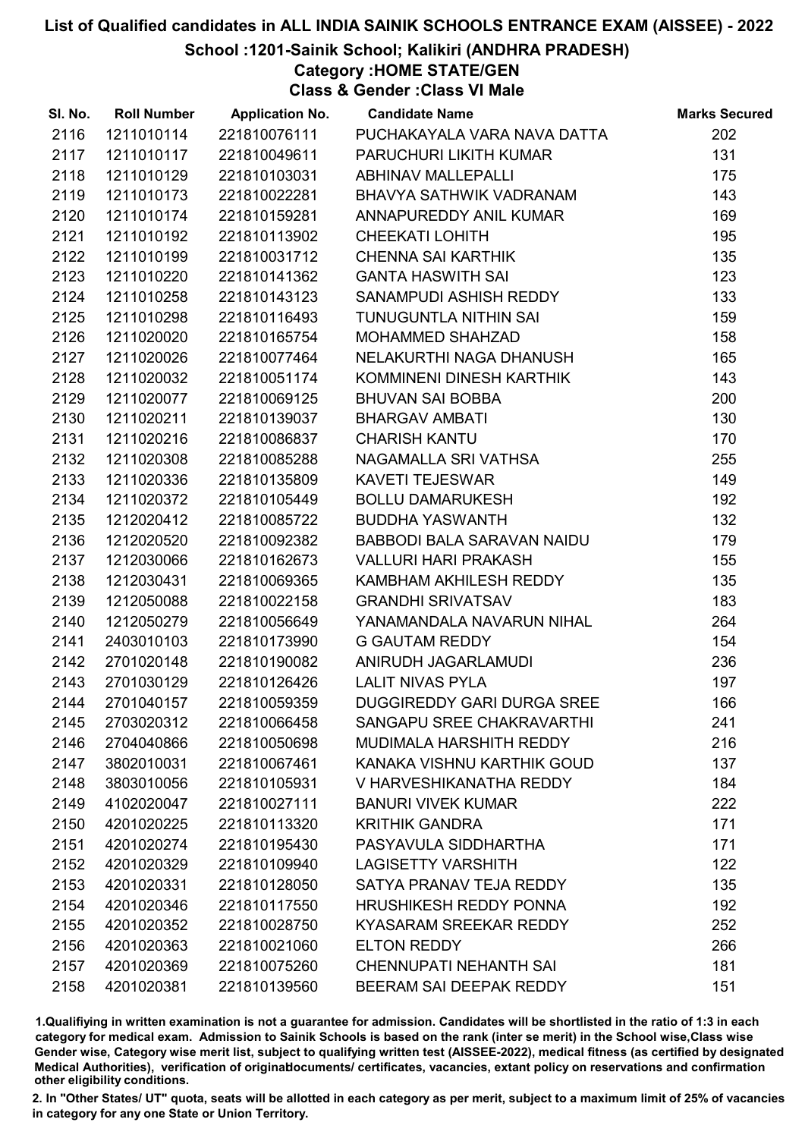School :1201-Sainik School; Kalikiri (ANDHRA PRADESH)

Category :HOME STATE/GEN

Class & Gender :Class VI Male

| SI. No. | <b>Roll Number</b> | <b>Application No. Candidate Name</b> |                                   | <b>Marks Secured</b> |
|---------|--------------------|---------------------------------------|-----------------------------------|----------------------|
| 2116    | 1211010114         | 221810076111                          | PUCHAKAYALA VARA NAVA DATTA       | 202                  |
| 2117    | 1211010117         | 221810049611                          | PARUCHURI LIKITH KUMAR            | 131                  |
| 2118    | 1211010129         | 221810103031                          | <b>ABHINAV MALLEPALLI</b>         | 175                  |
| 2119    | 1211010173         | 221810022281                          | BHAVYA SATHWIK VADRANAM           | 143                  |
| 2120    | 1211010174         | 221810159281                          | ANNAPUREDDY ANIL KUMAR            | 169                  |
| 2121    | 1211010192         | 221810113902                          | <b>CHEEKATI LOHITH</b>            | 195                  |
| 2122    | 1211010199         | 221810031712                          | CHENNA SAI KARTHIK                | 135                  |
| 2123    | 1211010220         | 221810141362                          | <b>GANTA HASWITH SAI</b>          | 123                  |
| 2124    | 1211010258         | 221810143123                          | SANAMPUDI ASHISH REDDY            | 133                  |
| 2125    | 1211010298         | 221810116493                          | TUNUGUNTLA NITHIN SAI             | 159                  |
| 2126    | 1211020020         | 221810165754                          | MOHAMMED SHAHZAD                  | 158                  |
| 2127    | 1211020026         | 221810077464                          | NELAKURTHI NAGA DHANUSH           | 165                  |
| 2128    | 1211020032         | 221810051174                          | KOMMINENI DINESH KARTHIK          | 143                  |
| 2129    | 1211020077         | 221810069125                          | <b>BHUVAN SAI BOBBA</b>           | 200                  |
| 2130    | 1211020211         | 221810139037                          | <b>BHARGAV AMBATI</b>             | 130                  |
| 2131    | 1211020216         | 221810086837                          | <b>CHARISH KANTU</b>              | 170                  |
| 2132    | 1211020308         | 221810085288                          | NAGAMALLA SRI VATHSA              | 255                  |
| 2133    | 1211020336         | 221810135809                          | <b>KAVETI TEJESWAR</b>            | 149                  |
| 2134    | 1211020372         | 221810105449                          | <b>BOLLU DAMARUKESH</b>           | 192                  |
| 2135    | 1212020412         | 221810085722                          | <b>BUDDHA YASWANTH</b>            | 132                  |
| 2136    | 1212020520         | 221810092382                          | BABBODI BALA SARAVAN NAIDU        | 179                  |
| 2137    | 1212030066         | 221810162673                          | <b>VALLURI HARI PRAKASH</b>       | 155                  |
| 2138    | 1212030431         | 221810069365                          | KAMBHAM AKHILESH REDDY            | 135                  |
| 2139    | 1212050088         | 221810022158                          | <b>GRANDHI SRIVATSAV</b>          | 183                  |
| 2140    | 1212050279         | 221810056649                          | YANAMANDALA NAVARUN NIHAL         | 264                  |
| 2141    | 2403010103         | 221810173990                          | <b>G GAUTAM REDDY</b>             | 154                  |
| 2142    | 2701020148         | 221810190082                          | ANIRUDH JAGARLAMUDI               | 236                  |
| 2143    | 2701030129         | 221810126426                          | <b>LALIT NIVAS PYLA</b>           | 197                  |
| 2144    | 2701040157         | 221810059359                          | <b>DUGGIREDDY GARI DURGA SREE</b> | 166                  |
| 2145    | 2703020312         | 221810066458                          | SANGAPU SREE CHAKRAVARTHI         | 241                  |
| 2146    | 2704040866         | 221810050698                          | MUDIMALA HARSHITH REDDY           | 216                  |
| 2147    | 3802010031         | 221810067461                          | KANAKA VISHNU KARTHIK GOUD        | 137                  |
| 2148    | 3803010056         | 221810105931                          | V HARVESHIKANATHA REDDY           | 184                  |
| 2149    | 4102020047         | 221810027111                          | <b>BANURI VIVEK KUMAR</b>         | 222                  |
| 2150    | 4201020225         | 221810113320                          | <b>KRITHIK GANDRA</b>             | 171                  |
| 2151    | 4201020274         | 221810195430                          | PASYAVULA SIDDHARTHA              | 171                  |
| 2152    | 4201020329         | 221810109940                          | <b>LAGISETTY VARSHITH</b>         | 122                  |
| 2153    | 4201020331         | 221810128050                          | SATYA PRANAV TEJA REDDY           | 135                  |
| 2154    | 4201020346         | 221810117550                          | <b>HRUSHIKESH REDDY PONNA</b>     | 192                  |
| 2155    | 4201020352         | 221810028750                          | KYASARAM SREEKAR REDDY            | 252                  |
| 2156    | 4201020363         | 221810021060                          | <b>ELTON REDDY</b>                | 266                  |
| 2157    | 4201020369         | 221810075260                          | <b>CHENNUPATI NEHANTH SAI</b>     | 181                  |
| 2158    | 4201020381         | 221810139560                          | BEERAM SAI DEEPAK REDDY           | 151                  |

1.Qualifiying in written examination is not a guarantee for admission. Candidates will be shortlisted in the ratio of 1:3 in each category for medical exam. Admission to Sainik Schools is based on the rank (inter se merit) in the School wise,Class wise Gender wise, Category wise merit list, subject to qualifying written test (AISSEE-2022), medical fitness (as certified by designated Medical Authorities), verification of originablocuments/ certificates, vacancies, extant policy on reservations and confirmation other eligibility conditions.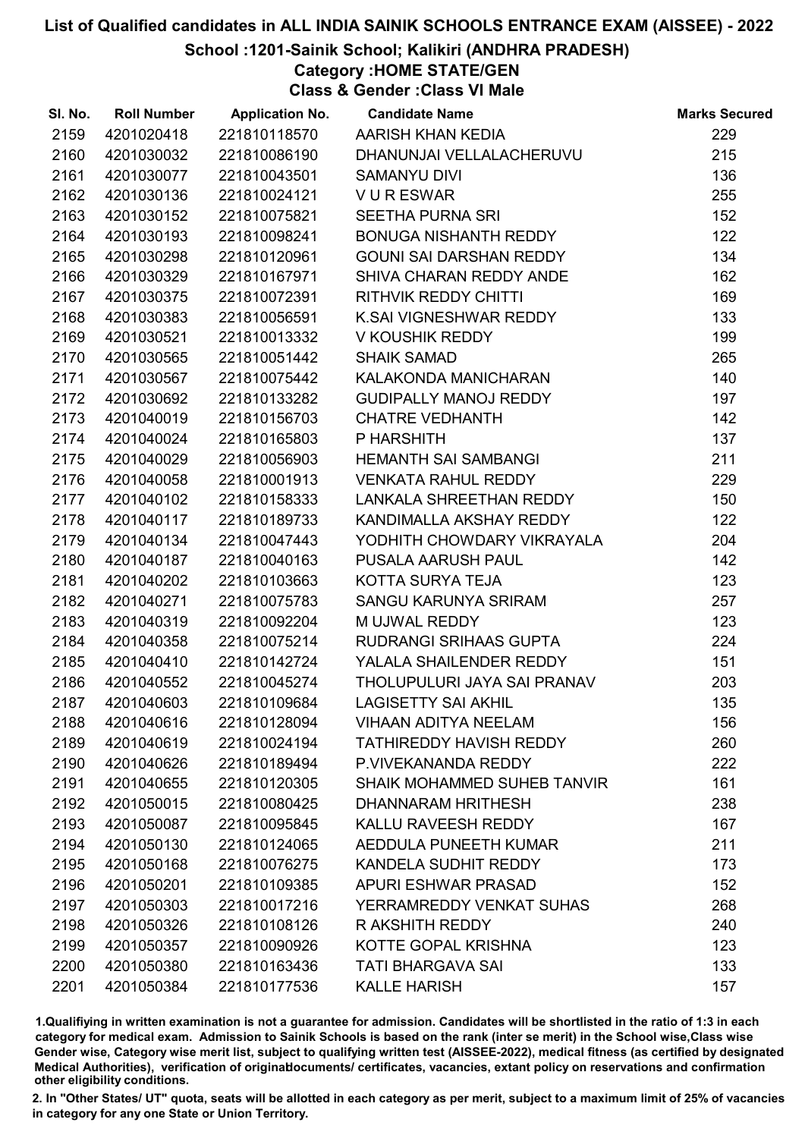### School :1201-Sainik School; Kalikiri (ANDHRA PRADESH)

Category :HOME STATE/GEN

Class & Gender :Class VI Male

| SI. No. | <b>Roll Number</b> | <b>Application No.</b> | <b>Candidate Name</b>          | <b>Marks Secured</b> |
|---------|--------------------|------------------------|--------------------------------|----------------------|
| 2159    | 4201020418         | 221810118570           | AARISH KHAN KEDIA              | 229                  |
| 2160    | 4201030032         | 221810086190           | DHANUNJAI VELLALACHERUVU       | 215                  |
| 2161    | 4201030077         | 221810043501           | <b>SAMANYU DIVI</b>            | 136                  |
| 2162    | 4201030136         | 221810024121           | <b>VURESWAR</b>                | 255                  |
| 2163    | 4201030152         | 221810075821           | <b>SEETHA PURNA SRI</b>        | 152                  |
| 2164    | 4201030193         | 221810098241           | BONUGA NISHANTH REDDY          | 122                  |
| 2165    | 4201030298         | 221810120961           | <b>GOUNI SAI DARSHAN REDDY</b> | 134                  |
| 2166    | 4201030329         | 221810167971           | SHIVA CHARAN REDDY ANDE        | 162                  |
| 2167    | 4201030375         | 221810072391           | <b>RITHVIK REDDY CHITTI</b>    | 169                  |
| 2168    | 4201030383         | 221810056591           | K.SAI VIGNESHWAR REDDY         | 133                  |
| 2169    | 4201030521         | 221810013332           | V KOUSHIK REDDY                | 199                  |
| 2170    | 4201030565         | 221810051442           | <b>SHAIK SAMAD</b>             | 265                  |
| 2171    | 4201030567         | 221810075442           | KALAKONDA MANICHARAN           | 140                  |
| 2172    | 4201030692         | 221810133282           | <b>GUDIPALLY MANOJ REDDY</b>   | 197                  |
| 2173    | 4201040019         | 221810156703           | <b>CHATRE VEDHANTH</b>         | 142                  |
| 2174    | 4201040024         | 221810165803           | P HARSHITH                     | 137                  |
| 2175    | 4201040029         | 221810056903           | <b>HEMANTH SAI SAMBANGI</b>    | 211                  |
| 2176    | 4201040058         | 221810001913           | <b>VENKATA RAHUL REDDY</b>     | 229                  |
| 2177    | 4201040102         | 221810158333           | LANKALA SHREETHAN REDDY        | 150                  |
| 2178    | 4201040117         | 221810189733           | KANDIMALLA AKSHAY REDDY        | 122                  |
| 2179    | 4201040134         | 221810047443           | YODHITH CHOWDARY VIKRAYALA     | 204                  |
| 2180    | 4201040187         | 221810040163           | PUSALA AARUSH PAUL             | 142                  |
| 2181    | 4201040202         | 221810103663           | KOTTA SURYA TEJA               | 123                  |
| 2182    | 4201040271         | 221810075783           | SANGU KARUNYA SRIRAM           | 257                  |
| 2183    | 4201040319         | 221810092204           | M UJWAL REDDY                  | 123                  |
| 2184    | 4201040358         | 221810075214           | RUDRANGI SRIHAAS GUPTA         | 224                  |
| 2185    | 4201040410         | 221810142724           | YALALA SHAILENDER REDDY        | 151                  |
| 2186    | 4201040552         | 221810045274           | THOLUPULURI JAYA SAI PRANAV    | 203                  |
| 2187    | 4201040603         | 221810109684           | <b>LAGISETTY SAI AKHIL</b>     | 135                  |
| 2188    | 4201040616         | 221810128094           | <b>VIHAAN ADITYA NEELAM</b>    | 156                  |
| 2189    | 4201040619         | 221810024194           | <b>TATHIREDDY HAVISH REDDY</b> | 260                  |
| 2190    | 4201040626         | 221810189494           | P.VIVEKANANDA REDDY            | 222                  |
| 2191    | 4201040655         | 221810120305           | SHAIK MOHAMMED SUHEB TANVIR    | 161                  |
| 2192    | 4201050015         | 221810080425           | DHANNARAM HRITHESH             | 238                  |
| 2193    | 4201050087         | 221810095845           | KALLU RAVEESH REDDY            | 167                  |
| 2194    | 4201050130         | 221810124065           | AEDDULA PUNEETH KUMAR          | 211                  |
| 2195    | 4201050168         | 221810076275           | KANDELA SUDHIT REDDY           | 173                  |
| 2196    | 4201050201         | 221810109385           | <b>APURI ESHWAR PRASAD</b>     | 152                  |
| 2197    | 4201050303         | 221810017216           | YERRAMREDDY VENKAT SUHAS       | 268                  |
| 2198    | 4201050326         | 221810108126           | R AKSHITH REDDY                | 240                  |
| 2199    | 4201050357         | 221810090926           | KOTTE GOPAL KRISHNA            | 123                  |
| 2200    | 4201050380         | 221810163436           | <b>TATI BHARGAVA SAI</b>       | 133                  |
| 2201    | 4201050384         | 221810177536           | <b>KALLE HARISH</b>            | 157                  |

1.Qualifiying in written examination is not a guarantee for admission. Candidates will be shortlisted in the ratio of 1:3 in each category for medical exam. Admission to Sainik Schools is based on the rank (inter se merit) in the School wise,Class wise Gender wise, Category wise merit list, subject to qualifying written test (AISSEE-2022), medical fitness (as certified by designated Medical Authorities), verification of originablocuments/ certificates, vacancies, extant policy on reservations and confirmation other eligibility conditions.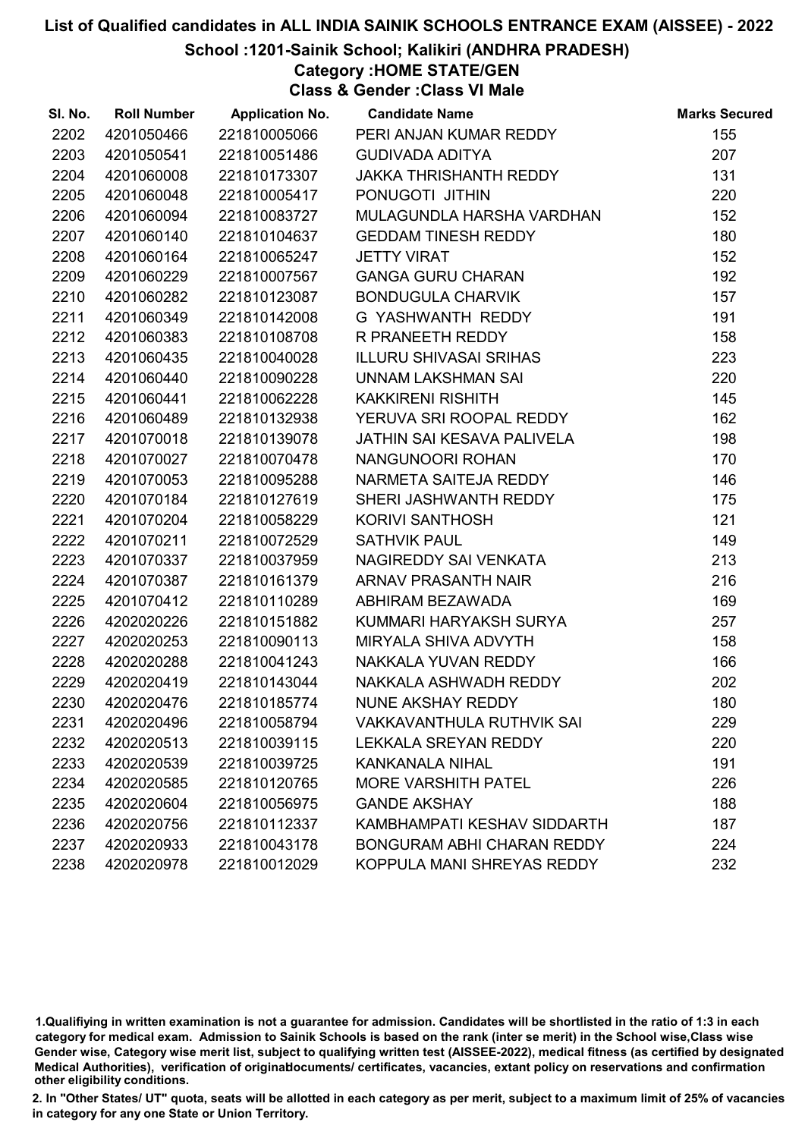### School :1201-Sainik School; Kalikiri (ANDHRA PRADESH)

Category :HOME STATE/GEN

Class & Gender :Class VI Male

| SI. No. | <b>Roll Number</b> | <b>Application No.</b> | <b>Candidate Name</b>             | <b>Marks Secured</b> |
|---------|--------------------|------------------------|-----------------------------------|----------------------|
| 2202    | 4201050466         | 221810005066           | PERI ANJAN KUMAR REDDY            | 155                  |
| 2203    | 4201050541         | 221810051486           | <b>GUDIVADA ADITYA</b>            | 207                  |
| 2204    | 4201060008         | 221810173307           | JAKKA THRISHANTH REDDY            | 131                  |
| 2205    | 4201060048         | 221810005417           | PONUGOTI JITHIN                   | 220                  |
| 2206    | 4201060094         | 221810083727           | MULAGUNDLA HARSHA VARDHAN         | 152                  |
| 2207    | 4201060140         | 221810104637           | <b>GEDDAM TINESH REDDY</b>        | 180                  |
| 2208    | 4201060164         | 221810065247           | <b>JETTY VIRAT</b>                | 152                  |
| 2209    | 4201060229         | 221810007567           | <b>GANGA GURU CHARAN</b>          | 192                  |
| 2210    | 4201060282         | 221810123087           | <b>BONDUGULA CHARVIK</b>          | 157                  |
| 2211    | 4201060349         | 221810142008           | G YASHWANTH REDDY                 | 191                  |
| 2212    | 4201060383         | 221810108708           | R PRANEETH REDDY                  | 158                  |
| 2213    | 4201060435         | 221810040028           | <b>ILLURU SHIVASAI SRIHAS</b>     | 223                  |
| 2214    | 4201060440         | 221810090228           | UNNAM LAKSHMAN SAI                | 220                  |
| 2215    | 4201060441         | 221810062228           | <b>KAKKIRENI RISHITH</b>          | 145                  |
| 2216    | 4201060489         | 221810132938           | YERUVA SRI ROOPAL REDDY           | 162                  |
| 2217    | 4201070018         | 221810139078           | JATHIN SAI KESAVA PALIVELA        | 198                  |
| 2218    | 4201070027         | 221810070478           | NANGUNOORI ROHAN                  | 170                  |
| 2219    | 4201070053         | 221810095288           | NARMETA SAITEJA REDDY             | 146                  |
| 2220    | 4201070184         | 221810127619           | SHERI JASHWANTH REDDY             | 175                  |
| 2221    | 4201070204         | 221810058229           | <b>KORIVI SANTHOSH</b>            | 121                  |
| 2222    | 4201070211         | 221810072529           | <b>SATHVIK PAUL</b>               | 149                  |
| 2223    | 4201070337         | 221810037959           | NAGIREDDY SAI VENKATA             | 213                  |
| 2224    | 4201070387         | 221810161379           | ARNAV PRASANTH NAIR               | 216                  |
| 2225    | 4201070412         | 221810110289           | ABHIRAM BEZAWADA                  | 169                  |
| 2226    | 4202020226         | 221810151882           | KUMMARI HARYAKSH SURYA            | 257                  |
| 2227    | 4202020253         | 221810090113           | MIRYALA SHIVA ADVYTH              | 158                  |
| 2228    | 4202020288         | 221810041243           | NAKKALA YUVAN REDDY               | 166                  |
| 2229    | 4202020419         | 221810143044           | NAKKALA ASHWADH REDDY             | 202                  |
| 2230    | 4202020476         | 221810185774           | NUNE AKSHAY REDDY                 | 180                  |
| 2231    | 4202020496         | 221810058794           | <b>VAKKAVANTHULA RUTHVIK SAI</b>  | 229                  |
| 2232    | 4202020513         | 221810039115           | <b>LEKKALA SREYAN REDDY</b>       | 220                  |
| 2233    | 4202020539         | 221810039725           | <b>KANKANALA NIHAL</b>            | 191                  |
| 2234    | 4202020585         | 221810120765           | <b>MORE VARSHITH PATEL</b>        | 226                  |
| 2235    | 4202020604         | 221810056975           | <b>GANDE AKSHAY</b>               | 188                  |
| 2236    | 4202020756         | 221810112337           | KAMBHAMPATI KESHAV SIDDARTH       | 187                  |
| 2237    | 4202020933         | 221810043178           | <b>BONGURAM ABHI CHARAN REDDY</b> | 224                  |
| 2238    | 4202020978         | 221810012029           | KOPPULA MANI SHREYAS REDDY        | 232                  |

1.Qualifiying in written examination is not a guarantee for admission. Candidates will be shortlisted in the ratio of 1:3 in each category for medical exam. Admission to Sainik Schools is based on the rank (inter se merit) in the School wise,Class wise Gender wise, Category wise merit list, subject to qualifying written test (AISSEE-2022), medical fitness (as certified by designated Medical Authorities), verification of originablocuments/ certificates, vacancies, extant policy on reservations and confirmation other eligibility conditions.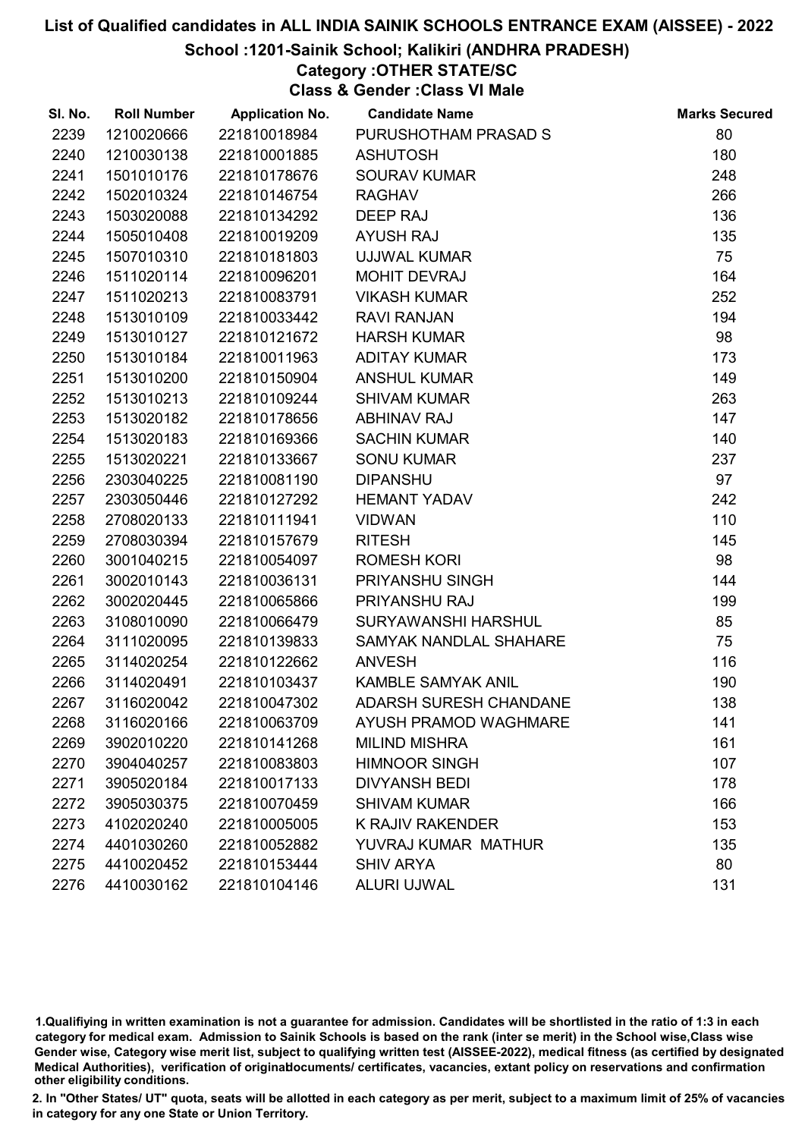### School :1201-Sainik School; Kalikiri (ANDHRA PRADESH)

## Category :OTHER STATE/SC

Class & Gender :Class VI Male

| SI. No. | <b>Roll Number</b> | <b>Application No.</b> | <b>Candidate Name</b>     | <b>Marks Secured</b> |
|---------|--------------------|------------------------|---------------------------|----------------------|
| 2239    | 1210020666         | 221810018984           | PURUSHOTHAM PRASAD S      | 80                   |
| 2240    | 1210030138         | 221810001885           | <b>ASHUTOSH</b>           | 180                  |
| 2241    | 1501010176         | 221810178676           | <b>SOURAV KUMAR</b>       | 248                  |
| 2242    | 1502010324         | 221810146754           | <b>RAGHAV</b>             | 266                  |
| 2243    | 1503020088         | 221810134292           | DEEP RAJ                  | 136                  |
| 2244    | 1505010408         | 221810019209           | <b>AYUSH RAJ</b>          | 135                  |
| 2245    | 1507010310         | 221810181803           | <b>UJJWAL KUMAR</b>       | 75                   |
| 2246    | 1511020114         | 221810096201           | <b>MOHIT DEVRAJ</b>       | 164                  |
| 2247    | 1511020213         | 221810083791           | <b>VIKASH KUMAR</b>       | 252                  |
| 2248    | 1513010109         | 221810033442           | <b>RAVI RANJAN</b>        | 194                  |
| 2249    | 1513010127         | 221810121672           | <b>HARSH KUMAR</b>        | 98                   |
| 2250    | 1513010184         | 221810011963           | <b>ADITAY KUMAR</b>       | 173                  |
| 2251    | 1513010200         | 221810150904           | <b>ANSHUL KUMAR</b>       | 149                  |
| 2252    | 1513010213         | 221810109244           | <b>SHIVAM KUMAR</b>       | 263                  |
| 2253    | 1513020182         | 221810178656           | <b>ABHINAV RAJ</b>        | 147                  |
| 2254    | 1513020183         | 221810169366           | <b>SACHIN KUMAR</b>       | 140                  |
| 2255    | 1513020221         | 221810133667           | <b>SONU KUMAR</b>         | 237                  |
| 2256    | 2303040225         | 221810081190           | <b>DIPANSHU</b>           | 97                   |
| 2257    | 2303050446         | 221810127292           | <b>HEMANT YADAV</b>       | 242                  |
| 2258    | 2708020133         | 221810111941           | <b>VIDWAN</b>             | 110                  |
| 2259    | 2708030394         | 221810157679           | <b>RITESH</b>             | 145                  |
| 2260    | 3001040215         | 221810054097           | <b>ROMESH KORI</b>        | 98                   |
| 2261    | 3002010143         | 221810036131           | PRIYANSHU SINGH           | 144                  |
| 2262    | 3002020445         | 221810065866           | PRIYANSHU RAJ             | 199                  |
| 2263    | 3108010090         | 221810066479           | SURYAWANSHI HARSHUL       | 85                   |
| 2264    | 3111020095         | 221810139833           | SAMYAK NANDLAL SHAHARE    | 75                   |
| 2265    | 3114020254         | 221810122662           | <b>ANVESH</b>             | 116                  |
| 2266    | 3114020491         | 221810103437           | <b>KAMBLE SAMYAK ANIL</b> | 190                  |
| 2267    | 3116020042         | 221810047302           | ADARSH SURESH CHANDANE    | 138                  |
| 2268    | 3116020166         | 221810063709           | AYUSH PRAMOD WAGHMARE     | 141                  |
| 2269    | 3902010220         | 221810141268           | <b>MILIND MISHRA</b>      | 161                  |
| 2270    | 3904040257         | 221810083803           | <b>HIMNOOR SINGH</b>      | 107                  |
| 2271    | 3905020184         | 221810017133           | <b>DIVYANSH BEDI</b>      | 178                  |
| 2272    | 3905030375         | 221810070459           | <b>SHIVAM KUMAR</b>       | 166                  |
| 2273    | 4102020240         | 221810005005           | <b>K RAJIV RAKENDER</b>   | 153                  |
| 2274    | 4401030260         | 221810052882           | YUVRAJ KUMAR MATHUR       | 135                  |
| 2275    | 4410020452         | 221810153444           | <b>SHIV ARYA</b>          | 80                   |
| 2276    | 4410030162         | 221810104146           | <b>ALURI UJWAL</b>        | 131                  |

1.Qualifiying in written examination is not a guarantee for admission. Candidates will be shortlisted in the ratio of 1:3 in each category for medical exam. Admission to Sainik Schools is based on the rank (inter se merit) in the School wise,Class wise Gender wise, Category wise merit list, subject to qualifying written test (AISSEE-2022), medical fitness (as certified by designated Medical Authorities), verification of originablocuments/ certificates, vacancies, extant policy on reservations and confirmation other eligibility conditions.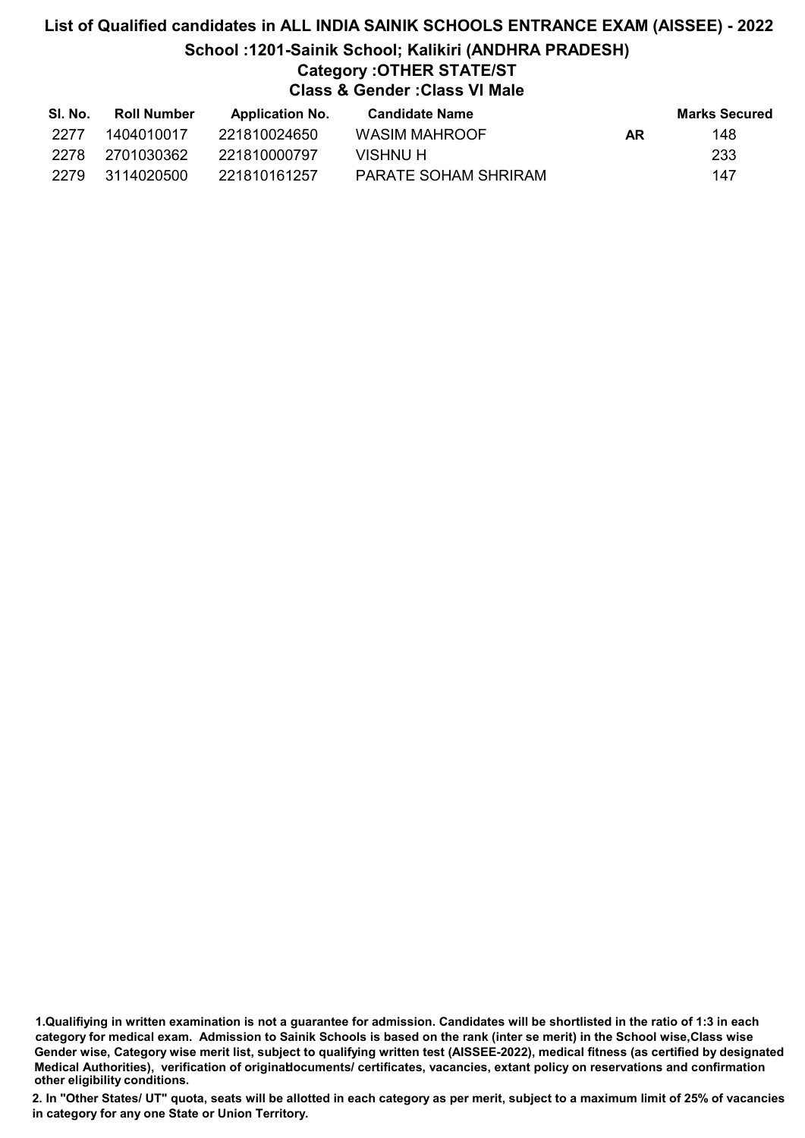# List of Qualified candidates in ALL INDIA SAINIK SCHOOLS ENTRANCE EXAM (AISSEE) - 2022 School :1201-Sainik School; Kalikiri (ANDHRA PRADESH) Category :OTHER STATE/ST Class & Gender :Class VI Male

| SI. No. | Roll Number | <b>Application No.</b> | <b>Candidate Name</b> |    | <b>Marks Secured</b> |
|---------|-------------|------------------------|-----------------------|----|----------------------|
| 2277    | 1404010017  | 221810024650           | WASIM MAHROOF         | AR | 148                  |
| 2278    | 2701030362  | 221810000797           | VISHNU H              |    | 233                  |
| 2279    | 3114020500  | 221810161257           | PARATE SOHAM SHRIRAM  |    | 147                  |

1.Qualifiying in written examination is not a guarantee for admission. Candidates will be shortlisted in the ratio of 1:3 in each category for medical exam. Admission to Sainik Schools is based on the rank (inter se merit) in the School wise,Class wise Gender wise, Category wise merit list, subject to qualifying written test (AISSEE-2022), medical fitness (as certified by designated Medical Authorities), verification of originablocuments/ certificates, vacancies, extant policy on reservations and confirmation other eligibility conditions.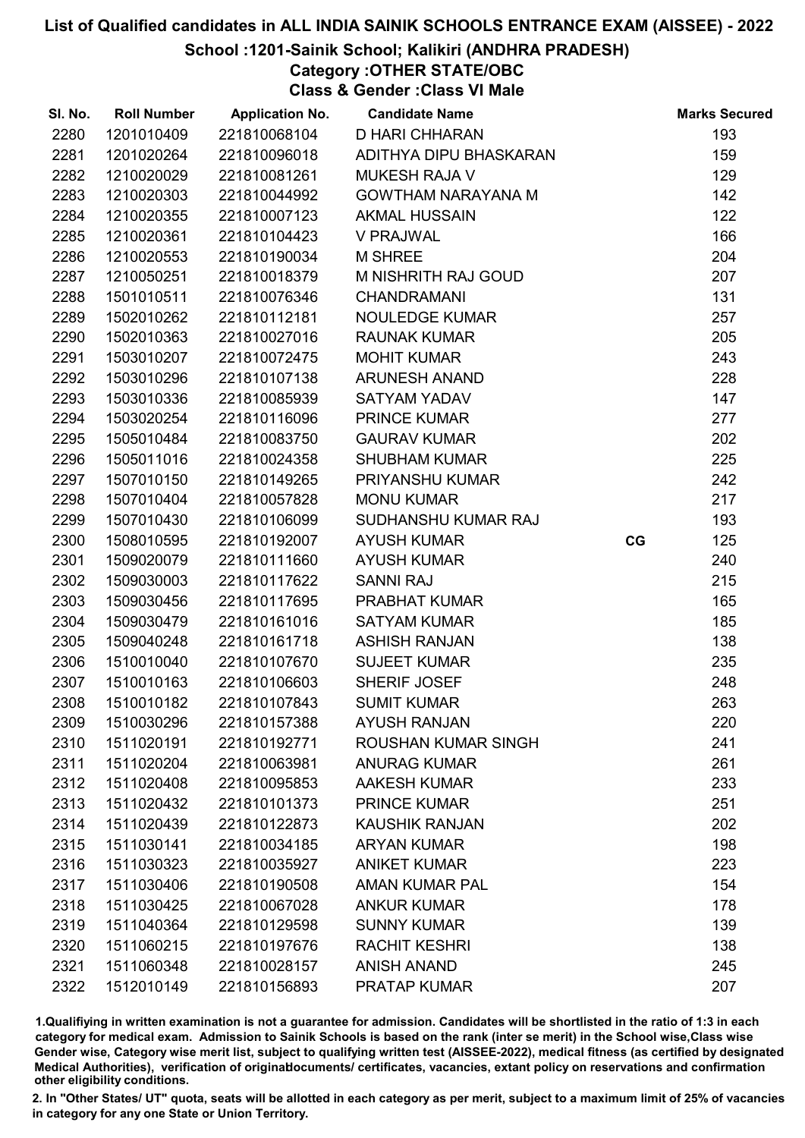### School :1201-Sainik School; Kalikiri (ANDHRA PRADESH)

# Category :OTHER STATE/OBC

Class & Gender :Class VI Male

| SI. No. | <b>Roll Number</b> | <b>Application No.</b> | <b>Candidate Name</b>      |    | <b>Marks Secured</b> |
|---------|--------------------|------------------------|----------------------------|----|----------------------|
| 2280    | 1201010409         | 221810068104           | <b>D HARI CHHARAN</b>      |    | 193                  |
| 2281    | 1201020264         | 221810096018           | ADITHYA DIPU BHASKARAN     |    | 159                  |
| 2282    | 1210020029         | 221810081261           | <b>MUKESH RAJA V</b>       |    | 129                  |
| 2283    | 1210020303         | 221810044992           | <b>GOWTHAM NARAYANA M</b>  |    | 142                  |
| 2284    | 1210020355         | 221810007123           | <b>AKMAL HUSSAIN</b>       |    | 122                  |
| 2285    | 1210020361         | 221810104423           | <b>V PRAJWAL</b>           |    | 166                  |
| 2286    | 1210020553         | 221810190034           | <b>M SHREE</b>             |    | 204                  |
| 2287    | 1210050251         | 221810018379           | M NISHRITH RAJ GOUD        |    | 207                  |
| 2288    | 1501010511         | 221810076346           | <b>CHANDRAMANI</b>         |    | 131                  |
| 2289    | 1502010262         | 221810112181           | <b>NOULEDGE KUMAR</b>      |    | 257                  |
| 2290    | 1502010363         | 221810027016           | <b>RAUNAK KUMAR</b>        |    | 205                  |
| 2291    | 1503010207         | 221810072475           | <b>MOHIT KUMAR</b>         |    | 243                  |
| 2292    | 1503010296         | 221810107138           | <b>ARUNESH ANAND</b>       |    | 228                  |
| 2293    | 1503010336         | 221810085939           | <b>SATYAM YADAV</b>        |    | 147                  |
| 2294    | 1503020254         | 221810116096           | <b>PRINCE KUMAR</b>        |    | 277                  |
| 2295    | 1505010484         | 221810083750           | <b>GAURAV KUMAR</b>        |    | 202                  |
| 2296    | 1505011016         | 221810024358           | <b>SHUBHAM KUMAR</b>       |    | 225                  |
| 2297    | 1507010150         | 221810149265           | PRIYANSHU KUMAR            |    | 242                  |
| 2298    | 1507010404         | 221810057828           | <b>MONU KUMAR</b>          |    | 217                  |
| 2299    | 1507010430         | 221810106099           | SUDHANSHU KUMAR RAJ        |    | 193                  |
| 2300    | 1508010595         | 221810192007           | <b>AYUSH KUMAR</b>         | CG | 125                  |
| 2301    | 1509020079         | 221810111660           | <b>AYUSH KUMAR</b>         |    | 240                  |
| 2302    | 1509030003         | 221810117622           | <b>SANNI RAJ</b>           |    | 215                  |
| 2303    | 1509030456         | 221810117695           | PRABHAT KUMAR              |    | 165                  |
| 2304    | 1509030479         | 221810161016           | <b>SATYAM KUMAR</b>        |    | 185                  |
| 2305    | 1509040248         | 221810161718           | <b>ASHISH RANJAN</b>       |    | 138                  |
| 2306    | 1510010040         | 221810107670           | <b>SUJEET KUMAR</b>        |    | 235                  |
| 2307    | 1510010163         | 221810106603           | SHERIF JOSEF               |    | 248                  |
| 2308    | 1510010182         | 221810107843           | <b>SUMIT KUMAR</b>         |    | 263                  |
| 2309    | 1510030296         | 221810157388           | <b>AYUSH RANJAN</b>        |    | 220                  |
| 2310    | 1511020191         | 221810192771           | <b>ROUSHAN KUMAR SINGH</b> |    | 241                  |
| 2311    | 1511020204         | 221810063981           | <b>ANURAG KUMAR</b>        |    | 261                  |
| 2312    | 1511020408         | 221810095853           | <b>AAKESH KUMAR</b>        |    | 233                  |
| 2313    | 1511020432         | 221810101373           | <b>PRINCE KUMAR</b>        |    | 251                  |
| 2314    | 1511020439         | 221810122873           | <b>KAUSHIK RANJAN</b>      |    | 202                  |
| 2315    | 1511030141         | 221810034185           | <b>ARYAN KUMAR</b>         |    | 198                  |
| 2316    | 1511030323         | 221810035927           | <b>ANIKET KUMAR</b>        |    | 223                  |
| 2317    | 1511030406         | 221810190508           | <b>AMAN KUMAR PAL</b>      |    | 154                  |
| 2318    | 1511030425         | 221810067028           | <b>ANKUR KUMAR</b>         |    | 178                  |
| 2319    | 1511040364         | 221810129598           | <b>SUNNY KUMAR</b>         |    | 139                  |
| 2320    | 1511060215         | 221810197676           | <b>RACHIT KESHRI</b>       |    | 138                  |
| 2321    | 1511060348         | 221810028157           | <b>ANISH ANAND</b>         |    | 245                  |
| 2322    | 1512010149         | 221810156893           | <b>PRATAP KUMAR</b>        |    | 207                  |

1.Qualifiying in written examination is not a guarantee for admission. Candidates will be shortlisted in the ratio of 1:3 in each category for medical exam. Admission to Sainik Schools is based on the rank (inter se merit) in the School wise,Class wise Gender wise, Category wise merit list, subject to qualifying written test (AISSEE-2022), medical fitness (as certified by designated Medical Authorities), verification of originablocuments/ certificates, vacancies, extant policy on reservations and confirmation other eligibility conditions.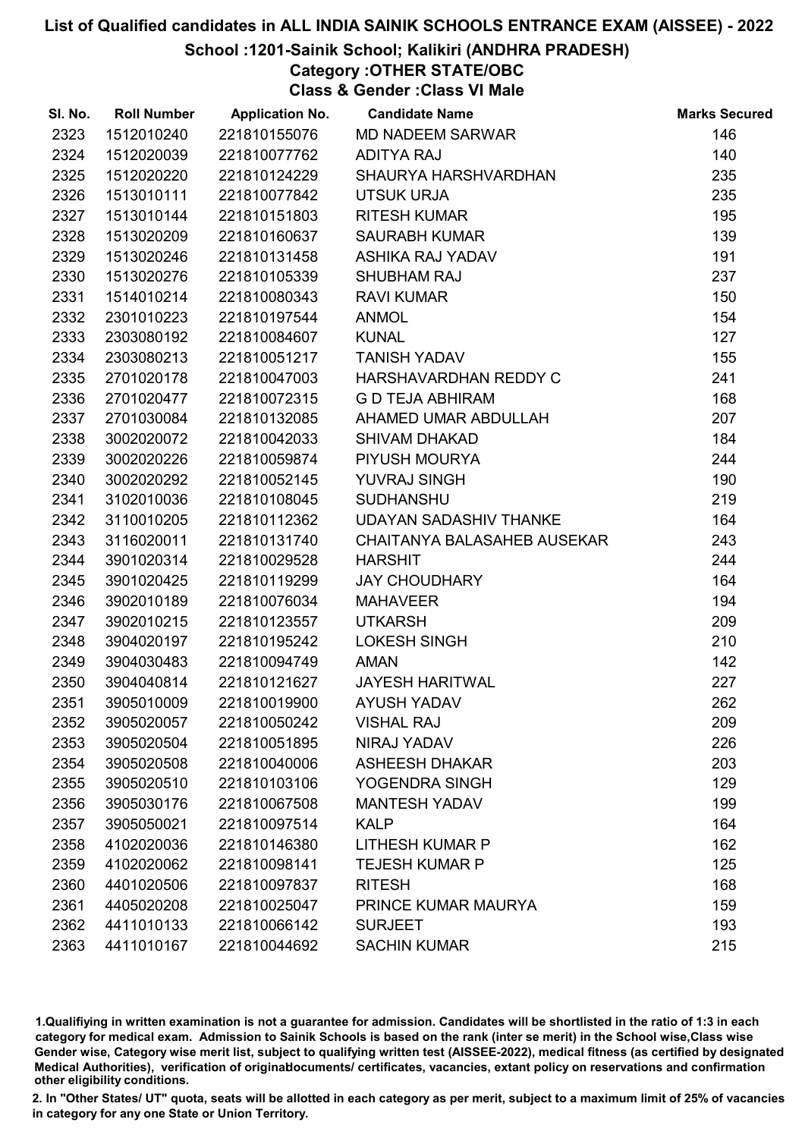### School :1201-Sainik School; Kalikiri (ANDHRA PRADESH)

# Category :OTHER STATE/OBC

Class & Gender :Class VI Male

| SI. No. | <b>Roll Number</b> | <b>Application No.</b> | <b>Candidate Name</b>         | <b>Marks Secured</b> |
|---------|--------------------|------------------------|-------------------------------|----------------------|
| 2323    | 1512010240         | 221810155076           | <b>MD NADEEM SARWAR</b>       | 146                  |
| 2324    | 1512020039         | 221810077762           | <b>ADITYA RAJ</b>             | 140                  |
| 2325    | 1512020220         | 221810124229           | SHAURYA HARSHVARDHAN          | 235                  |
| 2326    | 1513010111         | 221810077842           | <b>UTSUK URJA</b>             | 235                  |
| 2327    | 1513010144         | 221810151803           | <b>RITESH KUMAR</b>           | 195                  |
| 2328    | 1513020209         | 221810160637           | <b>SAURABH KUMAR</b>          | 139                  |
| 2329    | 1513020246         | 221810131458           | ASHIKA RAJ YADAV              | 191                  |
| 2330    | 1513020276         | 221810105339           | <b>SHUBHAM RAJ</b>            | 237                  |
| 2331    | 1514010214         | 221810080343           | <b>RAVI KUMAR</b>             | 150                  |
| 2332    | 2301010223         | 221810197544           | <b>ANMOL</b>                  | 154                  |
| 2333    | 2303080192         | 221810084607           | <b>KUNAL</b>                  | 127                  |
| 2334    | 2303080213         | 221810051217           | <b>TANISH YADAV</b>           | 155                  |
| 2335    | 2701020178         | 221810047003           | HARSHAVARDHAN REDDY C         | 241                  |
| 2336    | 2701020477         | 221810072315           | <b>G D TEJA ABHIRAM</b>       | 168                  |
| 2337    | 2701030084         | 221810132085           | AHAMED UMAR ABDULLAH          | 207                  |
| 2338    | 3002020072         | 221810042033           | <b>SHIVAM DHAKAD</b>          | 184                  |
| 2339    | 3002020226         | 221810059874           | PIYUSH MOURYA                 | 244                  |
| 2340    | 3002020292         | 221810052145           | YUVRAJ SINGH                  | 190                  |
| 2341    | 3102010036         | 221810108045           | <b>SUDHANSHU</b>              | 219                  |
| 2342    | 3110010205         | 221810112362           | <b>UDAYAN SADASHIV THANKE</b> | 164                  |
| 2343    | 3116020011         | 221810131740           | CHAITANYA BALASAHEB AUSEKAR   | 243                  |
| 2344    | 3901020314         | 221810029528           | <b>HARSHIT</b>                | 244                  |
| 2345    | 3901020425         | 221810119299           | <b>JAY CHOUDHARY</b>          | 164                  |
| 2346    | 3902010189         | 221810076034           | <b>MAHAVEER</b>               | 194                  |
| 2347    | 3902010215         | 221810123557           | <b>UTKARSH</b>                | 209                  |
| 2348    | 3904020197         | 221810195242           | <b>LOKESH SINGH</b>           | 210                  |
| 2349    | 3904030483         | 221810094749           | <b>AMAN</b>                   | 142                  |
| 2350    | 3904040814         | 221810121627           | <b>JAYESH HARITWAL</b>        | 227                  |
| 2351    | 3905010009         | 221810019900           | <b>AYUSH YADAV</b>            | 262                  |
| 2352    | 3905020057         | 221810050242           | <b>VISHAL RAJ</b>             | 209                  |
| 2353    | 3905020504         | 221810051895           | NIRAJ YADAV                   | 226                  |
| 2354    | 3905020508         | 221810040006           | <b>ASHEESH DHAKAR</b>         | 203                  |
| 2355    | 3905020510         | 221810103106           | YOGENDRA SINGH                | 129                  |
| 2356    | 3905030176         | 221810067508           | <b>MANTESH YADAV</b>          | 199                  |
| 2357    | 3905050021         | 221810097514           | <b>KALP</b>                   | 164                  |
| 2358    | 4102020036         | 221810146380           | <b>LITHESH KUMAR P</b>        | 162                  |
| 2359    | 4102020062         | 221810098141           | <b>TEJESH KUMAR P</b>         | 125                  |
| 2360    | 4401020506         | 221810097837           | <b>RITESH</b>                 | 168                  |
| 2361    | 4405020208         | 221810025047           | PRINCE KUMAR MAURYA           | 159                  |
| 2362    | 4411010133         | 221810066142           | <b>SURJEET</b>                | 193                  |
| 2363    | 4411010167         | 221810044692           | <b>SACHIN KUMAR</b>           | 215                  |

1.Qualifiying in written examination is not a guarantee for admission. Candidates will be shortlisted in the ratio of 1:3 in each category for medical exam. Admission to Sainik Schools is based on the rank (inter se merit) in the School wise,Class wise Gender wise, Category wise merit list, subject to qualifying written test (AISSEE-2022), medical fitness (as certified by designated Medical Authorities), verification of originablocuments/ certificates, vacancies, extant policy on reservations and confirmation other eligibility conditions.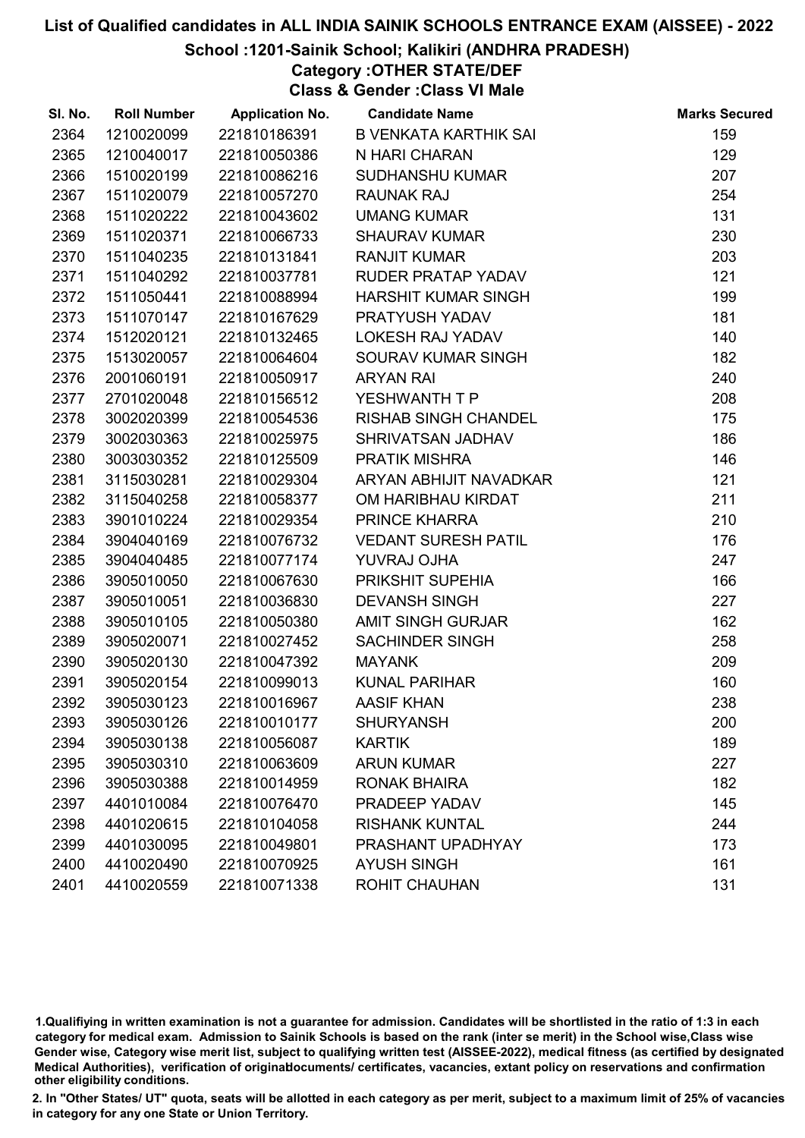### School :1201-Sainik School; Kalikiri (ANDHRA PRADESH)

Category :OTHER STATE/DEF Class & Gender :Class VI Male

| SI. No. | <b>Roll Number</b> | <b>Application No.</b> | <b>Candidate Name</b>        | <b>Marks Secured</b> |
|---------|--------------------|------------------------|------------------------------|----------------------|
| 2364    | 1210020099         | 221810186391           | <b>B VENKATA KARTHIK SAI</b> | 159                  |
| 2365    | 1210040017         | 221810050386           | N HARI CHARAN                | 129                  |
| 2366    | 1510020199         | 221810086216           | <b>SUDHANSHU KUMAR</b>       | 207                  |
| 2367    | 1511020079         | 221810057270           | <b>RAUNAK RAJ</b>            | 254                  |
| 2368    | 1511020222         | 221810043602           | <b>UMANG KUMAR</b>           | 131                  |
| 2369    | 1511020371         | 221810066733           | <b>SHAURAV KUMAR</b>         | 230                  |
| 2370    | 1511040235         | 221810131841           | <b>RANJIT KUMAR</b>          | 203                  |
| 2371    | 1511040292         | 221810037781           | RUDER PRATAP YADAV           | 121                  |
| 2372    | 1511050441         | 221810088994           | <b>HARSHIT KUMAR SINGH</b>   | 199                  |
| 2373    | 1511070147         | 221810167629           | PRATYUSH YADAV               | 181                  |
| 2374    | 1512020121         | 221810132465           | <b>LOKESH RAJ YADAV</b>      | 140                  |
| 2375    | 1513020057         | 221810064604           | <b>SOURAV KUMAR SINGH</b>    | 182                  |
| 2376    | 2001060191         | 221810050917           | <b>ARYAN RAI</b>             | 240                  |
| 2377    | 2701020048         | 221810156512           | YESHWANTH T P                | 208                  |
| 2378    | 3002020399         | 221810054536           | <b>RISHAB SINGH CHANDEL</b>  | 175                  |
| 2379    | 3002030363         | 221810025975           | SHRIVATSAN JADHAV            | 186                  |
| 2380    | 3003030352         | 221810125509           | <b>PRATIK MISHRA</b>         | 146                  |
| 2381    | 3115030281         | 221810029304           | ARYAN ABHIJIT NAVADKAR       | 121                  |
| 2382    | 3115040258         | 221810058377           | OM HARIBHAU KIRDAT           | 211                  |
| 2383    | 3901010224         | 221810029354           | PRINCE KHARRA                | 210                  |
| 2384    | 3904040169         | 221810076732           | <b>VEDANT SURESH PATIL</b>   | 176                  |
| 2385    | 3904040485         | 221810077174           | YUVRAJ OJHA                  | 247                  |
| 2386    | 3905010050         | 221810067630           | PRIKSHIT SUPEHIA             | 166                  |
| 2387    | 3905010051         | 221810036830           | <b>DEVANSH SINGH</b>         | 227                  |
| 2388    | 3905010105         | 221810050380           | <b>AMIT SINGH GURJAR</b>     | 162                  |
| 2389    | 3905020071         | 221810027452           | <b>SACHINDER SINGH</b>       | 258                  |
| 2390    | 3905020130         | 221810047392           | <b>MAYANK</b>                | 209                  |
| 2391    | 3905020154         | 221810099013           | <b>KUNAL PARIHAR</b>         | 160                  |
| 2392    | 3905030123         | 221810016967           | AASIF KHAN                   | 238                  |
| 2393    | 3905030126         | 221810010177           | <b>SHURYANSH</b>             | 200                  |
| 2394    | 3905030138         | 221810056087           | <b>KARTIK</b>                | 189                  |
| 2395    | 3905030310         | 221810063609           | <b>ARUN KUMAR</b>            | 227                  |
| 2396    | 3905030388         | 221810014959           | <b>RONAK BHAIRA</b>          | 182                  |
| 2397    | 4401010084         | 221810076470           | PRADEEP YADAV                | 145                  |
| 2398    | 4401020615         | 221810104058           | <b>RISHANK KUNTAL</b>        | 244                  |
| 2399    | 4401030095         | 221810049801           | PRASHANT UPADHYAY            | 173                  |
| 2400    | 4410020490         | 221810070925           | <b>AYUSH SINGH</b>           | 161                  |
| 2401    | 4410020559         | 221810071338           | ROHIT CHAUHAN                | 131                  |

1.Qualifiying in written examination is not a guarantee for admission. Candidates will be shortlisted in the ratio of 1:3 in each category for medical exam. Admission to Sainik Schools is based on the rank (inter se merit) in the School wise,Class wise Gender wise, Category wise merit list, subject to qualifying written test (AISSEE-2022), medical fitness (as certified by designated Medical Authorities), verification of originablocuments/ certificates, vacancies, extant policy on reservations and confirmation other eligibility conditions.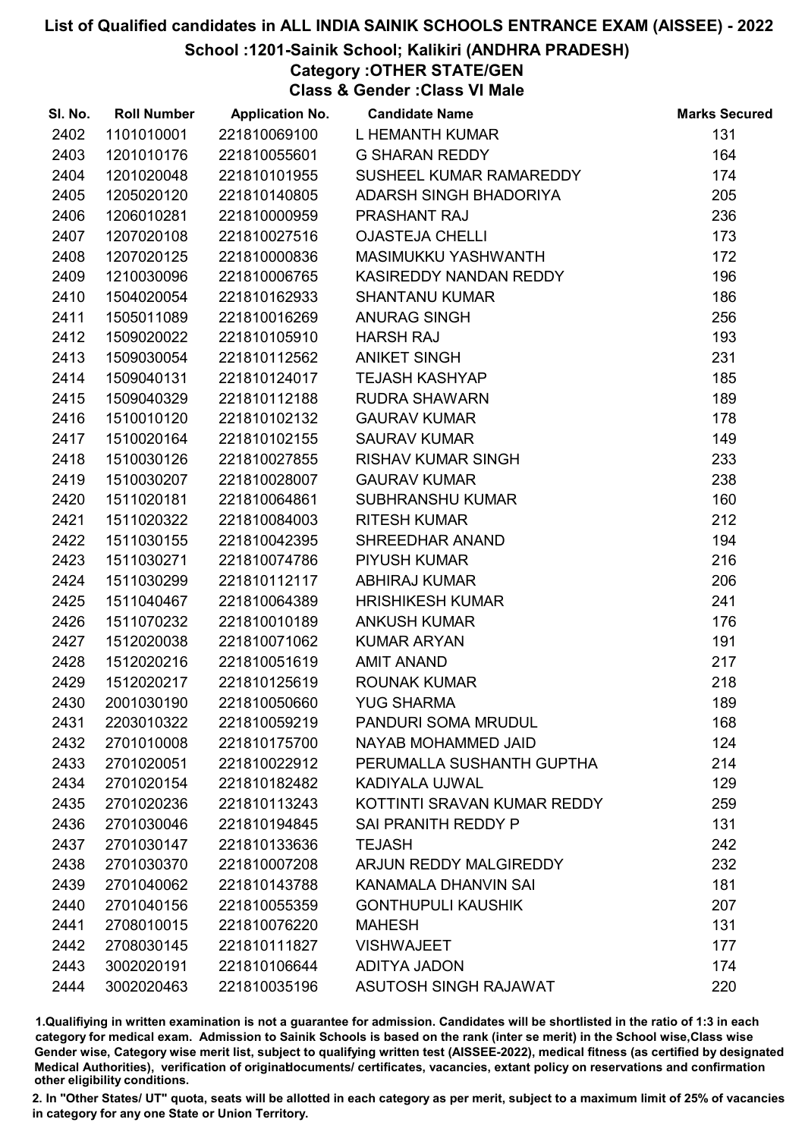### School :1201-Sainik School; Kalikiri (ANDHRA PRADESH)

Category :OTHER STATE/GEN

Class & Gender :Class VI Male

| SI. No. | <b>Roll Number</b> | <b>Application No.</b> | <b>Candidate Name</b>       | <b>Marks Secured</b> |
|---------|--------------------|------------------------|-----------------------------|----------------------|
| 2402    | 1101010001         | 221810069100           | L HEMANTH KUMAR             | 131                  |
| 2403    | 1201010176         | 221810055601           | <b>G SHARAN REDDY</b>       | 164                  |
| 2404    | 1201020048         | 221810101955           | SUSHEEL KUMAR RAMAREDDY     | 174                  |
| 2405    | 1205020120         | 221810140805           | ADARSH SINGH BHADORIYA      | 205                  |
| 2406    | 1206010281         | 221810000959           | PRASHANT RAJ                | 236                  |
| 2407    | 1207020108         | 221810027516           | <b>OJASTEJA CHELLI</b>      | 173                  |
| 2408    | 1207020125         | 221810000836           | MASIMUKKU YASHWANTH         | 172                  |
| 2409    | 1210030096         | 221810006765           | KASIREDDY NANDAN REDDY      | 196                  |
| 2410    | 1504020054         | 221810162933           | <b>SHANTANU KUMAR</b>       | 186                  |
| 2411    | 1505011089         | 221810016269           | <b>ANURAG SINGH</b>         | 256                  |
| 2412    | 1509020022         | 221810105910           | <b>HARSH RAJ</b>            | 193                  |
| 2413    | 1509030054         | 221810112562           | <b>ANIKET SINGH</b>         | 231                  |
| 2414    | 1509040131         | 221810124017           | <b>TEJASH KASHYAP</b>       | 185                  |
| 2415    | 1509040329         | 221810112188           | <b>RUDRA SHAWARN</b>        | 189                  |
| 2416    | 1510010120         | 221810102132           | <b>GAURAV KUMAR</b>         | 178                  |
| 2417    | 1510020164         | 221810102155           | <b>SAURAV KUMAR</b>         | 149                  |
| 2418    | 1510030126         | 221810027855           | <b>RISHAV KUMAR SINGH</b>   | 233                  |
| 2419    | 1510030207         | 221810028007           | <b>GAURAV KUMAR</b>         | 238                  |
| 2420    | 1511020181         | 221810064861           | <b>SUBHRANSHU KUMAR</b>     | 160                  |
| 2421    | 1511020322         | 221810084003           | <b>RITESH KUMAR</b>         | 212                  |
| 2422    | 1511030155         | 221810042395           | SHREEDHAR ANAND             | 194                  |
| 2423    | 1511030271         | 221810074786           | <b>PIYUSH KUMAR</b>         | 216                  |
| 2424    | 1511030299         | 221810112117           | <b>ABHIRAJ KUMAR</b>        | 206                  |
| 2425    | 1511040467         | 221810064389           | <b>HRISHIKESH KUMAR</b>     | 241                  |
| 2426    | 1511070232         | 221810010189           | <b>ANKUSH KUMAR</b>         | 176                  |
| 2427    | 1512020038         | 221810071062           | <b>KUMAR ARYAN</b>          | 191                  |
| 2428    | 1512020216         | 221810051619           | <b>AMIT ANAND</b>           | 217                  |
| 2429    | 1512020217         | 221810125619           | <b>ROUNAK KUMAR</b>         | 218                  |
| 2430    | 2001030190         | 221810050660           | <b>YUG SHARMA</b>           | 189                  |
| 2431    | 2203010322         | 221810059219           | PANDURI SOMA MRUDUL         | 168                  |
| 2432    | 2701010008         | 221810175700           | NAYAB MOHAMMED JAID         | 124                  |
| 2433    | 2701020051         | 221810022912           | PERUMALLA SUSHANTH GUPTHA   | 214                  |
| 2434    | 2701020154         | 221810182482           | KADIYALA UJWAL              | 129                  |
| 2435    | 2701020236         | 221810113243           | KOTTINTI SRAVAN KUMAR REDDY | 259                  |
| 2436    | 2701030046         | 221810194845           | SAI PRANITH REDDY P         | 131                  |
| 2437    | 2701030147         | 221810133636           | <b>TEJASH</b>               | 242                  |
| 2438    | 2701030370         | 221810007208           | ARJUN REDDY MALGIREDDY      | 232                  |
| 2439    | 2701040062         | 221810143788           | KANAMALA DHANVIN SAI        | 181                  |
| 2440    | 2701040156         | 221810055359           | <b>GONTHUPULI KAUSHIK</b>   | 207                  |
| 2441    | 2708010015         | 221810076220           | <b>MAHESH</b>               | 131                  |
| 2442    | 2708030145         | 221810111827           | <b>VISHWAJEET</b>           | 177                  |
| 2443    | 3002020191         | 221810106644           | ADITYA JADON                | 174                  |
| 2444    | 3002020463         | 221810035196           | ASUTOSH SINGH RAJAWAT       | 220                  |

1.Qualifiying in written examination is not a guarantee for admission. Candidates will be shortlisted in the ratio of 1:3 in each category for medical exam. Admission to Sainik Schools is based on the rank (inter se merit) in the School wise,Class wise Gender wise, Category wise merit list, subject to qualifying written test (AISSEE-2022), medical fitness (as certified by designated Medical Authorities), verification of originablocuments/ certificates, vacancies, extant policy on reservations and confirmation other eligibility conditions.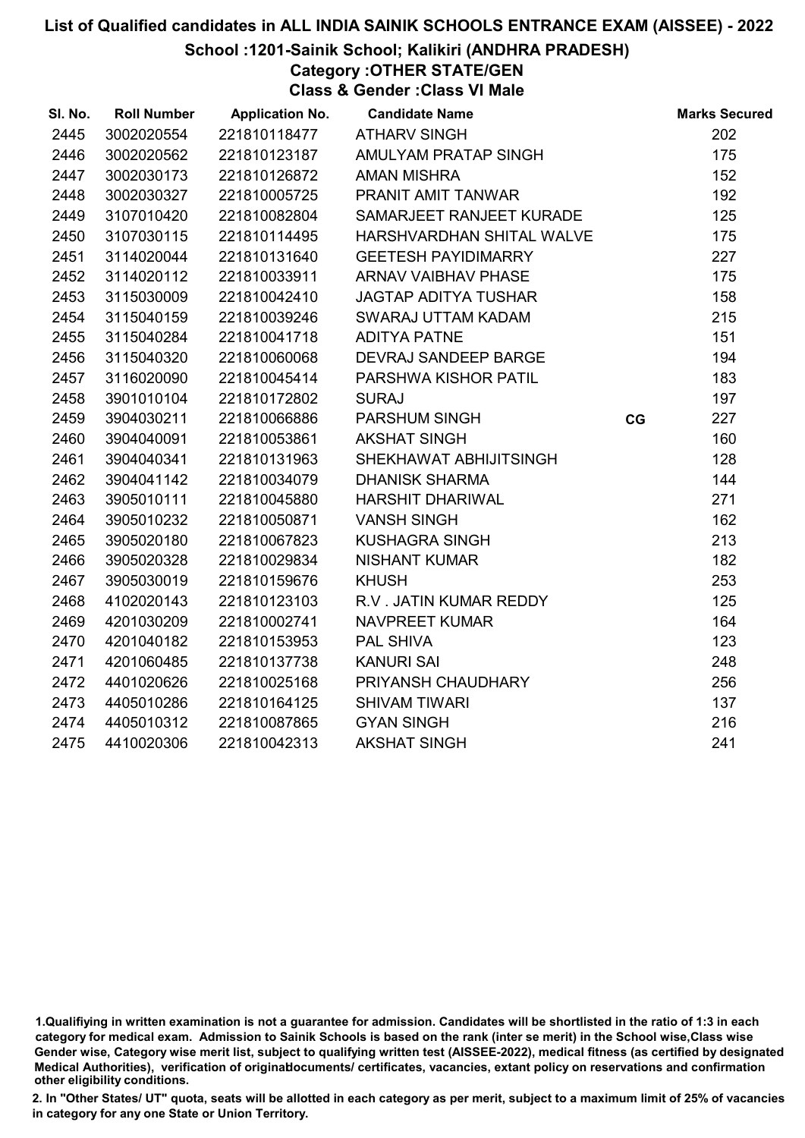#### School :1201-Sainik School; Kalikiri (ANDHRA PRADESH)

Category :OTHER STATE/GEN Class & Gender :Class VI Male

| SI. No. | <b>Roll Number</b> | <b>Application No.</b> | <b>Candidate Name</b>       |    | <b>Marks Secured</b> |
|---------|--------------------|------------------------|-----------------------------|----|----------------------|
| 2445    | 3002020554         | 221810118477           | <b>ATHARV SINGH</b>         |    | 202                  |
| 2446    | 3002020562         | 221810123187           | AMULYAM PRATAP SINGH        |    | 175                  |
| 2447    | 3002030173         | 221810126872           | <b>AMAN MISHRA</b>          |    | 152                  |
| 2448    | 3002030327         | 221810005725           | PRANIT AMIT TANWAR          |    | 192                  |
| 2449    | 3107010420         | 221810082804           | SAMARJEET RANJEET KURADE    |    | 125                  |
| 2450    | 3107030115         | 221810114495           | HARSHVARDHAN SHITAL WALVE   |    | 175                  |
| 2451    | 3114020044         | 221810131640           | <b>GEETESH PAYIDIMARRY</b>  |    | 227                  |
| 2452    | 3114020112         | 221810033911           | <b>ARNAV VAIBHAV PHASE</b>  |    | 175                  |
| 2453    | 3115030009         | 221810042410           | <b>JAGTAP ADITYA TUSHAR</b> |    | 158                  |
| 2454    | 3115040159         | 221810039246           | SWARAJ UTTAM KADAM          |    | 215                  |
| 2455    | 3115040284         | 221810041718           | <b>ADITYA PATNE</b>         |    | 151                  |
| 2456    | 3115040320         | 221810060068           | DEVRAJ SANDEEP BARGE        |    | 194                  |
| 2457    | 3116020090         | 221810045414           | PARSHWA KISHOR PATIL        |    | 183                  |
| 2458    | 3901010104         | 221810172802           | <b>SURAJ</b>                |    | 197                  |
| 2459    | 3904030211         | 221810066886           | PARSHUM SINGH               | CG | 227                  |
| 2460    | 3904040091         | 221810053861           | <b>AKSHAT SINGH</b>         |    | 160                  |
| 2461    | 3904040341         | 221810131963           | SHEKHAWAT ABHIJITSINGH      |    | 128                  |
| 2462    | 3904041142         | 221810034079           | <b>DHANISK SHARMA</b>       |    | 144                  |
| 2463    | 3905010111         | 221810045880           | <b>HARSHIT DHARIWAL</b>     |    | 271                  |
| 2464    | 3905010232         | 221810050871           | <b>VANSH SINGH</b>          |    | 162                  |
| 2465    | 3905020180         | 221810067823           | <b>KUSHAGRA SINGH</b>       |    | 213                  |
| 2466    | 3905020328         | 221810029834           | <b>NISHANT KUMAR</b>        |    | 182                  |
| 2467    | 3905030019         | 221810159676           | <b>KHUSH</b>                |    | 253                  |
| 2468    | 4102020143         | 221810123103           | R.V. JATIN KUMAR REDDY      |    | 125                  |
| 2469    | 4201030209         | 221810002741           | <b>NAVPREET KUMAR</b>       |    | 164                  |
| 2470    | 4201040182         | 221810153953           | PAL SHIVA                   |    | 123                  |
| 2471    | 4201060485         | 221810137738           | <b>KANURI SAI</b>           |    | 248                  |
| 2472    | 4401020626         | 221810025168           | PRIYANSH CHAUDHARY          |    | 256                  |
| 2473    | 4405010286         | 221810164125           | <b>SHIVAM TIWARI</b>        |    | 137                  |
| 2474    | 4405010312         | 221810087865           | <b>GYAN SINGH</b>           |    | 216                  |
| 2475    | 4410020306         | 221810042313           | <b>AKSHAT SINGH</b>         |    | 241                  |

<sup>1.</sup>Qualifiying in written examination is not a guarantee for admission. Candidates will be shortlisted in the ratio of 1:3 in each category for medical exam. Admission to Sainik Schools is based on the rank (inter se merit) in the School wise,Class wise Gender wise, Category wise merit list, subject to qualifying written test (AISSEE-2022), medical fitness (as certified by designated Medical Authorities), verification of originablocuments/ certificates, vacancies, extant policy on reservations and confirmation other eligibility conditions.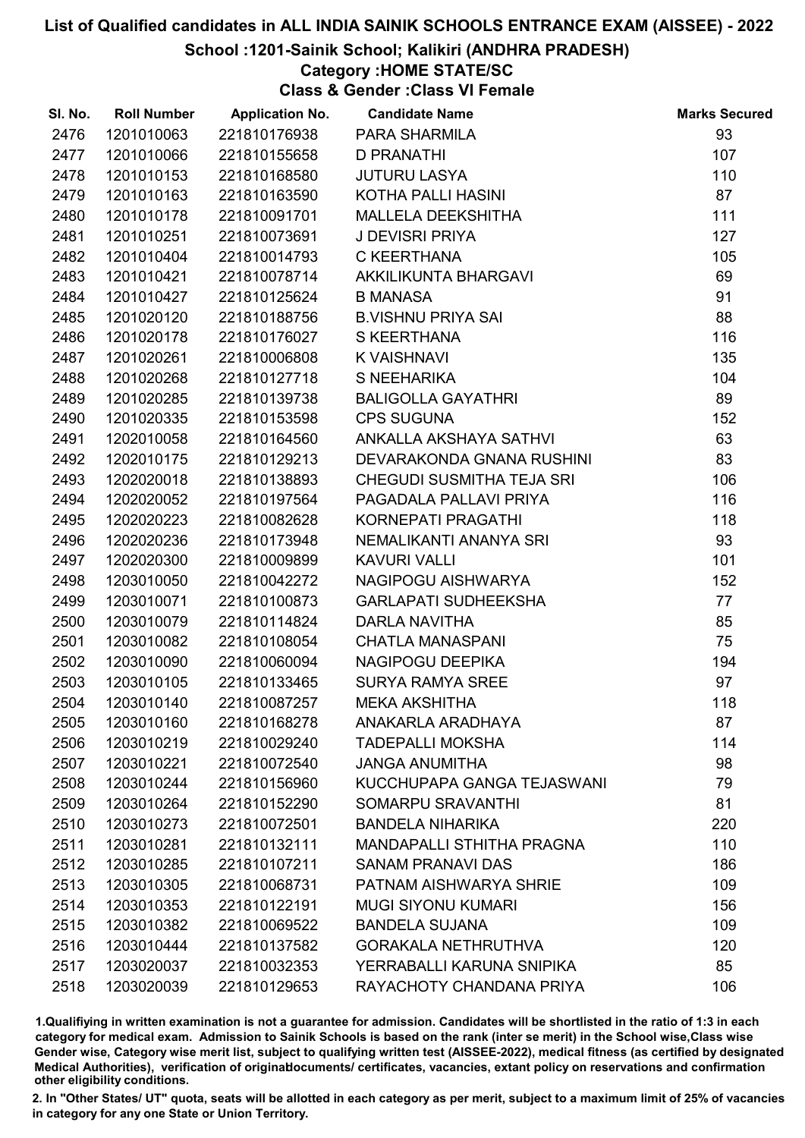### School :1201-Sainik School; Kalikiri (ANDHRA PRADESH)

### Category :HOME STATE/SC

Class & Gender :Class VI Female

| SI. No. | <b>Roll Number</b> | <b>Application No.</b> | <b>Candidate Name</b>            | <b>Marks Secured</b> |
|---------|--------------------|------------------------|----------------------------------|----------------------|
| 2476    | 1201010063         | 221810176938           | PARA SHARMILA                    | 93                   |
| 2477    | 1201010066         | 221810155658           | <b>D PRANATHI</b>                | 107                  |
| 2478    | 1201010153         | 221810168580           | <b>JUTURU LASYA</b>              | 110                  |
| 2479    | 1201010163         | 221810163590           | KOTHA PALLI HASINI               | 87                   |
| 2480    | 1201010178         | 221810091701           | MALLELA DEEKSHITHA               | 111                  |
| 2481    | 1201010251         | 221810073691           | <b>J DEVISRI PRIYA</b>           | 127                  |
| 2482    | 1201010404         | 221810014793           | C KEERTHANA                      | 105                  |
| 2483    | 1201010421         | 221810078714           | AKKILIKUNTA BHARGAVI             | 69                   |
| 2484    | 1201010427         | 221810125624           | <b>B MANASA</b>                  | 91                   |
| 2485    | 1201020120         | 221810188756           | <b>B.VISHNU PRIYA SAI</b>        | 88                   |
| 2486    | 1201020178         | 221810176027           | S KEERTHANA                      | 116                  |
| 2487    | 1201020261         | 221810006808           | <b>K VAISHNAVI</b>               | 135                  |
| 2488    | 1201020268         | 221810127718           | S NEEHARIKA                      | 104                  |
| 2489    | 1201020285         | 221810139738           | <b>BALIGOLLA GAYATHRI</b>        | 89                   |
| 2490    | 1201020335         | 221810153598           | <b>CPS SUGUNA</b>                | 152                  |
| 2491    | 1202010058         | 221810164560           | ANKALLA AKSHAYA SATHVI           | 63                   |
| 2492    | 1202010175         | 221810129213           | DEVARAKONDA GNANA RUSHINI        | 83                   |
| 2493    | 1202020018         | 221810138893           | CHEGUDI SUSMITHA TEJA SRI        | 106                  |
| 2494    | 1202020052         | 221810197564           | PAGADALA PALLAVI PRIYA           | 116                  |
| 2495    | 1202020223         | 221810082628           | KORNEPATI PRAGATHI               | 118                  |
| 2496    | 1202020236         | 221810173948           | NEMALIKANTI ANANYA SRI           | 93                   |
| 2497    | 1202020300         | 221810009899           | <b>KAVURI VALLI</b>              | 101                  |
| 2498    | 1203010050         | 221810042272           | NAGIPOGU AISHWARYA               | 152                  |
| 2499    | 1203010071         | 221810100873           | <b>GARLAPATI SUDHEEKSHA</b>      | 77                   |
| 2500    | 1203010079         | 221810114824           | <b>DARLA NAVITHA</b>             | 85                   |
| 2501    | 1203010082         | 221810108054           | <b>CHATLA MANASPANI</b>          | 75                   |
| 2502    | 1203010090         | 221810060094           | NAGIPOGU DEEPIKA                 | 194                  |
| 2503    | 1203010105         | 221810133465           | <b>SURYA RAMYA SREE</b>          | 97                   |
| 2504    | 1203010140         | 221810087257           | <b>MEKA AKSHITHA</b>             | 118                  |
| 2505    | 1203010160         | 221810168278           | ANAKARLA ARADHAYA                | 87                   |
| 2506    | 1203010219         | 221810029240           | <b>TADEPALLI MOKSHA</b>          | 114                  |
| 2507    | 1203010221         | 221810072540           | <b>JANGA ANUMITHA</b>            | 98                   |
| 2508    | 1203010244         | 221810156960           | KUCCHUPAPA GANGA TEJASWANI       | 79                   |
| 2509    | 1203010264         | 221810152290           | SOMARPU SRAVANTHI                | 81                   |
| 2510    | 1203010273         | 221810072501           | <b>BANDELA NIHARIKA</b>          | 220                  |
| 2511    | 1203010281         | 221810132111           | <b>MANDAPALLI STHITHA PRAGNA</b> | 110                  |
| 2512    | 1203010285         | 221810107211           | <b>SANAM PRANAVI DAS</b>         | 186                  |
| 2513    | 1203010305         | 221810068731           | PATNAM AISHWARYA SHRIE           | 109                  |
| 2514    | 1203010353         | 221810122191           | <b>MUGI SIYONU KUMARI</b>        | 156                  |
| 2515    | 1203010382         | 221810069522           | <b>BANDELA SUJANA</b>            | 109                  |
| 2516    | 1203010444         | 221810137582           | <b>GORAKALA NETHRUTHVA</b>       | 120                  |
| 2517    | 1203020037         | 221810032353           | YERRABALLI KARUNA SNIPIKA        | 85                   |
| 2518    | 1203020039         | 221810129653           | RAYACHOTY CHANDANA PRIYA         | 106                  |

1.Qualifiying in written examination is not a guarantee for admission. Candidates will be shortlisted in the ratio of 1:3 in each category for medical exam. Admission to Sainik Schools is based on the rank (inter se merit) in the School wise,Class wise Gender wise, Category wise merit list, subject to qualifying written test (AISSEE-2022), medical fitness (as certified by designated Medical Authorities), verification of originablocuments/ certificates, vacancies, extant policy on reservations and confirmation other eligibility conditions.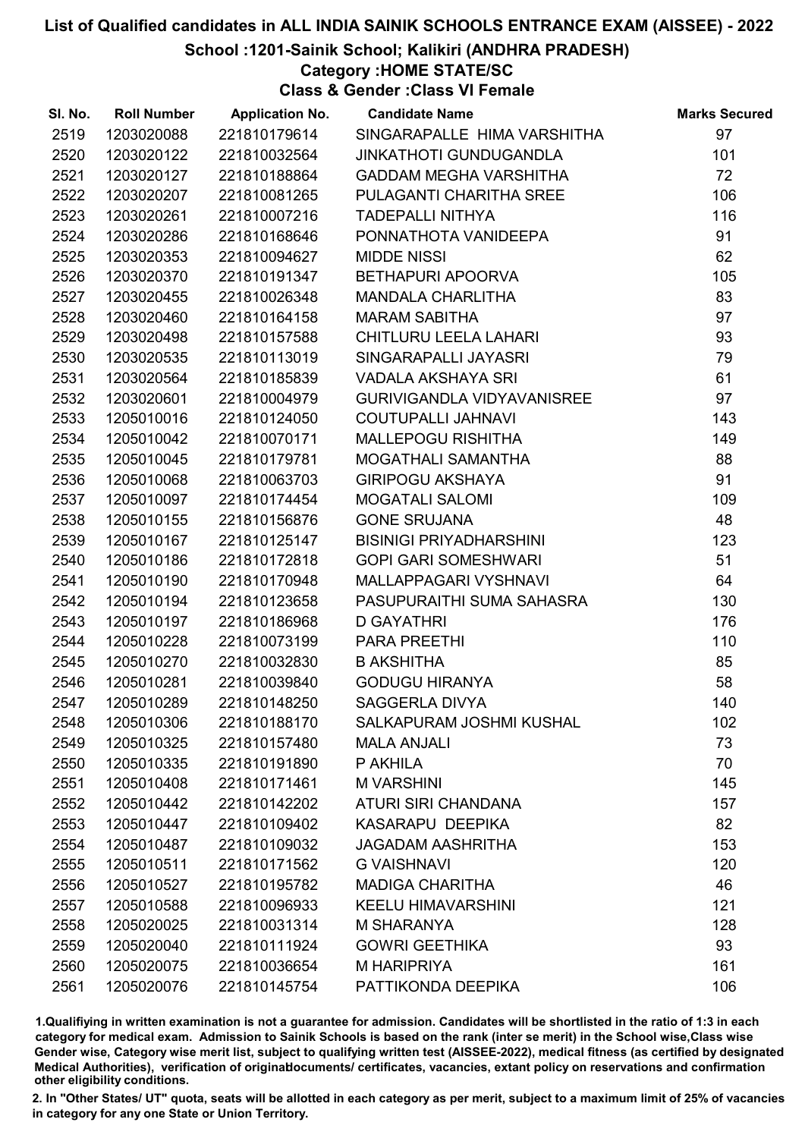School :1201-Sainik School; Kalikiri (ANDHRA PRADESH)

Category :HOME STATE/SC

Class & Gender :Class VI Female

| SI. No. | <b>Roll Number</b> | <b>Application No.</b> | <b>Candidate Name</b>             | <b>Marks Secured</b> |
|---------|--------------------|------------------------|-----------------------------------|----------------------|
| 2519    | 1203020088         | 221810179614           | SINGARAPALLE HIMA VARSHITHA       | 97                   |
| 2520    | 1203020122         | 221810032564           | <b>JINKATHOTI GUNDUGANDLA</b>     | 101                  |
| 2521    | 1203020127         | 221810188864           | <b>GADDAM MEGHA VARSHITHA</b>     | 72                   |
| 2522    | 1203020207         | 221810081265           | PULAGANTI CHARITHA SREE           | 106                  |
| 2523    | 1203020261         | 221810007216           | <b>TADEPALLI NITHYA</b>           | 116                  |
| 2524    | 1203020286         | 221810168646           | PONNATHOTA VANIDEEPA              | 91                   |
| 2525    | 1203020353         | 221810094627           | <b>MIDDE NISSI</b>                | 62                   |
| 2526    | 1203020370         | 221810191347           | BETHAPURI APOORVA                 | 105                  |
| 2527    | 1203020455         | 221810026348           | <b>MANDALA CHARLITHA</b>          | 83                   |
| 2528    | 1203020460         | 221810164158           | <b>MARAM SABITHA</b>              | 97                   |
| 2529    | 1203020498         | 221810157588           | CHITLURU LEELA LAHARI             | 93                   |
| 2530    | 1203020535         | 221810113019           | SINGARAPALLI JAYASRI              | 79                   |
| 2531    | 1203020564         | 221810185839           | VADALA AKSHAYA SRI                | 61                   |
| 2532    | 1203020601         | 221810004979           | <b>GURIVIGANDLA VIDYAVANISREE</b> | 97                   |
| 2533    | 1205010016         | 221810124050           | <b>COUTUPALLI JAHNAVI</b>         | 143                  |
| 2534    | 1205010042         | 221810070171           | <b>MALLEPOGU RISHITHA</b>         | 149                  |
| 2535    | 1205010045         | 221810179781           | MOGATHALI SAMANTHA                | 88                   |
| 2536    | 1205010068         | 221810063703           | <b>GIRIPOGU AKSHAYA</b>           | 91                   |
| 2537    | 1205010097         | 221810174454           | <b>MOGATALI SALOMI</b>            | 109                  |
| 2538    | 1205010155         | 221810156876           | <b>GONE SRUJANA</b>               | 48                   |
| 2539    | 1205010167         | 221810125147           | <b>BISINIGI PRIYADHARSHINI</b>    | 123                  |
| 2540    | 1205010186         | 221810172818           | <b>GOPI GARI SOMESHWARI</b>       | 51                   |
| 2541    | 1205010190         | 221810170948           | MALLAPPAGARI VYSHNAVI             | 64                   |
| 2542    | 1205010194         | 221810123658           | PASUPURAITHI SUMA SAHASRA         | 130                  |
| 2543    | 1205010197         | 221810186968           | <b>D GAYATHRI</b>                 | 176                  |
| 2544    | 1205010228         | 221810073199           | PARA PREETHI                      | 110                  |
| 2545    | 1205010270         | 221810032830           | <b>B AKSHITHA</b>                 | 85                   |
| 2546    | 1205010281         | 221810039840           | <b>GODUGU HIRANYA</b>             | 58                   |
| 2547    | 1205010289         | 221810148250           | <b>SAGGERLA DIVYA</b>             | 140                  |
| 2548    | 1205010306         | 221810188170           | SALKAPURAM JOSHMI KUSHAL          | 102                  |
| 2549    | 1205010325         | 221810157480           | <b>MALA ANJALI</b>                | 73                   |
| 2550    | 1205010335         | 221810191890           | P AKHILA                          | 70                   |
| 2551    | 1205010408         | 221810171461           | <b>M VARSHINI</b>                 | 145                  |
| 2552    | 1205010442         | 221810142202           | <b>ATURI SIRI CHANDANA</b>        | 157                  |
| 2553    | 1205010447         | 221810109402           | KASARAPU DEEPIKA                  | 82                   |
| 2554    | 1205010487         | 221810109032           | <b>JAGADAM AASHRITHA</b>          | 153                  |
| 2555    | 1205010511         | 221810171562           | <b>G VAISHNAVI</b>                | 120                  |
| 2556    | 1205010527         | 221810195782           | <b>MADIGA CHARITHA</b>            | 46                   |
| 2557    | 1205010588         | 221810096933           | <b>KEELU HIMAVARSHINI</b>         | 121                  |
| 2558    | 1205020025         | 221810031314           | <b>M SHARANYA</b>                 | 128                  |
| 2559    | 1205020040         | 221810111924           | <b>GOWRI GEETHIKA</b>             | 93                   |
| 2560    | 1205020075         | 221810036654           | <b>M HARIPRIYA</b>                | 161                  |
| 2561    | 1205020076         | 221810145754           | PATTIKONDA DEEPIKA                | 106                  |

1.Qualifiying in written examination is not a guarantee for admission. Candidates will be shortlisted in the ratio of 1:3 in each category for medical exam. Admission to Sainik Schools is based on the rank (inter se merit) in the School wise,Class wise Gender wise, Category wise merit list, subject to qualifying written test (AISSEE-2022), medical fitness (as certified by designated Medical Authorities), verification of originablocuments/ certificates, vacancies, extant policy on reservations and confirmation other eligibility conditions.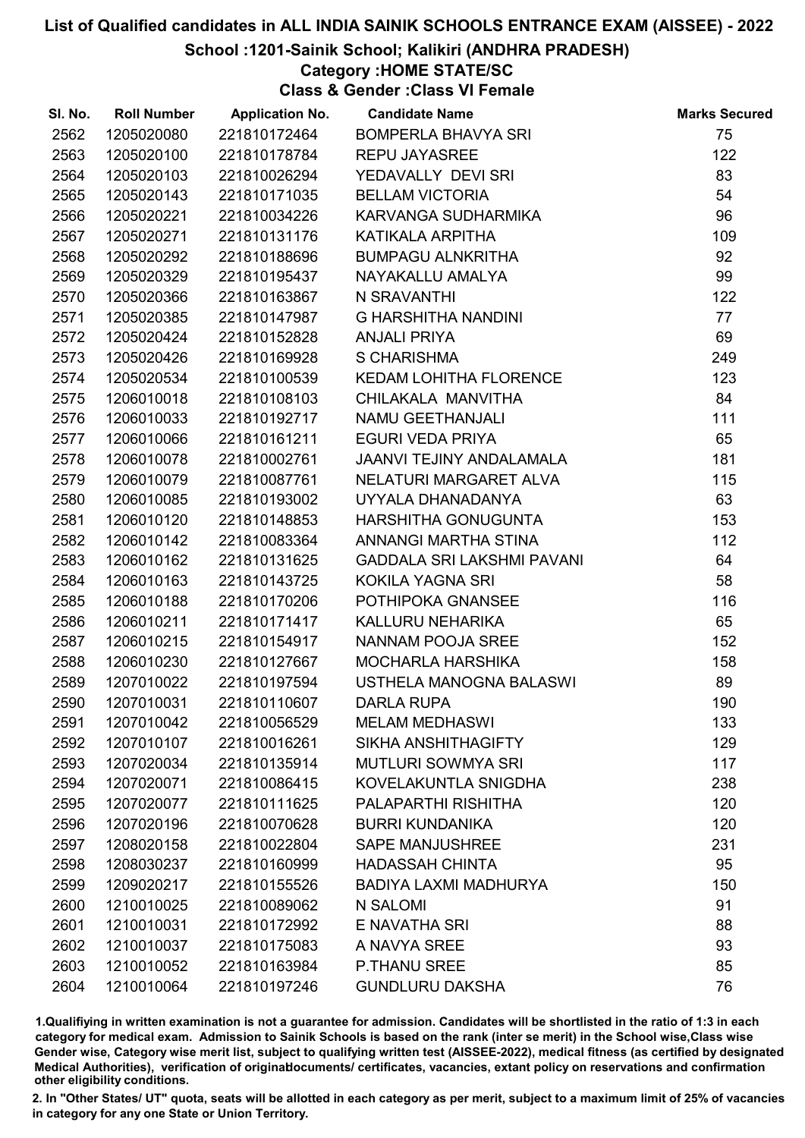### School :1201-Sainik School; Kalikiri (ANDHRA PRADESH)

## Category :HOME STATE/SC

Class & Gender :Class VI Female

| SI. No. | <b>Roll Number</b> | <b>Application No.</b> | <b>Candidate Name</b>             | <b>Marks Secured</b> |
|---------|--------------------|------------------------|-----------------------------------|----------------------|
| 2562    | 1205020080         | 221810172464           | <b>BOMPERLA BHAVYA SRI</b>        | 75                   |
| 2563    | 1205020100         | 221810178784           | <b>REPU JAYASREE</b>              | 122                  |
| 2564    | 1205020103         | 221810026294           | YEDAVALLY DEVI SRI                | 83                   |
| 2565    | 1205020143         | 221810171035           | <b>BELLAM VICTORIA</b>            | 54                   |
| 2566    | 1205020221         | 221810034226           | KARVANGA SUDHARMIKA               | 96                   |
| 2567    | 1205020271         | 221810131176           | KATIKALA ARPITHA                  | 109                  |
| 2568    | 1205020292         | 221810188696           | <b>BUMPAGU ALNKRITHA</b>          | 92                   |
| 2569    | 1205020329         | 221810195437           | NAYAKALLU AMALYA                  | 99                   |
| 2570    | 1205020366         | 221810163867           | N SRAVANTHI                       | 122                  |
| 2571    | 1205020385         | 221810147987           | <b>G HARSHITHA NANDINI</b>        | 77                   |
| 2572    | 1205020424         | 221810152828           | <b>ANJALI PRIYA</b>               | 69                   |
| 2573    | 1205020426         | 221810169928           | <b>S CHARISHMA</b>                | 249                  |
| 2574    | 1205020534         | 221810100539           | <b>KEDAM LOHITHA FLORENCE</b>     | 123                  |
| 2575    | 1206010018         | 221810108103           | CHILAKALA MANVITHA                | 84                   |
| 2576    | 1206010033         | 221810192717           | NAMU GEETHANJALI                  | 111                  |
| 2577    | 1206010066         | 221810161211           | <b>EGURI VEDA PRIYA</b>           | 65                   |
| 2578    | 1206010078         | 221810002761           | <b>JAANVI TEJINY ANDALAMALA</b>   | 181                  |
| 2579    | 1206010079         | 221810087761           | NELATURI MARGARET ALVA            | 115                  |
| 2580    | 1206010085         | 221810193002           | UYYALA DHANADANYA                 | 63                   |
| 2581    | 1206010120         | 221810148853           | HARSHITHA GONUGUNTA               | 153                  |
| 2582    | 1206010142         | 221810083364           | ANNANGI MARTHA STINA              | 112                  |
| 2583    | 1206010162         | 221810131625           | <b>GADDALA SRI LAKSHMI PAVANI</b> | 64                   |
| 2584    | 1206010163         | 221810143725           | <b>KOKILA YAGNA SRI</b>           | 58                   |
| 2585    | 1206010188         | 221810170206           | POTHIPOKA GNANSEE                 | 116                  |
| 2586    | 1206010211         | 221810171417           | KALLURU NEHARIKA                  | 65                   |
| 2587    | 1206010215         | 221810154917           | <b>NANNAM POOJA SREE</b>          | 152                  |
| 2588    | 1206010230         | 221810127667           | <b>MOCHARLA HARSHIKA</b>          | 158                  |
| 2589    | 1207010022         | 221810197594           | USTHELA MANOGNA BALASWI           | 89                   |
| 2590    | 1207010031         | 221810110607           | <b>DARLA RUPA</b>                 | 190                  |
| 2591    | 1207010042         | 221810056529           | <b>MELAM MEDHASWI</b>             | 133                  |
| 2592    | 1207010107         | 221810016261           | <b>SIKHA ANSHITHAGIFTY</b>        | 129                  |
| 2593    | 1207020034         | 221810135914           | <b>MUTLURI SOWMYA SRI</b>         | 117                  |
| 2594    | 1207020071         | 221810086415           | KOVELAKUNTLA SNIGDHA              | 238                  |
| 2595    | 1207020077         | 221810111625           | PALAPARTHI RISHITHA               | 120                  |
| 2596    | 1207020196         | 221810070628           | <b>BURRI KUNDANIKA</b>            | 120                  |
| 2597    | 1208020158         | 221810022804           | <b>SAPE MANJUSHREE</b>            | 231                  |
| 2598    | 1208030237         | 221810160999           | <b>HADASSAH CHINTA</b>            | 95                   |
| 2599    | 1209020217         | 221810155526           | <b>BADIYA LAXMI MADHURYA</b>      | 150                  |
| 2600    | 1210010025         | 221810089062           | N SALOMI                          | 91                   |
| 2601    | 1210010031         | 221810172992           | E NAVATHA SRI                     | 88                   |
| 2602    | 1210010037         | 221810175083           | A NAVYA SREE                      | 93                   |
| 2603    | 1210010052         | 221810163984           | <b>P.THANU SREE</b>               | 85                   |
| 2604    | 1210010064         | 221810197246           | <b>GUNDLURU DAKSHA</b>            | 76                   |

1.Qualifiying in written examination is not a guarantee for admission. Candidates will be shortlisted in the ratio of 1:3 in each category for medical exam. Admission to Sainik Schools is based on the rank (inter se merit) in the School wise,Class wise Gender wise, Category wise merit list, subject to qualifying written test (AISSEE-2022), medical fitness (as certified by designated Medical Authorities), verification of originablocuments/ certificates, vacancies, extant policy on reservations and confirmation other eligibility conditions.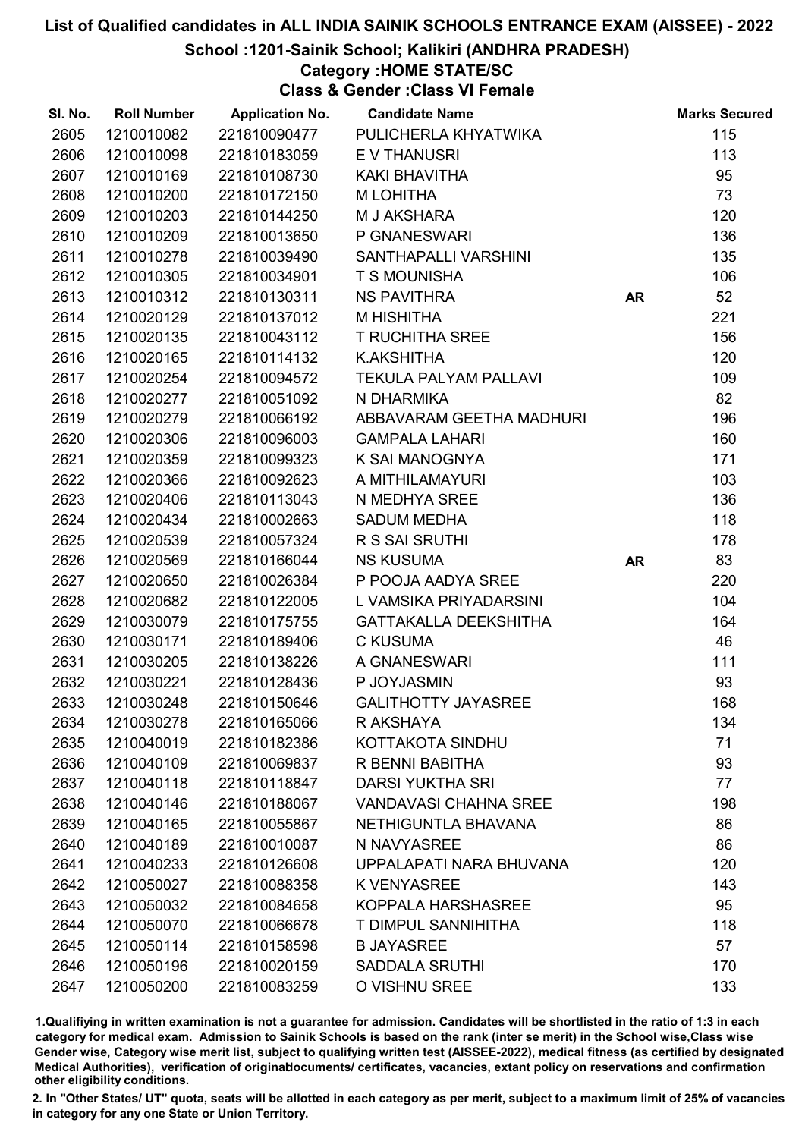School :1201-Sainik School; Kalikiri (ANDHRA PRADESH)

### Category :HOME STATE/SC

Class & Gender :Class VI Female

| SI. No. | <b>Roll Number</b> | <b>Application No.</b> | <b>Candidate Name</b>        |           | <b>Marks Secured</b> |
|---------|--------------------|------------------------|------------------------------|-----------|----------------------|
| 2605    | 1210010082         | 221810090477           | PULICHERLA KHYATWIKA         |           | 115                  |
| 2606    | 1210010098         | 221810183059           | <b>EV THANUSRI</b>           |           | 113                  |
| 2607    | 1210010169         | 221810108730           | KAKI BHAVITHA                |           | 95                   |
| 2608    | 1210010200         | 221810172150           | M LOHITHA                    |           | 73                   |
| 2609    | 1210010203         | 221810144250           | M J AKSHARA                  |           | 120                  |
| 2610    | 1210010209         | 221810013650           | P GNANESWARI                 |           | 136                  |
| 2611    | 1210010278         | 221810039490           | SANTHAPALLI VARSHINI         |           | 135                  |
| 2612    | 1210010305         | 221810034901           | T S MOUNISHA                 |           | 106                  |
| 2613    | 1210010312         | 221810130311           | <b>NS PAVITHRA</b>           | <b>AR</b> | 52                   |
| 2614    | 1210020129         | 221810137012           | M HISHITHA                   |           | 221                  |
| 2615    | 1210020135         | 221810043112           | <b>T RUCHITHA SREE</b>       |           | 156                  |
| 2616    | 1210020165         | 221810114132           | K.AKSHITHA                   |           | 120                  |
| 2617    | 1210020254         | 221810094572           | <b>TEKULA PALYAM PALLAVI</b> |           | 109                  |
| 2618    | 1210020277         | 221810051092           | N DHARMIKA                   |           | 82                   |
| 2619    | 1210020279         | 221810066192           | ABBAVARAM GEETHA MADHURI     |           | 196                  |
| 2620    | 1210020306         | 221810096003           | <b>GAMPALA LAHARI</b>        |           | 160                  |
| 2621    | 1210020359         | 221810099323           | K SAI MANOGNYA               |           | 171                  |
| 2622    | 1210020366         | 221810092623           | A MITHILAMAYURI              |           | 103                  |
| 2623    | 1210020406         | 221810113043           | N MEDHYA SREE                |           | 136                  |
| 2624    | 1210020434         | 221810002663           | <b>SADUM MEDHA</b>           |           | 118                  |
| 2625    | 1210020539         | 221810057324           | R S SAI SRUTHI               |           | 178                  |
| 2626    | 1210020569         | 221810166044           | <b>NS KUSUMA</b>             | <b>AR</b> | 83                   |
| 2627    | 1210020650         | 221810026384           | P POOJA AADYA SREE           |           | 220                  |
| 2628    | 1210020682         | 221810122005           | L VAMSIKA PRIYADARSINI       |           | 104                  |
| 2629    | 1210030079         | 221810175755           | <b>GATTAKALLA DEEKSHITHA</b> |           | 164                  |
| 2630    | 1210030171         | 221810189406           | <b>C KUSUMA</b>              |           | 46                   |
| 2631    | 1210030205         | 221810138226           | A GNANESWARI                 |           | 111                  |
| 2632    | 1210030221         | 221810128436           | P JOYJASMIN                  |           | 93                   |
| 2633    | 1210030248         | 221810150646           | <b>GALITHOTTY JAYASREE</b>   |           | 168                  |
| 2634    | 1210030278         | 221810165066           | R AKSHAYA                    |           | 134                  |
| 2635    | 1210040019         | 221810182386           | KOTTAKOTA SINDHU             |           | 71                   |
| 2636    | 1210040109         | 221810069837           | R BENNI BABITHA              |           | 93                   |
| 2637    | 1210040118         | 221810118847           | <b>DARSI YUKTHA SRI</b>      |           | 77                   |
| 2638    | 1210040146         | 221810188067           | <b>VANDAVASI CHAHNA SREE</b> |           | 198                  |
| 2639    | 1210040165         | 221810055867           | NETHIGUNTLA BHAVANA          |           | 86                   |
| 2640    | 1210040189         | 221810010087           | N NAVYASREE                  |           | 86                   |
| 2641    | 1210040233         | 221810126608           | UPPALAPATI NARA BHUVANA      |           | 120                  |
| 2642    | 1210050027         | 221810088358           | <b>K VENYASREE</b>           |           | 143                  |
| 2643    | 1210050032         | 221810084658           | KOPPALA HARSHASREE           |           | 95                   |
| 2644    | 1210050070         | 221810066678           | T DIMPUL SANNIHITHA          |           | 118                  |
| 2645    | 1210050114         | 221810158598           | <b>B JAYASREE</b>            |           | 57                   |
| 2646    | 1210050196         | 221810020159           | <b>SADDALA SRUTHI</b>        |           | 170                  |
| 2647    | 1210050200         | 221810083259           | O VISHNU SREE                |           | 133                  |

1.Qualifiying in written examination is not a guarantee for admission. Candidates will be shortlisted in the ratio of 1:3 in each category for medical exam. Admission to Sainik Schools is based on the rank (inter se merit) in the School wise,Class wise Gender wise, Category wise merit list, subject to qualifying written test (AISSEE-2022), medical fitness (as certified by designated Medical Authorities), verification of originablocuments/ certificates, vacancies, extant policy on reservations and confirmation other eligibility conditions.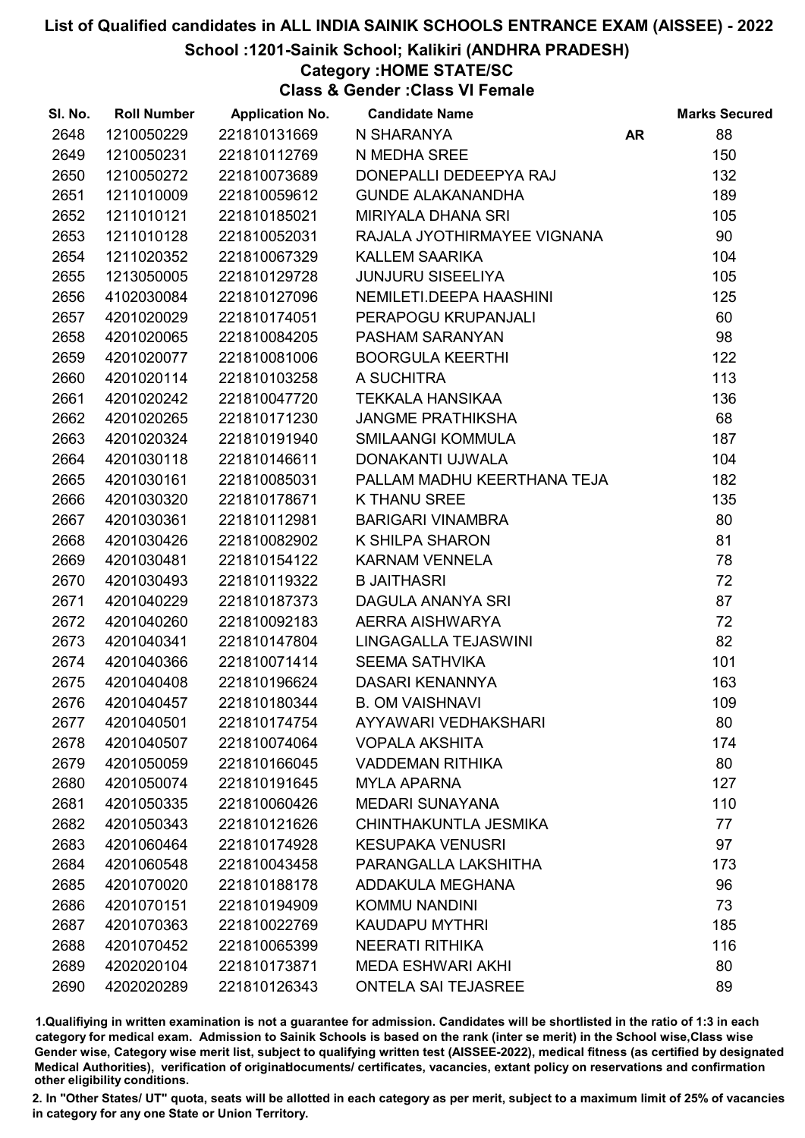### School :1201-Sainik School; Kalikiri (ANDHRA PRADESH)

# Category :HOME STATE/SC

Class & Gender :Class VI Female

| SI. No. | <b>Roll Number</b> | <b>Application No.</b> | <b>Candidate Name</b>       |           | <b>Marks Secured</b> |
|---------|--------------------|------------------------|-----------------------------|-----------|----------------------|
| 2648    | 1210050229         | 221810131669           | N SHARANYA                  | <b>AR</b> | 88                   |
| 2649    | 1210050231         | 221810112769           | N MEDHA SREE                |           | 150                  |
| 2650    | 1210050272         | 221810073689           | DONEPALLI DEDEEPYA RAJ      |           | 132                  |
| 2651    | 1211010009         | 221810059612           | <b>GUNDE ALAKANANDHA</b>    |           | 189                  |
| 2652    | 1211010121         | 221810185021           | <b>MIRIYALA DHANA SRI</b>   |           | 105                  |
| 2653    | 1211010128         | 221810052031           | RAJALA JYOTHIRMAYEE VIGNANA |           | 90                   |
| 2654    | 1211020352         | 221810067329           | <b>KALLEM SAARIKA</b>       |           | 104                  |
| 2655    | 1213050005         | 221810129728           | <b>JUNJURU SISEELIYA</b>    |           | 105                  |
| 2656    | 4102030084         | 221810127096           | NEMILETI.DEEPA HAASHINI     |           | 125                  |
| 2657    | 4201020029         | 221810174051           | PERAPOGU KRUPANJALI         |           | 60                   |
| 2658    | 4201020065         | 221810084205           | PASHAM SARANYAN             |           | 98                   |
| 2659    | 4201020077         | 221810081006           | <b>BOORGULA KEERTHI</b>     |           | 122                  |
| 2660    | 4201020114         | 221810103258           | A SUCHITRA                  |           | 113                  |
| 2661    | 4201020242         | 221810047720           | <b>TEKKALA HANSIKAA</b>     |           | 136                  |
| 2662    | 4201020265         | 221810171230           | <b>JANGME PRATHIKSHA</b>    |           | 68                   |
| 2663    | 4201020324         | 221810191940           | <b>SMILAANGI KOMMULA</b>    |           | 187                  |
| 2664    | 4201030118         | 221810146611           | DONAKANTI UJWALA            |           | 104                  |
| 2665    | 4201030161         | 221810085031           | PALLAM MADHU KEERTHANA TEJA |           | 182                  |
| 2666    | 4201030320         | 221810178671           | <b>K THANU SREE</b>         |           | 135                  |
| 2667    | 4201030361         | 221810112981           | <b>BARIGARI VINAMBRA</b>    |           | 80                   |
| 2668    | 4201030426         | 221810082902           | K SHILPA SHARON             |           | 81                   |
| 2669    | 4201030481         | 221810154122           | <b>KARNAM VENNELA</b>       |           | 78                   |
| 2670    | 4201030493         | 221810119322           | <b>B JAITHASRI</b>          |           | 72                   |
| 2671    | 4201040229         | 221810187373           | DAGULA ANANYA SRI           |           | 87                   |
| 2672    | 4201040260         | 221810092183           | AERRA AISHWARYA             |           | 72                   |
| 2673    | 4201040341         | 221810147804           | LINGAGALLA TEJASWINI        |           | 82                   |
| 2674    | 4201040366         | 221810071414           | <b>SEEMA SATHVIKA</b>       |           | 101                  |
| 2675    | 4201040408         | 221810196624           | DASARI KENANNYA             |           | 163                  |
| 2676    | 4201040457         | 221810180344           | <b>B. OM VAISHNAVI</b>      |           | 109                  |
| 2677    | 4201040501         | 221810174754           | AYYAWARI VEDHAKSHARI        |           | 80                   |
| 2678    | 4201040507         | 221810074064           | <b>VOPALA AKSHITA</b>       |           | 174                  |
| 2679    | 4201050059         | 221810166045           | <b>VADDEMAN RITHIKA</b>     |           | 80                   |
| 2680    | 4201050074         | 221810191645           | <b>MYLA APARNA</b>          |           | 127                  |
| 2681    | 4201050335         | 221810060426           | <b>MEDARI SUNAYANA</b>      |           | 110                  |
| 2682    | 4201050343         | 221810121626           | CHINTHAKUNTLA JESMIKA       |           | 77                   |
| 2683    | 4201060464         | 221810174928           | <b>KESUPAKA VENUSRI</b>     |           | 97                   |
| 2684    | 4201060548         | 221810043458           | PARANGALLA LAKSHITHA        |           | 173                  |
| 2685    | 4201070020         | 221810188178           | ADDAKULA MEGHANA            |           | 96                   |
| 2686    | 4201070151         | 221810194909           | <b>KOMMU NANDINI</b>        |           | 73                   |
| 2687    | 4201070363         | 221810022769           | <b>KAUDAPU MYTHRI</b>       |           | 185                  |
| 2688    | 4201070452         | 221810065399           | <b>NEERATI RITHIKA</b>      |           | 116                  |
| 2689    | 4202020104         | 221810173871           | <b>MEDA ESHWARI AKHI</b>    |           | 80                   |
| 2690    | 4202020289         | 221810126343           | <b>ONTELA SAI TEJASREE</b>  |           | 89                   |

1.Qualifiying in written examination is not a guarantee for admission. Candidates will be shortlisted in the ratio of 1:3 in each category for medical exam. Admission to Sainik Schools is based on the rank (inter se merit) in the School wise,Class wise Gender wise, Category wise merit list, subject to qualifying written test (AISSEE-2022), medical fitness (as certified by designated Medical Authorities), verification of originablocuments/ certificates, vacancies, extant policy on reservations and confirmation other eligibility conditions.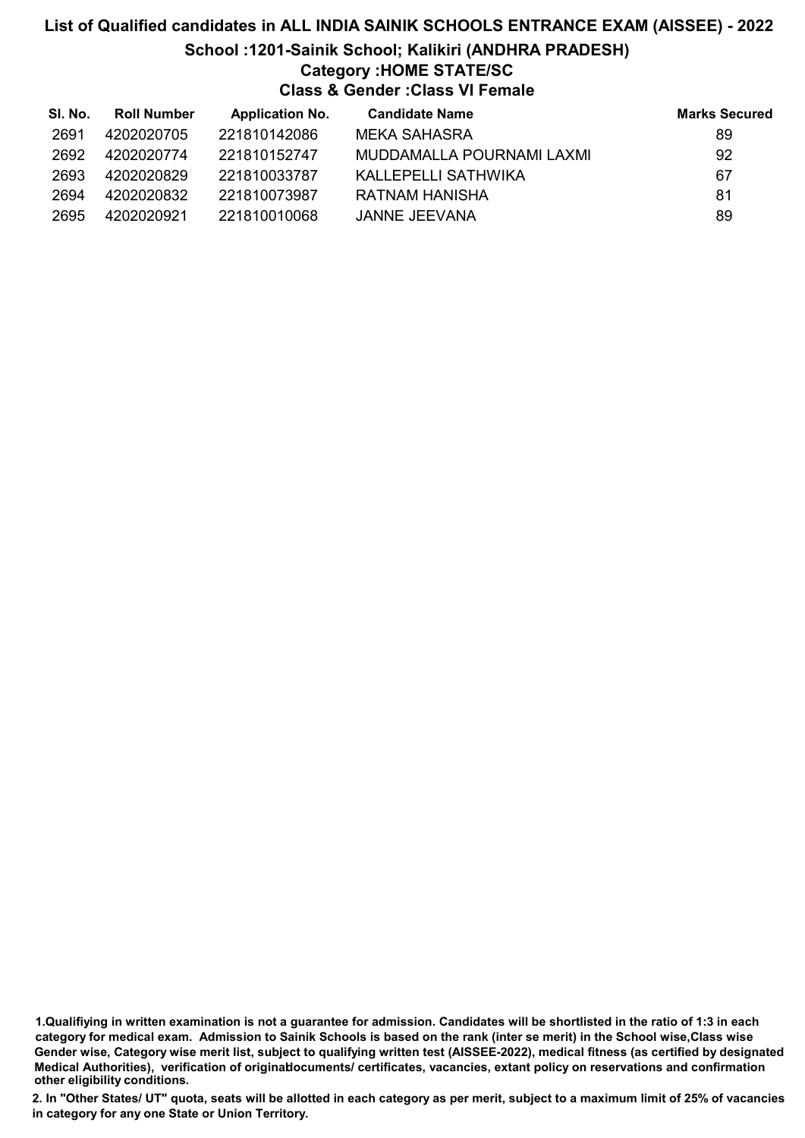# List of Qualified candidates in ALL INDIA SAINIK SCHOOLS ENTRANCE EXAM (AISSEE) - 2022 School :1201-Sainik School; Kalikiri (ANDHRA PRADESH) Category :HOME STATE/SC Class & Gender :Class VI Female

| SI. No. | <b>Roll Number</b> | <b>Application No.</b> | <b>Candidate Name</b>     | <b>Marks Secured</b> |
|---------|--------------------|------------------------|---------------------------|----------------------|
| 2691    | 4202020705         | 221810142086           | MEKA SAHASRA              | 89                   |
| 2692    | 4202020774         | 221810152747           | MUDDAMALLA POURNAMI LAXMI | 92                   |
| 2693    | 4202020829         | 221810033787           | KALLEPELLI SATHWIKA       | 67                   |
| 2694    | 4202020832         | 221810073987           | RATNAM HANISHA            | 81                   |
| 2695    | 4202020921         | 221810010068           | JANNE JEEVANA             | 89                   |

1.Qualifiying in written examination is not a guarantee for admission. Candidates will be shortlisted in the ratio of 1:3 in each category for medical exam. Admission to Sainik Schools is based on the rank (inter se merit) in the School wise,Class wise Gender wise, Category wise merit list, subject to qualifying written test (AISSEE-2022), medical fitness (as certified by designated Medical Authorities), verification of originablocuments/ certificates, vacancies, extant policy on reservations and confirmation other eligibility conditions.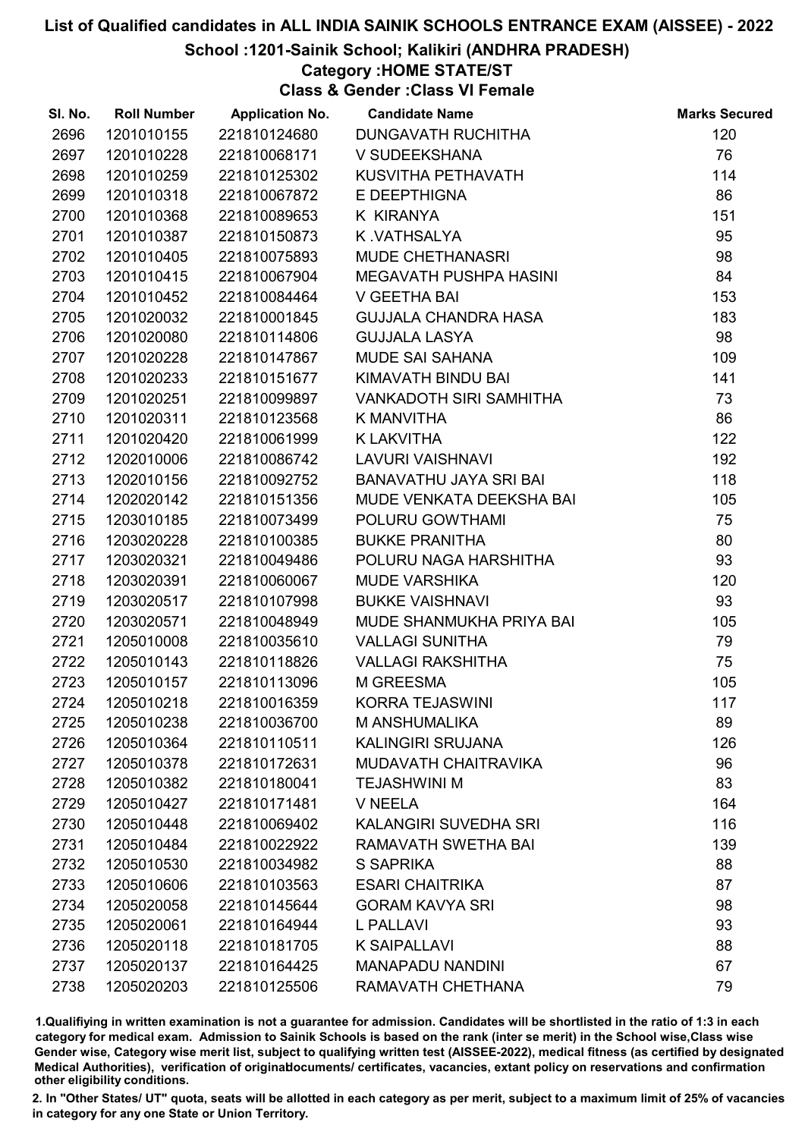### School :1201-Sainik School; Kalikiri (ANDHRA PRADESH)

Category :HOME STATE/ST

Class & Gender :Class VI Female

| SI. No. | <b>Roll Number</b> | <b>Application No.</b> | <b>Candidate Name</b>       | <b>Marks Secured</b> |
|---------|--------------------|------------------------|-----------------------------|----------------------|
| 2696    | 1201010155         | 221810124680           | <b>DUNGAVATH RUCHITHA</b>   | 120                  |
| 2697    | 1201010228         | 221810068171           | V SUDEEKSHANA               | 76                   |
| 2698    | 1201010259         | 221810125302           | KUSVITHA PETHAVATH          | 114                  |
| 2699    | 1201010318         | 221810067872           | E DEEPTHIGNA                | 86                   |
| 2700    | 1201010368         | 221810089653           | K KIRANYA                   | 151                  |
| 2701    | 1201010387         | 221810150873           | K.VATHSALYA                 | 95                   |
| 2702    | 1201010405         | 221810075893           | MUDE CHETHANASRI            | 98                   |
| 2703    | 1201010415         | 221810067904           | MEGAVATH PUSHPA HASINI      | 84                   |
| 2704    | 1201010452         | 221810084464           | V GEETHA BAI                | 153                  |
| 2705    | 1201020032         | 221810001845           | <b>GUJJALA CHANDRA HASA</b> | 183                  |
| 2706    | 1201020080         | 221810114806           | <b>GUJJALA LASYA</b>        | 98                   |
| 2707    | 1201020228         | 221810147867           | <b>MUDE SAI SAHANA</b>      | 109                  |
| 2708    | 1201020233         | 221810151677           | KIMAVATH BINDU BAI          | 141                  |
| 2709    | 1201020251         | 221810099897           | VANKADOTH SIRI SAMHITHA     | 73                   |
| 2710    | 1201020311         | 221810123568           | K MANVITHA                  | 86                   |
| 2711    | 1201020420         | 221810061999           | <b>K LAKVITHA</b>           | 122                  |
| 2712    | 1202010006         | 221810086742           | LAVURI VAISHNAVI            | 192                  |
| 2713    | 1202010156         | 221810092752           | BANAVATHU JAYA SRI BAI      | 118                  |
| 2714    | 1202020142         | 221810151356           | MUDE VENKATA DEEKSHA BAI    | 105                  |
| 2715    | 1203010185         | 221810073499           | POLURU GOWTHAMI             | 75                   |
| 2716    | 1203020228         | 221810100385           | <b>BUKKE PRANITHA</b>       | 80                   |
| 2717    | 1203020321         | 221810049486           | POLURU NAGA HARSHITHA       | 93                   |
| 2718    | 1203020391         | 221810060067           | <b>MUDE VARSHIKA</b>        | 120                  |
| 2719    | 1203020517         | 221810107998           | <b>BUKKE VAISHNAVI</b>      | 93                   |
| 2720    | 1203020571         | 221810048949           | MUDE SHANMUKHA PRIYA BAI    | 105                  |
| 2721    | 1205010008         | 221810035610           | <b>VALLAGI SUNITHA</b>      | 79                   |
| 2722    | 1205010143         | 221810118826           | <b>VALLAGI RAKSHITHA</b>    | 75                   |
| 2723    | 1205010157         | 221810113096           | M GREESMA                   | 105                  |
| 2724    | 1205010218         | 221810016359           | <b>KORRA TEJASWINI</b>      | 117                  |
| 2725    | 1205010238         | 221810036700           | M ANSHUMALIKA               | 89                   |
| 2726    | 1205010364         | 221810110511           | <b>KALINGIRI SRUJANA</b>    | 126                  |
| 2727    | 1205010378         | 221810172631           | <b>MUDAVATH CHAITRAVIKA</b> | 96                   |
| 2728    | 1205010382         | 221810180041           | <b>TEJASHWINI M</b>         | 83                   |
| 2729    | 1205010427         | 221810171481           | V NEELA                     | 164                  |
| 2730    | 1205010448         | 221810069402           | KALANGIRI SUVEDHA SRI       | 116                  |
| 2731    | 1205010484         | 221810022922           | RAMAVATH SWETHA BAI         | 139                  |
| 2732    | 1205010530         | 221810034982           | S SAPRIKA                   | 88                   |
| 2733    | 1205010606         | 221810103563           | <b>ESARI CHAITRIKA</b>      | 87                   |
| 2734    | 1205020058         | 221810145644           | <b>GORAM KAVYA SRI</b>      | 98                   |
| 2735    | 1205020061         | 221810164944           | <b>L PALLAVI</b>            | 93                   |
| 2736    | 1205020118         | 221810181705           | <b>K SAIPALLAVI</b>         | 88                   |
| 2737    | 1205020137         | 221810164425           | <b>MANAPADU NANDINI</b>     | 67                   |
| 2738    | 1205020203         | 221810125506           | RAMAVATH CHETHANA           | 79                   |

1.Qualifiying in written examination is not a guarantee for admission. Candidates will be shortlisted in the ratio of 1:3 in each category for medical exam. Admission to Sainik Schools is based on the rank (inter se merit) in the School wise,Class wise Gender wise, Category wise merit list, subject to qualifying written test (AISSEE-2022), medical fitness (as certified by designated Medical Authorities), verification of originablocuments/ certificates, vacancies, extant policy on reservations and confirmation other eligibility conditions.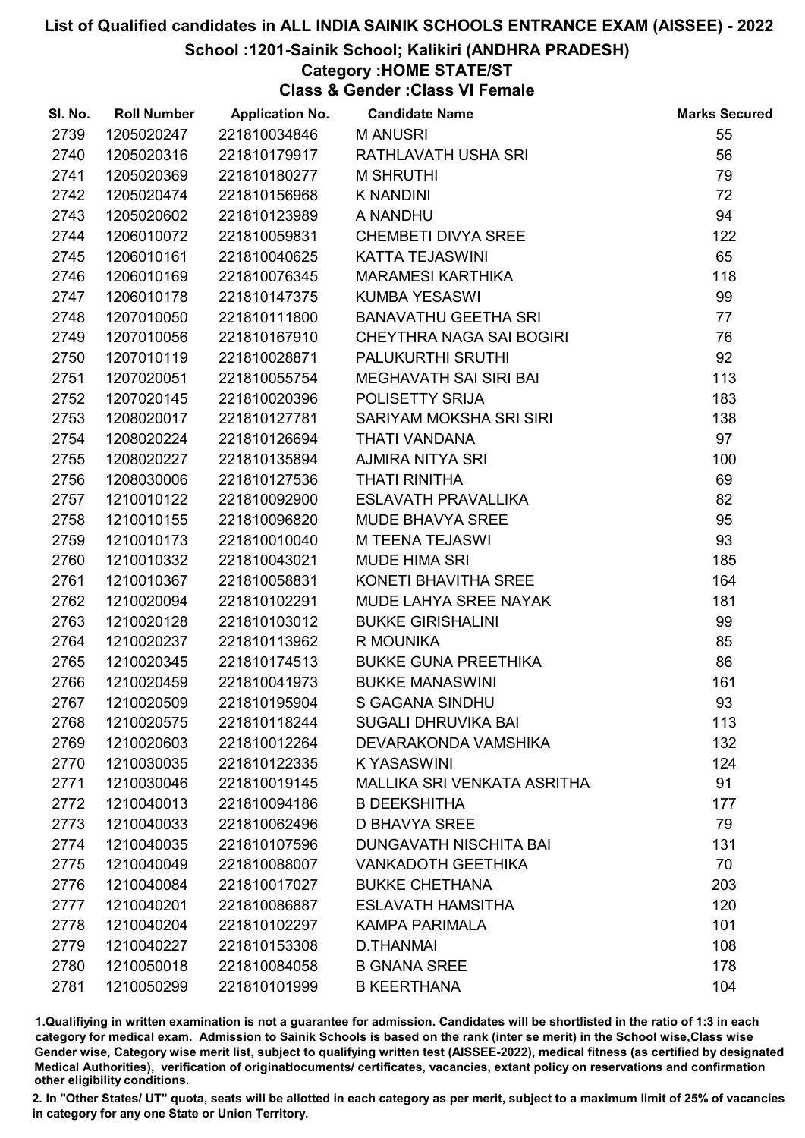### School :1201-Sainik School; Kalikiri (ANDHRA PRADESH)

### Category :HOME STATE/ST

Class & Gender :Class VI Female

| SI. No. | <b>Roll Number</b> | <b>Application No.</b> | <b>Candidate Name</b>         | <b>Marks Secured</b> |
|---------|--------------------|------------------------|-------------------------------|----------------------|
| 2739    | 1205020247         | 221810034846           | <b>MANUSRI</b>                | 55                   |
| 2740    | 1205020316         | 221810179917           | RATHLAVATH USHA SRI           | 56                   |
| 2741    | 1205020369         | 221810180277           | <b>M SHRUTHI</b>              | 79                   |
| 2742    | 1205020474         | 221810156968           | <b>K NANDINI</b>              | 72                   |
| 2743    | 1205020602         | 221810123989           | A NANDHU                      | 94                   |
| 2744    | 1206010072         | 221810059831           | <b>CHEMBETI DIVYA SREE</b>    | 122                  |
| 2745    | 1206010161         | 221810040625           | <b>KATTA TEJASWINI</b>        | 65                   |
| 2746    | 1206010169         | 221810076345           | <b>MARAMESI KARTHIKA</b>      | 118                  |
| 2747    | 1206010178         | 221810147375           | <b>KUMBA YESASWI</b>          | 99                   |
| 2748    | 1207010050         | 221810111800           | <b>BANAVATHU GEETHA SRI</b>   | 77                   |
| 2749    | 1207010056         | 221810167910           | CHEYTHRA NAGA SAI BOGIRI      | 76                   |
| 2750    | 1207010119         | 221810028871           | PALUKURTHI SRUTHI             | 92                   |
| 2751    | 1207020051         | 221810055754           | MEGHAVATH SAI SIRI BAI        | 113                  |
| 2752    | 1207020145         | 221810020396           | POLISETTY SRIJA               | 183                  |
| 2753    | 1208020017         | 221810127781           | SARIYAM MOKSHA SRI SIRI       | 138                  |
| 2754    | 1208020224         | 221810126694           | THATI VANDANA                 | 97                   |
| 2755    | 1208020227         | 221810135894           | <b>AJMIRA NITYA SRI</b>       | 100                  |
| 2756    | 1208030006         | 221810127536           | <b>THATI RINITHA</b>          | 69                   |
| 2757    | 1210010122         | 221810092900           | <b>ESLAVATH PRAVALLIKA</b>    | 82                   |
| 2758    | 1210010155         | 221810096820           | <b>MUDE BHAVYA SREE</b>       | 95                   |
| 2759    | 1210010173         | 221810010040           | <b>M TEENA TEJASWI</b>        | 93                   |
| 2760    | 1210010332         | 221810043021           | <b>MUDE HIMA SRI</b>          | 185                  |
| 2761    | 1210010367         | 221810058831           | KONETI BHAVITHA SREE          | 164                  |
| 2762    | 1210020094         | 221810102291           | MUDE LAHYA SREE NAYAK         | 181                  |
| 2763    | 1210020128         | 221810103012           | <b>BUKKE GIRISHALINI</b>      | 99                   |
| 2764    | 1210020237         | 221810113962           | R MOUNIKA                     | 85                   |
| 2765    | 1210020345         | 221810174513           | <b>BUKKE GUNA PREETHIKA</b>   | 86                   |
| 2766    | 1210020459         | 221810041973           | <b>BUKKE MANASWINI</b>        | 161                  |
| 2767    | 1210020509         | 221810195904           | <b>S GAGANA SINDHU</b>        | 93                   |
| 2768    | 1210020575         | 221810118244           | <b>SUGALI DHRUVIKA BAI</b>    | 113                  |
| 2769    | 1210020603         | 221810012264           | DEVARAKONDA VAMSHIKA          | 132                  |
| 2770    | 1210030035         | 221810122335           | <b>KYASASWINI</b>             | 124                  |
| 2771    | 1210030046         | 221810019145           | MALLIKA SRI VENKATA ASRITHA   | 91                   |
| 2772    | 1210040013         | 221810094186           | <b>B DEEKSHITHA</b>           | 177                  |
| 2773    | 1210040033         | 221810062496           | <b>D BHAVYA SREE</b>          | 79                   |
| 2774    | 1210040035         | 221810107596           | <b>DUNGAVATH NISCHITA BAI</b> | 131                  |
| 2775    | 1210040049         | 221810088007           | <b>VANKADOTH GEETHIKA</b>     | 70                   |
| 2776    | 1210040084         | 221810017027           | <b>BUKKE CHETHANA</b>         | 203                  |
| 2777    | 1210040201         | 221810086887           | <b>ESLAVATH HAMSITHA</b>      | 120                  |
| 2778    | 1210040204         | 221810102297           | <b>KAMPA PARIMALA</b>         | 101                  |
| 2779    | 1210040227         | 221810153308           | <b>D.THANMAI</b>              | 108                  |
| 2780    | 1210050018         | 221810084058           | <b>B GNANA SREE</b>           | 178                  |
| 2781    | 1210050299         | 221810101999           | <b>B KEERTHANA</b>            | 104                  |

1.Qualifiying in written examination is not a guarantee for admission. Candidates will be shortlisted in the ratio of 1:3 in each category for medical exam. Admission to Sainik Schools is based on the rank (inter se merit) in the School wise,Class wise Gender wise, Category wise merit list, subject to qualifying written test (AISSEE-2022), medical fitness (as certified by designated Medical Authorities), verification of originablocuments/ certificates, vacancies, extant policy on reservations and confirmation other eligibility conditions.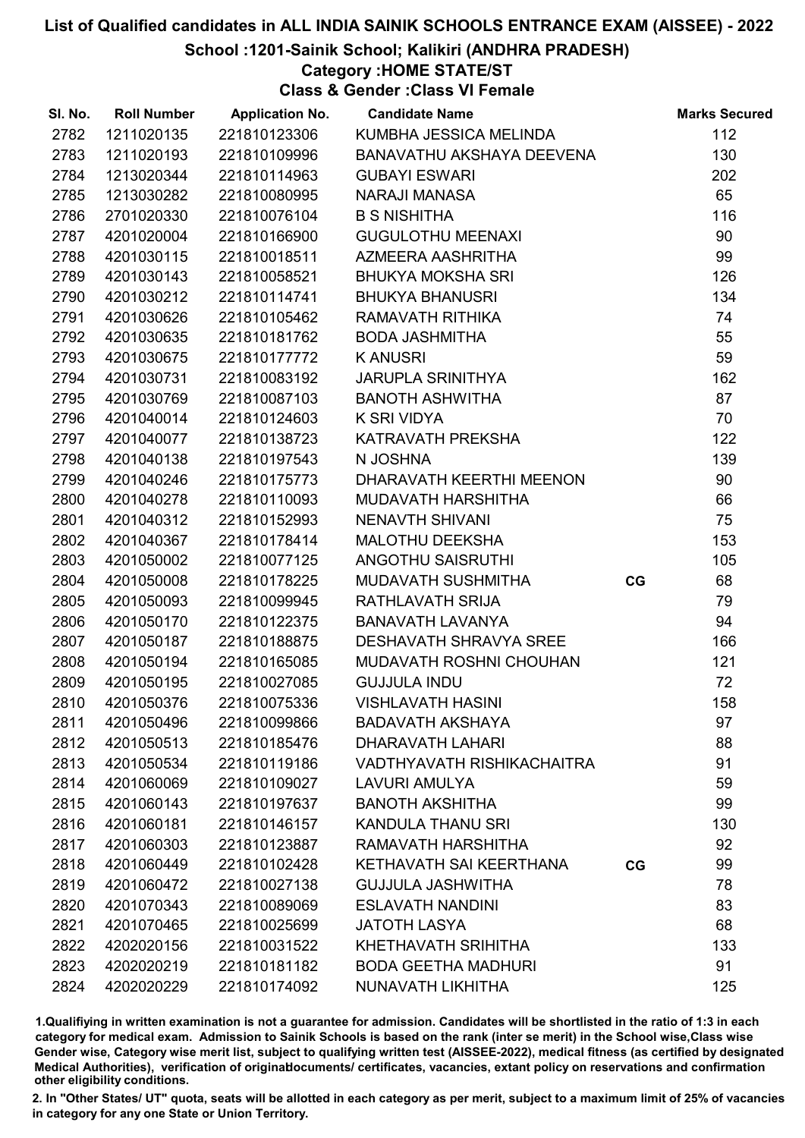School :1201-Sainik School; Kalikiri (ANDHRA PRADESH)

Category :HOME STATE/ST

Class & Gender :Class VI Female

| SI. No. | <b>Roll Number</b> | <b>Application No.</b> | <b>Candidate Name</b>             |    | <b>Marks Secured</b> |
|---------|--------------------|------------------------|-----------------------------------|----|----------------------|
| 2782    | 1211020135         | 221810123306           | KUMBHA JESSICA MELINDA            |    | 112                  |
| 2783    | 1211020193         | 221810109996           | BANAVATHU AKSHAYA DEEVENA         |    | 130                  |
| 2784    | 1213020344         | 221810114963           | <b>GUBAYI ESWARI</b>              |    | 202                  |
| 2785    | 1213030282         | 221810080995           | <b>NARAJI MANASA</b>              |    | 65                   |
| 2786    | 2701020330         | 221810076104           | <b>B S NISHITHA</b>               |    | 116                  |
| 2787    | 4201020004         | 221810166900           | <b>GUGULOTHU MEENAXI</b>          |    | 90                   |
| 2788    | 4201030115         | 221810018511           | AZMEERA AASHRITHA                 |    | 99                   |
| 2789    | 4201030143         | 221810058521           | <b>BHUKYA MOKSHA SRI</b>          |    | 126                  |
| 2790    | 4201030212         | 221810114741           | <b>BHUKYA BHANUSRI</b>            |    | 134                  |
| 2791    | 4201030626         | 221810105462           | RAMAVATH RITHIKA                  |    | 74                   |
| 2792    | 4201030635         | 221810181762           | <b>BODA JASHMITHA</b>             |    | 55                   |
| 2793    | 4201030675         | 221810177772           | <b>KANUSRI</b>                    |    | 59                   |
| 2794    | 4201030731         | 221810083192           | <b>JARUPLA SRINITHYA</b>          |    | 162                  |
| 2795    | 4201030769         | 221810087103           | <b>BANOTH ASHWITHA</b>            |    | 87                   |
| 2796    | 4201040014         | 221810124603           | K SRI VIDYA                       |    | 70                   |
| 2797    | 4201040077         | 221810138723           | KATRAVATH PREKSHA                 |    | 122                  |
| 2798    | 4201040138         | 221810197543           | N JOSHNA                          |    | 139                  |
| 2799    | 4201040246         | 221810175773           | DHARAVATH KEERTHI MEENON          |    | 90                   |
| 2800    | 4201040278         | 221810110093           | MUDAVATH HARSHITHA                |    | 66                   |
| 2801    | 4201040312         | 221810152993           | NENAVTH SHIVANI                   |    | 75                   |
| 2802    | 4201040367         | 221810178414           | MALOTHU DEEKSHA                   |    | 153                  |
| 2803    | 4201050002         | 221810077125           | ANGOTHU SAISRUTHI                 |    | 105                  |
| 2804    | 4201050008         | 221810178225           | MUDAVATH SUSHMITHA                | CG | 68                   |
| 2805    | 4201050093         | 221810099945           | <b>RATHLAVATH SRIJA</b>           |    | 79                   |
| 2806    | 4201050170         | 221810122375           | <b>BANAVATH LAVANYA</b>           |    | 94                   |
| 2807    | 4201050187         | 221810188875           | <b>DESHAVATH SHRAVYA SREE</b>     |    | 166                  |
| 2808    | 4201050194         | 221810165085           | MUDAVATH ROSHNI CHOUHAN           |    | 121                  |
| 2809    | 4201050195         | 221810027085           | <b>GUJJULA INDU</b>               |    | 72                   |
| 2810    | 4201050376         | 221810075336           | <b>VISHLAVATH HASINI</b>          |    | 158                  |
| 2811    | 4201050496         | 221810099866           | <b>BADAVATH AKSHAYA</b>           |    | 97                   |
| 2812    | 4201050513         | 221810185476           | <b>DHARAVATH LAHARI</b>           |    | 88                   |
| 2813    | 4201050534         | 221810119186           | <b>VADTHYAVATH RISHIKACHAITRA</b> |    | 91                   |
| 2814    | 4201060069         | 221810109027           | LAVURI AMULYA                     |    | 59                   |
| 2815    | 4201060143         | 221810197637           | <b>BANOTH AKSHITHA</b>            |    | 99                   |
| 2816    | 4201060181         | 221810146157           | KANDULA THANU SRI                 |    | 130                  |
| 2817    | 4201060303         | 221810123887           | RAMAVATH HARSHITHA                |    | 92                   |
| 2818    | 4201060449         | 221810102428           | KETHAVATH SAI KEERTHANA           | CG | 99                   |
| 2819    | 4201060472         | 221810027138           | <b>GUJJULA JASHWITHA</b>          |    | 78                   |
| 2820    | 4201070343         | 221810089069           | <b>ESLAVATH NANDINI</b>           |    | 83                   |
| 2821    | 4201070465         | 221810025699           | <b>JATOTH LASYA</b>               |    | 68                   |
| 2822    | 4202020156         | 221810031522           | KHETHAVATH SRIHITHA               |    | 133                  |
| 2823    | 4202020219         | 221810181182           | <b>BODA GEETHA MADHURI</b>        |    | 91                   |
| 2824    | 4202020229         | 221810174092           | NUNAVATH LIKHITHA                 |    | 125                  |

1.Qualifiying in written examination is not a guarantee for admission. Candidates will be shortlisted in the ratio of 1:3 in each category for medical exam. Admission to Sainik Schools is based on the rank (inter se merit) in the School wise,Class wise Gender wise, Category wise merit list, subject to qualifying written test (AISSEE-2022), medical fitness (as certified by designated Medical Authorities), verification of originablocuments/ certificates, vacancies, extant policy on reservations and confirmation other eligibility conditions.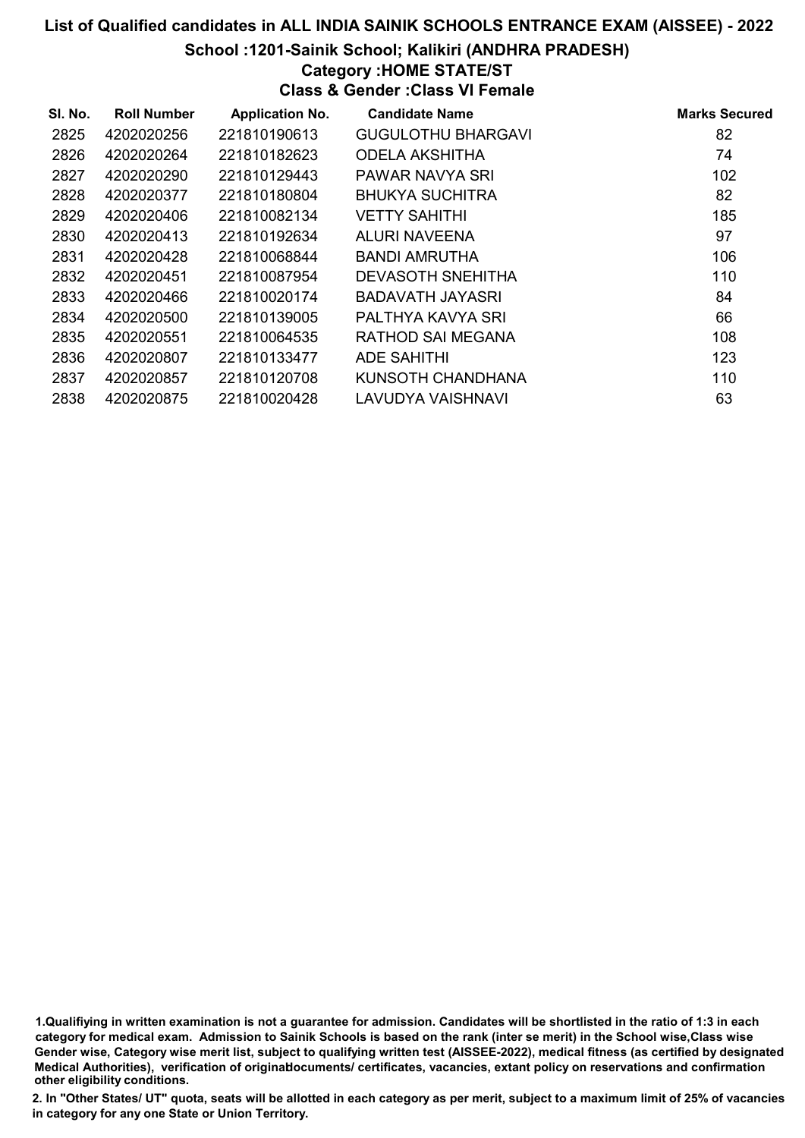### School :1201-Sainik School; Kalikiri (ANDHRA PRADESH)

### Category :HOME STATE/ST

Class & Gender :Class VI Female

| SI. No. | <b>Roll Number</b> | <b>Application No.</b> | <b>Candidate Name</b>     | <b>Marks Secured</b> |
|---------|--------------------|------------------------|---------------------------|----------------------|
| 2825    | 4202020256         | 221810190613           | <b>GUGULOTHU BHARGAVI</b> | 82                   |
| 2826    | 4202020264         | 221810182623           | <b>ODELA AKSHITHA</b>     | 74                   |
| 2827    | 4202020290         | 221810129443           | PAWAR NAVYA SRI           | 102                  |
| 2828    | 4202020377         | 221810180804           | <b>BHUKYA SUCHITRA</b>    | 82                   |
| 2829    | 4202020406         | 221810082134           | <b>VETTY SAHITHI</b>      | 185                  |
| 2830    | 4202020413         | 221810192634           | <b>ALURI NAVEENA</b>      | 97                   |
| 2831    | 4202020428         | 221810068844           | BANDI AMRUTHA             | 106                  |
| 2832    | 4202020451         | 221810087954           | <b>DEVASOTH SNEHITHA</b>  | 110                  |
| 2833    | 4202020466         | 221810020174           | BADAVATH JAYASRI          | 84                   |
| 2834    | 4202020500         | 221810139005           | PALTHYA KAVYA SRI         | 66                   |
| 2835    | 4202020551         | 221810064535           | RATHOD SAI MEGANA         | 108                  |
| 2836    | 4202020807         | 221810133477           | ADE SAHITHI               | 123                  |
| 2837    | 4202020857         | 221810120708           | KUNSOTH CHANDHANA         | 110                  |
| 2838    | 4202020875         | 221810020428           | <b>LAVUDYA VAISHNAVI</b>  | 63                   |

1.Qualifiying in written examination is not a guarantee for admission. Candidates will be shortlisted in the ratio of 1:3 in each category for medical exam. Admission to Sainik Schools is based on the rank (inter se merit) in the School wise,Class wise Gender wise, Category wise merit list, subject to qualifying written test (AISSEE-2022), medical fitness (as certified by designated Medical Authorities), verification of originablocuments/ certificates, vacancies, extant policy on reservations and confirmation other eligibility conditions.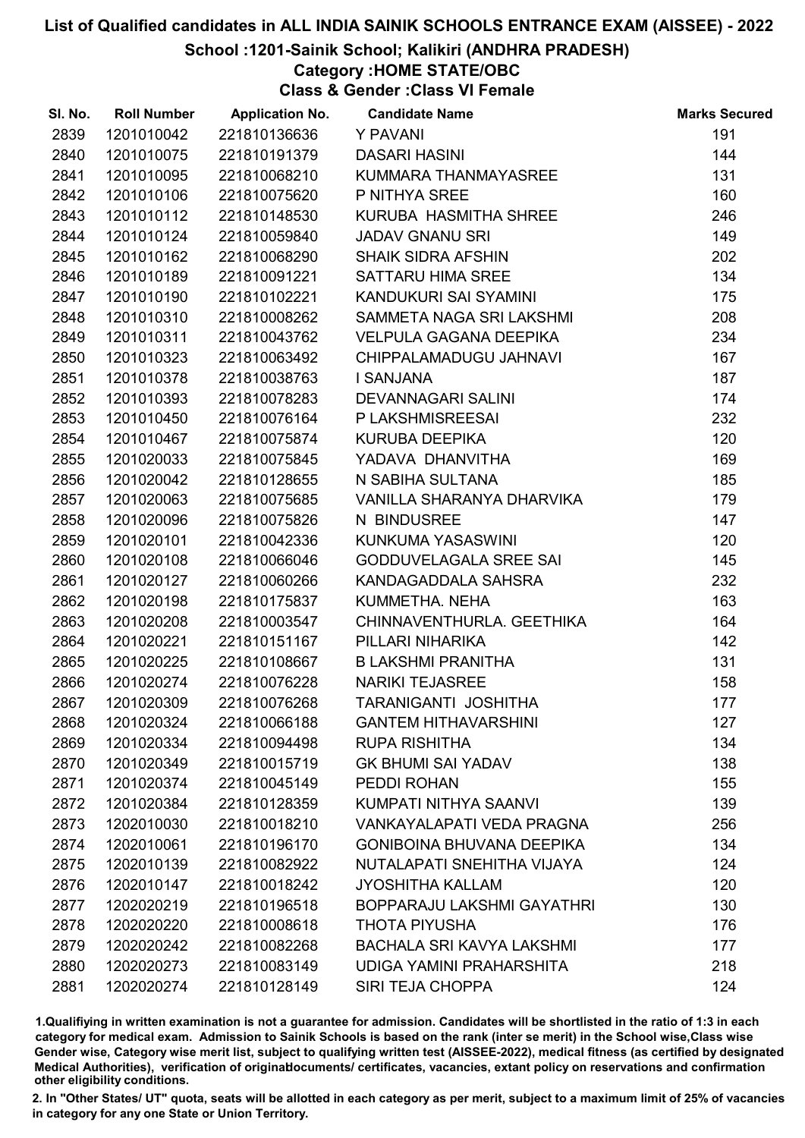#### School :1201-Sainik School; Kalikiri (ANDHRA PRADESH)

Category :HOME STATE/OBC

Class & Gender :Class VI Female

| SI. No. | <b>Roll Number</b> | <b>Application No.</b> | <b>Candidate Name</b>             | <b>Marks Secured</b> |
|---------|--------------------|------------------------|-----------------------------------|----------------------|
| 2839    | 1201010042         | 221810136636           | Y PAVANI                          | 191                  |
| 2840    | 1201010075         | 221810191379           | <b>DASARI HASINI</b>              | 144                  |
| 2841    | 1201010095         | 221810068210           | KUMMARA THANMAYASREE              | 131                  |
| 2842    | 1201010106         | 221810075620           | P NITHYA SREE                     | 160                  |
| 2843    | 1201010112         | 221810148530           | KURUBA HASMITHA SHREE             | 246                  |
| 2844    | 1201010124         | 221810059840           | <b>JADAV GNANU SRI</b>            | 149                  |
| 2845    | 1201010162         | 221810068290           | <b>SHAIK SIDRA AFSHIN</b>         | 202                  |
| 2846    | 1201010189         | 221810091221           | <b>SATTARU HIMA SREE</b>          | 134                  |
| 2847    | 1201010190         | 221810102221           | KANDUKURI SAI SYAMINI             | 175                  |
| 2848    | 1201010310         | 221810008262           | SAMMETA NAGA SRI LAKSHMI          | 208                  |
| 2849    | 1201010311         | 221810043762           | <b>VELPULA GAGANA DEEPIKA</b>     | 234                  |
| 2850    | 1201010323         | 221810063492           | CHIPPALAMADUGU JAHNAVI            | 167                  |
| 2851    | 1201010378         | 221810038763           | I SANJANA                         | 187                  |
| 2852    | 1201010393         | 221810078283           | DEVANNAGARI SALINI                | 174                  |
| 2853    | 1201010450         | 221810076164           | P LAKSHMISREESAI                  | 232                  |
| 2854    | 1201010467         | 221810075874           | <b>KURUBA DEEPIKA</b>             | 120                  |
| 2855    | 1201020033         | 221810075845           | YADAVA DHANVITHA                  | 169                  |
| 2856    | 1201020042         | 221810128655           | N SABIHA SULTANA                  | 185                  |
| 2857    | 1201020063         | 221810075685           | VANILLA SHARANYA DHARVIKA         | 179                  |
| 2858    | 1201020096         | 221810075826           | N BINDUSREE                       | 147                  |
| 2859    | 1201020101         | 221810042336           | KUNKUMA YASASWINI                 | 120                  |
| 2860    | 1201020108         | 221810066046           | <b>GODDUVELAGALA SREE SAI</b>     | 145                  |
| 2861    | 1201020127         | 221810060266           | KANDAGADDALA SAHSRA               | 232                  |
| 2862    | 1201020198         | 221810175837           | KUMMETHA. NEHA                    | 163                  |
| 2863    | 1201020208         | 221810003547           | CHINNAVENTHURLA. GEETHIKA         | 164                  |
| 2864    | 1201020221         | 221810151167           | PILLARI NIHARIKA                  | 142                  |
| 2865    | 1201020225         | 221810108667           | <b>B LAKSHMI PRANITHA</b>         | 131                  |
| 2866    | 1201020274         | 221810076228           | <b>NARIKI TEJASREE</b>            | 158                  |
| 2867    | 1201020309         | 221810076268           | TARANIGANTI JOSHITHA              | 177                  |
| 2868    | 1201020324         | 221810066188           | <b>GANTEM HITHAVARSHINI</b>       | 127                  |
| 2869    | 1201020334         | 221810094498           | <b>RUPA RISHITHA</b>              | 134                  |
| 2870    | 1201020349         | 221810015719           | <b>GK BHUMI SAI YADAV</b>         | 138                  |
| 2871    | 1201020374         | 221810045149           | PEDDI ROHAN                       | 155                  |
| 2872    | 1201020384         | 221810128359           | KUMPATI NITHYA SAANVI             | 139                  |
| 2873    | 1202010030         | 221810018210           | <b>VANKAYALAPATI VEDA PRAGNA</b>  | 256                  |
| 2874    | 1202010061         | 221810196170           | <b>GONIBOINA BHUVANA DEEPIKA</b>  | 134                  |
| 2875    | 1202010139         | 221810082922           | NUTALAPATI SNEHITHA VIJAYA        | 124                  |
| 2876    | 1202010147         | 221810018242           | <b>JYOSHITHA KALLAM</b>           | 120                  |
| 2877    | 1202020219         | 221810196518           | <b>BOPPARAJU LAKSHMI GAYATHRI</b> | 130                  |
| 2878    | 1202020220         | 221810008618           | <b>THOTA PIYUSHA</b>              | 176                  |
| 2879    | 1202020242         | 221810082268           | <b>BACHALA SRI KAVYA LAKSHMI</b>  | 177                  |
| 2880    | 1202020273         | 221810083149           | UDIGA YAMINI PRAHARSHITA          | 218                  |
| 2881    | 1202020274         | 221810128149           | SIRI TEJA CHOPPA                  | 124                  |

1.Qualifiying in written examination is not a guarantee for admission. Candidates will be shortlisted in the ratio of 1:3 in each category for medical exam. Admission to Sainik Schools is based on the rank (inter se merit) in the School wise,Class wise Gender wise, Category wise merit list, subject to qualifying written test (AISSEE-2022), medical fitness (as certified by designated Medical Authorities), verification of originablocuments/ certificates, vacancies, extant policy on reservations and confirmation other eligibility conditions.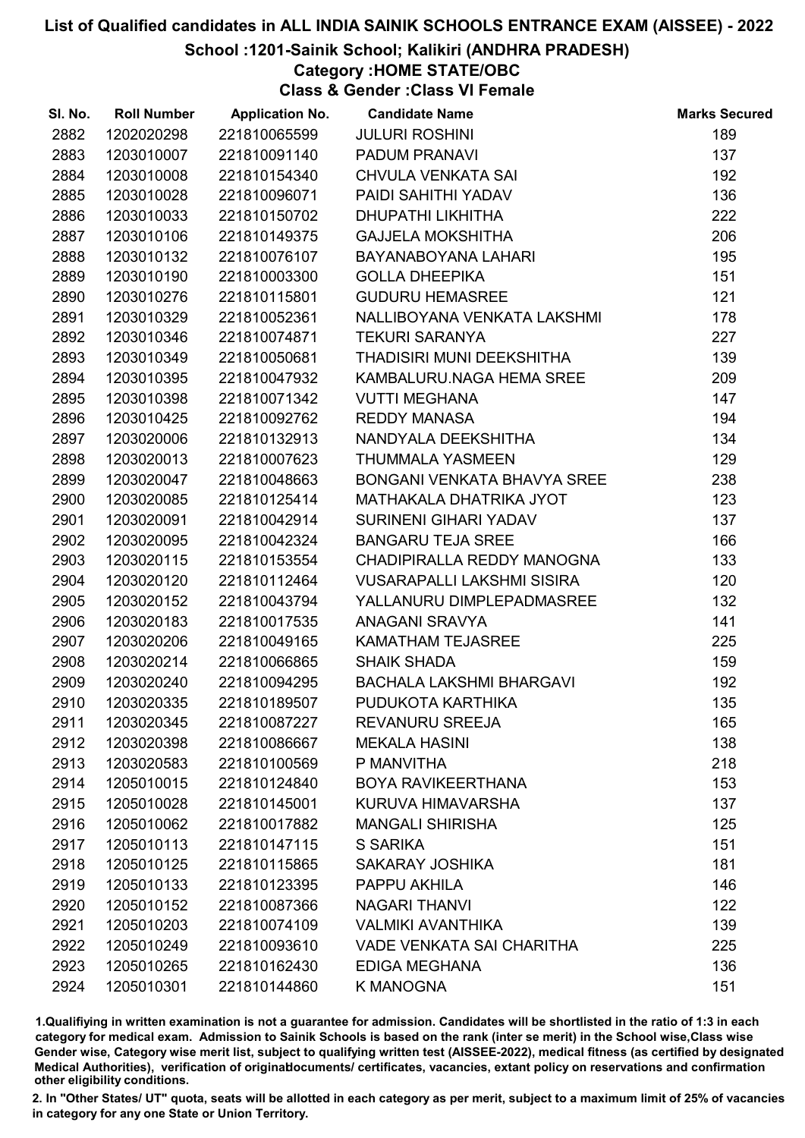#### School :1201-Sainik School; Kalikiri (ANDHRA PRADESH)

#### Category :HOME STATE/OBC

Class & Gender :Class VI Female

| SI. No. | <b>Roll Number</b> | <b>Application No.</b> | <b>Candidate Name</b>             | <b>Marks Secured</b> |
|---------|--------------------|------------------------|-----------------------------------|----------------------|
| 2882    | 1202020298         | 221810065599           | <b>JULURI ROSHINI</b>             | 189                  |
| 2883    | 1203010007         | 221810091140           | PADUM PRANAVI                     | 137                  |
| 2884    | 1203010008         | 221810154340           | <b>CHVULA VENKATA SAI</b>         | 192                  |
| 2885    | 1203010028         | 221810096071           | PAIDI SAHITHI YADAV               | 136                  |
| 2886    | 1203010033         | 221810150702           | <b>DHUPATHI LIKHITHA</b>          | 222                  |
| 2887    | 1203010106         | 221810149375           | <b>GAJJELA MOKSHITHA</b>          | 206                  |
| 2888    | 1203010132         | 221810076107           | BAYANABOYANA LAHARI               | 195                  |
| 2889    | 1203010190         | 221810003300           | <b>GOLLA DHEEPIKA</b>             | 151                  |
| 2890    | 1203010276         | 221810115801           | <b>GUDURU HEMASREE</b>            | 121                  |
| 2891    | 1203010329         | 221810052361           | NALLIBOYANA VENKATA LAKSHMI       | 178                  |
| 2892    | 1203010346         | 221810074871           | <b>TEKURI SARANYA</b>             | 227                  |
| 2893    | 1203010349         | 221810050681           | THADISIRI MUNI DEEKSHITHA         | 139                  |
| 2894    | 1203010395         | 221810047932           | KAMBALURU.NAGA HEMA SREE          | 209                  |
| 2895    | 1203010398         | 221810071342           | <b>VUTTI MEGHANA</b>              | 147                  |
| 2896    | 1203010425         | 221810092762           | <b>REDDY MANASA</b>               | 194                  |
| 2897    | 1203020006         | 221810132913           | NANDYALA DEEKSHITHA               | 134                  |
| 2898    | 1203020013         | 221810007623           | <b>THUMMALA YASMEEN</b>           | 129                  |
| 2899    | 1203020047         | 221810048663           | BONGANI VENKATA BHAVYA SREE       | 238                  |
| 2900    | 1203020085         | 221810125414           | MATHAKALA DHATRIKA JYOT           | 123                  |
| 2901    | 1203020091         | 221810042914           | <b>SURINENI GIHARI YADAV</b>      | 137                  |
| 2902    | 1203020095         | 221810042324           | <b>BANGARU TEJA SREE</b>          | 166                  |
| 2903    | 1203020115         | 221810153554           | CHADIPIRALLA REDDY MANOGNA        | 133                  |
| 2904    | 1203020120         | 221810112464           | <b>VUSARAPALLI LAKSHMI SISIRA</b> | 120                  |
| 2905    | 1203020152         | 221810043794           | YALLANURU DIMPLEPADMASREE         | 132                  |
| 2906    | 1203020183         | 221810017535           | ANAGANI SRAVYA                    | 141                  |
| 2907    | 1203020206         | 221810049165           | <b>KAMATHAM TEJASREE</b>          | 225                  |
| 2908    | 1203020214         | 221810066865           | <b>SHAIK SHADA</b>                | 159                  |
| 2909    | 1203020240         | 221810094295           | <b>BACHALA LAKSHMI BHARGAVI</b>   | 192                  |
| 2910    | 1203020335         | 221810189507           | PUDUKOTA KARTHIKA                 | 135                  |
| 2911    | 1203020345         | 221810087227           | <b>REVANURU SREEJA</b>            | 165                  |
| 2912    | 1203020398         | 221810086667           | <b>MEKALA HASINI</b>              | 138                  |
| 2913    | 1203020583         | 221810100569           | P MANVITHA                        | 218                  |
| 2914    | 1205010015         | 221810124840           | <b>BOYA RAVIKEERTHANA</b>         | 153                  |
| 2915    | 1205010028         | 221810145001           | KURUVA HIMAVARSHA                 | 137                  |
| 2916    | 1205010062         | 221810017882           | <b>MANGALI SHIRISHA</b>           | 125                  |
| 2917    | 1205010113         | 221810147115           | <b>S SARIKA</b>                   | 151                  |
| 2918    | 1205010125         | 221810115865           | <b>SAKARAY JOSHIKA</b>            | 181                  |
| 2919    | 1205010133         | 221810123395           | PAPPU AKHILA                      | 146                  |
| 2920    | 1205010152         | 221810087366           | <b>NAGARI THANVI</b>              | 122                  |
| 2921    | 1205010203         | 221810074109           | <b>VALMIKI AVANTHIKA</b>          | 139                  |
| 2922    | 1205010249         | 221810093610           | <b>VADE VENKATA SAI CHARITHA</b>  | 225                  |
| 2923    | 1205010265         | 221810162430           | <b>EDIGA MEGHANA</b>              | 136                  |
| 2924    | 1205010301         | 221810144860           | K MANOGNA                         | 151                  |

1.Qualifiying in written examination is not a guarantee for admission. Candidates will be shortlisted in the ratio of 1:3 in each category for medical exam. Admission to Sainik Schools is based on the rank (inter se merit) in the School wise,Class wise Gender wise, Category wise merit list, subject to qualifying written test (AISSEE-2022), medical fitness (as certified by designated Medical Authorities), verification of originablocuments/ certificates, vacancies, extant policy on reservations and confirmation other eligibility conditions.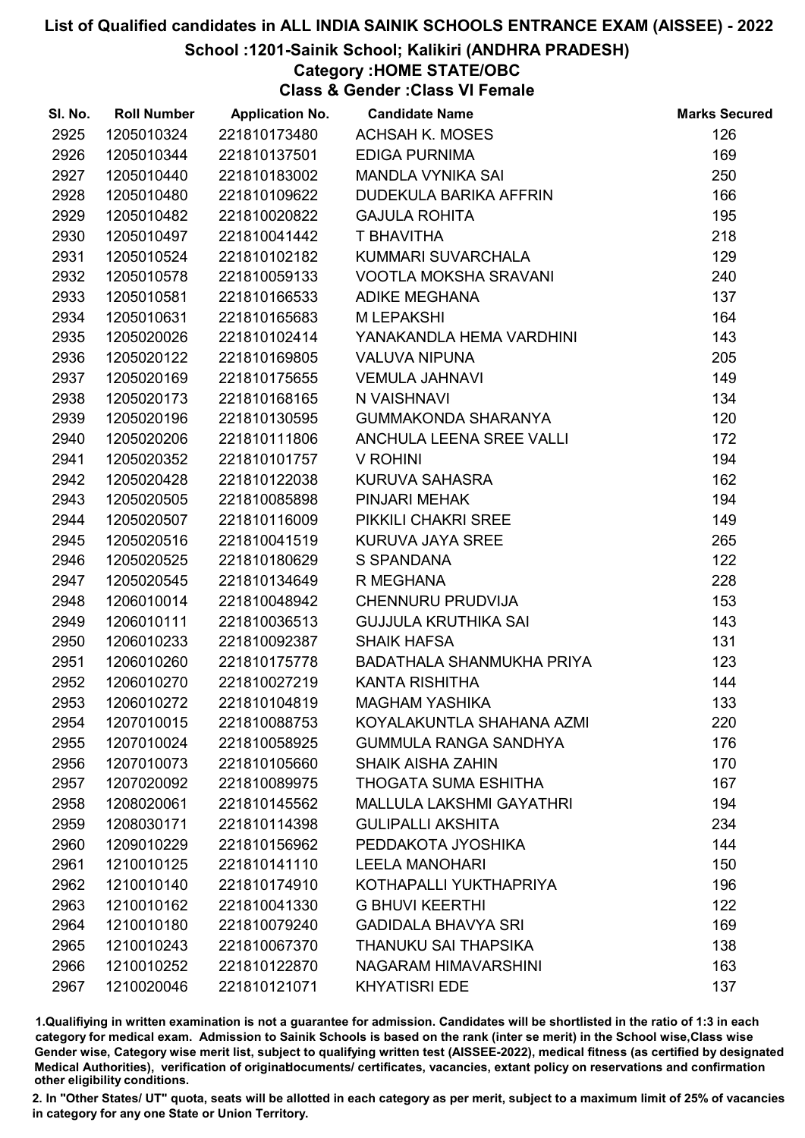#### School :1201-Sainik School; Kalikiri (ANDHRA PRADESH)

#### Category :HOME STATE/OBC

Class & Gender :Class VI Female

| SI. No. | <b>Roll Number</b> | <b>Application No.</b> | <b>Candidate Name</b>           | <b>Marks Secured</b> |
|---------|--------------------|------------------------|---------------------------------|----------------------|
| 2925    | 1205010324         | 221810173480           | <b>ACHSAH K. MOSES</b>          | 126                  |
| 2926    | 1205010344         | 221810137501           | <b>EDIGA PURNIMA</b>            | 169                  |
| 2927    | 1205010440         | 221810183002           | <b>MANDLA VYNIKA SAI</b>        | 250                  |
| 2928    | 1205010480         | 221810109622           | DUDEKULA BARIKA AFFRIN          | 166                  |
| 2929    | 1205010482         | 221810020822           | <b>GAJULA ROHITA</b>            | 195                  |
| 2930    | 1205010497         | 221810041442           | T BHAVITHA                      | 218                  |
| 2931    | 1205010524         | 221810102182           | KUMMARI SUVARCHALA              | 129                  |
| 2932    | 1205010578         | 221810059133           | VOOTLA MOKSHA SRAVANI           | 240                  |
| 2933    | 1205010581         | 221810166533           | ADIKE MEGHANA                   | 137                  |
| 2934    | 1205010631         | 221810165683           | <b>MLEPAKSHI</b>                | 164                  |
| 2935    | 1205020026         | 221810102414           | YANAKANDLA HEMA VARDHINI        | 143                  |
| 2936    | 1205020122         | 221810169805           | <b>VALUVA NIPUNA</b>            | 205                  |
| 2937    | 1205020169         | 221810175655           | <b>VEMULA JAHNAVI</b>           | 149                  |
| 2938    | 1205020173         | 221810168165           | N VAISHNAVI                     | 134                  |
| 2939    | 1205020196         | 221810130595           | <b>GUMMAKONDA SHARANYA</b>      | 120                  |
| 2940    | 1205020206         | 221810111806           | ANCHULA LEENA SREE VALLI        | 172                  |
| 2941    | 1205020352         | 221810101757           | V ROHINI                        | 194                  |
| 2942    | 1205020428         | 221810122038           | KURUVA SAHASRA                  | 162                  |
| 2943    | 1205020505         | 221810085898           | PINJARI MEHAK                   | 194                  |
| 2944    | 1205020507         | 221810116009           | PIKKILI CHAKRI SREE             | 149                  |
| 2945    | 1205020516         | 221810041519           | KURUVA JAYA SREE                | 265                  |
| 2946    | 1205020525         | 221810180629           | S SPANDANA                      | 122                  |
| 2947    | 1205020545         | 221810134649           | R MEGHANA                       | 228                  |
| 2948    | 1206010014         | 221810048942           | CHENNURU PRUDVIJA               | 153                  |
| 2949    | 1206010111         | 221810036513           | <b>GUJJULA KRUTHIKA SAI</b>     | 143                  |
| 2950    | 1206010233         | 221810092387           | <b>SHAIK HAFSA</b>              | 131                  |
| 2951    | 1206010260         | 221810175778           | BADATHALA SHANMUKHA PRIYA       | 123                  |
| 2952    | 1206010270         | 221810027219           | <b>KANTA RISHITHA</b>           | 144                  |
| 2953    | 1206010272         | 221810104819           | <b>MAGHAM YASHIKA</b>           | 133                  |
| 2954    | 1207010015         | 221810088753           | KOYALAKUNTLA SHAHANA AZMI       | 220                  |
| 2955    | 1207010024         | 221810058925           | <b>GUMMULA RANGA SANDHYA</b>    | 176                  |
| 2956    | 1207010073         | 221810105660           | <b>SHAIK AISHA ZAHIN</b>        | 170                  |
| 2957    | 1207020092         | 221810089975           | <b>THOGATA SUMA ESHITHA</b>     | 167                  |
| 2958    | 1208020061         | 221810145562           | <b>MALLULA LAKSHMI GAYATHRI</b> | 194                  |
| 2959    | 1208030171         | 221810114398           | <b>GULIPALLI AKSHITA</b>        | 234                  |
| 2960    | 1209010229         | 221810156962           | PEDDAKOTA JYOSHIKA              | 144                  |
| 2961    | 1210010125         | 221810141110           | <b>LEELA MANOHARI</b>           | 150                  |
| 2962    | 1210010140         | 221810174910           | KOTHAPALLI YUKTHAPRIYA          | 196                  |
| 2963    | 1210010162         | 221810041330           | <b>G BHUVI KEERTHI</b>          | 122                  |
| 2964    | 1210010180         | 221810079240           | <b>GADIDALA BHAVYA SRI</b>      | 169                  |
| 2965    | 1210010243         | 221810067370           | THANUKU SAI THAPSIKA            | 138                  |
| 2966    | 1210010252         | 221810122870           | NAGARAM HIMAVARSHINI            | 163                  |
| 2967    | 1210020046         | 221810121071           | <b>KHYATISRI EDE</b>            | 137                  |

1.Qualifiying in written examination is not a guarantee for admission. Candidates will be shortlisted in the ratio of 1:3 in each category for medical exam. Admission to Sainik Schools is based on the rank (inter se merit) in the School wise,Class wise Gender wise, Category wise merit list, subject to qualifying written test (AISSEE-2022), medical fitness (as certified by designated Medical Authorities), verification of originablocuments/ certificates, vacancies, extant policy on reservations and confirmation other eligibility conditions.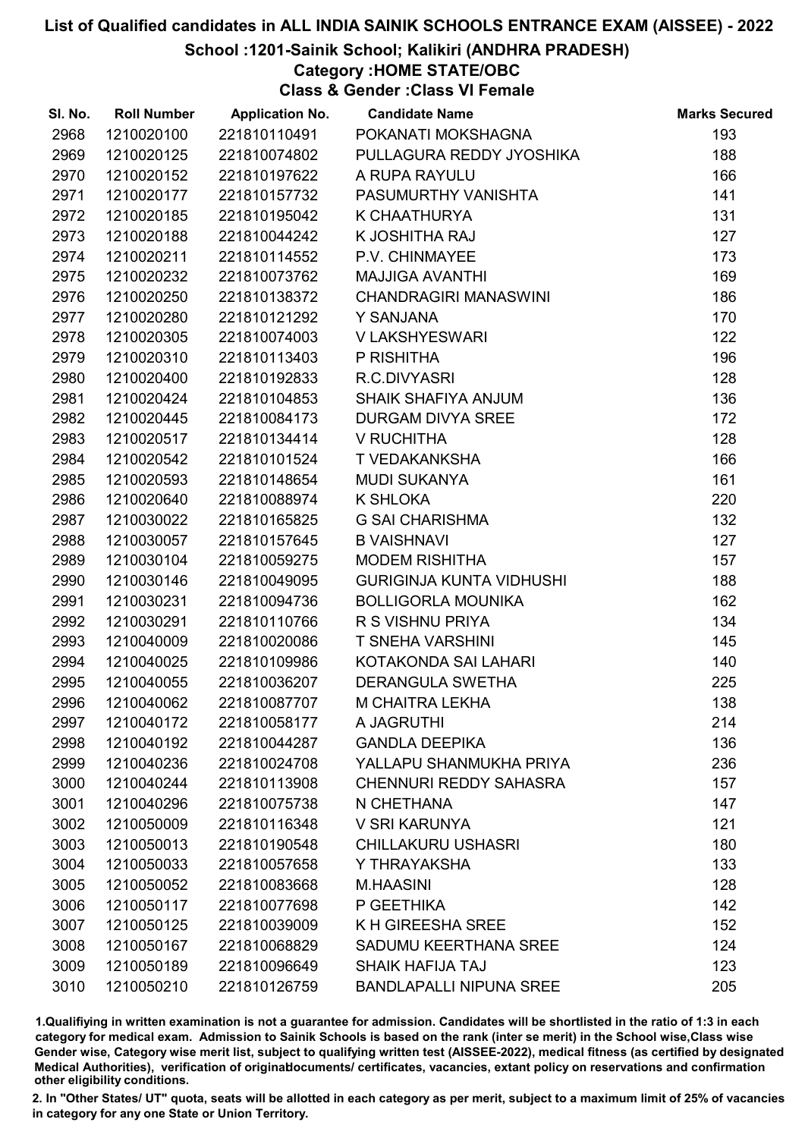#### School :1201-Sainik School; Kalikiri (ANDHRA PRADESH)

Category :HOME STATE/OBC

Class & Gender :Class VI Female

| SI. No. | <b>Roll Number</b> | <b>Application No.</b> | <b>Candidate Name</b>           | <b>Marks Secured</b> |
|---------|--------------------|------------------------|---------------------------------|----------------------|
| 2968    | 1210020100         | 221810110491           | POKANATI MOKSHAGNA              | 193                  |
| 2969    | 1210020125         | 221810074802           | PULLAGURA REDDY JYOSHIKA        | 188                  |
| 2970    | 1210020152         | 221810197622           | A RUPA RAYULU                   | 166                  |
| 2971    | 1210020177         | 221810157732           | PASUMURTHY VANISHTA             | 141                  |
| 2972    | 1210020185         | 221810195042           | K CHAATHURYA                    | 131                  |
| 2973    | 1210020188         | 221810044242           | K JOSHITHA RAJ                  | 127                  |
| 2974    | 1210020211         | 221810114552           | P.V. CHINMAYEE                  | 173                  |
| 2975    | 1210020232         | 221810073762           | <b>MAJJIGA AVANTHI</b>          | 169                  |
| 2976    | 1210020250         | 221810138372           | <b>CHANDRAGIRI MANASWINI</b>    | 186                  |
| 2977    | 1210020280         | 221810121292           | Y SANJANA                       | 170                  |
| 2978    | 1210020305         | 221810074003           | V LAKSHYESWARI                  | 122                  |
| 2979    | 1210020310         | 221810113403           | P RISHITHA                      | 196                  |
| 2980    | 1210020400         | 221810192833           | R.C.DIVYASRI                    | 128                  |
| 2981    | 1210020424         | 221810104853           | SHAIK SHAFIYA ANJUM             | 136                  |
| 2982    | 1210020445         | 221810084173           | DURGAM DIVYA SREE               | 172                  |
| 2983    | 1210020517         | 221810134414           | V RUCHITHA                      | 128                  |
| 2984    | 1210020542         | 221810101524           | T VEDAKANKSHA                   | 166                  |
| 2985    | 1210020593         | 221810148654           | <b>MUDI SUKANYA</b>             | 161                  |
| 2986    | 1210020640         | 221810088974           | K SHLOKA                        | 220                  |
| 2987    | 1210030022         | 221810165825           | <b>G SAI CHARISHMA</b>          | 132                  |
| 2988    | 1210030057         | 221810157645           | <b>B VAISHNAVI</b>              | 127                  |
| 2989    | 1210030104         | 221810059275           | <b>MODEM RISHITHA</b>           | 157                  |
| 2990    | 1210030146         | 221810049095           | <b>GURIGINJA KUNTA VIDHUSHI</b> | 188                  |
| 2991    | 1210030231         | 221810094736           | <b>BOLLIGORLA MOUNIKA</b>       | 162                  |
| 2992    | 1210030291         | 221810110766           | R S VISHNU PRIYA                | 134                  |
| 2993    | 1210040009         | 221810020086           | <b>T SNEHA VARSHINI</b>         | 145                  |
| 2994    | 1210040025         | 221810109986           | KOTAKONDA SAI LAHARI            | 140                  |
| 2995    | 1210040055         | 221810036207           | <b>DERANGULA SWETHA</b>         | 225                  |
| 2996    | 1210040062         | 221810087707           | M CHAITRA LEKHA                 | 138                  |
| 2997    | 1210040172         | 221810058177           | A JAGRUTHI                      | 214                  |
| 2998    | 1210040192         | 221810044287           | <b>GANDLA DEEPIKA</b>           | 136                  |
| 2999    | 1210040236         | 221810024708           | YALLAPU SHANMUKHA PRIYA         | 236                  |
| 3000    | 1210040244         | 221810113908           | <b>CHENNURI REDDY SAHASRA</b>   | 157                  |
| 3001    | 1210040296         | 221810075738           | N CHETHANA                      | 147                  |
| 3002    | 1210050009         | 221810116348           | V SRI KARUNYA                   | 121                  |
| 3003    | 1210050013         | 221810190548           | <b>CHILLAKURU USHASRI</b>       | 180                  |
| 3004    | 1210050033         | 221810057658           | Y THRAYAKSHA                    | 133                  |
| 3005    | 1210050052         | 221810083668           | <b>M.HAASINI</b>                | 128                  |
| 3006    | 1210050117         | 221810077698           | P GEETHIKA                      | 142                  |
| 3007    | 1210050125         | 221810039009           | K H GIREESHA SREE               | 152                  |
| 3008    | 1210050167         | 221810068829           | SADUMU KEERTHANA SREE           | 124                  |
| 3009    | 1210050189         | 221810096649           | SHAIK HAFIJA TAJ                | 123                  |
| 3010    | 1210050210         | 221810126759           | <b>BANDLAPALLI NIPUNA SREE</b>  | 205                  |

1.Qualifiying in written examination is not a guarantee for admission. Candidates will be shortlisted in the ratio of 1:3 in each category for medical exam. Admission to Sainik Schools is based on the rank (inter se merit) in the School wise,Class wise Gender wise, Category wise merit list, subject to qualifying written test (AISSEE-2022), medical fitness (as certified by designated Medical Authorities), verification of originablocuments/ certificates, vacancies, extant policy on reservations and confirmation other eligibility conditions.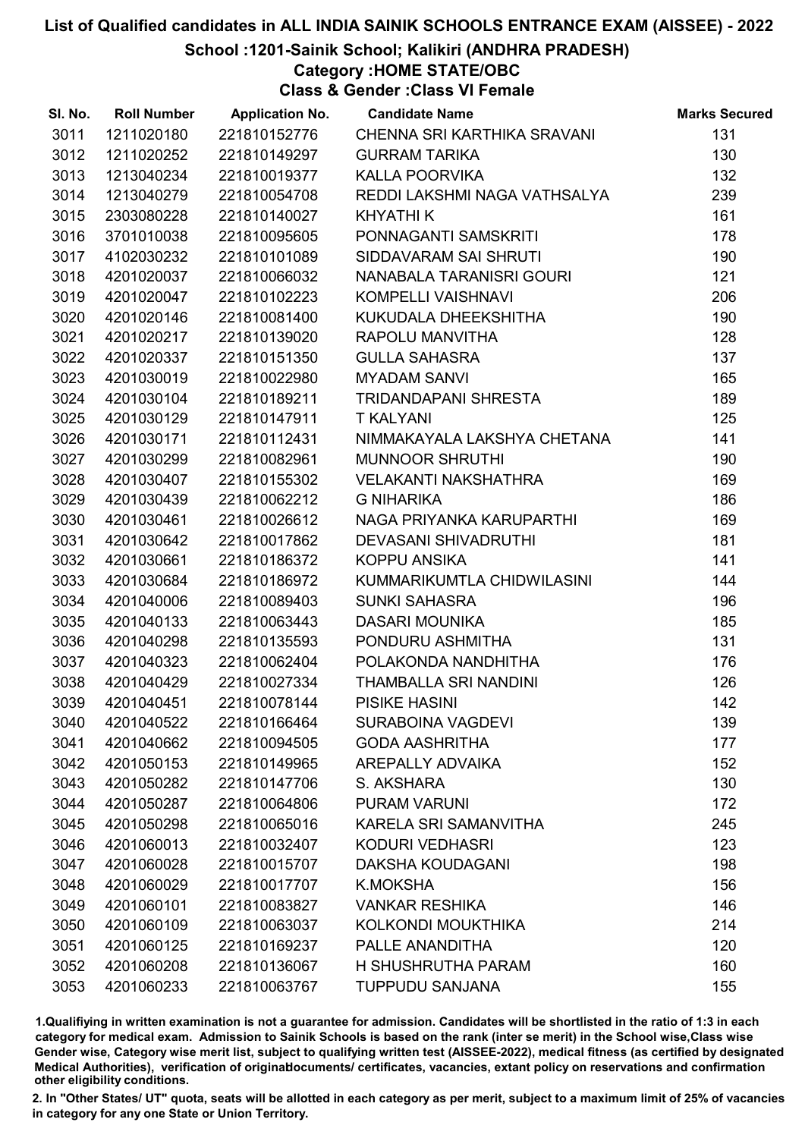School :1201-Sainik School; Kalikiri (ANDHRA PRADESH)

Category :HOME STATE/OBC

Class & Gender :Class VI Female

| SI. No. | <b>Roll Number</b> | <b>Application No.</b> | <b>Candidate Name</b>        | <b>Marks Secured</b> |
|---------|--------------------|------------------------|------------------------------|----------------------|
| 3011    | 1211020180         | 221810152776           | CHENNA SRI KARTHIKA SRAVANI  | 131                  |
| 3012    | 1211020252         | 221810149297           | <b>GURRAM TARIKA</b>         | 130                  |
| 3013    | 1213040234         | 221810019377           | <b>KALLA POORVIKA</b>        | 132                  |
| 3014    | 1213040279         | 221810054708           | REDDI LAKSHMI NAGA VATHSALYA | 239                  |
| 3015    | 2303080228         | 221810140027           | <b>KHYATHI K</b>             | 161                  |
| 3016    | 3701010038         | 221810095605           | PONNAGANTI SAMSKRITI         | 178                  |
| 3017    | 4102030232         | 221810101089           | SIDDAVARAM SAI SHRUTI        | 190                  |
| 3018    | 4201020037         | 221810066032           | NANABALA TARANISRI GOURI     | 121                  |
| 3019    | 4201020047         | 221810102223           | KOMPELLI VAISHNAVI           | 206                  |
| 3020    | 4201020146         | 221810081400           | KUKUDALA DHEEKSHITHA         | 190                  |
| 3021    | 4201020217         | 221810139020           | RAPOLU MANVITHA              | 128                  |
| 3022    | 4201020337         | 221810151350           | <b>GULLA SAHASRA</b>         | 137                  |
| 3023    | 4201030019         | 221810022980           | <b>MYADAM SANVI</b>          | 165                  |
| 3024    | 4201030104         | 221810189211           | TRIDANDAPANI SHRESTA         | 189                  |
| 3025    | 4201030129         | 221810147911           | <b>T KALYANI</b>             | 125                  |
| 3026    | 4201030171         | 221810112431           | NIMMAKAYALA LAKSHYA CHETANA  | 141                  |
| 3027    | 4201030299         | 221810082961           | <b>MUNNOOR SHRUTHI</b>       | 190                  |
| 3028    | 4201030407         | 221810155302           | <b>VELAKANTI NAKSHATHRA</b>  | 169                  |
| 3029    | 4201030439         | 221810062212           | <b>G NIHARIKA</b>            | 186                  |
| 3030    | 4201030461         | 221810026612           | NAGA PRIYANKA KARUPARTHI     | 169                  |
| 3031    | 4201030642         | 221810017862           | <b>DEVASANI SHIVADRUTHI</b>  | 181                  |
| 3032    | 4201030661         | 221810186372           | KOPPU ANSIKA                 | 141                  |
| 3033    | 4201030684         | 221810186972           | KUMMARIKUMTLA CHIDWILASINI   | 144                  |
| 3034    | 4201040006         | 221810089403           | <b>SUNKI SAHASRA</b>         | 196                  |
| 3035    | 4201040133         | 221810063443           | <b>DASARI MOUNIKA</b>        | 185                  |
| 3036    | 4201040298         | 221810135593           | PONDURU ASHMITHA             | 131                  |
| 3037    | 4201040323         | 221810062404           | POLAKONDA NANDHITHA          | 176                  |
| 3038    | 4201040429         | 221810027334           | THAMBALLA SRI NANDINI        | 126                  |
| 3039    | 4201040451         | 221810078144           | <b>PISIKE HASINI</b>         | 142                  |
| 3040    | 4201040522         | 221810166464           | <b>SURABOINA VAGDEVI</b>     | 139                  |
| 3041    | 4201040662         | 221810094505           | <b>GODA AASHRITHA</b>        | 177                  |
| 3042    | 4201050153         | 221810149965           | <b>AREPALLY ADVAIKA</b>      | 152                  |
| 3043    | 4201050282         | 221810147706           | S. AKSHARA                   | 130                  |
| 3044    | 4201050287         | 221810064806           | <b>PURAM VARUNI</b>          | 172                  |
| 3045    | 4201050298         | 221810065016           | KARELA SRI SAMANVITHA        | 245                  |
| 3046    | 4201060013         | 221810032407           | <b>KODURI VEDHASRI</b>       | 123                  |
| 3047    | 4201060028         | 221810015707           | <b>DAKSHA KOUDAGANI</b>      | 198                  |
| 3048    | 4201060029         | 221810017707           | <b>K.MOKSHA</b>              | 156                  |
| 3049    | 4201060101         | 221810083827           | <b>VANKAR RESHIKA</b>        | 146                  |
| 3050    | 4201060109         | 221810063037           | KOLKONDI MOUKTHIKA           | 214                  |
| 3051    | 4201060125         | 221810169237           | PALLE ANANDITHA              | 120                  |
| 3052    | 4201060208         | 221810136067           | H SHUSHRUTHA PARAM           | 160                  |
| 3053    | 4201060233         | 221810063767           | <b>TUPPUDU SANJANA</b>       | 155                  |

1.Qualifiying in written examination is not a guarantee for admission. Candidates will be shortlisted in the ratio of 1:3 in each category for medical exam. Admission to Sainik Schools is based on the rank (inter se merit) in the School wise,Class wise Gender wise, Category wise merit list, subject to qualifying written test (AISSEE-2022), medical fitness (as certified by designated Medical Authorities), verification of originablocuments/ certificates, vacancies, extant policy on reservations and confirmation other eligibility conditions.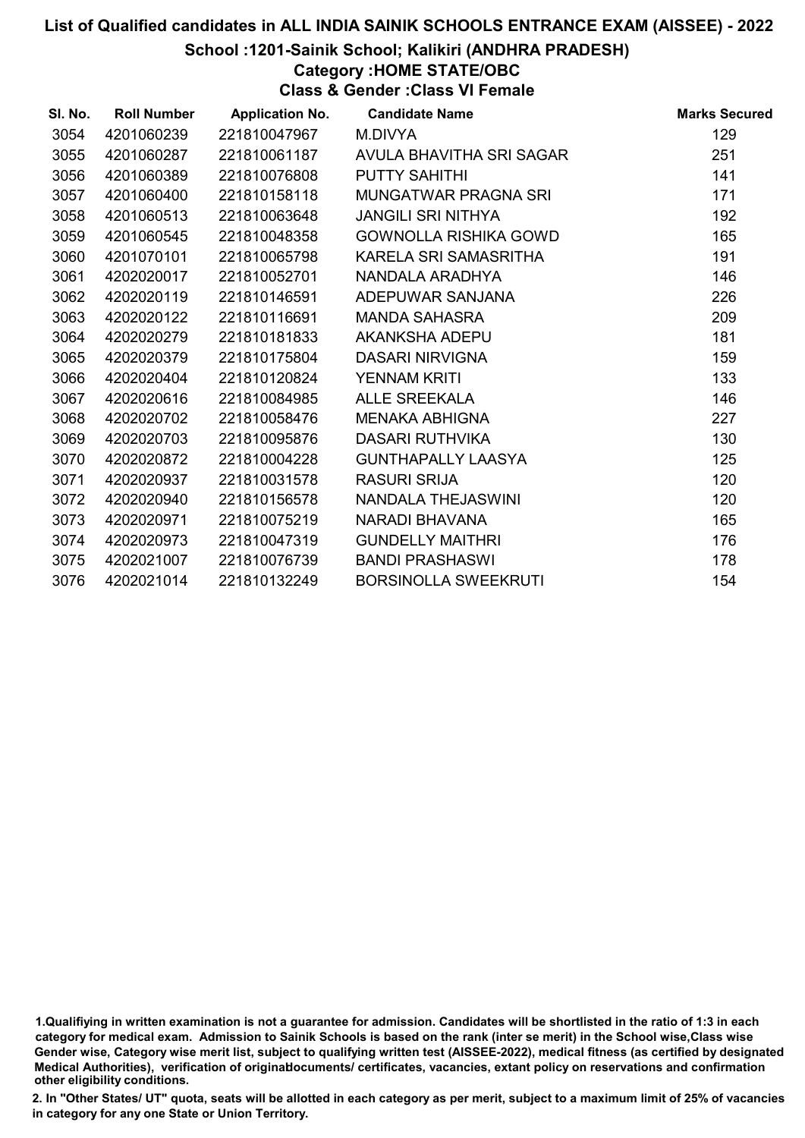#### School :1201-Sainik School; Kalikiri (ANDHRA PRADESH)

Category :HOME STATE/OBC

Class & Gender :Class VI Female

| SI. No. | <b>Roll Number</b> | <b>Application No.</b> | <b>Candidate Name</b>        | <b>Marks Secured</b> |
|---------|--------------------|------------------------|------------------------------|----------------------|
| 3054    | 4201060239         | 221810047967           | M.DIVYA                      | 129                  |
| 3055    | 4201060287         | 221810061187           | AVULA BHAVITHA SRI SAGAR     | 251                  |
| 3056    | 4201060389         | 221810076808           | <b>PUTTY SAHITHI</b>         | 141                  |
| 3057    | 4201060400         | 221810158118           | MUNGATWAR PRAGNA SRI         | 171                  |
| 3058    | 4201060513         | 221810063648           | <b>JANGILI SRI NITHYA</b>    | 192                  |
| 3059    | 4201060545         | 221810048358           | <b>GOWNOLLA RISHIKA GOWD</b> | 165                  |
| 3060    | 4201070101         | 221810065798           | KARELA SRI SAMASRITHA        | 191                  |
| 3061    | 4202020017         | 221810052701           | NANDALA ARADHYA              | 146                  |
| 3062    | 4202020119         | 221810146591           | ADEPUWAR SANJANA             | 226                  |
| 3063    | 4202020122         | 221810116691           | <b>MANDA SAHASRA</b>         | 209                  |
| 3064    | 4202020279         | 221810181833           | AKANKSHA ADEPU               | 181                  |
| 3065    | 4202020379         | 221810175804           | <b>DASARI NIRVIGNA</b>       | 159                  |
| 3066    | 4202020404         | 221810120824           | <b>YENNAM KRITI</b>          | 133                  |
| 3067    | 4202020616         | 221810084985           | ALLE SREEKALA                | 146                  |
| 3068    | 4202020702         | 221810058476           | <b>MENAKA ABHIGNA</b>        | 227                  |
| 3069    | 4202020703         | 221810095876           | <b>DASARI RUTHVIKA</b>       | 130                  |
| 3070    | 4202020872         | 221810004228           | <b>GUNTHAPALLY LAASYA</b>    | 125                  |
| 3071    | 4202020937         | 221810031578           | <b>RASURI SRIJA</b>          | 120                  |
| 3072    | 4202020940         | 221810156578           | NANDALA THEJASWINI           | 120                  |
| 3073    | 4202020971         | 221810075219           | NARADI BHAVANA               | 165                  |
| 3074    | 4202020973         | 221810047319           | <b>GUNDELLY MAITHRI</b>      | 176                  |
| 3075    | 4202021007         | 221810076739           | <b>BANDI PRASHASWI</b>       | 178                  |
| 3076    | 4202021014         | 221810132249           | <b>BORSINOLLA SWEEKRUTI</b>  | 154                  |

<sup>1.</sup>Qualifiying in written examination is not a guarantee for admission. Candidates will be shortlisted in the ratio of 1:3 in each category for medical exam. Admission to Sainik Schools is based on the rank (inter se merit) in the School wise,Class wise Gender wise, Category wise merit list, subject to qualifying written test (AISSEE-2022), medical fitness (as certified by designated Medical Authorities), verification of originablocuments/ certificates, vacancies, extant policy on reservations and confirmation other eligibility conditions.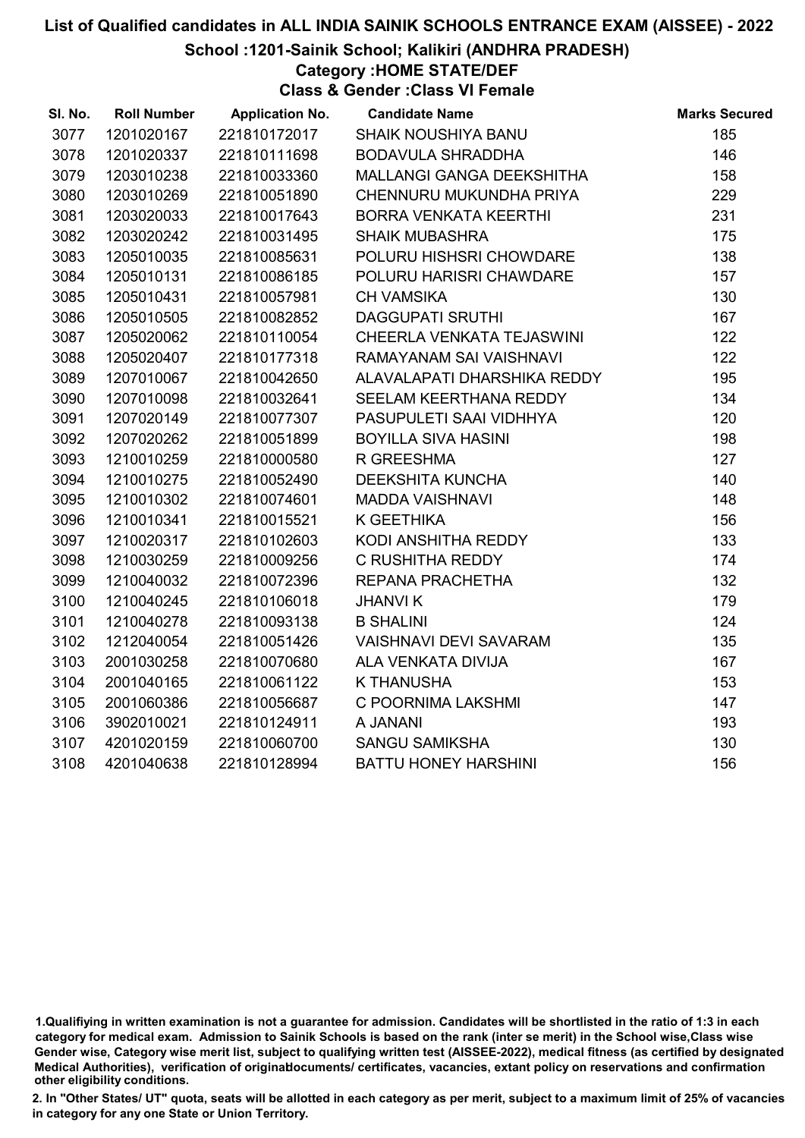School :1201-Sainik School; Kalikiri (ANDHRA PRADESH)

Category :HOME STATE/DEF

Class & Gender :Class VI Female

| SI. No. | <b>Roll Number</b> | <b>Application No.</b> | <b>Candidate Name</b>            | <b>Marks Secured</b> |
|---------|--------------------|------------------------|----------------------------------|----------------------|
| 3077    | 1201020167         | 221810172017           | <b>SHAIK NOUSHIYA BANU</b>       | 185                  |
| 3078    | 1201020337         | 221810111698           | <b>BODAVULA SHRADDHA</b>         | 146                  |
| 3079    | 1203010238         | 221810033360           | <b>MALLANGI GANGA DEEKSHITHA</b> | 158                  |
| 3080    | 1203010269         | 221810051890           | CHENNURU MUKUNDHA PRIYA          | 229                  |
| 3081    | 1203020033         | 221810017643           | <b>BORRA VENKATA KEERTHI</b>     | 231                  |
| 3082    | 1203020242         | 221810031495           | <b>SHAIK MUBASHRA</b>            | 175                  |
| 3083    | 1205010035         | 221810085631           | POLURU HISHSRI CHOWDARE          | 138                  |
| 3084    | 1205010131         | 221810086185           | POLURU HARISRI CHAWDARE          | 157                  |
| 3085    | 1205010431         | 221810057981           | <b>CH VAMSIKA</b>                | 130                  |
| 3086    | 1205010505         | 221810082852           | <b>DAGGUPATI SRUTHI</b>          | 167                  |
| 3087    | 1205020062         | 221810110054           | CHEERLA VENKATA TEJASWINI        | 122                  |
| 3088    | 1205020407         | 221810177318           | RAMAYANAM SAI VAISHNAVI          | 122                  |
| 3089    | 1207010067         | 221810042650           | ALAVALAPATI DHARSHIKA REDDY      | 195                  |
| 3090    | 1207010098         | 221810032641           | SEELAM KEERTHANA REDDY           | 134                  |
| 3091    | 1207020149         | 221810077307           | PASUPULETI SAAI VIDHHYA          | 120                  |
| 3092    | 1207020262         | 221810051899           | <b>BOYILLA SIVA HASINI</b>       | 198                  |
| 3093    | 1210010259         | 221810000580           | R GREESHMA                       | 127                  |
| 3094    | 1210010275         | 221810052490           | <b>DEEKSHITA KUNCHA</b>          | 140                  |
| 3095    | 1210010302         | 221810074601           | <b>MADDA VAISHNAVI</b>           | 148                  |
| 3096    | 1210010341         | 221810015521           | K GEETHIKA                       | 156                  |
| 3097    | 1210020317         | 221810102603           | KODI ANSHITHA REDDY              | 133                  |
| 3098    | 1210030259         | 221810009256           | C RUSHITHA REDDY                 | 174                  |
| 3099    | 1210040032         | 221810072396           | REPANA PRACHETHA                 | 132                  |
| 3100    | 1210040245         | 221810106018           | <b>JHANVIK</b>                   | 179                  |
| 3101    | 1210040278         | 221810093138           | <b>B SHALINI</b>                 | 124                  |
| 3102    | 1212040054         | 221810051426           | <b>VAISHNAVI DEVI SAVARAM</b>    | 135                  |
| 3103    | 2001030258         | 221810070680           | ALA VENKATA DIVIJA               | 167                  |
| 3104    | 2001040165         | 221810061122           | <b>K THANUSHA</b>                | 153                  |
| 3105    | 2001060386         | 221810056687           | C POORNIMA LAKSHMI               | 147                  |
| 3106    | 3902010021         | 221810124911           | A JANANI                         | 193                  |
| 3107    | 4201020159         | 221810060700           | <b>SANGU SAMIKSHA</b>            | 130                  |
| 3108    | 4201040638         | 221810128994           | <b>BATTU HONEY HARSHINI</b>      | 156                  |
|         |                    |                        |                                  |                      |

<sup>1.</sup>Qualifiying in written examination is not a guarantee for admission. Candidates will be shortlisted in the ratio of 1:3 in each category for medical exam. Admission to Sainik Schools is based on the rank (inter se merit) in the School wise,Class wise Gender wise, Category wise merit list, subject to qualifying written test (AISSEE-2022), medical fitness (as certified by designated Medical Authorities), verification of originablocuments/ certificates, vacancies, extant policy on reservations and confirmation other eligibility conditions.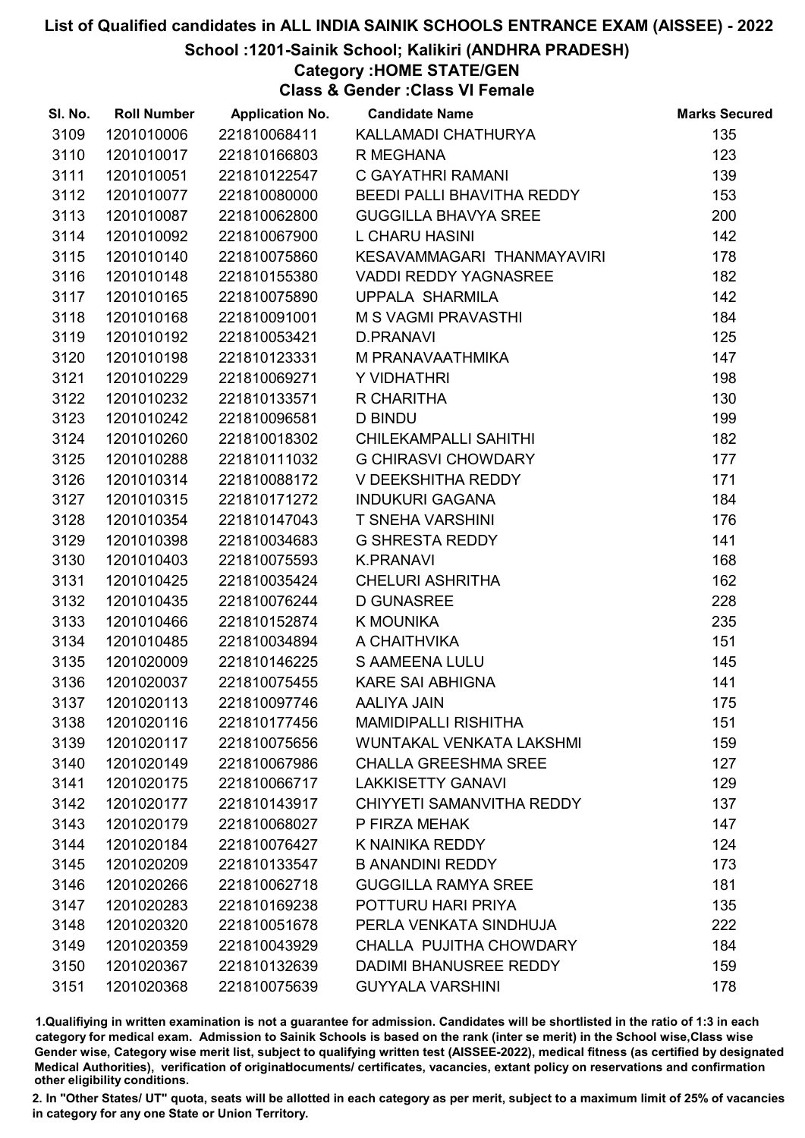#### School :1201-Sainik School; Kalikiri (ANDHRA PRADESH)

#### Category :HOME STATE/GEN

Class & Gender :Class VI Female

| SI. No. | <b>Roll Number</b> |              | <b>Application No. Candidate Name</b> | <b>Marks Secured</b> |
|---------|--------------------|--------------|---------------------------------------|----------------------|
| 3109    | 1201010006         | 221810068411 | KALLAMADI CHATHURYA                   | 135                  |
| 3110    | 1201010017         | 221810166803 | R MEGHANA                             | 123                  |
| 3111    | 1201010051         | 221810122547 | C GAYATHRI RAMANI                     | 139                  |
| 3112    | 1201010077         | 221810080000 | BEEDI PALLI BHAVITHA REDDY            | 153                  |
| 3113    | 1201010087         | 221810062800 | <b>GUGGILLA BHAVYA SREE</b>           | 200                  |
| 3114    | 1201010092         | 221810067900 | <b>L CHARU HASINI</b>                 | 142                  |
| 3115    | 1201010140         | 221810075860 | KESAVAMMAGARI THANMAYAVIRI            | 178                  |
| 3116    | 1201010148         | 221810155380 | <b>VADDI REDDY YAGNASREE</b>          | 182                  |
| 3117    | 1201010165         | 221810075890 | UPPALA SHARMILA                       | 142                  |
| 3118    | 1201010168         | 221810091001 | M S VAGMI PRAVASTHI                   | 184                  |
| 3119    | 1201010192         | 221810053421 | <b>D.PRANAVI</b>                      | 125                  |
| 3120    | 1201010198         | 221810123331 | M PRANAVAATHMIKA                      | 147                  |
| 3121    | 1201010229         | 221810069271 | Y VIDHATHRI                           | 198                  |
| 3122    | 1201010232         | 221810133571 | R CHARITHA                            | 130                  |
| 3123    | 1201010242         | 221810096581 | <b>D BINDU</b>                        | 199                  |
| 3124    | 1201010260         | 221810018302 | CHILEKAMPALLI SAHITHI                 | 182                  |
| 3125    | 1201010288         | 221810111032 | <b>G CHIRASVI CHOWDARY</b>            | 177                  |
| 3126    | 1201010314         | 221810088172 | V DEEKSHITHA REDDY                    | 171                  |
| 3127    | 1201010315         | 221810171272 | <b>INDUKURI GAGANA</b>                | 184                  |
| 3128    | 1201010354         | 221810147043 | <b>T SNEHA VARSHINI</b>               | 176                  |
| 3129    | 1201010398         | 221810034683 | <b>G SHRESTA REDDY</b>                | 141                  |
| 3130    | 1201010403         | 221810075593 | <b>K.PRANAVI</b>                      | 168                  |
| 3131    | 1201010425         | 221810035424 | <b>CHELURI ASHRITHA</b>               | 162                  |
| 3132    | 1201010435         | 221810076244 | <b>D GUNASREE</b>                     | 228                  |
| 3133    | 1201010466         | 221810152874 | K MOUNIKA                             | 235                  |
| 3134    | 1201010485         | 221810034894 | A CHAITHVIKA                          | 151                  |
| 3135    | 1201020009         | 221810146225 | <b>S AAMEENA LULU</b>                 | 145                  |
| 3136    | 1201020037         | 221810075455 | <b>KARE SAI ABHIGNA</b>               | 141                  |
| 3137    | 1201020113         | 221810097746 | <b>AALIYA JAIN</b>                    | 175                  |
| 3138    | 1201020116         | 221810177456 | <b>MAMIDIPALLI RISHITHA</b>           | 151                  |
| 3139    | 1201020117         | 221810075656 | WUNTAKAL VENKATA LAKSHMI              | 159                  |
| 3140    | 1201020149         | 221810067986 | <b>CHALLA GREESHMA SREE</b>           | 127                  |
| 3141    | 1201020175         | 221810066717 | <b>LAKKISETTY GANAVI</b>              | 129                  |
| 3142    | 1201020177         | 221810143917 | CHIYYETI SAMANVITHA REDDY             | 137                  |
| 3143    | 1201020179         | 221810068027 | P FIRZA MEHAK                         | 147                  |
| 3144    | 1201020184         | 221810076427 | K NAINIKA REDDY                       | 124                  |
| 3145    | 1201020209         | 221810133547 | <b>B ANANDINI REDDY</b>               | 173                  |
| 3146    | 1201020266         | 221810062718 | <b>GUGGILLA RAMYA SREE</b>            | 181                  |
| 3147    | 1201020283         | 221810169238 | POTTURU HARI PRIYA                    | 135                  |
| 3148    | 1201020320         | 221810051678 | PERLA VENKATA SINDHUJA                | 222                  |
| 3149    | 1201020359         | 221810043929 | CHALLA PUJITHA CHOWDARY               | 184                  |
| 3150    | 1201020367         | 221810132639 | DADIMI BHANUSREE REDDY                | 159                  |
| 3151    | 1201020368         | 221810075639 | <b>GUYYALA VARSHINI</b>               | 178                  |

1.Qualifiying in written examination is not a guarantee for admission. Candidates will be shortlisted in the ratio of 1:3 in each category for medical exam. Admission to Sainik Schools is based on the rank (inter se merit) in the School wise,Class wise Gender wise, Category wise merit list, subject to qualifying written test (AISSEE-2022), medical fitness (as certified by designated Medical Authorities), verification of originablocuments/ certificates, vacancies, extant policy on reservations and confirmation other eligibility conditions.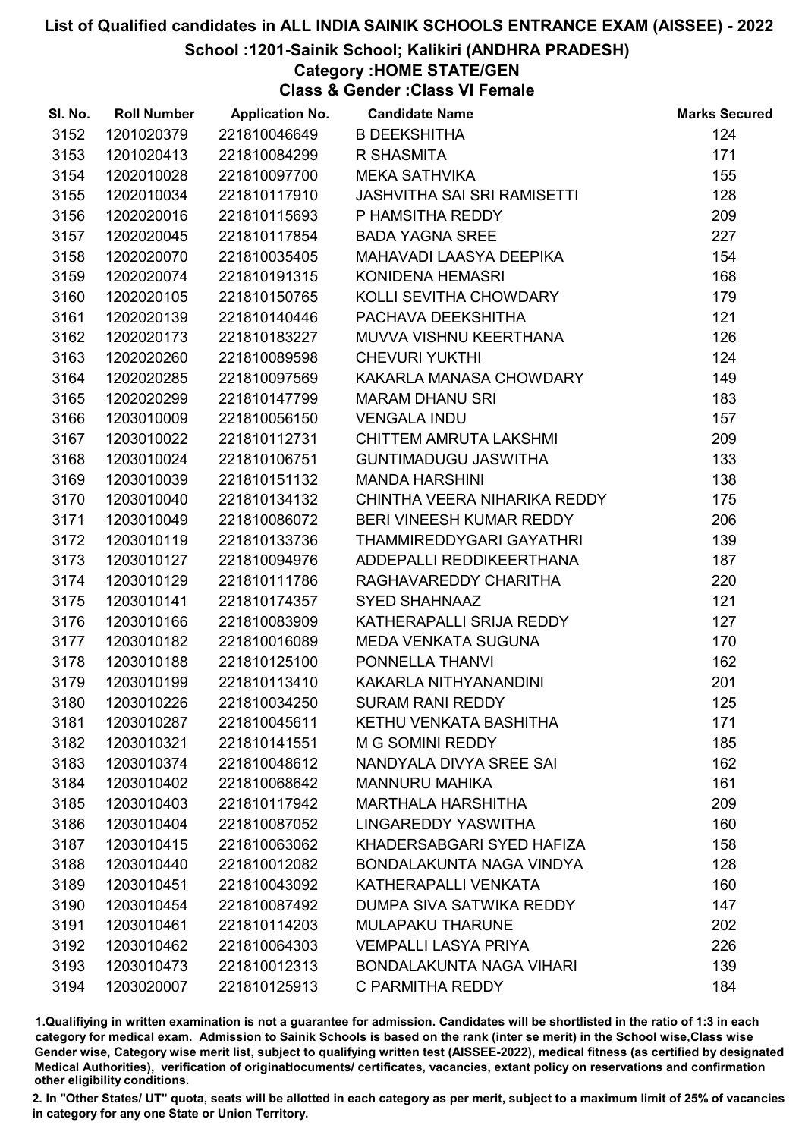#### School :1201-Sainik School; Kalikiri (ANDHRA PRADESH)

Category :HOME STATE/GEN

Class & Gender :Class VI Female

| SI. No. | <b>Roll Number</b> | <b>Application No.</b> | <b>Candidate Name</b>              | <b>Marks Secured</b> |
|---------|--------------------|------------------------|------------------------------------|----------------------|
| 3152    | 1201020379         | 221810046649           | <b>B DEEKSHITHA</b>                | 124                  |
| 3153    | 1201020413         | 221810084299           | R SHASMITA                         | 171                  |
| 3154    | 1202010028         | 221810097700           | <b>MEKA SATHVIKA</b>               | 155                  |
| 3155    | 1202010034         | 221810117910           | <b>JASHVITHA SAI SRI RAMISETTI</b> | 128                  |
| 3156    | 1202020016         | 221810115693           | P HAMSITHA REDDY                   | 209                  |
| 3157    | 1202020045         | 221810117854           | <b>BADA YAGNA SREE</b>             | 227                  |
| 3158    | 1202020070         | 221810035405           | MAHAVADI LAASYA DEEPIKA            | 154                  |
| 3159    | 1202020074         | 221810191315           | <b>KONIDENA HEMASRI</b>            | 168                  |
| 3160    | 1202020105         | 221810150765           | KOLLI SEVITHA CHOWDARY             | 179                  |
| 3161    | 1202020139         | 221810140446           | PACHAVA DEEKSHITHA                 | 121                  |
| 3162    | 1202020173         | 221810183227           | MUVVA VISHNU KEERTHANA             | 126                  |
| 3163    | 1202020260         | 221810089598           | <b>CHEVURI YUKTHI</b>              | 124                  |
| 3164    | 1202020285         | 221810097569           | KAKARLA MANASA CHOWDARY            | 149                  |
| 3165    | 1202020299         | 221810147799           | <b>MARAM DHANU SRI</b>             | 183                  |
| 3166    | 1203010009         | 221810056150           | <b>VENGALA INDU</b>                | 157                  |
| 3167    | 1203010022         | 221810112731           | CHITTEM AMRUTA LAKSHMI             | 209                  |
| 3168    | 1203010024         | 221810106751           | <b>GUNTIMADUGU JASWITHA</b>        | 133                  |
| 3169    | 1203010039         | 221810151132           | <b>MANDA HARSHINI</b>              | 138                  |
| 3170    | 1203010040         | 221810134132           | CHINTHA VEERA NIHARIKA REDDY       | 175                  |
| 3171    | 1203010049         | 221810086072           | BERI VINEESH KUMAR REDDY           | 206                  |
| 3172    | 1203010119         | 221810133736           | THAMMIREDDYGARI GAYATHRI           | 139                  |
| 3173    | 1203010127         | 221810094976           | ADDEPALLI REDDIKEERTHANA           | 187                  |
| 3174    | 1203010129         | 221810111786           | RAGHAVAREDDY CHARITHA              | 220                  |
| 3175    | 1203010141         | 221810174357           | <b>SYED SHAHNAAZ</b>               | 121                  |
| 3176    | 1203010166         | 221810083909           | KATHERAPALLI SRIJA REDDY           | 127                  |
| 3177    | 1203010182         | 221810016089           | <b>MEDA VENKATA SUGUNA</b>         | 170                  |
| 3178    | 1203010188         | 221810125100           | PONNELLA THANVI                    | 162                  |
| 3179    | 1203010199         | 221810113410           | KAKARLA NITHYANANDINI              | 201                  |
| 3180    | 1203010226         | 221810034250           | <b>SURAM RANI REDDY</b>            | 125                  |
| 3181    | 1203010287         | 221810045611           | KETHU VENKATA BASHITHA             | 171                  |
| 3182    | 1203010321         | 221810141551           | M G SOMINI REDDY                   | 185                  |
| 3183    | 1203010374         | 221810048612           | NANDYALA DIVYA SREE SAI            | 162                  |
| 3184    | 1203010402         | 221810068642           | <b>MANNURU MAHIKA</b>              | 161                  |
| 3185    | 1203010403         | 221810117942           | <b>MARTHALA HARSHITHA</b>          | 209                  |
| 3186    | 1203010404         | 221810087052           | LINGAREDDY YASWITHA                | 160                  |
| 3187    | 1203010415         | 221810063062           | KHADERSABGARI SYED HAFIZA          | 158                  |
| 3188    | 1203010440         | 221810012082           | BONDALAKUNTA NAGA VINDYA           | 128                  |
| 3189    | 1203010451         | 221810043092           | KATHERAPALLI VENKATA               | 160                  |
| 3190    | 1203010454         | 221810087492           | DUMPA SIVA SATWIKA REDDY           | 147                  |
| 3191    | 1203010461         | 221810114203           | <b>MULAPAKU THARUNE</b>            | 202                  |
| 3192    | 1203010462         | 221810064303           | <b>VEMPALLI LASYA PRIYA</b>        | 226                  |
| 3193    | 1203010473         | 221810012313           | <b>BONDALAKUNTA NAGA VIHARI</b>    | 139                  |
| 3194    | 1203020007         | 221810125913           | C PARMITHA REDDY                   | 184                  |

1.Qualifiying in written examination is not a guarantee for admission. Candidates will be shortlisted in the ratio of 1:3 in each category for medical exam. Admission to Sainik Schools is based on the rank (inter se merit) in the School wise,Class wise Gender wise, Category wise merit list, subject to qualifying written test (AISSEE-2022), medical fitness (as certified by designated Medical Authorities), verification of originablocuments/ certificates, vacancies, extant policy on reservations and confirmation other eligibility conditions.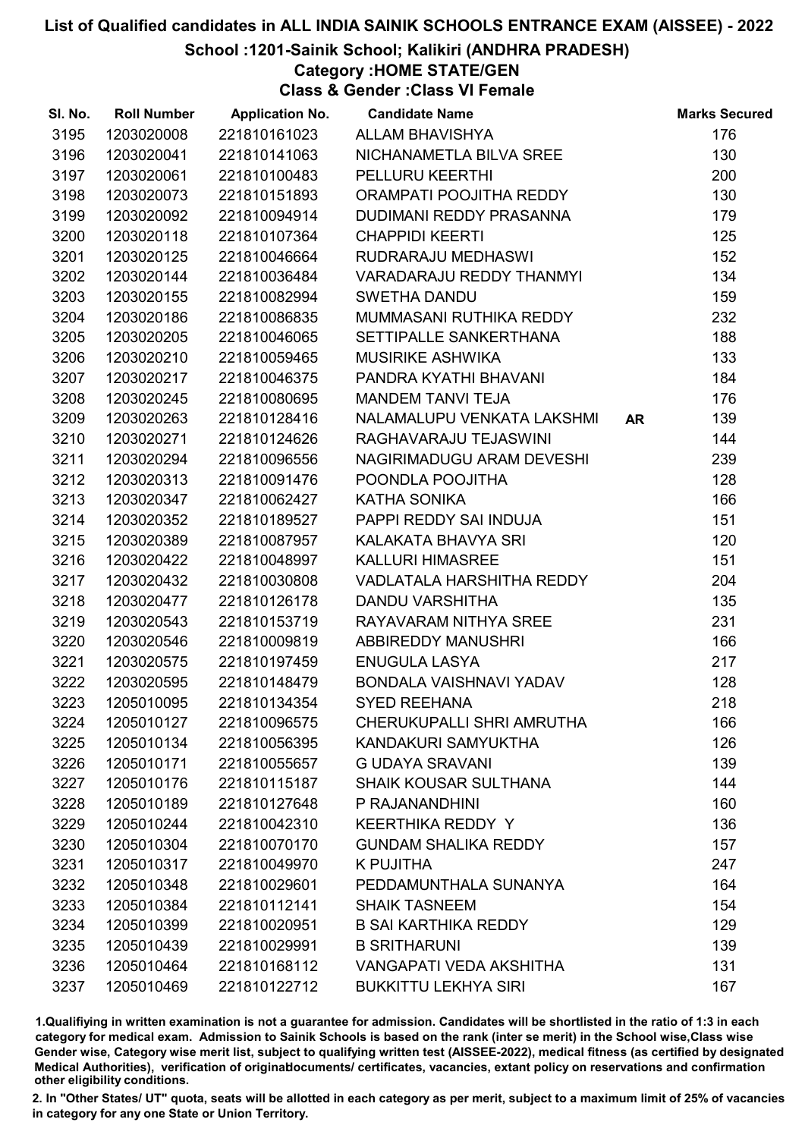#### School :1201-Sainik School; Kalikiri (ANDHRA PRADESH)

#### Category :HOME STATE/GEN

Class & Gender :Class VI Female

| SI. No. | <b>Roll Number</b> | <b>Application No.</b> | <b>Candidate Name</b>          |    | <b>Marks Secured</b> |
|---------|--------------------|------------------------|--------------------------------|----|----------------------|
| 3195    | 1203020008         | 221810161023           | ALLAM BHAVISHYA                |    | 176                  |
| 3196    | 1203020041         | 221810141063           | NICHANAMETLA BILVA SREE        |    | 130                  |
| 3197    | 1203020061         | 221810100483           | PELLURU KEERTHI                |    | 200                  |
| 3198    | 1203020073         | 221810151893           | ORAMPATI POOJITHA REDDY        |    | 130                  |
| 3199    | 1203020092         | 221810094914           | DUDIMANI REDDY PRASANNA        |    | 179                  |
| 3200    | 1203020118         | 221810107364           | <b>CHAPPIDI KEERTI</b>         |    | 125                  |
| 3201    | 1203020125         | 221810046664           | RUDRARAJU MEDHASWI             |    | 152                  |
| 3202    | 1203020144         | 221810036484           | VARADARAJU REDDY THANMYI       |    | 134                  |
| 3203    | 1203020155         | 221810082994           | <b>SWETHA DANDU</b>            |    | 159                  |
| 3204    | 1203020186         | 221810086835           | MUMMASANI RUTHIKA REDDY        |    | 232                  |
| 3205    | 1203020205         | 221810046065           | SETTIPALLE SANKERTHANA         |    | 188                  |
| 3206    | 1203020210         | 221810059465           | <b>MUSIRIKE ASHWIKA</b>        |    | 133                  |
| 3207    | 1203020217         | 221810046375           | PANDRA KYATHI BHAVANI          |    | 184                  |
| 3208    | 1203020245         | 221810080695           | <b>MANDEM TANVI TEJA</b>       |    | 176                  |
| 3209    | 1203020263         | 221810128416           | NALAMALUPU VENKATA LAKSHMI     | AR | 139                  |
| 3210    | 1203020271         | 221810124626           | RAGHAVARAJU TEJASWINI          |    | 144                  |
| 3211    | 1203020294         | 221810096556           | NAGIRIMADUGU ARAM DEVESHI      |    | 239                  |
| 3212    | 1203020313         | 221810091476           | POONDLA POOJITHA               |    | 128                  |
| 3213    | 1203020347         | 221810062427           | KATHA SONIKA                   |    | 166                  |
| 3214    | 1203020352         | 221810189527           | PAPPI REDDY SAI INDUJA         |    | 151                  |
| 3215    | 1203020389         | 221810087957           | KALAKATA BHAVYA SRI            |    | 120                  |
| 3216    | 1203020422         | 221810048997           | <b>KALLURI HIMASREE</b>        |    | 151                  |
| 3217    | 1203020432         | 221810030808           | VADLATALA HARSHITHA REDDY      |    | 204                  |
| 3218    | 1203020477         | 221810126178           | <b>DANDU VARSHITHA</b>         |    | 135                  |
| 3219    | 1203020543         | 221810153719           | RAYAVARAM NITHYA SREE          |    | 231                  |
| 3220    | 1203020546         | 221810009819           | <b>ABBIREDDY MANUSHRI</b>      |    | 166                  |
| 3221    | 1203020575         | 221810197459           | <b>ENUGULA LASYA</b>           |    | 217                  |
| 3222    | 1203020595         | 221810148479           | BONDALA VAISHNAVI YADAV        |    | 128                  |
| 3223    | 1205010095         | 221810134354           | <b>SYED REEHANA</b>            |    | 218                  |
| 3224    | 1205010127         | 221810096575           | CHERUKUPALLI SHRI AMRUTHA      |    | 166                  |
| 3225    | 1205010134         | 221810056395           | KANDAKURI SAMYUKTHA            |    | 126                  |
| 3226    | 1205010171         | 221810055657           | <b>G UDAYA SRAVANI</b>         |    | 139                  |
| 3227    | 1205010176         | 221810115187           | <b>SHAIK KOUSAR SULTHANA</b>   |    | 144                  |
| 3228    | 1205010189         | 221810127648           | P RAJANANDHINI                 |    | 160                  |
| 3229    | 1205010244         | 221810042310           | <b>KEERTHIKA REDDY Y</b>       |    | 136                  |
| 3230    | 1205010304         | 221810070170           | <b>GUNDAM SHALIKA REDDY</b>    |    | 157                  |
| 3231    | 1205010317         | 221810049970           | <b>K PUJITHA</b>               |    | 247                  |
| 3232    | 1205010348         | 221810029601           | PEDDAMUNTHALA SUNANYA          |    | 164                  |
| 3233    | 1205010384         | 221810112141           | <b>SHAIK TASNEEM</b>           |    | 154                  |
| 3234    | 1205010399         | 221810020951           | <b>B SAI KARTHIKA REDDY</b>    |    | 129                  |
| 3235    | 1205010439         | 221810029991           | <b>B SRITHARUNI</b>            |    | 139                  |
| 3236    | 1205010464         | 221810168112           | <b>VANGAPATI VEDA AKSHITHA</b> |    | 131                  |
| 3237    | 1205010469         | 221810122712           | <b>BUKKITTU LEKHYA SIRI</b>    |    | 167                  |

1.Qualifiying in written examination is not a guarantee for admission. Candidates will be shortlisted in the ratio of 1:3 in each category for medical exam. Admission to Sainik Schools is based on the rank (inter se merit) in the School wise,Class wise Gender wise, Category wise merit list, subject to qualifying written test (AISSEE-2022), medical fitness (as certified by designated Medical Authorities), verification of originablocuments/ certificates, vacancies, extant policy on reservations and confirmation other eligibility conditions.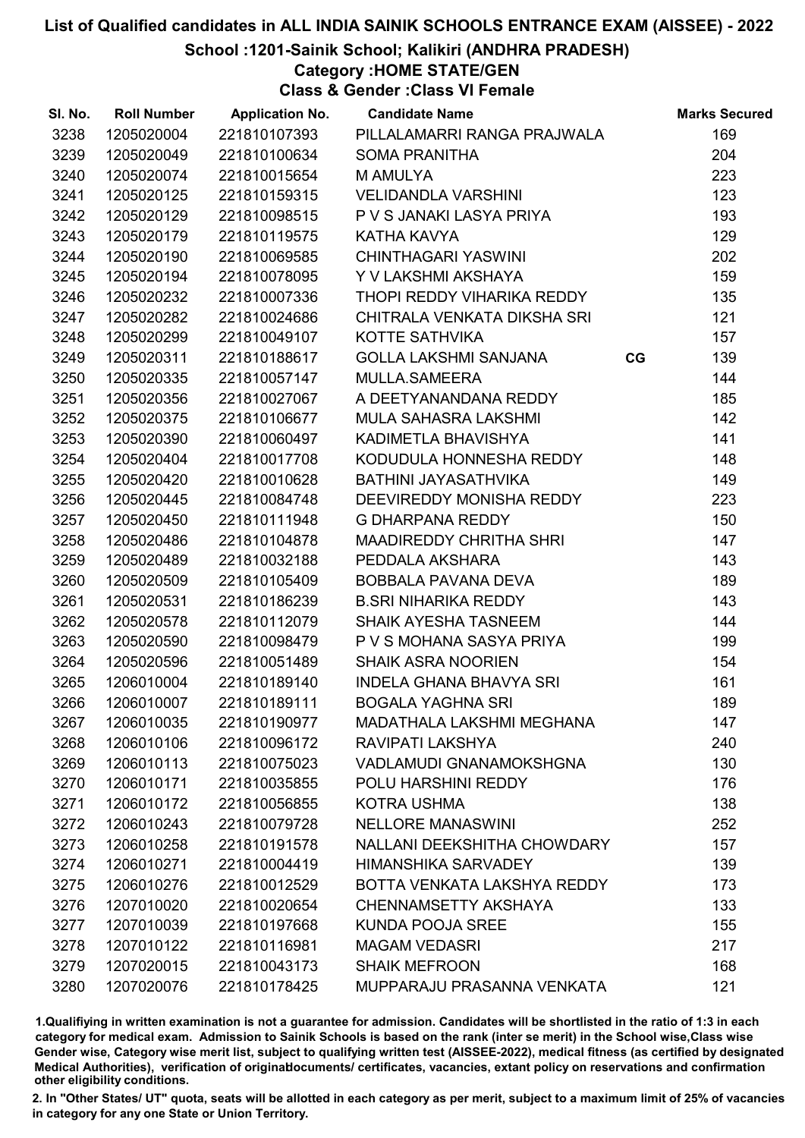School :1201-Sainik School; Kalikiri (ANDHRA PRADESH)

Category :HOME STATE/GEN

Class & Gender :Class VI Female

| SI. No. | <b>Roll Number</b> | <b>Application No.</b> | <b>Candidate Name</b>              |    | <b>Marks Secured</b> |
|---------|--------------------|------------------------|------------------------------------|----|----------------------|
| 3238    | 1205020004         | 221810107393           | PILLALAMARRI RANGA PRAJWALA        |    | 169                  |
| 3239    | 1205020049         | 221810100634           | <b>SOMA PRANITHA</b>               |    | 204                  |
| 3240    | 1205020074         | 221810015654           | <b>M AMULYA</b>                    |    | 223                  |
| 3241    | 1205020125         | 221810159315           | <b>VELIDANDLA VARSHINI</b>         |    | 123                  |
| 3242    | 1205020129         | 221810098515           | P V S JANAKI LASYA PRIYA           |    | 193                  |
| 3243    | 1205020179         | 221810119575           | KATHA KAVYA                        |    | 129                  |
| 3244    | 1205020190         | 221810069585           | <b>CHINTHAGARI YASWINI</b>         |    | 202                  |
| 3245    | 1205020194         | 221810078095           | Y V LAKSHMI AKSHAYA                |    | 159                  |
| 3246    | 1205020232         | 221810007336           | THOPI REDDY VIHARIKA REDDY         |    | 135                  |
| 3247    | 1205020282         | 221810024686           | CHITRALA VENKATA DIKSHA SRI        |    | 121                  |
| 3248    | 1205020299         | 221810049107           | KOTTE SATHVIKA                     |    | 157                  |
| 3249    | 1205020311         | 221810188617           | <b>GOLLA LAKSHMI SANJANA</b>       | CG | 139                  |
| 3250    | 1205020335         | 221810057147           | MULLA.SAMEERA                      |    | 144                  |
| 3251    | 1205020356         | 221810027067           | A DEETYANANDANA REDDY              |    | 185                  |
| 3252    | 1205020375         | 221810106677           | <b>MULA SAHASRA LAKSHMI</b>        |    | 142                  |
| 3253    | 1205020390         | 221810060497           | KADIMETLA BHAVISHYA                |    | 141                  |
| 3254    | 1205020404         | 221810017708           | KODUDULA HONNESHA REDDY            |    | 148                  |
| 3255    | 1205020420         | 221810010628           | <b>BATHINI JAYASATHVIKA</b>        |    | 149                  |
| 3256    | 1205020445         | 221810084748           | DEEVIREDDY MONISHA REDDY           |    | 223                  |
| 3257    | 1205020450         | 221810111948           | <b>G DHARPANA REDDY</b>            |    | 150                  |
| 3258    | 1205020486         | 221810104878           | <b>MAADIREDDY CHRITHA SHRI</b>     |    | 147                  |
| 3259    | 1205020489         | 221810032188           | PEDDALA AKSHARA                    |    | 143                  |
| 3260    | 1205020509         | 221810105409           | BOBBALA PAVANA DEVA                |    | 189                  |
| 3261    | 1205020531         | 221810186239           | <b>B.SRI NIHARIKA REDDY</b>        |    | 143                  |
| 3262    | 1205020578         | 221810112079           | <b>SHAIK AYESHA TASNEEM</b>        |    | 144                  |
| 3263    | 1205020590         | 221810098479           | P V S MOHANA SASYA PRIYA           |    | 199                  |
| 3264    | 1205020596         | 221810051489           | <b>SHAIK ASRA NOORIEN</b>          |    | 154                  |
| 3265    | 1206010004         | 221810189140           | <b>INDELA GHANA BHAVYA SRI</b>     |    | 161                  |
| 3266    | 1206010007         | 221810189111           | <b>BOGALA YAGHNA SRI</b>           |    | 189                  |
| 3267    | 1206010035         | 221810190977           | <b>MADATHALA LAKSHMI MEGHANA</b>   |    | 147                  |
| 3268    | 1206010106         | 221810096172           | RAVIPATI LAKSHYA                   |    | 240                  |
| 3269    | 1206010113         | 221810075023           | <b>VADLAMUDI GNANAMOKSHGNA</b>     |    | 130                  |
| 3270    | 1206010171         | 221810035855           | POLU HARSHINI REDDY                |    | 176                  |
| 3271    | 1206010172         | 221810056855           | <b>KOTRA USHMA</b>                 |    | 138                  |
| 3272    | 1206010243         | 221810079728           | <b>NELLORE MANASWINI</b>           |    | 252                  |
| 3273    | 1206010258         | 221810191578           | <b>NALLANI DEEKSHITHA CHOWDARY</b> |    | 157                  |
| 3274    | 1206010271         | 221810004419           | <b>HIMANSHIKA SARVADEY</b>         |    | 139                  |
| 3275    | 1206010276         | 221810012529           | BOTTA VENKATA LAKSHYA REDDY        |    | 173                  |
| 3276    | 1207010020         | 221810020654           | <b>CHENNAMSETTY AKSHAYA</b>        |    | 133                  |
| 3277    | 1207010039         | 221810197668           | <b>KUNDA POOJA SREE</b>            |    | 155                  |
| 3278    | 1207010122         | 221810116981           | <b>MAGAM VEDASRI</b>               |    | 217                  |
| 3279    | 1207020015         | 221810043173           | <b>SHAIK MEFROON</b>               |    | 168                  |
| 3280    | 1207020076         | 221810178425           | MUPPARAJU PRASANNA VENKATA         |    | 121                  |

1.Qualifiying in written examination is not a guarantee for admission. Candidates will be shortlisted in the ratio of 1:3 in each category for medical exam. Admission to Sainik Schools is based on the rank (inter se merit) in the School wise,Class wise Gender wise, Category wise merit list, subject to qualifying written test (AISSEE-2022), medical fitness (as certified by designated Medical Authorities), verification of originablocuments/ certificates, vacancies, extant policy on reservations and confirmation other eligibility conditions.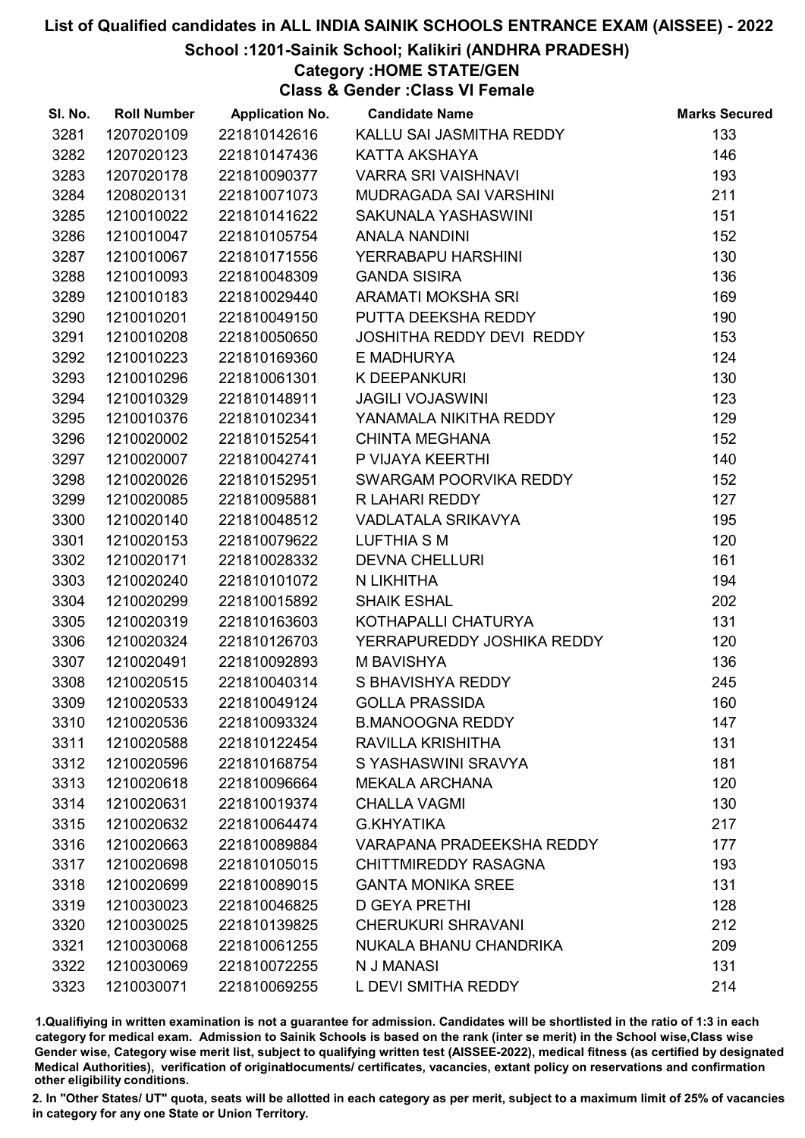#### School :1201-Sainik School; Kalikiri (ANDHRA PRADESH)

Category :HOME STATE/GEN

Class & Gender :Class VI Female

| SI. No. | <b>Roll Number</b> | <b>Application No.</b> | <b>Candidate Name</b>            | <b>Marks Secured</b> |
|---------|--------------------|------------------------|----------------------------------|----------------------|
| 3281    | 1207020109         | 221810142616           | KALLU SAI JASMITHA REDDY         | 133                  |
| 3282    | 1207020123         | 221810147436           | KATTA AKSHAYA                    | 146                  |
| 3283    | 1207020178         | 221810090377           | <b>VARRA SRI VAISHNAVI</b>       | 193                  |
| 3284    | 1208020131         | 221810071073           | MUDRAGADA SAI VARSHINI           | 211                  |
| 3285    | 1210010022         | 221810141622           | SAKUNALA YASHASWINI              | 151                  |
| 3286    | 1210010047         | 221810105754           | <b>ANALA NANDINI</b>             | 152                  |
| 3287    | 1210010067         | 221810171556           | YERRABAPU HARSHINI               | 130                  |
| 3288    | 1210010093         | 221810048309           | <b>GANDA SISIRA</b>              | 136                  |
| 3289    | 1210010183         | 221810029440           | ARAMATI MOKSHA SRI               | 169                  |
| 3290    | 1210010201         | 221810049150           | PUTTA DEEKSHA REDDY              | 190                  |
| 3291    | 1210010208         | 221810050650           | <b>JOSHITHA REDDY DEVI REDDY</b> | 153                  |
| 3292    | 1210010223         | 221810169360           | E MADHURYA                       | 124                  |
| 3293    | 1210010296         | 221810061301           | K DEEPANKURI                     | 130                  |
| 3294    | 1210010329         | 221810148911           | <b>JAGILI VOJASWINI</b>          | 123                  |
| 3295    | 1210010376         | 221810102341           | YANAMALA NIKITHA REDDY           | 129                  |
| 3296    | 1210020002         | 221810152541           | <b>CHINTA MEGHANA</b>            | 152                  |
| 3297    | 1210020007         | 221810042741           | P VIJAYA KEERTHI                 | 140                  |
| 3298    | 1210020026         | 221810152951           | SWARGAM POORVIKA REDDY           | 152                  |
| 3299    | 1210020085         | 221810095881           | R LAHARI REDDY                   | 127                  |
| 3300    | 1210020140         | 221810048512           | VADLATALA SRIKAVYA               | 195                  |
| 3301    | 1210020153         | 221810079622           | LUFTHIA S M                      | 120                  |
| 3302    | 1210020171         | 221810028332           | <b>DEVNA CHELLURI</b>            | 161                  |
| 3303    | 1210020240         | 221810101072           | N LIKHITHA                       | 194                  |
| 3304    | 1210020299         | 221810015892           | <b>SHAIK ESHAL</b>               | 202                  |
| 3305    | 1210020319         | 221810163603           | KOTHAPALLI CHATURYA              | 131                  |
| 3306    | 1210020324         | 221810126703           | YERRAPUREDDY JOSHIKA REDDY       | 120                  |
| 3307    | 1210020491         | 221810092893           | <b>M BAVISHYA</b>                | 136                  |
| 3308    | 1210020515         | 221810040314           | S BHAVISHYA REDDY                | 245                  |
| 3309    | 1210020533         | 221810049124           | <b>GOLLA PRASSIDA</b>            | 160                  |
| 3310    | 1210020536         | 221810093324           | <b>B.MANOOGNA REDDY</b>          | 147                  |
| 3311    | 1210020588         | 221810122454           | RAVILLA KRISHITHA                | 131                  |
| 3312    | 1210020596         | 221810168754           | S YASHASWINI SRAVYA              | 181                  |
| 3313    | 1210020618         | 221810096664           | <b>MEKALA ARCHANA</b>            | 120                  |
| 3314    | 1210020631         | 221810019374           | <b>CHALLA VAGMI</b>              | 130                  |
| 3315    | 1210020632         | 221810064474           | <b>G.KHYATIKA</b>                | 217                  |
| 3316    | 1210020663         | 221810089884           | <b>VARAPANA PRADEEKSHA REDDY</b> | 177                  |
| 3317    | 1210020698         | 221810105015           | <b>CHITTMIREDDY RASAGNA</b>      | 193                  |
| 3318    | 1210020699         | 221810089015           | <b>GANTA MONIKA SREE</b>         | 131                  |
| 3319    | 1210030023         | 221810046825           | <b>D GEYA PRETHI</b>             | 128                  |
| 3320    | 1210030025         | 221810139825           | <b>CHERUKURI SHRAVANI</b>        | 212                  |
| 3321    | 1210030068         | 221810061255           | NUKALA BHANU CHANDRIKA           | 209                  |
| 3322    | 1210030069         | 221810072255           | N J MANASI                       | 131                  |
| 3323    | 1210030071         | 221810069255           | L DEVI SMITHA REDDY              | 214                  |

1.Qualifiying in written examination is not a guarantee for admission. Candidates will be shortlisted in the ratio of 1:3 in each category for medical exam. Admission to Sainik Schools is based on the rank (inter se merit) in the School wise,Class wise Gender wise, Category wise merit list, subject to qualifying written test (AISSEE-2022), medical fitness (as certified by designated Medical Authorities), verification of originablocuments/ certificates, vacancies, extant policy on reservations and confirmation other eligibility conditions.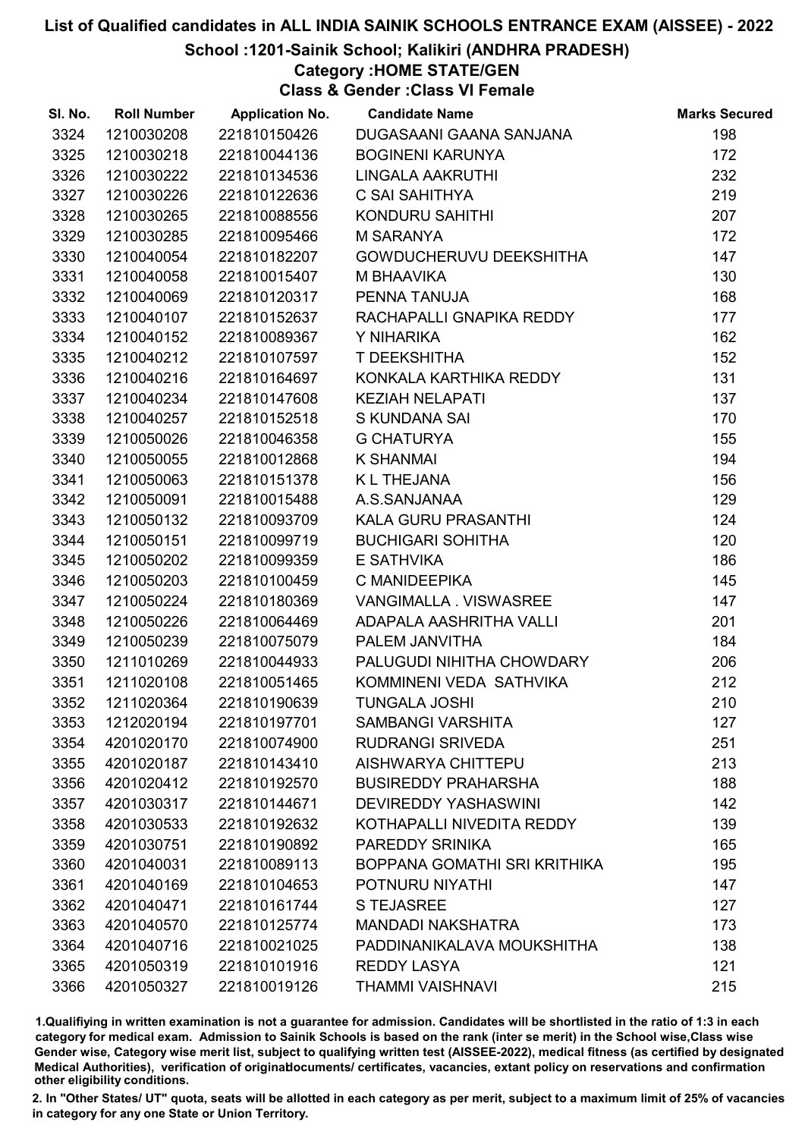School :1201-Sainik School; Kalikiri (ANDHRA PRADESH)

Category :HOME STATE/GEN

Class & Gender :Class VI Female

| SI. No. | <b>Roll Number</b> | <b>Application No.</b> | <b>Candidate Name</b>          | <b>Marks Secured</b> |
|---------|--------------------|------------------------|--------------------------------|----------------------|
| 3324    | 1210030208         | 221810150426           | DUGASAANI GAANA SANJANA        | 198                  |
| 3325    | 1210030218         | 221810044136           | <b>BOGINENI KARUNYA</b>        | 172                  |
| 3326    | 1210030222         | 221810134536           | LINGALA AAKRUTHI               | 232                  |
| 3327    | 1210030226         | 221810122636           | C SAI SAHITHYA                 | 219                  |
| 3328    | 1210030265         | 221810088556           | KONDURU SAHITHI                | 207                  |
| 3329    | 1210030285         | 221810095466           | <b>M SARANYA</b>               | 172                  |
| 3330    | 1210040054         | 221810182207           | <b>GOWDUCHERUVU DEEKSHITHA</b> | 147                  |
| 3331    | 1210040058         | 221810015407           | M BHAAVIKA                     | 130                  |
| 3332    | 1210040069         | 221810120317           | PENNA TANUJA                   | 168                  |
| 3333    | 1210040107         | 221810152637           | RACHAPALLI GNAPIKA REDDY       | 177                  |
| 3334    | 1210040152         | 221810089367           | Y NIHARIKA                     | 162                  |
| 3335    | 1210040212         | 221810107597           | T DEEKSHITHA                   | 152                  |
| 3336    | 1210040216         | 221810164697           | KONKALA KARTHIKA REDDY         | 131                  |
| 3337    | 1210040234         | 221810147608           | <b>KEZIAH NELAPATI</b>         | 137                  |
| 3338    | 1210040257         | 221810152518           | <b>S KUNDANA SAI</b>           | 170                  |
| 3339    | 1210050026         | 221810046358           | <b>G CHATURYA</b>              | 155                  |
| 3340    | 1210050055         | 221810012868           | <b>K SHANMAI</b>               | 194                  |
| 3341    | 1210050063         | 221810151378           | <b>KL THEJANA</b>              | 156                  |
| 3342    | 1210050091         | 221810015488           | A.S.SANJANAA                   | 129                  |
| 3343    | 1210050132         | 221810093709           | KALA GURU PRASANTHI            | 124                  |
| 3344    | 1210050151         | 221810099719           | <b>BUCHIGARI SOHITHA</b>       | 120                  |
| 3345    | 1210050202         | 221810099359           | E SATHVIKA                     | 186                  |
| 3346    | 1210050203         | 221810100459           | C MANIDEEPIKA                  | 145                  |
| 3347    | 1210050224         | 221810180369           | VANGIMALLA . VISWASREE         | 147                  |
| 3348    | 1210050226         | 221810064469           | ADAPALA AASHRITHA VALLI        | 201                  |
| 3349    | 1210050239         | 221810075079           | PALEM JANVITHA                 | 184                  |
| 3350    | 1211010269         | 221810044933           | PALUGUDI NIHITHA CHOWDARY      | 206                  |
| 3351    | 1211020108         | 221810051465           | KOMMINENI VEDA SATHVIKA        | 212                  |
| 3352    | 1211020364         | 221810190639           | <b>TUNGALA JOSHI</b>           | 210                  |
| 3353    | 1212020194         | 221810197701           | <b>SAMBANGI VARSHITA</b>       | 127                  |
| 3354    | 4201020170         | 221810074900           | <b>RUDRANGI SRIVEDA</b>        | 251                  |
| 3355    | 4201020187         | 221810143410           | <b>AISHWARYA CHITTEPU</b>      | 213                  |
| 3356    | 4201020412         | 221810192570           | <b>BUSIREDDY PRAHARSHA</b>     | 188                  |
| 3357    | 4201030317         | 221810144671           | <b>DEVIREDDY YASHASWINI</b>    | 142                  |
| 3358    | 4201030533         | 221810192632           | KOTHAPALLI NIVEDITA REDDY      | 139                  |
| 3359    | 4201030751         | 221810190892           | PAREDDY SRINIKA                | 165                  |
| 3360    | 4201040031         | 221810089113           | BOPPANA GOMATHI SRI KRITHIKA   | 195                  |
| 3361    | 4201040169         | 221810104653           | POTNURU NIYATHI                | 147                  |
| 3362    | 4201040471         | 221810161744           | <b>S TEJASREE</b>              | 127                  |
| 3363    | 4201040570         | 221810125774           | <b>MANDADI NAKSHATRA</b>       | 173                  |
| 3364    | 4201040716         | 221810021025           | PADDINANIKALAVA MOUKSHITHA     | 138                  |
| 3365    | 4201050319         | 221810101916           | <b>REDDY LASYA</b>             | 121                  |
| 3366    | 4201050327         | 221810019126           | <b>THAMMI VAISHNAVI</b>        | 215                  |

1.Qualifiying in written examination is not a guarantee for admission. Candidates will be shortlisted in the ratio of 1:3 in each category for medical exam. Admission to Sainik Schools is based on the rank (inter se merit) in the School wise,Class wise Gender wise, Category wise merit list, subject to qualifying written test (AISSEE-2022), medical fitness (as certified by designated Medical Authorities), verification of originablocuments/ certificates, vacancies, extant policy on reservations and confirmation other eligibility conditions.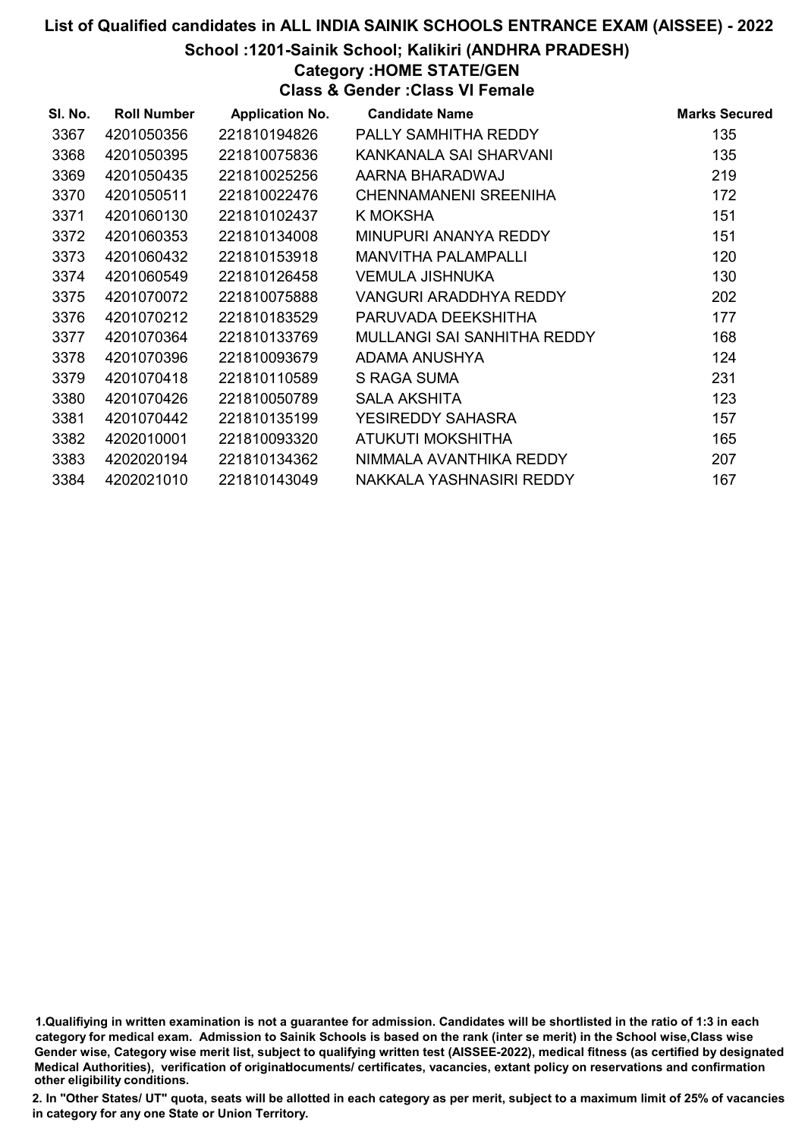#### School :1201-Sainik School; Kalikiri (ANDHRA PRADESH)

#### Category :HOME STATE/GEN

Class & Gender :Class VI Female

| SI. No. | <b>Roll Number</b> | <b>Application No.</b> | <b>Candidate Name</b>       | <b>Marks Secured</b> |
|---------|--------------------|------------------------|-----------------------------|----------------------|
| 3367    | 4201050356         | 221810194826           | PALLY SAMHITHA REDDY        | 135                  |
| 3368    | 4201050395         | 221810075836           | KANKANALA SAI SHARVANI      | 135                  |
| 3369    | 4201050435         | 221810025256           | AARNA BHARADWAJ             | 219                  |
| 3370    | 4201050511         | 221810022476           | CHENNAMANENI SREENIHA       | 172                  |
| 3371    | 4201060130         | 221810102437           | K MOKSHA                    | 151                  |
| 3372    | 4201060353         | 221810134008           | MINUPURI ANANYA REDDY       | 151                  |
| 3373    | 4201060432         | 221810153918           | <b>MANVITHA PALAMPALLI</b>  | 120                  |
| 3374    | 4201060549         | 221810126458           | <b>VEMULA JISHNUKA</b>      | 130                  |
| 3375    | 4201070072         | 221810075888           | VANGURI ARADDHYA REDDY      | 202                  |
| 3376    | 4201070212         | 221810183529           | PARUVADA DEEKSHITHA         | 177                  |
| 3377    | 4201070364         | 221810133769           | MULLANGI SAI SANHITHA REDDY | 168                  |
| 3378    | 4201070396         | 221810093679           | ADAMA ANUSHYA               | 124                  |
| 3379    | 4201070418         | 221810110589           | S RAGA SUMA                 | 231                  |
| 3380    | 4201070426         | 221810050789           | <b>SALA AKSHITA</b>         | 123                  |
| 3381    | 4201070442         | 221810135199           | <b>YESIREDDY SAHASRA</b>    | 157                  |
| 3382    | 4202010001         | 221810093320           | ATUKUTI MOKSHITHA           | 165                  |
| 3383    | 4202020194         | 221810134362           | NIMMALA AVANTHIKA REDDY     | 207                  |
| 3384    | 4202021010         | 221810143049           | NAKKALA YASHNASIRI REDDY    | 167                  |

1.Qualifiying in written examination is not a guarantee for admission. Candidates will be shortlisted in the ratio of 1:3 in each category for medical exam. Admission to Sainik Schools is based on the rank (inter se merit) in the School wise,Class wise Gender wise, Category wise merit list, subject to qualifying written test (AISSEE-2022), medical fitness (as certified by designated Medical Authorities), verification of originablocuments/ certificates, vacancies, extant policy on reservations and confirmation other eligibility conditions.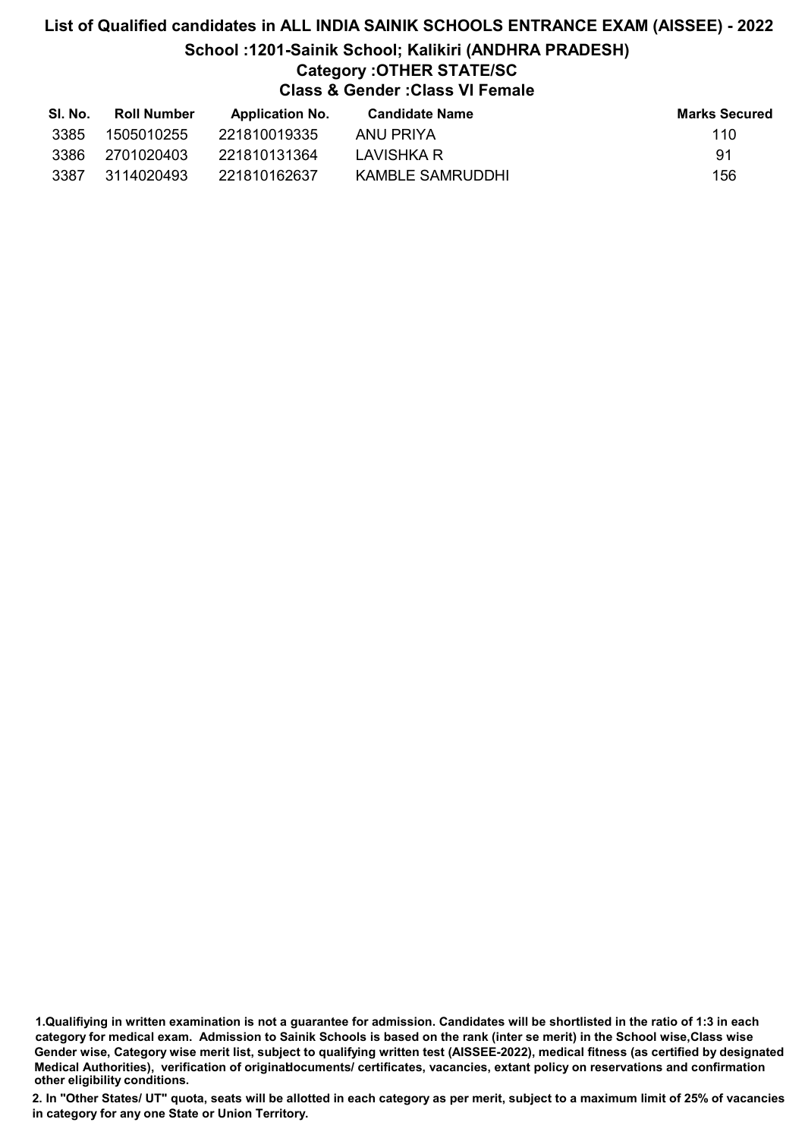## List of Qualified candidates in ALL INDIA SAINIK SCHOOLS ENTRANCE EXAM (AISSEE) - 2022 School :1201-Sainik School; Kalikiri (ANDHRA PRADESH) Category :OTHER STATE/SC Class & Gender :Class VI Female

| SI. No. | <b>Roll Number</b> | <b>Application No.</b> | Candidate Name   | <b>Marks Secured</b> |
|---------|--------------------|------------------------|------------------|----------------------|
| 3385    | 1505010255         | 221810019335           | ANU PRIYA        | 110                  |
| 3386    | 2701020403         | 221810131364           | LAVISHKA R       | -91                  |
| 3387    | 3114020493         | 221810162637           | KAMBLE SAMRUDDHI | 156                  |

<sup>1.</sup>Qualifiying in written examination is not a guarantee for admission. Candidates will be shortlisted in the ratio of 1:3 in each category for medical exam. Admission to Sainik Schools is based on the rank (inter se merit) in the School wise,Class wise Gender wise, Category wise merit list, subject to qualifying written test (AISSEE-2022), medical fitness (as certified by designated Medical Authorities), verification of originablocuments/ certificates, vacancies, extant policy on reservations and confirmation other eligibility conditions.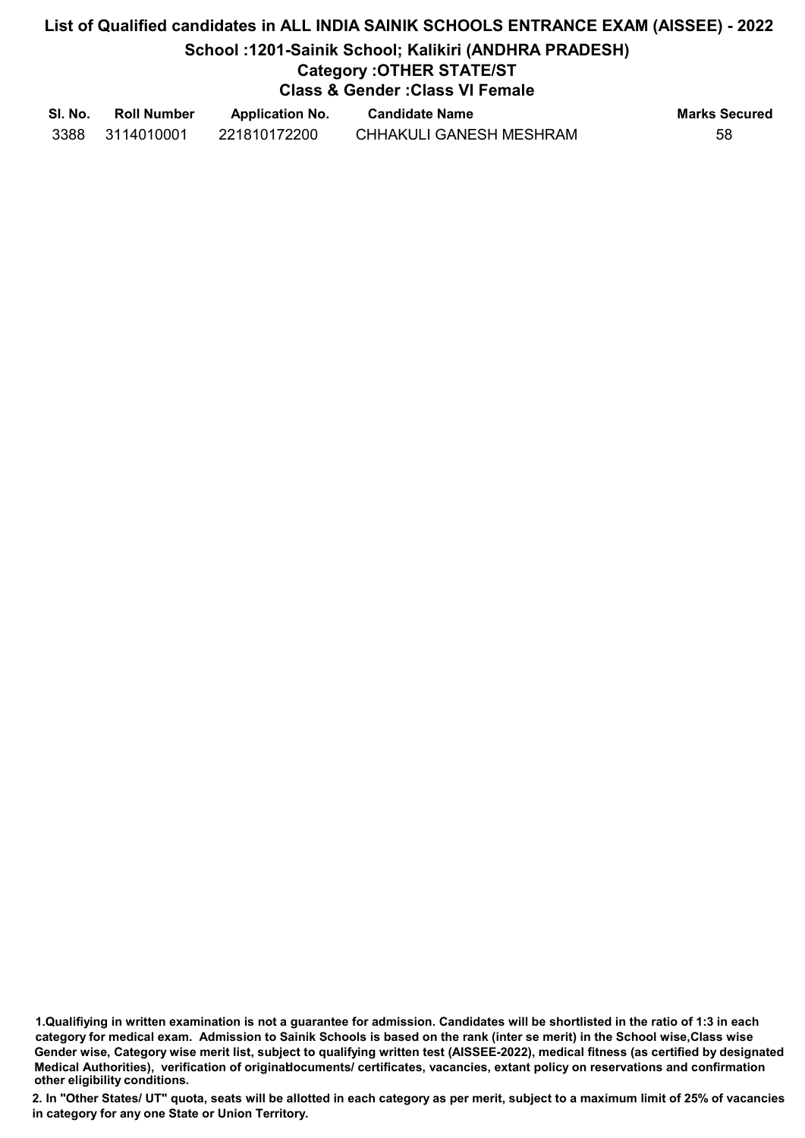## List of Qualified candidates in ALL INDIA SAINIK SCHOOLS ENTRANCE EXAM (AISSEE) - 2022 School :1201-Sainik School; Kalikiri (ANDHRA PRADESH) Category :OTHER STATE/ST Class & Gender :Class VI Female

| SI. No. | <b>Roll Number</b> | <b>Application No.</b> | <b>Candidate Name</b>          | <b>Marks Secured</b> |
|---------|--------------------|------------------------|--------------------------------|----------------------|
| 3388    | 3114010001         | 221810172200           | <b>CHHAKULI GANESH MESHRAM</b> | 58                   |

1.Qualifiying in written examination is not a guarantee for admission. Candidates will be shortlisted in the ratio of 1:3 in each category for medical exam. Admission to Sainik Schools is based on the rank (inter se merit) in the School wise,Class wise Gender wise, Category wise merit list, subject to qualifying written test (AISSEE-2022), medical fitness (as certified by designated Medical Authorities), verification of originablocuments/ certificates, vacancies, extant policy on reservations and confirmation other eligibility conditions.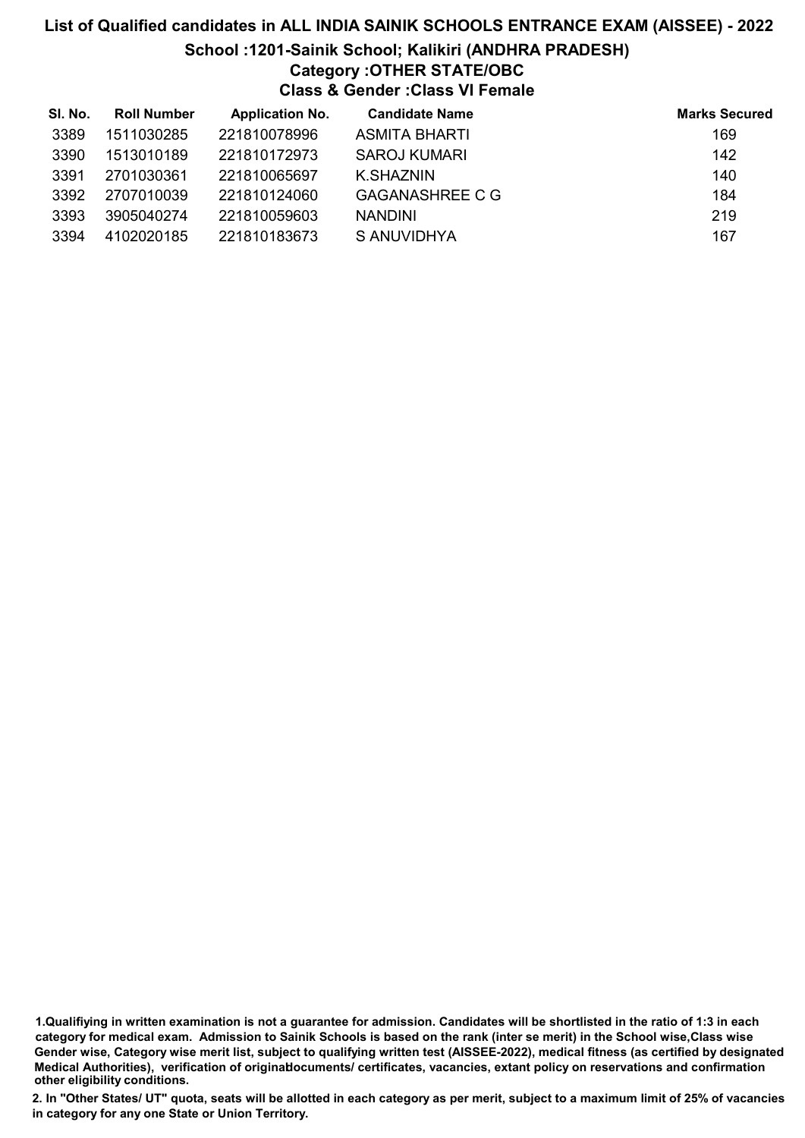## List of Qualified candidates in ALL INDIA SAINIK SCHOOLS ENTRANCE EXAM (AISSEE) - 2022 School :1201-Sainik School; Kalikiri (ANDHRA PRADESH) Category :OTHER STATE/OBC Class & Gender :Class VI Female

| SI. No. | <b>Roll Number</b> | <b>Application No.</b> | <b>Candidate Name</b>  | <b>Marks Secured</b> |
|---------|--------------------|------------------------|------------------------|----------------------|
| 3389    | 1511030285         | 221810078996           | <b>ASMITA BHARTI</b>   | 169                  |
| 3390    | 1513010189         | 221810172973           | SAROJ KUMARI           | 142                  |
| 3391    | 2701030361         | 221810065697           | K SHAZNIN              | 140                  |
| 3392    | 2707010039         | 221810124060           | <b>GAGANASHREE C G</b> | 184                  |
| 3393    | 3905040274         | 221810059603           | <b>NANDINI</b>         | 219                  |
| 3394    | 4102020185         | 221810183673           | S ANUVIDHYA            | 167                  |

<sup>1.</sup>Qualifiying in written examination is not a guarantee for admission. Candidates will be shortlisted in the ratio of 1:3 in each category for medical exam. Admission to Sainik Schools is based on the rank (inter se merit) in the School wise,Class wise Gender wise, Category wise merit list, subject to qualifying written test (AISSEE-2022), medical fitness (as certified by designated Medical Authorities), verification of originablocuments/ certificates, vacancies, extant policy on reservations and confirmation other eligibility conditions.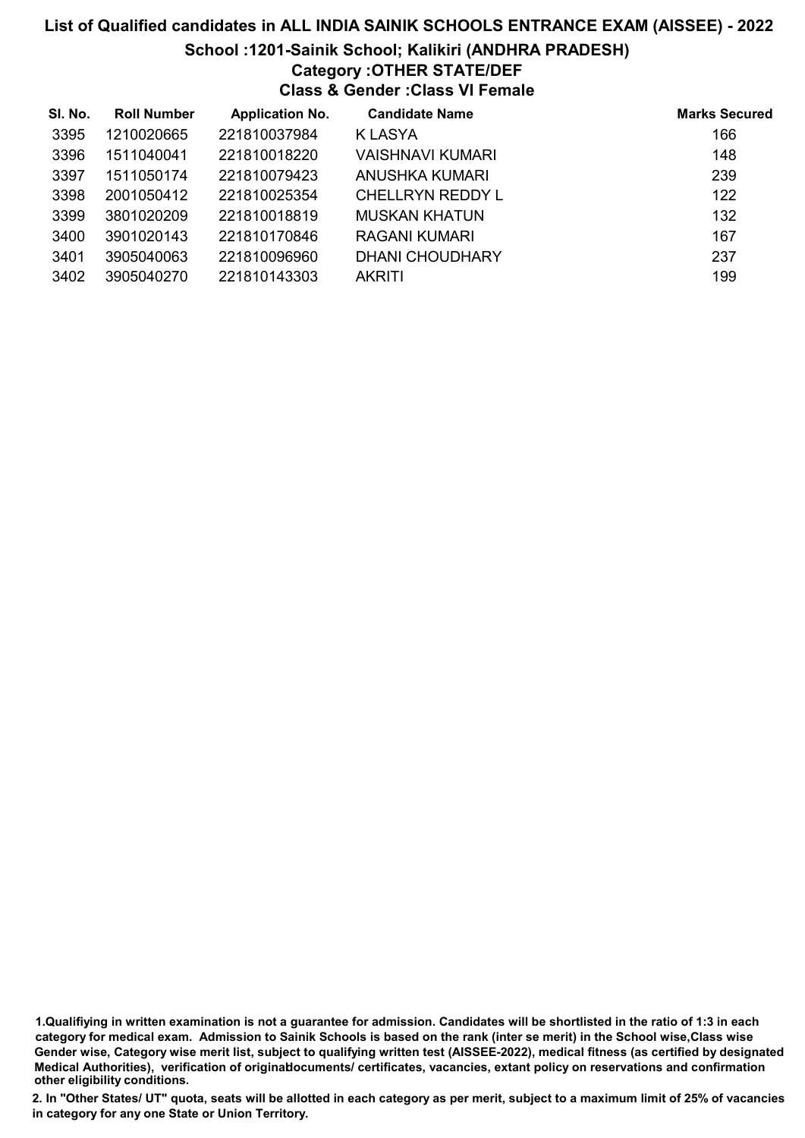## List of Qualified candidates in ALL INDIA SAINIK SCHOOLS ENTRANCE EXAM (AISSEE) - 2022 School :1201-Sainik School; Kalikiri (ANDHRA PRADESH)

# Category :OTHER STATE/DEF

Class & Gender :Class VI Female

| SI. No. | <b>Roll Number</b> | <b>Application No.</b> | <b>Candidate Name</b>  | <b>Marks Secured</b> |
|---------|--------------------|------------------------|------------------------|----------------------|
| 3395    | 1210020665         | 221810037984           | K LASYA                | 166                  |
| 3396    | 1511040041         | 221810018220           | VAISHNAVI KUMARI       | 148                  |
| 3397    | 1511050174         | 221810079423           | ANUSHKA KUMARI         | 239                  |
| 3398    | 2001050412         | 221810025354           | CHELLRYN REDDY L       | 122                  |
| 3399    | 3801020209         | 221810018819           | <b>MUSKAN KHATUN</b>   | 132                  |
| 3400    | 3901020143         | 221810170846           | RAGANI KUMARI          | 167                  |
| 3401    | 3905040063         | 221810096960           | <b>DHANI CHOUDHARY</b> | 237                  |
| 3402    | 3905040270         | 221810143303           | <b>AKRITI</b>          | 199                  |

1.Qualifiying in written examination is not a guarantee for admission. Candidates will be shortlisted in the ratio of 1:3 in each category for medical exam. Admission to Sainik Schools is based on the rank (inter se merit) in the School wise,Class wise Gender wise, Category wise merit list, subject to qualifying written test (AISSEE-2022), medical fitness (as certified by designated Medical Authorities), verification of originablocuments/ certificates, vacancies, extant policy on reservations and confirmation other eligibility conditions.